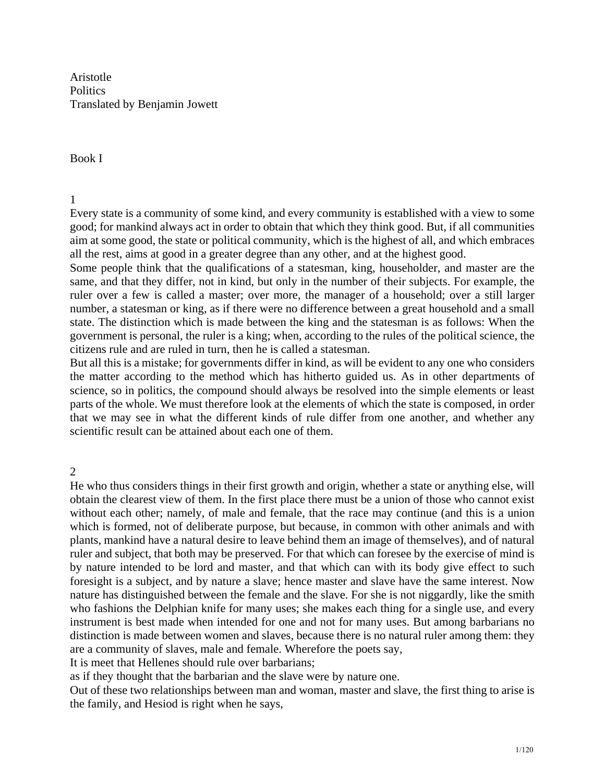Aristotle **Politics** Translated by Benjamin Jowett

## Book I

1

Every state is a community of some kind, and every community is established with a view to some good; for mankind always act in order to obtain that which they think good. But, if all communities aim at some good, the state or political community, which is the highest of all, and which embraces all the rest, aims at good in a greater degree than any other, and at the highest good.

Some people think that the qualifications of a statesman, king, householder, and master are the same, and that they differ, not in kind, but only in the number of their subjects. For example, the ruler over a few is called a master; over more, the manager of a household; over a still larger number, a statesman or king, as if there were no difference between a great household and a small state. The distinction which is made between the king and the statesman is as follows: When the government is personal, the ruler is a king; when, according to the rules of the political science, the citizens rule and are ruled in turn, then he is called a statesman.

But all this is a mistake; for governments differ in kind, as will be evident to any one who considers the matter according to the method which has hitherto guided us. As in other departments of science, so in politics, the compound should always be resolved into the simple elements or least parts of the whole. We must therefore look at the elements of which the state is composed, in order that we may see in what the different kinds of rule differ from one another, and whether any scientific result can be attained about each one of them.

2

He who thus considers things in their first growth and origin, whether a state or anything else, will obtain the clearest view of them. In the first place there must be a union of those who cannot exist without each other; namely, of male and female, that the race may continue (and this is a union which is formed, not of deliberate purpose, but because, in common with other animals and with plants, mankind have a natural desire to leave behind them an image of themselves), and of natural ruler and subject, that both may be preserved. For that which can foresee by the exercise of mind is by nature intended to be lord and master, and that which can with its body give effect to such foresight is a subject, and by nature a slave; hence master and slave have the same interest. Now nature has distinguished between the female and the slave. For she is not niggardly, like the smith who fashions the Delphian knife for many uses; she makes each thing for a single use, and every instrument is best made when intended for one and not for many uses. But among barbarians no distinction is made between women and slaves, because there is no natural ruler among them: they are a community of slaves, male and female. Wherefore the poets say,

It is meet that Hellenes should rule over barbarians;

as if they thought that the barbarian and the slave were by nature one.

Out of these two relationships between man and woman, master and slave, the first thing to arise is the family, and Hesiod is right when he says,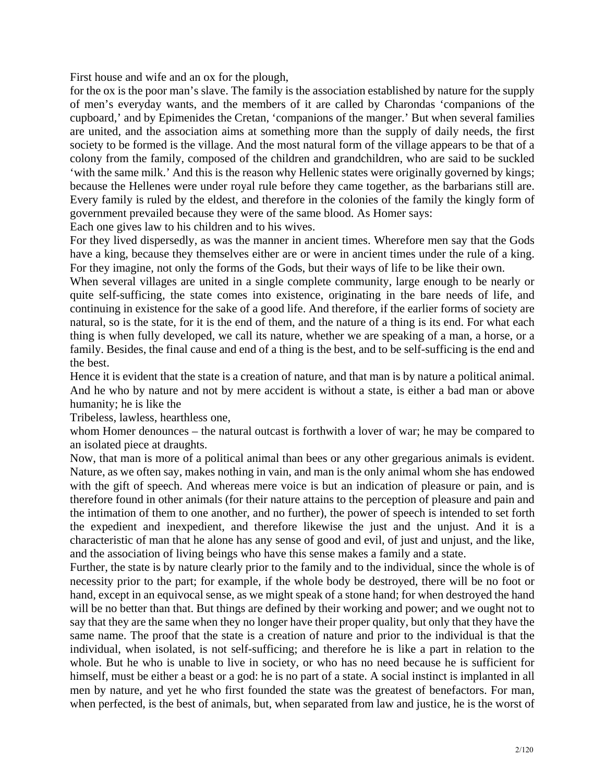First house and wife and an ox for the plough,

for the ox is the poor man's slave. The family is the association established by nature for the supply of men's everyday wants, and the members of it are called by Charondas 'companions of the cupboard,' and by Epimenides the Cretan, 'companions of the manger.' But when several families are united, and the association aims at something more than the supply of daily needs, the first society to be formed is the village. And the most natural form of the village appears to be that of a colony from the family, composed of the children and grandchildren, who are said to be suckled 'with the same milk.' And this is the reason why Hellenic states were originally governed by kings; because the Hellenes were under royal rule before they came together, as the barbarians still are. Every family is ruled by the eldest, and therefore in the colonies of the family the kingly form of government prevailed because they were of the same blood. As Homer says:

Each one gives law to his children and to his wives.

For they lived dispersedly, as was the manner in ancient times. Wherefore men say that the Gods have a king, because they themselves either are or were in ancient times under the rule of a king. For they imagine, not only the forms of the Gods, but their ways of life to be like their own.

quite self-sufficing, the state comes into existence, originating in the bare needs of life, and When several villages are united in a single complete community, large enough to be nearly or continuing in existence for the sake of a good life. And therefore, if the earlier forms of society are natural, so is the state, for it is the end of them, and the nature of a thing is its end. For what each thing is when fully developed, we call its nature, whether we are speaking of a man, a horse, or a family. Besides, the final cause and end of a thing is the best, and to be self-sufficing is the end and the best.

And he who by nature and not by mere accident is without a state, is either a bad man or above Hence it is evident that the state is a creation of nature, and that man is by nature a political animal. humanity; he is like the

Tribeless, lawless, hearthless one,

whom Homer denounces – the natural outcast is forthwith a lover of war; he may be compared to an isolated piece at draughts.

Nature, as we often say, makes nothing in vain, and man is the only animal whom she has endowed Now, that man is more of a political animal than bees or any other gregarious animals is evident. with the gift of speech. And whereas mere voice is but an indication of pleasure or pain, and is therefore found in other animals (for their nature attains to the perception of pleasure and pain and the intimation of them to one another, and no further), the power of speech is intended to set forth the expedient and inexpedient, and therefore likewise the just and the unjust. And it is a characteristic of man that he alone has any sense of good and evil, of just and unjust, and the like, and the association of living beings who have this sense makes a family and a state.

necessity prior to the part; for example, if the whole body be destroyed, there will be no foot or Further, the state is by nature clearly prior to the family and to the individual, since the whole is of hand, except in an equivocal sense, as we might speak of a stone hand; for when destroyed the hand will be no better than that. But things are defined by their working and power; and we ought not to say that they are the same when they no longer have their proper quality, but only that they have the same name. The proof that the state is a creation of nature and prior to the individual is that the individual, when isolated, is not self-sufficing; and therefore he is like a part in relation to the whole. But he who is unable to live in society, or who has no need because he is sufficient for himself, must be either a beast or a god: he is no part of a state. A social instinct is implanted in all men by nature, and yet he who first founded the state was the greatest of benefactors. For man, when perfected, is the best of animals, but, when separated from law and justice, he is the worst of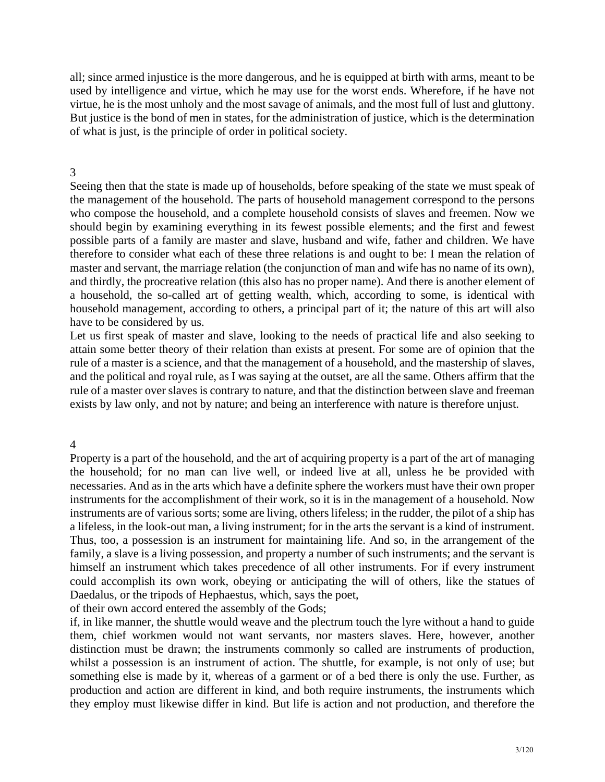all; since armed injustice is the more dangerous, and he is equipped at birth with arms, meant to be used by intelligence and virtue, which he may use for the worst ends. Wherefore, if he have not virtue, he is the most unholy and the most savage of animals, and the most full of lust and gluttony. But justice is the bond of men in states, for the administration of justice, which is the determination of what is just, is the principle of order in political society.

## 3

Seeing then that the state is made up of households, before speaking of the state we must speak of the management of the household. The parts of household management correspond to the persons who compose the household, and a complete household consists of slaves and freemen. Now we should begin by examining everything in its fewest possible elements; and the first and fewest possible parts of a family are master and slave, husband and wife, father and children. We have therefore to consider what each of these three relations is and ought to be: I mean the relation of master and servant, the marriage relation (the conjunction of man and wife has no name of its own), and thirdly, the procreative relation (this also has no proper name). And there is another element of a household, the so-called art of getting wealth, which, according to some, is identical with household management, according to others, a principal part of it; the nature of this art will also have to be considered by us.

attain some better theory of their relation than exists at present. For some are of opinion that the Let us first speak of master and slave, looking to the needs of practical life and also seeking to rule of a master is a science, and that the management of a household, and the mastership of slaves, and the political and royal rule, as I was saying at the outset, are all the same. Others affirm that the rule of a master over slaves is contrary to nature, and that the distinction between slave and freeman exists by law only, and not by nature; and being an interference with nature is therefore unjust.

### 4

Property is a part of the household, and the art of acquiring property is a part of the art of managing the household; for no man can live well, or indeed live at all, unless he be provided with necessaries. And as in the arts which have a definite sphere the workers must have their own proper instruments for the accomplishment of their work, so it is in the management of a household. Now instruments are of various sorts; some are living, others lifeless; in the rudder, the pilot of a ship has a lifeless, in the look-out man, a living instrument; for in the arts the servant is a kind of instrument. Thus, too, a possession is an instrument for maintaining life. And so, in the arrangement of the family, a slave is a living possession, and property a number of such instruments; and the servant is himself an instrument which takes precedence of all other instruments. For if every instrument could accomplish its own work, obeying or anticipating the will of others, like the statues of Daedalus, or the tripods of Hephaestus, which, says the poet,

of their own accord entered the assembly of the Gods;

them, chief workmen would not want servants, nor masters slaves. Here, however, another distinction must be drawn; the instruments commonly so called are instruments of production, if, in like manner, the shuttle would weave and the plectrum touch the lyre without a hand to guide whilst a possession is an instrument of action. The shuttle, for example, is not only of use; but something else is made by it, whereas of a garment or of a bed there is only the use. Further, as production and action are different in kind, and both require instruments, the instruments which they employ must likewise differ in kind. But life is action and not production, and therefore the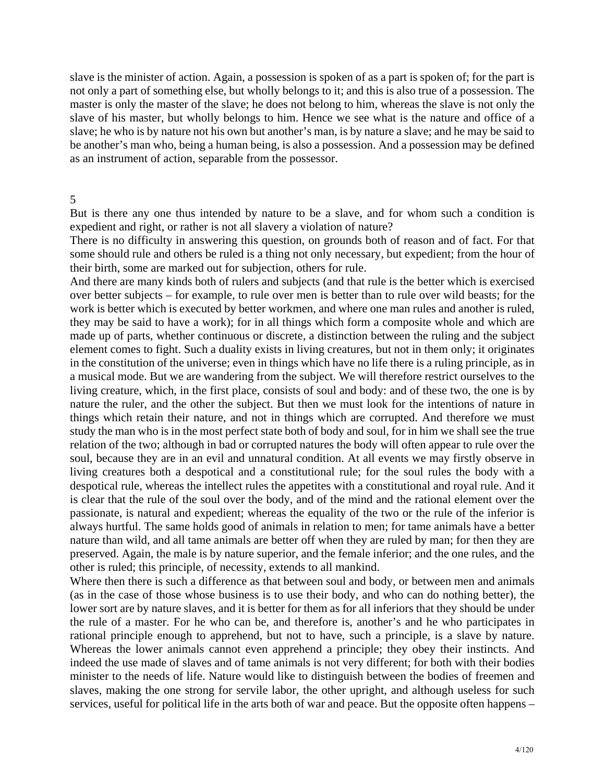slave is the minister of action. Again, a possession is spoken of as a part is spoken of; for the part is not only a part of something else, but wholly belongs to it; and this is also true of a possession. The master is only the master of the slave; he does not belong to him, whereas the slave is not only the slave of his master, but wholly belongs to him. Hence we see what is the nature and office of a slave; he who is by nature not his own but another's man, is by nature a slave; and he may be said to be another's man who, being a human being, is also a possession. And a possession may be defined as an instrument of action, separable from the possessor.

5

But is there any one thus intended by nature to be a slave, and for whom such a condition is xpedient and right, or rather is not all slavery a violation of nature? e

There is no difficulty in answering this question, on grounds both of reason and of fact. For that some should rule and others be ruled is a thing not only necessary, but expedient; from the hour of their birth, some are marked out for subjection, others for rule.

work is better which is executed by better workmen, and where one man rules and another is ruled, And there are many kinds both of rulers and subjects (and that rule is the better which is exercised over better subjects – for example, to rule over men is better than to rule over wild beasts; for the they may be said to have a work); for in all things which form a composite whole and which are made up of parts, whether continuous or discrete, a distinction between the ruling and the subject element comes to fight. Such a duality exists in living creatures, but not in them only; it originates in the constitution of the universe; even in things which have no life there is a ruling principle, as in a musical mode. But we are wandering from the subject. We will therefore restrict ourselves to the living creature, which, in the first place, consists of soul and body: and of these two, the one is by nature the ruler, and the other the subject. But then we must look for the intentions of nature in things which retain their nature, and not in things which are corrupted. And therefore we must study the man who is in the most perfect state both of body and soul, for in him we shall see the true relation of the two; although in bad or corrupted natures the body will often appear to rule over the soul, because they are in an evil and unnatural condition. At all events we may firstly observe in living creatures both a despotical and a constitutional rule; for the soul rules the body with a despotical rule, whereas the intellect rules the appetites with a constitutional and royal rule. And it is clear that the rule of the soul over the body, and of the mind and the rational element over the passionate, is natural and expedient; whereas the equality of the two or the rule of the inferior is always hurtful. The same holds good of animals in relation to men; for tame animals have a better nature than wild, and all tame animals are better off when they are ruled by man; for then they are preserved. Again, the male is by nature superior, and the female inferior; and the one rules, and the other is ruled; this principle, of necessity, extends to all mankind.

the rule of a master. For he who can be, and therefore is, another's and he who participates in Where then there is such a difference as that between soul and body, or between men and animals (as in the case of those whose business is to use their body, and who can do nothing better), the lower sort are by nature slaves, and it is better for them as for all inferiors that they should be under rational principle enough to apprehend, but not to have, such a principle, is a slave by nature. Whereas the lower animals cannot even apprehend a principle; they obey their instincts. And indeed the use made of slaves and of tame animals is not very different; for both with their bodies minister to the needs of life. Nature would like to distinguish between the bodies of freemen and slaves, making the one strong for servile labor, the other upright, and although useless for such services, useful for political life in the arts both of war and peace. But the opposite often happens –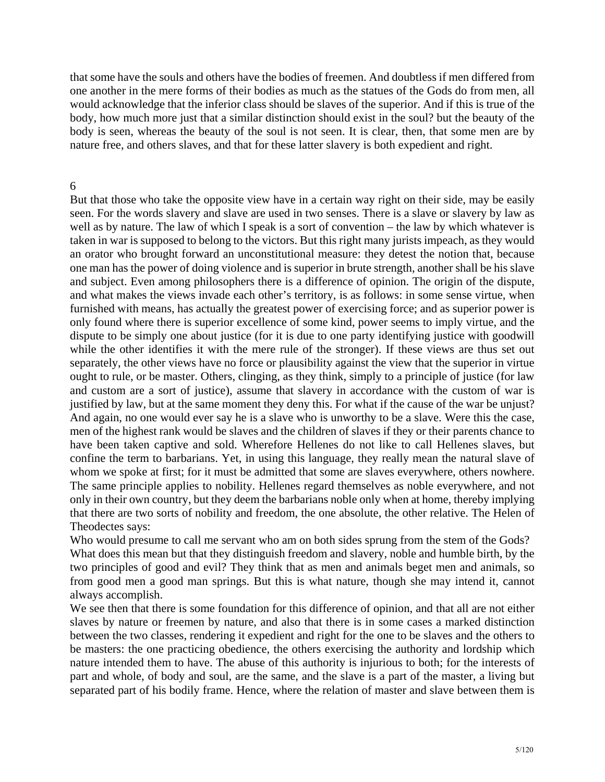that some have the souls and others have the bodies of freemen. And doubtless if men differed from one another in the mere forms of their bodies as much as the statues of the Gods do from men, all would acknowledge that the inferior class should be slaves of the superior. And if this is true of the body, how much more just that a similar distinction should exist in the soul? but the beauty of the body is seen, whereas the beauty of the soul is not seen. It is clear, then, that some men are by nature free, and others slaves, and that for these latter slavery is both expedient and right.

## 6

But that those who take the opposite view have in a certain way right on their side, may be easily seen. For the words slavery and slave are used in two senses. There is a slave or slavery by law as well as by nature. The law of which I speak is a sort of convention – the law by which whatever is taken in war is supposed to belong to the victors. But this right many jurists impeach, as they would an orator who brought forward an unconstitutional measure: they detest the notion that, because one man has the power of doing violence and is superior in brute strength, another shall be his slave and subject. Even among philosophers there is a difference of opinion. The origin of the dispute, and what makes the views invade each other's territory, is as follows: in some sense virtue, when furnished with means, has actually the greatest power of exercising force; and as superior power is only found where there is superior excellence of some kind, power seems to imply virtue, and the dispute to be simply one about justice (for it is due to one party identifying justice with goodwill while the other identifies it with the mere rule of the stronger). If these views are thus set out separately, the other views have no force or plausibility against the view that the superior in virtue ought to rule, or be master. Others, clinging, as they think, simply to a principle of justice (for law and custom are a sort of justice), assume that slavery in accordance with the custom of war is justified by law, but at the same moment they deny this. For what if the cause of the war be unjust? And again, no one would ever say he is a slave who is unworthy to be a slave. Were this the case, men of the highest rank would be slaves and the children of slaves if they or their parents chance to have been taken captive and sold. Wherefore Hellenes do not like to call Hellenes slaves, but confine the term to barbarians. Yet, in using this language, they really mean the natural slave of whom we spoke at first; for it must be admitted that some are slaves everywhere, others nowhere. The same principle applies to nobility. Hellenes regard themselves as noble everywhere, and not only in their own country, but they deem the barbarians noble only when at home, thereby implying that there are two sorts of nobility and freedom, the one absolute, the other relative. The Helen of Theodectes says:

Who would presume to call me servant who am on both sides sprung from the stem of the Gods? What does this mean but that they distinguish freedom and slavery, noble and humble birth, by the two principles of good and evil? They think that as men and animals beget men and animals, so from good men a good man springs. But this is what nature, though she may intend it, cannot always accomplish.

nature intended them to have. The abuse of this authority is injurious to both; for the interests of We see then that there is some foundation for this difference of opinion, and that all are not either slaves by nature or freemen by nature, and also that there is in some cases a marked distinction between the two classes, rendering it expedient and right for the one to be slaves and the others to be masters: the one practicing obedience, the others exercising the authority and lordship which part and whole, of body and soul, are the same, and the slave is a part of the master, a living but separated part of his bodily frame. Hence, where the relation of master and slave between them is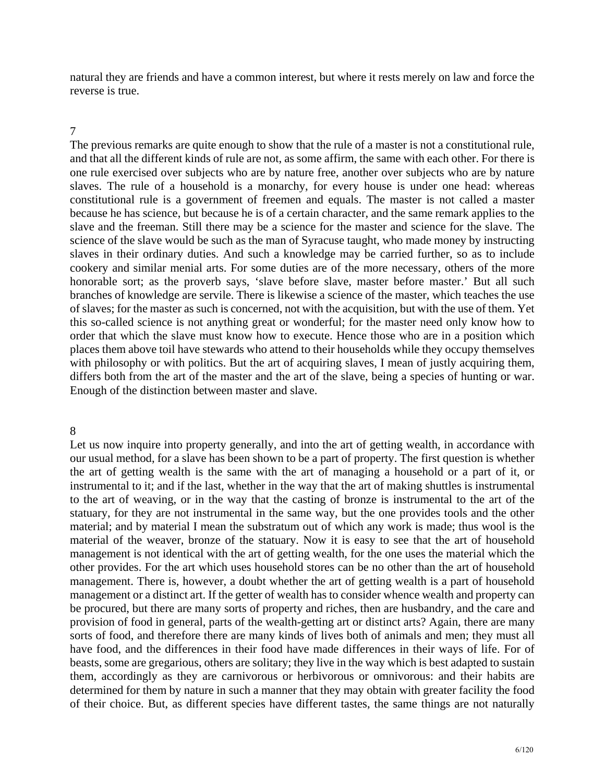natural they are friends and have a common interest, but where it rests merely on law and force the reverse is true.

# 7

The previous remarks are quite enough to show that the rule of a master is not a constitutional rule, nd that all the different kinds of rule are not, as some affirm, the same with each other. For there is a one rule exercised over subjects who are by nature free, another over subjects who are by nature slaves. The rule of a household is a monarchy, for every house is under one head: whereas constitutional rule is a government of freemen and equals. The master is not called a master because he has science, but because he is of a certain character, and the same remark applies to the slave and the freeman. Still there may be a science for the master and science for the slave. The science of the slave would be such as the man of Syracuse taught, who made money by instructing slaves in their ordinary duties. And such a knowledge may be carried further, so as to include cookery and similar menial arts. For some duties are of the more necessary, others of the more honorable sort; as the proverb says, 'slave before slave, master before master.' But all such branches of knowledge are servile. There is likewise a science of the master, which teaches the use of slaves; for the master as such is concerned, not with the acquisition, but with the use of them. Yet this so-called science is not anything great or wonderful; for the master need only know how to order that which the slave must know how to execute. Hence those who are in a position which places them above toil have stewards who attend to their households while they occupy themselves with philosophy or with politics. But the art of acquiring slaves, I mean of justly acquiring them, differs both from the art of the master and the art of the slave, being a species of hunting or war. Enough of the distinction between master and slave.

### 8

Let us now inquire into property generally, and into the art of getting wealth, in accordance with our usual method, for a slave has been shown to be a part of property. The first question is whether the art of getting wealth is the same with the art of managing a household or a part of it, or instrumental to it; and if the last, whether in the way that the art of making shuttles is instrumental to the art of weaving, or in the way that the casting of bronze is instrumental to the art of the statuary, for they are not instrumental in the same way, but the one provides tools and the other material; and by material I mean the substratum out of which any work is made; thus wool is the material of the weaver, bronze of the statuary. Now it is easy to see that the art of household management is not identical with the art of getting wealth, for the one uses the material which the other provides. For the art which uses household stores can be no other than the art of household management. There is, however, a doubt whether the art of getting wealth is a part of household management or a distinct art. If the getter of wealth has to consider whence wealth and property can be procured, but there are many sorts of property and riches, then are husbandry, and the care and provision of food in general, parts of the wealth-getting art or distinct arts? Again, there are many sorts of food, and therefore there are many kinds of lives both of animals and men; they must all have food, and the differences in their food have made differences in their ways of life. For of beasts, some are gregarious, others are solitary; they live in the way which is best adapted to sustain them, accordingly as they are carnivorous or herbivorous or omnivorous: and their habits are determined for them by nature in such a manner that they may obtain with greater facility the food of their choice. But, as different species have different tastes, the same things are not naturally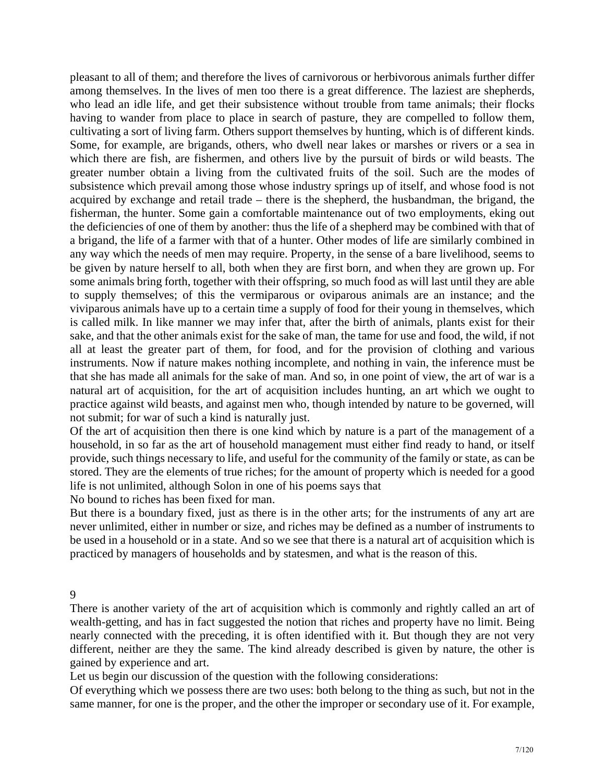pleasant to all of them; and therefore the lives of carnivorous or herbivorous animals further differ among themselves. In the lives of men too there is a great difference. The laziest are shepherds, who lead an idle life, and get their subsistence without trouble from tame animals; their flocks having to wander from place to place in search of pasture, they are compelled to follow them, cultivating a sort of living farm. Others support themselves by hunting, which is of different kinds. Some, for example, are brigands, others, who dwell near lakes or marshes or rivers or a sea in which there are fish, are fishermen, and others live by the pursuit of birds or wild beasts. The greater number obtain a living from the cultivated fruits of the soil. Such are the modes of subsistence which prevail among those whose industry springs up of itself, and whose food is not acquired by exchange and retail trade – there is the shepherd, the husbandman, the brigand, the fisherman, the hunter. Some gain a comfortable maintenance out of two employments, eking out the deficiencies of one of them by another: thus the life of a shepherd may be combined with that of a brigand, the life of a farmer with that of a hunter. Other modes of life are similarly combined in any way which the needs of men may require. Property, in the sense of a bare livelihood, seems to be given by nature herself to all, both when they are first born, and when they are grown up. For some animals bring forth, together with their offspring, so much food as will last until they are able to supply themselves; of this the vermiparous or oviparous animals are an instance; and the viviparous animals have up to a certain time a supply of food for their young in themselves, which is called milk. In like manner we may infer that, after the birth of animals, plants exist for their sake, and that the other animals exist for the sake of man, the tame for use and food, the wild, if not all at least the greater part of them, for food, and for the provision of clothing and various instruments. Now if nature makes nothing incomplete, and nothing in vain, the inference must be that she has made all animals for the sake of man. And so, in one point of view, the art of war is a natural art of acquisition, for the art of acquisition includes hunting, an art which we ought to practice against wild beasts, and against men who, though intended by nature to be governed, will not submit; for war of such a kind is naturally just.

Of the art of acquisition then there is one kind which by nature is a part of the management of a household, in so far as the art of household management must either find ready to hand, or itself provide, such things necessary to life, and useful for the community of the family or state, as can be stored. They are the elements of true riches; for the amount of property which is needed for a good life is not unlimited, although Solon in one of his poems says that

No bound to riches has been fixed for man.

practiced by managers of households and by statesmen, and what is the reason of this. But there is a boundary fixed, just as there is in the other arts; for the instruments of any art are never unlimited, either in number or size, and riches may be defined as a number of instruments to be used in a household or in a state. And so we see that there is a natural art of acquisition which is

 $\overline{Q}$ 

wealth-getting, and has in fact suggested the notion that riches and property have no limit. Being nearly connected with the preceding, it is often identified with it. But though they are not very different, neither are they the same. The kind already described is given by nature, the other is gained by experience and art. There is another variety of the art of acquisition which is commonly and rightly called an art of

Let us begin our discussion of the question with the following considerations:

Of everything which we possess there are two uses: both belong to the thing as such, but not in the same manner, for one is the proper, and the other the improper or secondary use of it. For example,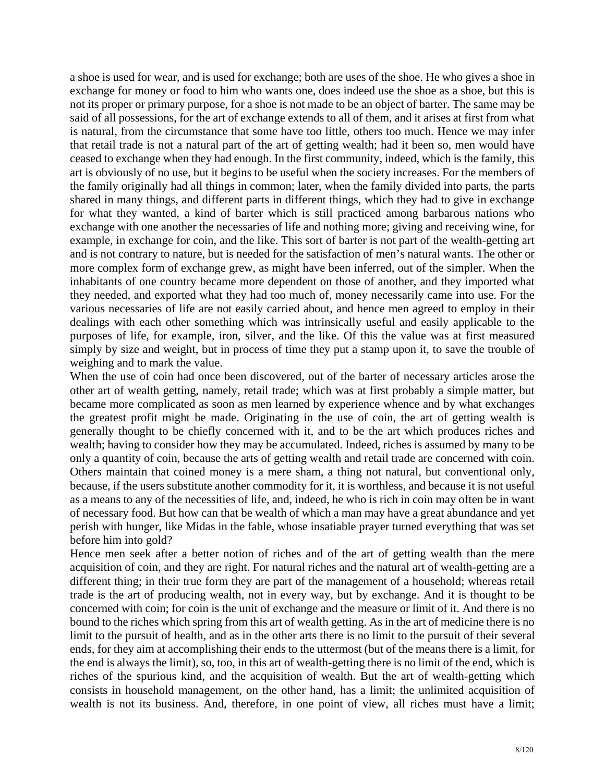a shoe is used for wear, and is used for exchange; both are uses of the shoe. He who gives a shoe in exchange for money or food to him who wants one, does indeed use the shoe as a shoe, but this is not its proper or primary purpose, for a shoe is not made to be an object of barter. The same may be said of all possessions, for the art of exchange extends to all of them, and it arises at first from what is natural, from the circumstance that some have too little, others too much. Hence we may infer that retail trade is not a natural part of the art of getting wealth; had it been so, men would have ceased to exchange when they had enough. In the first community, indeed, which is the family, this art is obviously of no use, but it begins to be useful when the society increases. For the members of the family originally had all things in common; later, when the family divided into parts, the parts shared in many things, and different parts in different things, which they had to give in exchange for what they wanted, a kind of barter which is still practiced among barbarous nations who exchange with one another the necessaries of life and nothing more; giving and receiving wine, for example, in exchange for coin, and the like. This sort of barter is not part of the wealth-getting art and is not contrary to nature, but is needed for the satisfaction of men's natural wants. The other or more complex form of exchange grew, as might have been inferred, out of the simpler. When the inhabitants of one country became more dependent on those of another, and they imported what they needed, and exported what they had too much of, money necessarily came into use. For the various necessaries of life are not easily carried about, and hence men agreed to employ in their dealings with each other something which was intrinsically useful and easily applicable to the purposes of life, for example, iron, silver, and the like. Of this the value was at first measured simply by size and weight, but in process of time they put a stamp upon it, to save the trouble of weighing and to mark the value.

generally thought to be chiefly concerned with it, and to be the art which produces riches and When the use of coin had once been discovered, out of the barter of necessary articles arose the other art of wealth getting, namely, retail trade; which was at first probably a simple matter, but became more complicated as soon as men learned by experience whence and by what exchanges the greatest profit might be made. Originating in the use of coin, the art of getting wealth is wealth; having to consider how they may be accumulated. Indeed, riches is assumed by many to be only a quantity of coin, because the arts of getting wealth and retail trade are concerned with coin. Others maintain that coined money is a mere sham, a thing not natural, but conventional only, because, if the users substitute another commodity for it, it is worthless, and because it is not useful as a means to any of the necessities of life, and, indeed, he who is rich in coin may often be in want of necessary food. But how can that be wealth of which a man may have a great abundance and yet perish with hunger, like Midas in the fable, whose insatiable prayer turned everything that was set before him into gold?

concerned with coin; for coin is the unit of exchange and the measure or limit of it. And there is no Hence men seek after a better notion of riches and of the art of getting wealth than the mere acquisition of coin, and they are right. For natural riches and the natural art of wealth-getting are a different thing; in their true form they are part of the management of a household; whereas retail trade is the art of producing wealth, not in every way, but by exchange. And it is thought to be bound to the riches which spring from this art of wealth getting. As in the art of medicine there is no limit to the pursuit of health, and as in the other arts there is no limit to the pursuit of their several ends, for they aim at accomplishing their ends to the uttermost (but of the means there is a limit, for the end is always the limit), so, too, in this art of wealth-getting there is no limit of the end, which is riches of the spurious kind, and the acquisition of wealth. But the art of wealth-getting which consists in household management, on the other hand, has a limit; the unlimited acquisition of wealth is not its business. And, therefore, in one point of view, all riches must have a limit;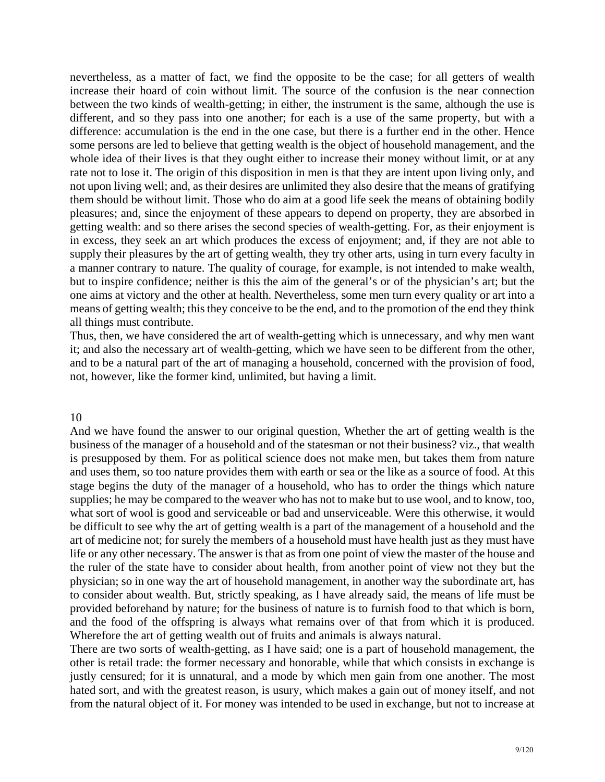nevertheless, as a matter of fact, we find the opposite to be the case; for all getters of wealth increase their hoard of coin without limit. The source of the confusion is the near connection between the two kinds of wealth-getting; in either, the instrument is the same, although the use is different, and so they pass into one another; for each is a use of the same property, but with a difference: accumulation is the end in the one case, but there is a further end in the other. Hence some persons are led to believe that getting wealth is the object of household management, and the whole idea of their lives is that they ought either to increase their money without limit, or at any rate not to lose it. The origin of this disposition in men is that they are intent upon living only, and not upon living well; and, as their desires are unlimited they also desire that the means of gratifying them should be without limit. Those who do aim at a good life seek the means of obtaining bodily pleasures; and, since the enjoyment of these appears to depend on property, they are absorbed in getting wealth: and so there arises the second species of wealth-getting. For, as their enjoyment is in excess, they seek an art which produces the excess of enjoyment; and, if they are not able to supply their pleasures by the art of getting wealth, they try other arts, using in turn every faculty in a manner contrary to nature. The quality of courage, for example, is not intended to make wealth, but to inspire confidence; neither is this the aim of the general's or of the physician's art; but the one aims at victory and the other at health. Nevertheless, some men turn every quality or art into a means of getting wealth; this they conceive to be the end, and to the promotion of the end they think all things must contribute.

Thus, then, we have considered the art of wealth-getting which is unnecessary, and why men want it; and also the necessary art of wealth-getting, which we have seen to be different from the other, and to be a natural part of the art of managing a household, concerned with the provision of food, not, however, like the former kind, unlimited, but having a limit.

### 10

And we have found the answer to our original question, Whether the art of getting wealth is the business of the manager of a household and of the statesman or not their business? viz., that wealth is presupposed by them. For as political science does not make men, but takes them from nature and uses them, so too nature provides them with earth or sea or the like as a source of food. At this stage begins the duty of the manager of a household, who has to order the things which nature supplies; he may be compared to the weaver who has not to make but to use wool, and to know, too, what sort of wool is good and serviceable or bad and unserviceable. Were this otherwise, it would be difficult to see why the art of getting wealth is a part of the management of a household and the art of medicine not; for surely the members of a household must have health just as they must have life or any other necessary. The answer is that as from one point of view the master of the house and the ruler of the state have to consider about health, from another point of view not they but the physician; so in one way the art of household management, in another way the subordinate art, has to consider about wealth. But, strictly speaking, as I have already said, the means of life must be provided beforehand by nature; for the business of nature is to furnish food to that which is born, and the food of the offspring is always what remains over of that from which it is produced. Wherefore the art of getting wealth out of fruits and animals is always natural.

from the natural object of it. For money was intended to be used in exchange, but not to increase at There are two sorts of wealth-getting, as I have said; one is a part of household management, the other is retail trade: the former necessary and honorable, while that which consists in exchange is justly censured; for it is unnatural, and a mode by which men gain from one another. The most hated sort, and with the greatest reason, is usury, which makes a gain out of money itself, and not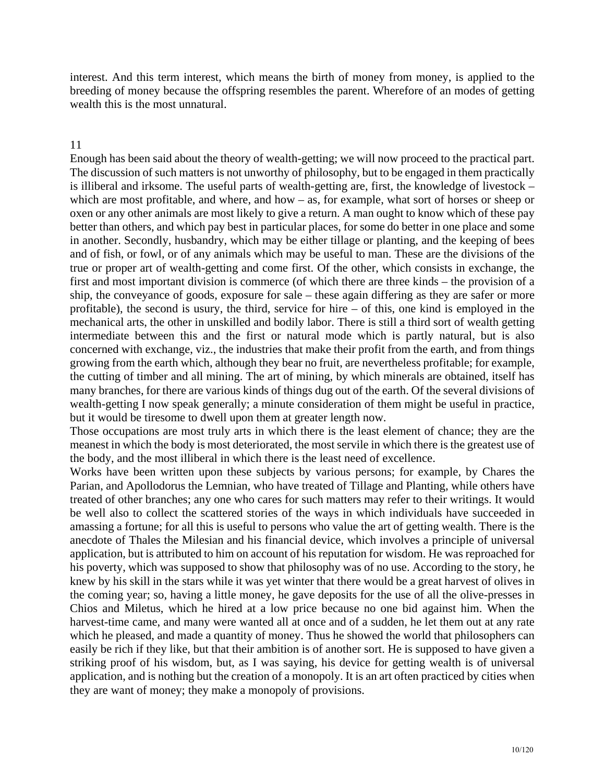interest. And this term interest, which means the birth of money from money, is applied to the breeding of money because the offspring resembles the parent. Wherefore of an modes of getting wealth this is the most unnatural.

## 11

which are most profitable, and where, and how  $-$  as, for example, what sort of horses or sheep or oxen or any other animals are most likely to give a return. A man ought to know which of these pay better than others, and which pay best in particular places, for some do better in one place and some in another. Secondly, husbandry, which may be either tillage or planting, and the keeping of bees Enough has been said about the theory of wealth-getting; we will now proceed to the practical part. The discussion of such matters is not unworthy of philosophy, but to be engaged in them practically is illiberal and irksome. The useful parts of wealth-getting are, first, the knowledge of livestock – and of fish, or fowl, or of any animals which may be useful to man. These are the divisions of the true or proper art of wealth-getting and come first. Of the other, which consists in exchange, the first and most important division is commerce (of which there are three kinds – the provision of a ship, the conveyance of goods, exposure for sale – these again differing as they are safer or more profitable), the second is usury, the third, service for hire – of this, one kind is employed in the mechanical arts, the other in unskilled and bodily labor. There is still a third sort of wealth getting intermediate between this and the first or natural mode which is partly natural, but is also concerned with exchange, viz., the industries that make their profit from the earth, and from things growing from the earth which, although they bear no fruit, are nevertheless profitable; for example, the cutting of timber and all mining. The art of mining, by which minerals are obtained, itself has many branches, for there are various kinds of things dug out of the earth. Of the several divisions of wealth-getting I now speak generally; a minute consideration of them might be useful in practice, but it would be tiresome to dwell upon them at greater length now.

Those occupations are most truly arts in which there is the least element of chance; they are the meanest in which the body is most deteriorated, the most servile in which there is the greatest use of the body, and the most illiberal in which there is the least need of excellence.

amassing a fortune; for all this is useful to persons who value the art of getting wealth. There is the his poverty, which was supposed to show that philosophy was of no use. According to the story, he Works have been written upon these subjects by various persons; for example, by Chares the Parian, and Apollodorus the Lemnian, who have treated of Tillage and Planting, while others have treated of other branches; any one who cares for such matters may refer to their writings. It would be well also to collect the scattered stories of the ways in which individuals have succeeded in anecdote of Thales the Milesian and his financial device, which involves a principle of universal application, but is attributed to him on account of his reputation for wisdom. He was reproached for knew by his skill in the stars while it was yet winter that there would be a great harvest of olives in the coming year; so, having a little money, he gave deposits for the use of all the olive-presses in Chios and Miletus, which he hired at a low price because no one bid against him. When the harvest-time came, and many were wanted all at once and of a sudden, he let them out at any rate which he pleased, and made a quantity of money. Thus he showed the world that philosophers can easily be rich if they like, but that their ambition is of another sort. He is supposed to have given a striking proof of his wisdom, but, as I was saying, his device for getting wealth is of universal application, and is nothing but the creation of a monopoly. It is an art often practiced by cities when they are want of money; they make a monopoly of provisions.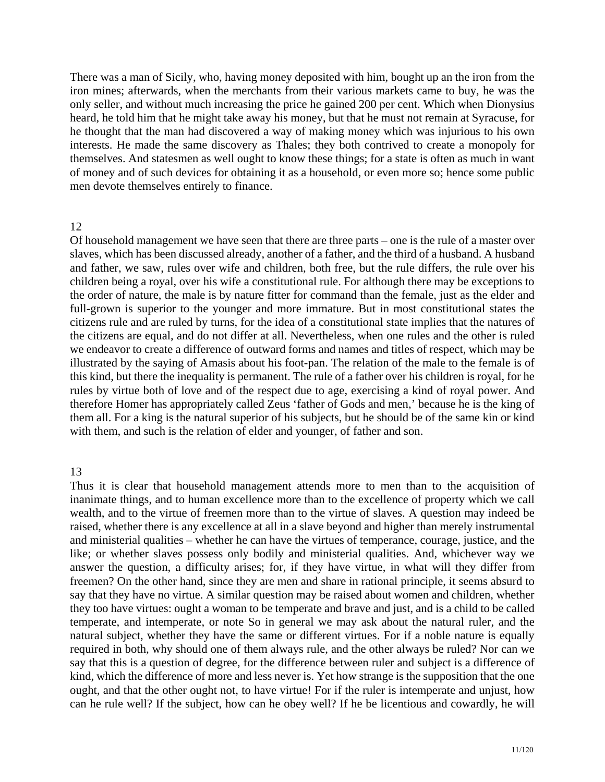There was a man of Sicily, who, having money deposited with him, bought up an the iron from the iron mines; afterwards, when the merchants from their various markets came to buy, he was the only seller, and without much increasing the price he gained 200 per cent. Which when Dionysius heard, he told him that he might take away his money, but that he must not remain at Syracuse, for he thought that the man had discovered a way of making money which was injurious to his own interests. He made the same discovery as Thales; they both contrived to create a monopoly for themselves. And statesmen as well ought to know these things; for a state is often as much in want of money and of such devices for obtaining it as a household, or even more so; hence some public men devote themselves entirely to finance.

## 12

the order of nature, the male is by nature fitter for command than the female, just as the elder and full-grown is superior to the younger and more immature. But in most constitutional states the citizens rule and are ruled by turns, for the idea of a constitutional state implies that the natures of the citizens are equal, and do not differ at all. Nevertheless, when one rules and the other is ruled Of household management we have seen that there are three parts – one is the rule of a master over slaves, which has been discussed already, another of a father, and the third of a husband. A husband and father, we saw, rules over wife and children, both free, but the rule differs, the rule over his children being a royal, over his wife a constitutional rule. For although there may be exceptions to we endeavor to create a difference of outward forms and names and titles of respect, which may be illustrated by the saying of Amasis about his foot-pan. The relation of the male to the female is of this kind, but there the inequality is permanent. The rule of a father over his children is royal, for he rules by virtue both of love and of the respect due to age, exercising a kind of royal power. And therefore Homer has appropriately called Zeus 'father of Gods and men,' because he is the king of them all. For a king is the natural superior of his subjects, but he should be of the same kin or kind with them, and such is the relation of elder and younger, of father and son.

## 13

like; or whether slaves possess only bodily and ministerial qualities. And, whichever way we nswer the question, a difficulty arises; for, if they have virtue, in what will they differ from a freemen? On the other hand, since they are men and share in rational principle, it seems absurd to say that they have no virtue. A similar question may be raised about women and children, whether Thus it is clear that household management attends more to men than to the acquisition of inanimate things, and to human excellence more than to the excellence of property which we call wealth, and to the virtue of freemen more than to the virtue of slaves. A question may indeed be raised, whether there is any excellence at all in a slave beyond and higher than merely instrumental and ministerial qualities – whether he can have the virtues of temperance, courage, justice, and the they too have virtues: ought a woman to be temperate and brave and just, and is a child to be called temperate, and intemperate, or note So in general we may ask about the natural ruler, and the natural subject, whether they have the same or different virtues. For if a noble nature is equally required in both, why should one of them always rule, and the other always be ruled? Nor can we say that this is a question of degree, for the difference between ruler and subject is a difference of kind, which the difference of more and less never is. Yet how strange is the supposition that the one ought, and that the other ought not, to have virtue! For if the ruler is intemperate and unjust, how can he rule well? If the subject, how can he obey well? If he be licentious and cowardly, he will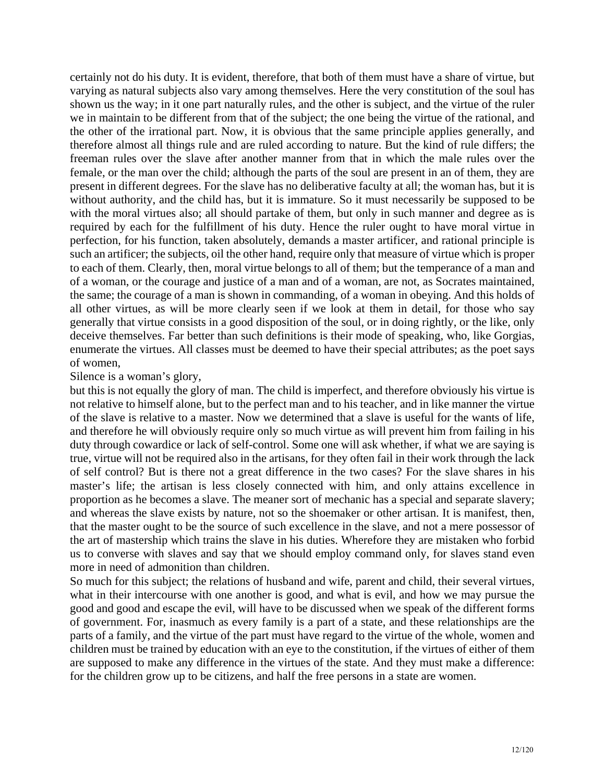certainly not do his duty. It is evident, therefore, that both of them must have a share of virtue, but varying as natural subjects also vary among themselves. Here the very constitution of the soul has shown us the way; in it one part naturally rules, and the other is subject, and the virtue of the ruler we in maintain to be different from that of the subject; the one being the virtue of the rational, and the other of the irrational part. Now, it is obvious that the same principle applies generally, and therefore almost all things rule and are ruled according to nature. But the kind of rule differs; the freeman rules over the slave after another manner from that in which the male rules over the female, or the man over the child; although the parts of the soul are present in an of them, they are present in different degrees. For the slave has no deliberative faculty at all; the woman has, but it is without authority, and the child has, but it is immature. So it must necessarily be supposed to be with the moral virtues also; all should partake of them, but only in such manner and degree as is required by each for the fulfillment of his duty. Hence the ruler ought to have moral virtue in perfection, for his function, taken absolutely, demands a master artificer, and rational principle is such an artificer; the subjects, oil the other hand, require only that measure of virtue which is proper to each of them. Clearly, then, moral virtue belongs to all of them; but the temperance of a man and of a woman, or the courage and justice of a man and of a woman, are not, as Socrates maintained, the same; the courage of a man is shown in commanding, of a woman in obeying. And this holds of all other virtues, as will be more clearly seen if we look at them in detail, for those who say generally that virtue consists in a good disposition of the soul, or in doing rightly, or the like, only deceive themselves. Far better than such definitions is their mode of speaking, who, like Gorgias, enumerate the virtues. All classes must be deemed to have their special attributes; as the poet says of women,

## Silence is a woman's glory,

but this is not equally the glory of man. The child is imperfect, and therefore obviously his virtue is not relative to himself alone, but to the perfect man and to his teacher, and in like manner the virtue of the slave is relative to a master. Now we determined that a slave is useful for the wants of life, and therefore he will obviously require only so much virtue as will prevent him from failing in his duty through cowardice or lack of self-control. Some one will ask whether, if what we are saying is true, virtue will not be required also in the artisans, for they often fail in their work through the lack of self control? But is there not a great difference in the two cases? For the slave shares in his master's life; the artisan is less closely connected with him, and only attains excellence in proportion as he becomes a slave. The meaner sort of mechanic has a special and separate slavery; and whereas the slave exists by nature, not so the shoemaker or other artisan. It is manifest, then, that the master ought to be the source of such excellence in the slave, and not a mere possessor of the art of mastership which trains the slave in his duties. Wherefore they are mistaken who forbid us to converse with slaves and say that we should employ command only, for slaves stand even more in need of admonition than children.

So much for this subject; the relations of husband and wife, parent and child, their several virtues, what in their intercourse with one another is good, and what is evil, and how we may pursue the good and good and escape the evil, will have to be discussed when we speak of the different forms of government. For, inasmuch as every family is a part of a state, and these relationships are the parts of a family, and the virtue of the part must have regard to the virtue of the whole, women and children must be trained by education with an eye to the constitution, if the virtues of either of them are supposed to make any difference in the virtues of the state. And they must make a difference: for the children grow up to be citizens, and half the free persons in a state are women.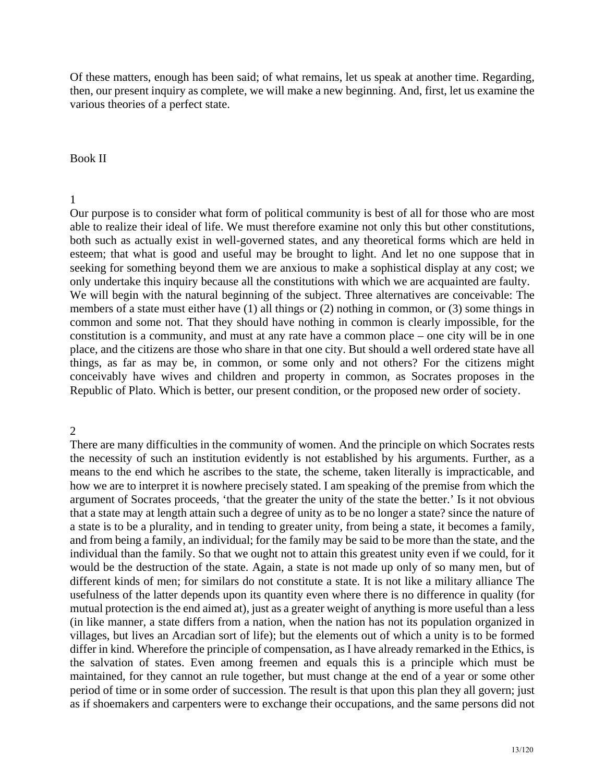Of these matters, enough has been said; of what remains, let us speak at another time. Regarding, then, our present inquiry as complete, we will make a new beginning. And, first, let us examine the various theories of a perfect state.

### Book II

#### 1

Our purpose is to consider what form of political community is best of all for those who are most able to realize their ideal of life. We must therefore examine not only this but other constitutions, both such as actually exist in well-governed states, and any theoretical forms which are held in esteem; that what is good and useful may be brought to light. And let no one suppose that in seeking for something beyond them we are anxious to make a sophistical display at any cost; we only undertake this inquiry because all the constitutions with which we are acquainted are faulty. We will begin with the natural beginning of the subject. Three alternatives are conceivable: The members of a state must either have  $(1)$  all things or  $(2)$  nothing in common, or  $(3)$  some things in common and some not. That they should have nothing in common is clearly impossible, for the constitution is a community, and must at any rate have a common place – one city will be in one place, and the citizens are those who share in that one city. But should a well ordered state have all things, as far as may be, in common, or some only and not others? For the citizens might conceivably have wives and children and property in common, as Socrates proposes in the Republic of Plato. Which is better, our present condition, or the proposed new order of society.

## $\mathfrak{D}$

that a state may at length attain such a degree of unity as to be no longer a state? since the nature of a state is to be a plurality, and in tending to greater unity, from being a state, it becomes a family, and from being a family, an individual; for the family may be said to be more than the state, and the individual than the family. So that we ought not to attain this greatest unity even if we could, for it There are many difficulties in the community of women. And the principle on which Socrates rests the necessity of such an institution evidently is not established by his arguments. Further, as a means to the end which he ascribes to the state, the scheme, taken literally is impracticable, and how we are to interpret it is nowhere precisely stated. I am speaking of the premise from which the argument of Socrates proceeds, 'that the greater the unity of the state the better.' Is it not obvious would be the destruction of the state. Again, a state is not made up only of so many men, but of different kinds of men; for similars do not constitute a state. It is not like a military alliance The usefulness of the latter depends upon its quantity even where there is no difference in quality (for mutual protection is the end aimed at), just as a greater weight of anything is more useful than a less (in like manner, a state differs from a nation, when the nation has not its population organized in villages, but lives an Arcadian sort of life); but the elements out of which a unity is to be formed differ in kind. Wherefore the principle of compensation, as I have already remarked in the Ethics, is the salvation of states. Even among freemen and equals this is a principle which must be maintained, for they cannot an rule together, but must change at the end of a year or some other period of time or in some order of succession. The result is that upon this plan they all govern; just as if shoemakers and carpenters were to exchange their occupations, and the same persons did not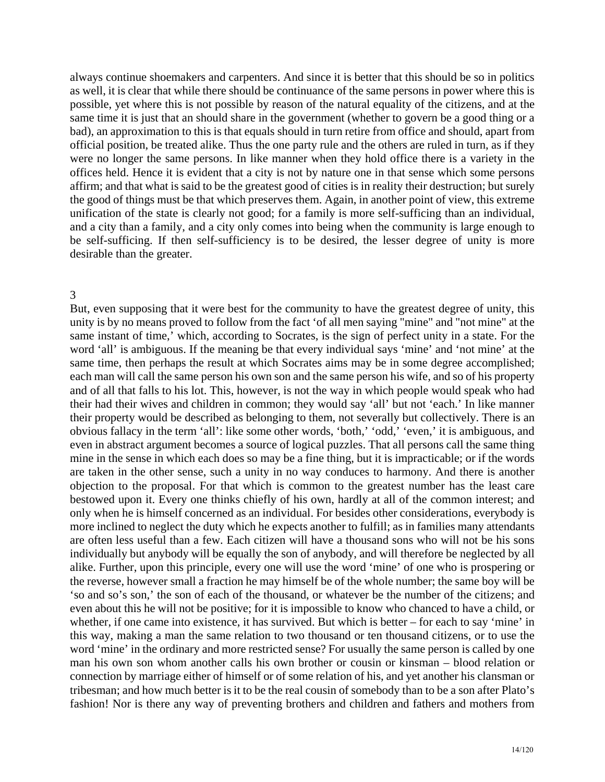always continue shoemakers and carpenters. And since it is better that this should be so in politics as well, it is clear that while there should be continuance of the same persons in power where this is possible, yet where this is not possible by reason of the natural equality of the citizens, and at the same time it is just that an should share in the government (whether to govern be a good thing or a bad), an approximation to this is that equals should in turn retire from office and should, apart from official position, be treated alike. Thus the one party rule and the others are ruled in turn, as if they were no longer the same persons. In like manner when they hold office there is a variety in the offices held. Hence it is evident that a city is not by nature one in that sense which some persons affirm; and that what is said to be the greatest good of cities is in reality their destruction; but surely the good of things must be that which preserves them. Again, in another point of view, this extreme unification of the state is clearly not good; for a family is more self-sufficing than an individual, and a city than a family, and a city only comes into being when the community is large enough to be self-sufficing. If then self-sufficiency is to be desired, the lesser degree of unity is more desirable than the greater.

## 3

But, even supposing that it were best for the community to have the greatest degree of unity, this unity is by no means proved to follow from the fact 'of all men saying "mine" and "not mine" at the same instant of time,' which, according to Socrates, is the sign of perfect unity in a state. For the word 'all' is ambiguous. If the meaning be that every individual says 'mine' and 'not mine' at the same time, then perhaps the result at which Socrates aims may be in some degree accomplished; each man will call the same person his own son and the same person his wife, and so of his property and of all that falls to his lot. This, however, is not the way in which people would speak who had their had their wives and children in common; they would say 'all' but not 'each.' In like manner their property would be described as belonging to them, not severally but collectively. There is an obvious fallacy in the term 'all': like some other words, 'both,' 'odd,' 'even,' it is ambiguous, and even in abstract argument becomes a source of logical puzzles. That all persons call the same thing mine in the sense in which each does so may be a fine thing, but it is impracticable; or if the words are taken in the other sense, such a unity in no way conduces to harmony. And there is another objection to the proposal. For that which is common to the greatest number has the least care bestowed upon it. Every one thinks chiefly of his own, hardly at all of the common interest; and only when he is himself concerned as an individual. For besides other considerations, everybody is more inclined to neglect the duty which he expects another to fulfill; as in families many attendants are often less useful than a few. Each citizen will have a thousand sons who will not be his sons individually but anybody will be equally the son of anybody, and will therefore be neglected by all alike. Further, upon this principle, every one will use the word 'mine' of one who is prospering or the reverse, however small a fraction he may himself be of the whole number; the same boy will be 'so and so's son,' the son of each of the thousand, or whatever be the number of the citizens; and even about this he will not be positive; for it is impossible to know who chanced to have a child, or whether, if one came into existence, it has survived. But which is better – for each to say 'mine' in this way, making a man the same relation to two thousand or ten thousand citizens, or to use the word 'mine' in the ordinary and more restricted sense? For usually the same person is called by one man his own son whom another calls his own brother or cousin or kinsman – blood relation or connection by marriage either of himself or of some relation of his, and yet another his clansman or tribesman; and how much better is it to be the real cousin of somebody than to be a son after Plato's fashion! Nor is there any way of preventing brothers and children and fathers and mothers from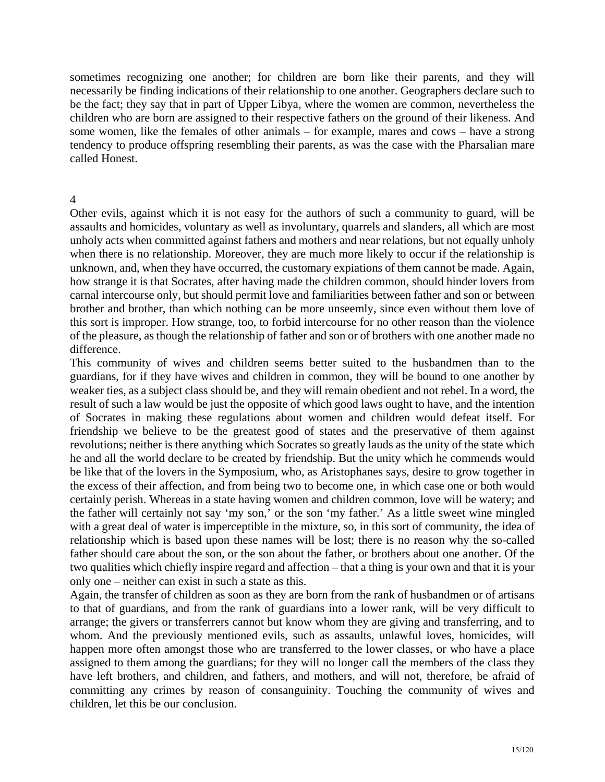sometimes recognizing one another; for children are born like their parents, and they will necessarily be finding indications of their relationship to one another. Geographers declare such to be the fact; they say that in part of Upper Libya, where the women are common, nevertheless the children who are born are assigned to their respective fathers on the ground of their likeness. And some women, like the females of other animals – for example, mares and cows – have a strong tendency to produce offspring resembling their parents, as was the case with the Pharsalian mare called Honest.

## 4

Other evils, against which it is not easy for the authors of such a community to guard, will be assaults and homicides, voluntary as well as involuntary, quarrels and slanders, all which are most unholy acts when committed against fathers and mothers and near relations, but not equally unholy when there is no relationship. Moreover, they are much more likely to occur if the relationship is unknown, and, when they have occurred, the customary expiations of them cannot be made. Again, how strange it is that Socrates, after having made the children common, should hinder lovers from carnal intercourse only, but should permit love and familiarities between father and son or between brother and brother, than which nothing can be more unseemly, since even without them love of this sort is improper. How strange, too, to forbid intercourse for no other reason than the violence of the pleasure, as though the relationship of father and son or of brothers with one another made no difference.

certainly perish. Whereas in a state having women and children common, love will be watery; and This community of wives and children seems better suited to the husbandmen than to the guardians, for if they have wives and children in common, they will be bound to one another by weaker ties, as a subject class should be, and they will remain obedient and not rebel. In a word, the result of such a law would be just the opposite of which good laws ought to have, and the intention of Socrates in making these regulations about women and children would defeat itself. For friendship we believe to be the greatest good of states and the preservative of them against revolutions; neither is there anything which Socrates so greatly lauds as the unity of the state which he and all the world declare to be created by friendship. But the unity which he commends would be like that of the lovers in the Symposium, who, as Aristophanes says, desire to grow together in the excess of their affection, and from being two to become one, in which case one or both would the father will certainly not say 'my son,' or the son 'my father.' As a little sweet wine mingled with a great deal of water is imperceptible in the mixture, so, in this sort of community, the idea of relationship which is based upon these names will be lost; there is no reason why the so-called father should care about the son, or the son about the father, or brothers about one another. Of the two qualities which chiefly inspire regard and affection – that a thing is your own and that it is your only one – neither can exist in such a state as this.

Again, the transfer of children as soon as they are born from the rank of husbandmen or of artisans to that of guardians, and from the rank of guardians into a lower rank, will be very difficult to arrange; the givers or transferrers cannot but know whom they are giving and transferring, and to whom. And the previously mentioned evils, such as assaults, unlawful loves, homicides, will happen more often amongst those who are transferred to the lower classes, or who have a place assigned to them among the guardians; for they will no longer call the members of the class they have left brothers, and children, and fathers, and mothers, and will not, therefore, be afraid of committing any crimes by reason of consanguinity. Touching the community of wives and children, let this be our conclusion.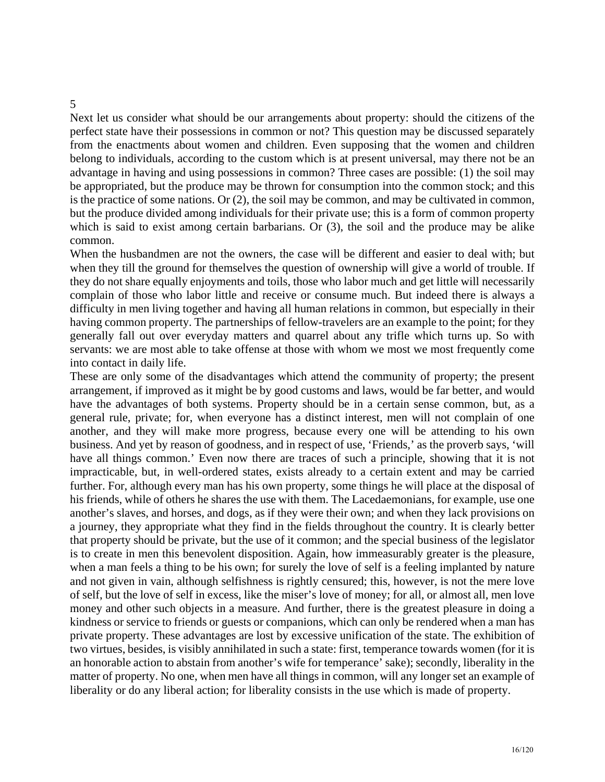#### 5

Next let us consider what should be our arrangements about property: should the citizens of the perfect state have their possessions in common or not? This question may be discussed separately from the enactments about women and children. Even supposing that the women and children belong to individuals, according to the custom which is at present universal, may there not be an advantage in having and using possessions in common? Three cases are possible: (1) the soil may be appropriated, but the produce may be thrown for consumption into the common stock; and this is the practice of some nations. Or (2), the soil may be common, and may be cultivated in common, but the produce divided among individuals for their private use; this is a form of common property which is said to exist among certain barbarians. Or  $(3)$ , the soil and the produce may be alike common.

When the husbandmen are not the owners, the case will be different and easier to deal with; but when they till the ground for themselves the question of ownership will give a world of trouble. If they do not share equally enjoyments and toils, those who labor much and get little will necessarily complain of those who labor little and receive or consume much. But indeed there is always a difficulty in men living together and having all human relations in common, but especially in their having common property. The partnerships of fellow-travelers are an example to the point; for they generally fall out over everyday matters and quarrel about any trifle which turns up. So with servants: we are most able to take offense at those with whom we most we most frequently come into contact in daily life.

arrangement, if improved as it might be by good customs and laws, would be far better, and would another's slaves, and horses, and dogs, as if they were their own; and when they lack provisions on These are only some of the disadvantages which attend the community of property; the present have the advantages of both systems. Property should be in a certain sense common, but, as a general rule, private; for, when everyone has a distinct interest, men will not complain of one another, and they will make more progress, because every one will be attending to his own business. And yet by reason of goodness, and in respect of use, 'Friends,' as the proverb says, 'will have all things common.' Even now there are traces of such a principle, showing that it is not impracticable, but, in well-ordered states, exists already to a certain extent and may be carried further. For, although every man has his own property, some things he will place at the disposal of his friends, while of others he shares the use with them. The Lacedaemonians, for example, use one a journey, they appropriate what they find in the fields throughout the country. It is clearly better that property should be private, but the use of it common; and the special business of the legislator is to create in men this benevolent disposition. Again, how immeasurably greater is the pleasure, when a man feels a thing to be his own; for surely the love of self is a feeling implanted by nature and not given in vain, although selfishness is rightly censured; this, however, is not the mere love of self, but the love of self in excess, like the miser's love of money; for all, or almost all, men love money and other such objects in a measure. And further, there is the greatest pleasure in doing a kindness or service to friends or guests or companions, which can only be rendered when a man has private property. These advantages are lost by excessive unification of the state. The exhibition of two virtues, besides, is visibly annihilated in such a state: first, temperance towards women (for it is an honorable action to abstain from another's wife for temperance' sake); secondly, liberality in the matter of property. No one, when men have all things in common, will any longer set an example of liberality or do any liberal action; for liberality consists in the use which is made of property.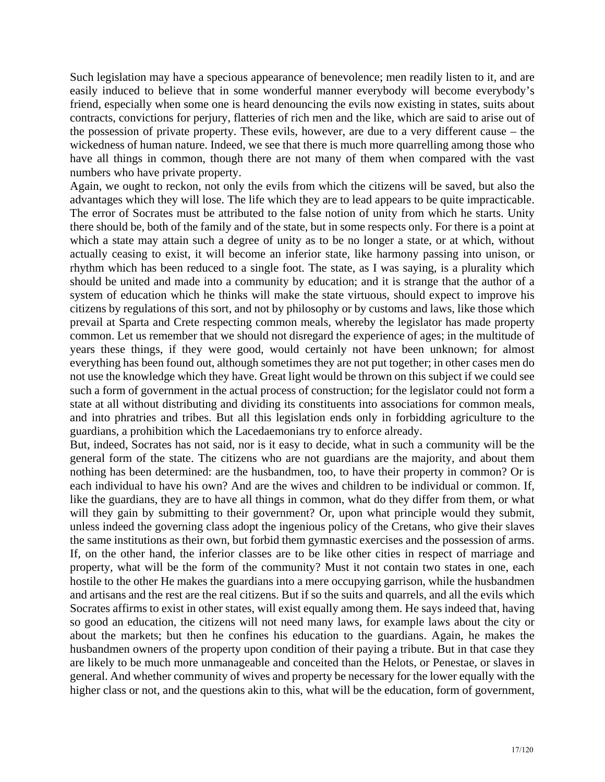Such legislation may have a specious appearance of benevolence; men readily listen to it, and are easily induced to believe that in some wonderful manner everybody will become everybody's friend, especially when some one is heard denouncing the evils now existing in states, suits about contracts, convictions for perjury, flatteries of rich men and the like, which are said to arise out of the possession of private property. These evils, however, are due to a very different cause – the wickedness of human nature. Indeed, we see that there is much more quarrelling among those who have all things in common, though there are not many of them when compared with the vast numbers who have private property.

Again, we ought to reckon, not only the evils from which the citizens will be saved, but also the advantages which they will lose. The life which they are to lead appears to be quite impracticable. The error of Socrates must be attributed to the false notion of unity from which he starts. Unity prevail at Sparta and Crete respecting common meals, whereby the legislator has made property there should be, both of the family and of the state, but in some respects only. For there is a point at which a state may attain such a degree of unity as to be no longer a state, or at which, without actually ceasing to exist, it will become an inferior state, like harmony passing into unison, or rhythm which has been reduced to a single foot. The state, as I was saying, is a plurality which should be united and made into a community by education; and it is strange that the author of a system of education which he thinks will make the state virtuous, should expect to improve his citizens by regulations of this sort, and not by philosophy or by customs and laws, like those which common. Let us remember that we should not disregard the experience of ages; in the multitude of years these things, if they were good, would certainly not have been unknown; for almost everything has been found out, although sometimes they are not put together; in other cases men do not use the knowledge which they have. Great light would be thrown on this subject if we could see such a form of government in the actual process of construction; for the legislator could not form a state at all without distributing and dividing its constituents into associations for common meals, and into phratries and tribes. But all this legislation ends only in forbidding agriculture to the guardians, a prohibition which the Lacedaemonians try to enforce already.

and artisans and the rest are the real citizens. But if so the suits and quarrels, and all the evils which But, indeed, Socrates has not said, nor is it easy to decide, what in such a community will be the general form of the state. The citizens who are not guardians are the majority, and about them nothing has been determined: are the husbandmen, too, to have their property in common? Or is each individual to have his own? And are the wives and children to be individual or common. If, like the guardians, they are to have all things in common, what do they differ from them, or what will they gain by submitting to their government? Or, upon what principle would they submit, unless indeed the governing class adopt the ingenious policy of the Cretans, who give their slaves the same institutions as their own, but forbid them gymnastic exercises and the possession of arms. If, on the other hand, the inferior classes are to be like other cities in respect of marriage and property, what will be the form of the community? Must it not contain two states in one, each hostile to the other He makes the guardians into a mere occupying garrison, while the husbandmen Socrates affirms to exist in other states, will exist equally among them. He says indeed that, having so good an education, the citizens will not need many laws, for example laws about the city or about the markets; but then he confines his education to the guardians. Again, he makes the husbandmen owners of the property upon condition of their paying a tribute. But in that case they are likely to be much more unmanageable and conceited than the Helots, or Penestae, or slaves in general. And whether community of wives and property be necessary for the lower equally with the higher class or not, and the questions akin to this, what will be the education, form of government,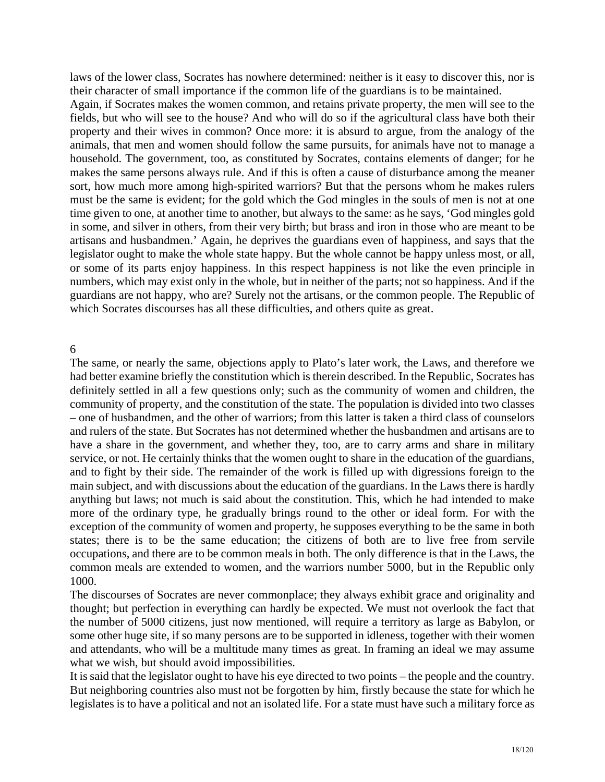laws of the lower class, Socrates has nowhere determined: neither is it easy to discover this, nor is their character of small importance if the common life of the guardians is to be maintained.

Again, if Socrates makes the women common, and retains private property, the men will see to the fields, but who will see to the house? And who will do so if the agricultural class have both their property and their wives in common? Once more: it is absurd to argue, from the analogy of the animals, that men and women should follow the same pursuits, for animals have not to manage a household. The government, too, as constituted by Socrates, contains elements of danger; for he makes the same persons always rule. And if this is often a cause of disturbance among the meaner sort, how much more among high-spirited warriors? But that the persons whom he makes rulers must be the same is evident; for the gold which the God mingles in the souls of men is not at one time given to one, at another time to another, but always to the same: as he says, 'God mingles gold in some, and silver in others, from their very birth; but brass and iron in those who are meant to be artisans and husbandmen.' Again, he deprives the guardians even of happiness, and says that the legislator ought to make the whole state happy. But the whole cannot be happy unless most, or all, or some of its parts enjoy happiness. In this respect happiness is not like the even principle in numbers, which may exist only in the whole, but in neither of the parts; not so happiness. And if the guardians are not happy, who are? Surely not the artisans, or the common people. The Republic of which Socrates discourses has all these difficulties, and others quite as great.

## 6

main subject, and with discussions about the education of the guardians. In the Laws there is hardly nything but laws; not much is said about the constitution. This, which he had intended to make a more of the ordinary type, he gradually brings round to the other or ideal form. For with the exception of the community of women and property, he supposes everything to be the same in both The same, or nearly the same, objections apply to Plato's later work, the Laws, and therefore we had better examine briefly the constitution which is therein described. In the Republic, Socrates has definitely settled in all a few questions only; such as the community of women and children, the community of property, and the constitution of the state. The population is divided into two classes – one of husbandmen, and the other of warriors; from this latter is taken a third class of counselors and rulers of the state. But Socrates has not determined whether the husbandmen and artisans are to have a share in the government, and whether they, too, are to carry arms and share in military service, or not. He certainly thinks that the women ought to share in the education of the guardians, and to fight by their side. The remainder of the work is filled up with digressions foreign to the states; there is to be the same education; the citizens of both are to live free from servile occupations, and there are to be common meals in both. The only difference is that in the Laws, the common meals are extended to women, and the warriors number 5000, but in the Republic only 1000.

The discourses of Socrates are never commonplace; they always exhibit grace and originality and thought; but perfection in everything can hardly be expected. We must not overlook the fact that the number of 5000 citizens, just now mentioned, will require a territory as large as Babylon, or some other huge site, if so many persons are to be supported in idleness, together with their women and attendants, who will be a multitude many times as great. In framing an ideal we may assume what we wish, but should avoid impossibilities.

It is said that the legislator ought to have his eye directed to two points – the people and the country. But neighboring countries also must not be forgotten by him, firstly because the state for which he legislates is to have a political and not an isolated life. For a state must have such a military force as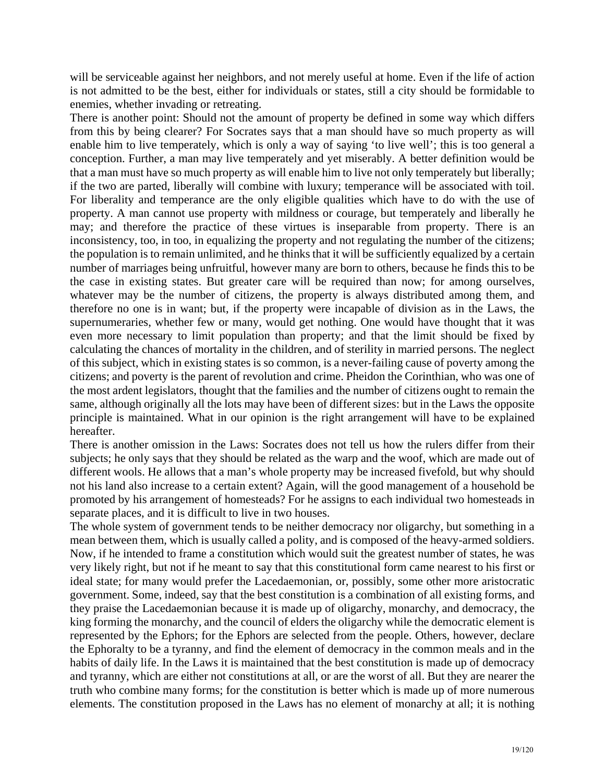will be serviceable against her neighbors, and not merely useful at home. Even if the life of action is not admitted to be the best, either for individuals or states, still a city should be formidable to enemies, whether invading or retreating.

There is another point: Should not the amount of property be defined in some way which differs For liberality and temperance are the only eligible qualities which have to do with the use of the case in existing states. But greater care will be required than now; for among ourselves, from this by being clearer? For Socrates says that a man should have so much property as will enable him to live temperately, which is only a way of saying 'to live well'; this is too general a conception. Further, a man may live temperately and yet miserably. A better definition would be that a man must have so much property as will enable him to live not only temperately but liberally; if the two are parted, liberally will combine with luxury; temperance will be associated with toil. property. A man cannot use property with mildness or courage, but temperately and liberally he may; and therefore the practice of these virtues is inseparable from property. There is an inconsistency, too, in too, in equalizing the property and not regulating the number of the citizens; the population is to remain unlimited, and he thinks that it will be sufficiently equalized by a certain number of marriages being unfruitful, however many are born to others, because he finds this to be whatever may be the number of citizens, the property is always distributed among them, and therefore no one is in want; but, if the property were incapable of division as in the Laws, the supernumeraries, whether few or many, would get nothing. One would have thought that it was even more necessary to limit population than property; and that the limit should be fixed by calculating the chances of mortality in the children, and of sterility in married persons. The neglect of this subject, which in existing states is so common, is a never-failing cause of poverty among the citizens; and poverty is the parent of revolution and crime. Pheidon the Corinthian, who was one of the most ardent legislators, thought that the families and the number of citizens ought to remain the same, although originally all the lots may have been of different sizes: but in the Laws the opposite principle is maintained. What in our opinion is the right arrangement will have to be explained hereafter.

There is another omission in the Laws: Socrates does not tell us how the rulers differ from their subjects; he only says that they should be related as the warp and the woof, which are made out of different wools. He allows that a man's whole property may be increased fivefold, but why should not his land also increase to a certain extent? Again, will the good management of a household be promoted by his arrangement of homesteads? For he assigns to each individual two homesteads in separate places, and it is difficult to live in two houses.

they praise the Lacedaemonian because it is made up of oligarchy, monarchy, and democracy, the truth who combine many forms; for the constitution is better which is made up of more numerous elements. The constitution proposed in the Laws has no element of monarchy at all; it is nothing The whole system of government tends to be neither democracy nor oligarchy, but something in a mean between them, which is usually called a polity, and is composed of the heavy-armed soldiers. Now, if he intended to frame a constitution which would suit the greatest number of states, he was very likely right, but not if he meant to say that this constitutional form came nearest to his first or ideal state; for many would prefer the Lacedaemonian, or, possibly, some other more aristocratic government. Some, indeed, say that the best constitution is a combination of all existing forms, and king forming the monarchy, and the council of elders the oligarchy while the democratic element is represented by the Ephors; for the Ephors are selected from the people. Others, however, declare the Ephoralty to be a tyranny, and find the element of democracy in the common meals and in the habits of daily life. In the Laws it is maintained that the best constitution is made up of democracy and tyranny, which are either not constitutions at all, or are the worst of all. But they are nearer the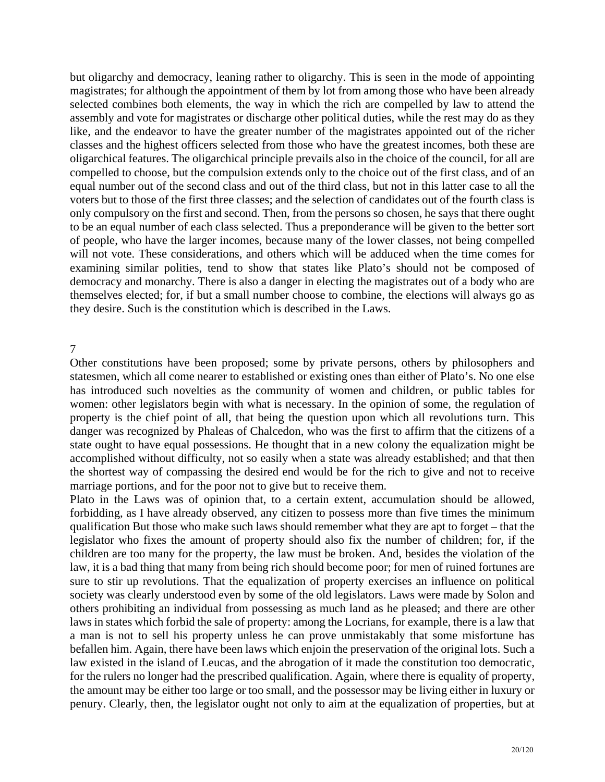but oligarchy and democracy, leaning rather to oligarchy. This is seen in the mode of appointing magistrates; for although the appointment of them by lot from among those who have been already selected combines both elements, the way in which the rich are compelled by law to attend the assembly and vote for magistrates or discharge other political duties, while the rest may do as they like, and the endeavor to have the greater number of the magistrates appointed out of the richer classes and the highest officers selected from those who have the greatest incomes, both these are oligarchical features. The oligarchical principle prevails also in the choice of the council, for all are compelled to choose, but the compulsion extends only to the choice out of the first class, and of an equal number out of the second class and out of the third class, but not in this latter case to all the voters but to those of the first three classes; and the selection of candidates out of the fourth class is only compulsory on the first and second. Then, from the persons so chosen, he says that there ought to be an equal number of each class selected. Thus a preponderance will be given to the better sort of people, who have the larger incomes, because many of the lower classes, not being compelled will not vote. These considerations, and others which will be adduced when the time comes for examining similar polities, tend to show that states like Plato's should not be composed of democracy and monarchy. There is also a danger in electing the magistrates out of a body who are themselves elected; for, if but a small number choose to combine, the elections will always go as they desire. Such is the constitution which is described in the Laws.

### 7

Other constitutions have been proposed; some by private persons, others by philosophers and statesmen, which all come nearer to established or existing ones than either of Plato's. No one else has introduced such novelties as the community of women and children, or public tables for women: other legislators begin with what is necessary. In the opinion of some, the regulation of property is the chief point of all, that being the question upon which all revolutions turn. This danger was recognized by Phaleas of Chalcedon, who was the first to affirm that the citizens of a state ought to have equal possessions. He thought that in a new colony the equalization might be accomplished without difficulty, not so easily when a state was already established; and that then the shortest way of compassing the desired end would be for the rich to give and not to receive marriage portions, and for the poor not to give but to receive them.

Plato in the Laws was of opinion that, to a certain extent, accumulation should be allowed, forbidding, as I have already observed, any citizen to possess more than five times the minimum qualification But those who make such laws should remember what they are apt to forget – that the legislator who fixes the amount of property should also fix the number of children; for, if the children are too many for the property, the law must be broken. And, besides the violation of the the amount may be either too large or too small, and the possessor may be living either in luxury or penury. Clearly, then, the legislator ought not only to aim at the equalization of properties, but at law, it is a bad thing that many from being rich should become poor; for men of ruined fortunes are sure to stir up revolutions. That the equalization of property exercises an influence on political society was clearly understood even by some of the old legislators. Laws were made by Solon and others prohibiting an individual from possessing as much land as he pleased; and there are other laws in states which forbid the sale of property: among the Locrians, for example, there is a law that a man is not to sell his property unless he can prove unmistakably that some misfortune has befallen him. Again, there have been laws which enjoin the preservation of the original lots. Such a law existed in the island of Leucas, and the abrogation of it made the constitution too democratic, for the rulers no longer had the prescribed qualification. Again, where there is equality of property,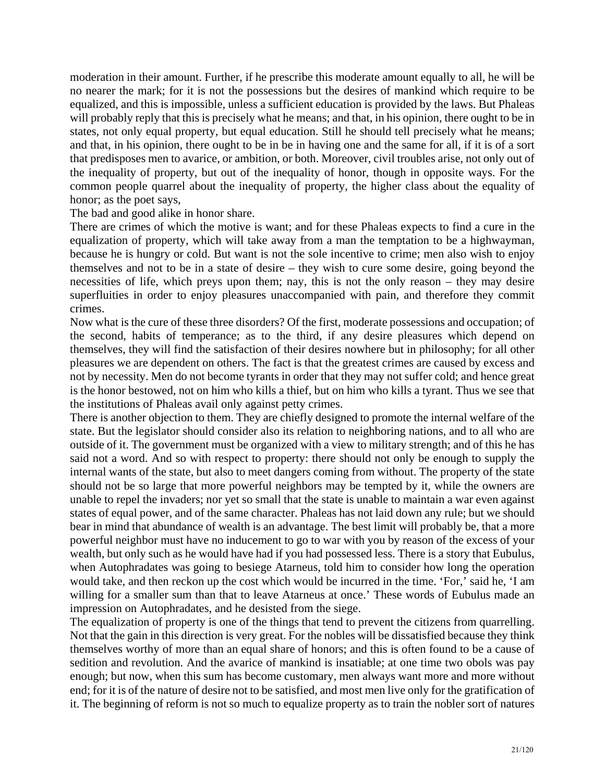moderation in their amount. Further, if he prescribe this moderate amount equally to all, he will be no nearer the mark; for it is not the possessions but the desires of mankind which require to be equalized, and this is impossible, unless a sufficient education is provided by the laws. But Phaleas will probably reply that this is precisely what he means; and that, in his opinion, there ought to be in states, not only equal property, but equal education. Still he should tell precisely what he means; and that, in his opinion, there ought to be in be in having one and the same for all, if it is of a sort that predisposes men to avarice, or ambition, or both. Moreover, civil troubles arise, not only out of the inequality of property, but out of the inequality of honor, though in opposite ways. For the common people quarrel about the inequality of property, the higher class about the equality of honor; as the poet says,

The bad and good alike in honor share.

There are crimes of which the motive is want; and for these Phaleas expects to find a cure in the equalization of property, which will take away from a man the temptation to be a highwayman, because he is hungry or cold. But want is not the sole incentive to crime; men also wish to enjoy themselves and not to be in a state of desire – they wish to cure some desire, going beyond the necessities of life, which preys upon them; nay, this is not the only reason – they may desire superfluities in order to enjoy pleasures unaccompanied with pain, and therefore they commit crimes.

Now what is the cure of these three disorders? Of the first, moderate possessions and occupation; of the second, habits of temperance; as to the third, if any desire pleasures which depend on themselves, they will find the satisfaction of their desires nowhere but in philosophy; for all other pleasures we are dependent on others. The fact is that the greatest crimes are caused by excess and not by necessity. Men do not become tyrants in order that they may not suffer cold; and hence great is the honor bestowed, not on him who kills a thief, but on him who kills a tyrant. Thus we see that the institutions of Phaleas avail only against petty crimes.

There is another objection to them. They are chiefly designed to promote the internal welfare of the state. But the legislator should consider also its relation to neighboring nations, and to all who are bear in mind that abundance of wealth is an advantage. The best limit will probably be, that a more outside of it. The government must be organized with a view to military strength; and of this he has said not a word. And so with respect to property: there should not only be enough to supply the internal wants of the state, but also to meet dangers coming from without. The property of the state should not be so large that more powerful neighbors may be tempted by it, while the owners are unable to repel the invaders; nor yet so small that the state is unable to maintain a war even against states of equal power, and of the same character. Phaleas has not laid down any rule; but we should powerful neighbor must have no inducement to go to war with you by reason of the excess of your wealth, but only such as he would have had if you had possessed less. There is a story that Eubulus, when Autophradates was going to besiege Atarneus, told him to consider how long the operation would take, and then reckon up the cost which would be incurred in the time. 'For,' said he, 'I am willing for a smaller sum than that to leave Atarneus at once.' These words of Eubulus made an impression on Autophradates, and he desisted from the siege.

The equalization of property is one of the things that tend to prevent the citizens from quarrelling. Not that the gain in this direction is very great. For the nobles will be dissatisfied because they think themselves worthy of more than an equal share of honors; and this is often found to be a cause of sedition and revolution. And the avarice of mankind is insatiable; at one time two obols was pay enough; but now, when this sum has become customary, men always want more and more without end; for it is of the nature of desire not to be satisfied, and most men live only for the gratification of it. The beginning of reform is not so much to equalize property as to train the nobler sort of natures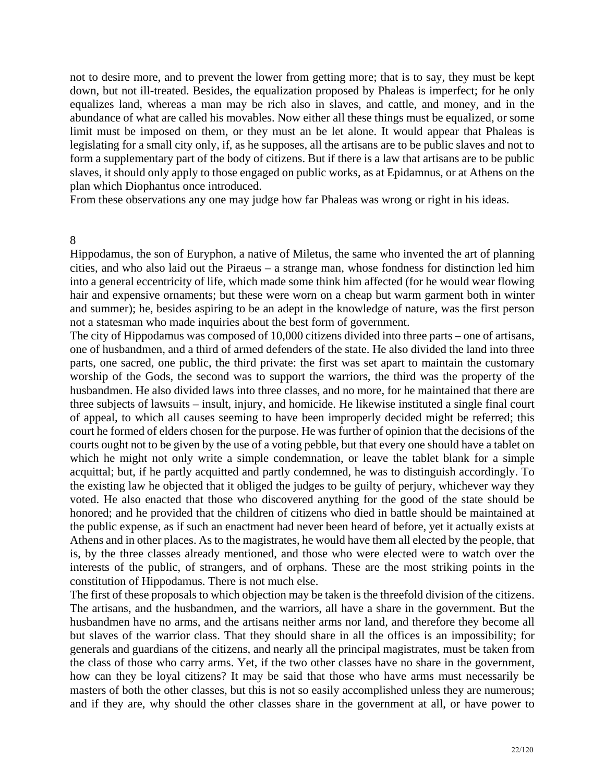not to desire more, and to prevent the lower from getting more; that is to say, they must be kept down, but not ill-treated. Besides, the equalization proposed by Phaleas is imperfect; for he only equalizes land, whereas a man may be rich also in slaves, and cattle, and money, and in the abundance of what are called his movables. Now either all these things must be equalized, or some limit must be imposed on them, or they must an be let alone. It would appear that Phaleas is legislating for a small city only, if, as he supposes, all the artisans are to be public slaves and not to form a supplementary part of the body of citizens. But if there is a law that artisans are to be public slaves, it should only apply to those engaged on public works, as at Epidamnus, or at Athens on the plan which Diophantus once introduced.

From these observations any one may judge how far Phaleas was wrong or right in his ideas.

8

Hippodamus, the son of Euryphon, a native of Miletus, the same who invented the art of planning cities, and who also laid out the Piraeus – a strange man, whose fondness for distinction led him into a general eccentricity of life, which made some think him affected (for he would wear flowing hair and expensive ornaments; but these were worn on a cheap but warm garment both in winter and summer); he, besides aspiring to be an adept in the knowledge of nature, was the first person not a statesman who made inquiries about the best form of government.

of appeal, to which all causes seeming to have been improperly decided might be referred; this court he formed of elders chosen for the purpose. He was further of opinion that the decisions of the courts ought not to be given by the use of a voting pebble, but that every one should have a tablet on which he might not only write a simple condemnation, or leave the tablet blank for a simple acquittal; but, if he partly acquitted and partly condemned, he was to distinguish accordingly. To is, by the three classes already mentioned, and those who were elected were to watch over the The city of Hippodamus was composed of 10,000 citizens divided into three parts – one of artisans, one of husbandmen, and a third of armed defenders of the state. He also divided the land into three parts, one sacred, one public, the third private: the first was set apart to maintain the customary worship of the Gods, the second was to support the warriors, the third was the property of the husbandmen. He also divided laws into three classes, and no more, for he maintained that there are three subjects of lawsuits – insult, injury, and homicide. He likewise instituted a single final court the existing law he objected that it obliged the judges to be guilty of perjury, whichever way they voted. He also enacted that those who discovered anything for the good of the state should be honored; and he provided that the children of citizens who died in battle should be maintained at the public expense, as if such an enactment had never been heard of before, yet it actually exists at Athens and in other places. As to the magistrates, he would have them all elected by the people, that interests of the public, of strangers, and of orphans. These are the most striking points in the constitution of Hippodamus. There is not much else.

The first of these proposals to which objection may be taken is the threefold division of the citizens. The artisans, and the husbandmen, and the warriors, all have a share in the government. But the husbandmen have no arms, and the artisans neither arms nor land, and therefore they become all but slaves of the warrior class. That they should share in all the offices is an impossibility; for generals and guardians of the citizens, and nearly all the principal magistrates, must be taken from the class of those who carry arms. Yet, if the two other classes have no share in the government, how can they be loyal citizens? It may be said that those who have arms must necessarily be masters of both the other classes, but this is not so easily accomplished unless they are numerous; and if they are, why should the other classes share in the government at all, or have power to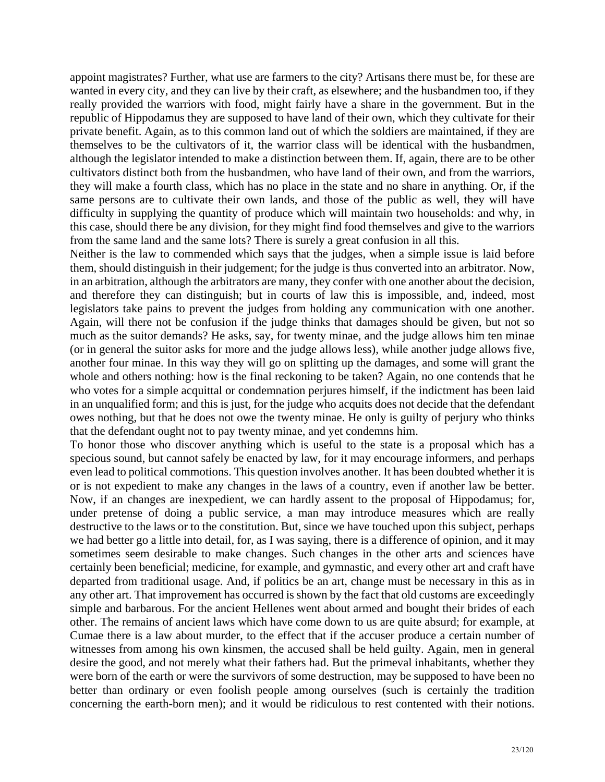appoint magistrates? Further, what use are farmers to the city? Artisans there must be, for these are wanted in every city, and they can live by their craft, as elsewhere; and the husbandmen too, if they really provided the warriors with food, might fairly have a share in the government. But in the republic of Hippodamus they are supposed to have land of their own, which they cultivate for their private benefit. Again, as to this common land out of which the soldiers are maintained, if they are themselves to be the cultivators of it, the warrior class will be identical with the husbandmen, although the legislator intended to make a distinction between them. If, again, there are to be other cultivators distinct both from the husbandmen, who have land of their own, and from the warriors, they will make a fourth class, which has no place in the state and no share in anything. Or, if the same persons are to cultivate their own lands, and those of the public as well, they will have difficulty in supplying the quantity of produce which will maintain two households: and why, in this case, should there be any division, for they might find food themselves and give to the warriors from the same land and the same lots? There is surely a great confusion in all this.

Neither is the law to commended which says that the judges, when a simple issue is laid before them, should distinguish in their judgement; for the judge is thus converted into an arbitrator. Now, in an arbitration, although the arbitrators are many, they confer with one another about the decision, and therefore they can distinguish; but in courts of law this is impossible, and, indeed, most legislators take pains to prevent the judges from holding any communication with one another. Again, will there not be confusion if the judge thinks that damages should be given, but not so much as the suitor demands? He asks, say, for twenty minae, and the judge allows him ten minae (or in general the suitor asks for more and the judge allows less), while another judge allows five, another four minae. In this way they will go on splitting up the damages, and some will grant the whole and others nothing: how is the final reckoning to be taken? Again, no one contends that he who votes for a simple acquittal or condemnation perjures himself, if the indictment has been laid in an unqualified form; and this is just, for the judge who acquits does not decide that the defendant owes nothing, but that he does not owe the twenty minae. He only is guilty of perjury who thinks that the defendant ought not to pay twenty minae, and yet condemns him.

Now, if an changes are inexpedient, we can hardly assent to the proposal of Hippodamus; for, concerning the earth-born men); and it would be ridiculous to rest contented with their notions. To honor those who discover anything which is useful to the state is a proposal which has a specious sound, but cannot safely be enacted by law, for it may encourage informers, and perhaps even lead to political commotions. This question involves another. It has been doubted whether it is or is not expedient to make any changes in the laws of a country, even if another law be better. under pretense of doing a public service, a man may introduce measures which are really destructive to the laws or to the constitution. But, since we have touched upon this subject, perhaps we had better go a little into detail, for, as I was saying, there is a difference of opinion, and it may sometimes seem desirable to make changes. Such changes in the other arts and sciences have certainly been beneficial; medicine, for example, and gymnastic, and every other art and craft have departed from traditional usage. And, if politics be an art, change must be necessary in this as in any other art. That improvement has occurred is shown by the fact that old customs are exceedingly simple and barbarous. For the ancient Hellenes went about armed and bought their brides of each other. The remains of ancient laws which have come down to us are quite absurd; for example, at Cumae there is a law about murder, to the effect that if the accuser produce a certain number of witnesses from among his own kinsmen, the accused shall be held guilty. Again, men in general desire the good, and not merely what their fathers had. But the primeval inhabitants, whether they were born of the earth or were the survivors of some destruction, may be supposed to have been no better than ordinary or even foolish people among ourselves (such is certainly the tradition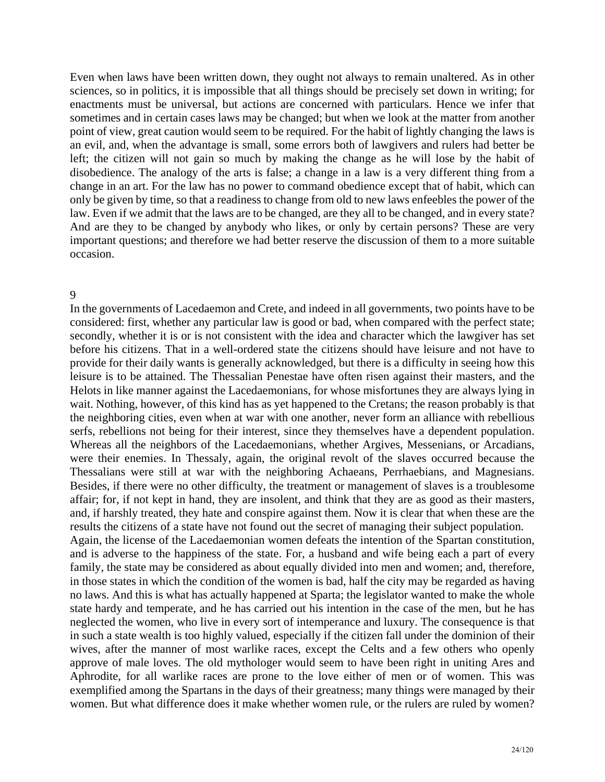Even when laws have been written down, they ought not always to remain unaltered. As in other sciences, so in politics, it is impossible that all things should be precisely set down in writing; for enactments must be universal, but actions are concerned with particulars. Hence we infer that sometimes and in certain cases laws may be changed; but when we look at the matter from another point of view, great caution would seem to be required. For the habit of lightly changing the laws is an evil, and, when the advantage is small, some errors both of lawgivers and rulers had better be left; the citizen will not gain so much by making the change as he will lose by the habit of disobedience. The analogy of the arts is false; a change in a law is a very different thing from a change in an art. For the law has no power to command obedience except that of habit, which can only be given by time, so that a readiness to change from old to new laws enfeebles the power of the law. Even if we admit that the laws are to be changed, are they all to be changed, and in every state? And are they to be changed by anybody who likes, or only by certain persons? These are very important questions; and therefore we had better reserve the discussion of them to a more suitable occasion.

9

In the governments of Lacedaemon and Crete, and indeed in all governments, two points have to be considered: first, whether any particular law is good or bad, when compared with the perfect state; secondly, whether it is or is not consistent with the idea and character which the lawgiver has set before his citizens. That in a well-ordered state the citizens should have leisure and not have to provide for their daily wants is generally acknowledged, but there is a difficulty in seeing how this leisure is to be attained. The Thessalian Penestae have often risen against their masters, and the Helots in like manner against the Lacedaemonians, for whose misfortunes they are always lying in wait. Nothing, however, of this kind has as yet happened to the Cretans; the reason probably is that the neighboring cities, even when at war with one another, never form an alliance with rebellious serfs, rebellions not being for their interest, since they themselves have a dependent population. Whereas all the neighbors of the Lacedaemonians, whether Argives, Messenians, or Arcadians, were their enemies. In Thessaly, again, the original revolt of the slaves occurred because the Thessalians were still at war with the neighboring Achaeans, Perrhaebians, and Magnesians. Besides, if there were no other difficulty, the treatment or management of slaves is a troublesome affair; for, if not kept in hand, they are insolent, and think that they are as good as their masters, and, if harshly treated, they hate and conspire against them. Now it is clear that when these are the results the citizens of a state have not found out the secret of managing their subject population. Again, the license of the Lacedaemonian women defeats the intention of the Spartan constitution, and is adverse to the happiness of the state. For, a husband and wife being each a part of every family, the state may be considered as about equally divided into men and women; and, therefore, in those states in which the condition of the women is bad, half the city may be regarded as having no laws. And this is what has actually happened at Sparta; the legislator wanted to make the whole state hardy and temperate, and he has carried out his intention in the case of the men, but he has neglected the women, who live in every sort of intemperance and luxury. The consequence is that in such a state wealth is too highly valued, especially if the citizen fall under the dominion of their wives, after the manner of most warlike races, except the Celts and a few others who openly approve of male loves. The old mythologer would seem to have been right in uniting Ares and Aphrodite, for all warlike races are prone to the love either of men or of women. This was exemplified among the Spartans in the days of their greatness; many things were managed by their women. But what difference does it make whether women rule, or the rulers are ruled by women?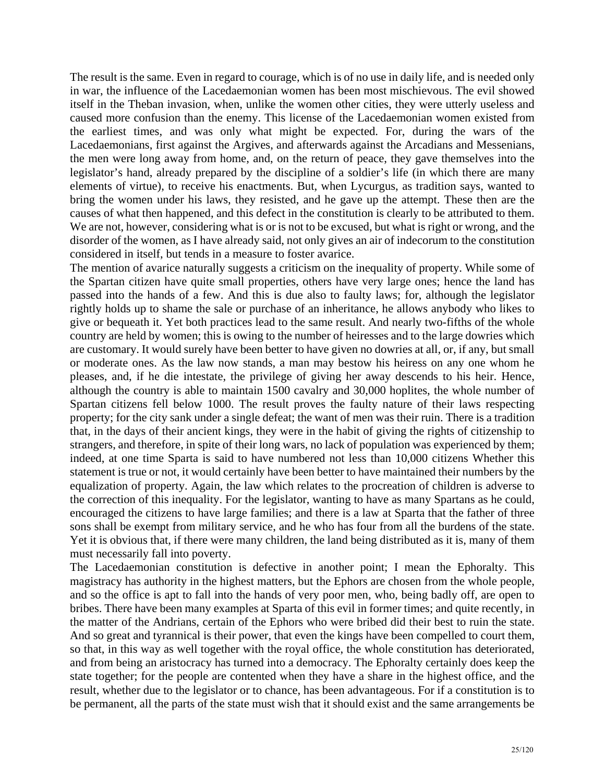The result is the same. Even in regard to courage, which is of no use in daily life, and is needed only in war, the influence of the Lacedaemonian women has been most mischievous. The evil showed itself in the Theban invasion, when, unlike the women other cities, they were utterly useless and caused more confusion than the enemy. This license of the Lacedaemonian women existed from the earliest times, and was only what might be expected. For, during the wars of the Lacedaemonians, first against the Argives, and afterwards against the Arcadians and Messenians, the men were long away from home, and, on the return of peace, they gave themselves into the legislator's hand, already prepared by the discipline of a soldier's life (in which there are many elements of virtue), to receive his enactments. But, when Lycurgus, as tradition says, wanted to bring the women under his laws, they resisted, and he gave up the attempt. These then are the causes of what then happened, and this defect in the constitution is clearly to be attributed to them. We are not, however, considering what is or is not to be excused, but what is right or wrong, and the disorder of the women, as I have already said, not only gives an air of indecorum to the constitution considered in itself, but tends in a measure to foster avarice.

must necessarily fall into poverty. The mention of avarice naturally suggests a criticism on the inequality of property. While some of the Spartan citizen have quite small properties, others have very large ones; hence the land has passed into the hands of a few. And this is due also to faulty laws; for, although the legislator rightly holds up to shame the sale or purchase of an inheritance, he allows anybody who likes to give or bequeath it. Yet both practices lead to the same result. And nearly two-fifths of the whole country are held by women; this is owing to the number of heiresses and to the large dowries which are customary. It would surely have been better to have given no dowries at all, or, if any, but small or moderate ones. As the law now stands, a man may bestow his heiress on any one whom he pleases, and, if he die intestate, the privilege of giving her away descends to his heir. Hence, although the country is able to maintain 1500 cavalry and 30,000 hoplites, the whole number of Spartan citizens fell below 1000. The result proves the faulty nature of their laws respecting property; for the city sank under a single defeat; the want of men was their ruin. There is a tradition that, in the days of their ancient kings, they were in the habit of giving the rights of citizenship to strangers, and therefore, in spite of their long wars, no lack of population was experienced by them; indeed, at one time Sparta is said to have numbered not less than 10,000 citizens Whether this statement is true or not, it would certainly have been better to have maintained their numbers by the equalization of property. Again, the law which relates to the procreation of children is adverse to the correction of this inequality. For the legislator, wanting to have as many Spartans as he could, encouraged the citizens to have large families; and there is a law at Sparta that the father of three sons shall be exempt from military service, and he who has four from all the burdens of the state. Yet it is obvious that, if there were many children, the land being distributed as it is, many of them

The Lacedaemonian constitution is defective in another point; I mean the Ephoralty. This magistracy has authority in the highest matters, but the Ephors are chosen from the whole people, and so the office is apt to fall into the hands of very poor men, who, being badly off, are open to bribes. There have been many examples at Sparta of this evil in former times; and quite recently, in the matter of the Andrians, certain of the Ephors who were bribed did their best to ruin the state. And so great and tyrannical is their power, that even the kings have been compelled to court them, so that, in this way as well together with the royal office, the whole constitution has deteriorated, and from being an aristocracy has turned into a democracy. The Ephoralty certainly does keep the state together; for the people are contented when they have a share in the highest office, and the result, whether due to the legislator or to chance, has been advantageous. For if a constitution is to be permanent, all the parts of the state must wish that it should exist and the same arrangements be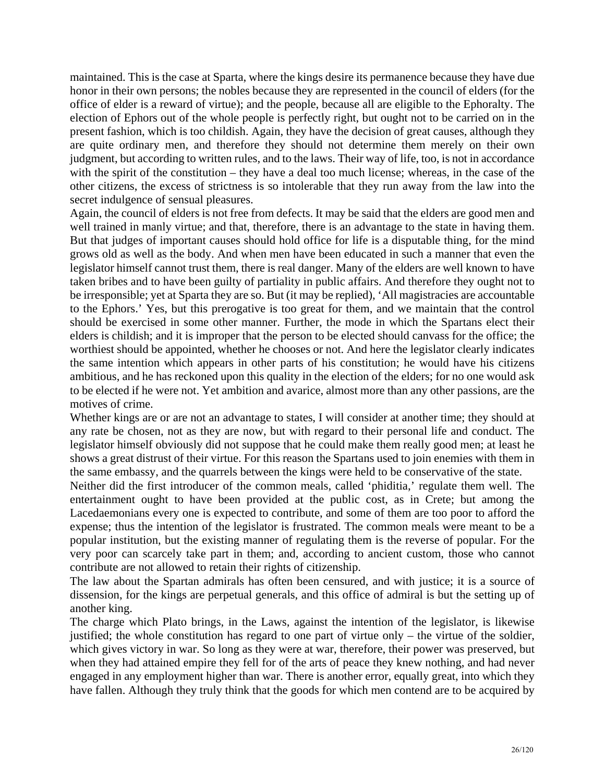maintained. This is the case at Sparta, where the kings desire its permanence because they have due honor in their own persons; the nobles because they are represented in the council of elders (for the office of elder is a reward of virtue); and the people, because all are eligible to the Ephoralty. The election of Ephors out of the whole people is perfectly right, but ought not to be carried on in the present fashion, which is too childish. Again, they have the decision of great causes, although they are quite ordinary men, and therefore they should not determine them merely on their own judgment, but according to written rules, and to the laws. Their way of life, too, is not in accordance with the spirit of the constitution – they have a deal too much license; whereas, in the case of the other citizens, the excess of strictness is so intolerable that they run away from the law into the secret indulgence of sensual pleasures.

Again, the council of elders is not free from defects. It may be said that the elders are good men and well trained in manly virtue; and that, therefore, there is an advantage to the state in having them. But that judges of important causes should hold office for life is a disputable thing, for the mind grows old as well as the body. And when men have been educated in such a manner that even the legislator himself cannot trust them, there is real danger. Many of the elders are well known to have taken bribes and to have been guilty of partiality in public affairs. And therefore they ought not to be irresponsible; yet at Sparta they are so. But (it may be replied), 'All magistracies are accountable to the Ephors.' Yes, but this prerogative is too great for them, and we maintain that the control should be exercised in some other manner. Further, the mode in which the Spartans elect their elders is childish; and it is improper that the person to be elected should canvass for the office; the worthiest should be appointed, whether he chooses or not. And here the legislator clearly indicates the same intention which appears in other parts of his constitution; he would have his citizens ambitious, and he has reckoned upon this quality in the election of the elders; for no one would ask to be elected if he were not. Yet ambition and avarice, almost more than any other passions, are the motives of crime.

Whether kings are or are not an advantage to states, I will consider at another time; they should at any rate be chosen, not as they are now, but with regard to their personal life and conduct. The legislator himself obviously did not suppose that he could make them really good men; at least he shows a great distrust of their virtue. For this reason the Spartans used to join enemies with them in the same embassy, and the quarrels between the kings were held to be conservative of the state.

entertainment ought to have been provided at the public cost, as in Crete; but among the Neither did the first introducer of the common meals, called 'phiditia,' regulate them well. The Lacedaemonians every one is expected to contribute, and some of them are too poor to afford the expense; thus the intention of the legislator is frustrated. The common meals were meant to be a popular institution, but the existing manner of regulating them is the reverse of popular. For the very poor can scarcely take part in them; and, according to ancient custom, those who cannot contribute are not allowed to retain their rights of citizenship.

The law about the Spartan admirals has often been censured, and with justice; it is a source of dissension, for the kings are perpetual generals, and this office of admiral is but the setting up of another king.

The charge which Plato brings, in the Laws, against the intention of the legislator, is likewise justified; the whole constitution has regard to one part of virtue only – the virtue of the soldier, which gives victory in war. So long as they were at war, therefore, their power was preserved, but when they had attained empire they fell for of the arts of peace they knew nothing, and had never engaged in any employment higher than war. There is another error, equally great, into which they have fallen. Although they truly think that the goods for which men contend are to be acquired by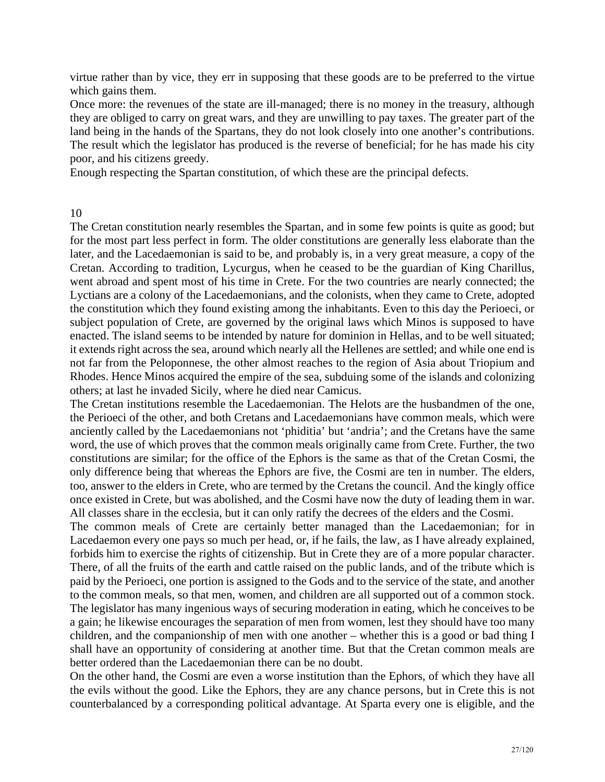virtue rather than by vice, they err in supposing that these goods are to be preferred to the virtue which gains them.

Once more: the revenues of the state are ill-managed; there is no money in the treasury, although they are obliged to carry on great wars, and they are unwilling to pay taxes. The greater part of the land being in the hands of the Spartans, they do not look closely into one another's contributions. The result which the legislator has produced is the reverse of beneficial; for he has made his city poor, and his citizens greedy.

Enough respecting the Spartan constitution, of which these are the principal defects.

10

The Cretan constitution nearly resembles the Spartan, and in some few points is quite as good; but Cretan. According to tradition, Lycurgus, when he ceased to be the guardian of King Charillus, Rhodes. Hence Minos acquired the empire of the sea, subduing some of the islands and colonizing for the most part less perfect in form. The older constitutions are generally less elaborate than the later, and the Lacedaemonian is said to be, and probably is, in a very great measure, a copy of the went abroad and spent most of his time in Crete. For the two countries are nearly connected; the Lyctians are a colony of the Lacedaemonians, and the colonists, when they came to Crete, adopted the constitution which they found existing among the inhabitants. Even to this day the Perioeci, or subject population of Crete, are governed by the original laws which Minos is supposed to have enacted. The island seems to be intended by nature for dominion in Hellas, and to be well situated; it extends right across the sea, around which nearly all the Hellenes are settled; and while one end is not far from the Peloponnese, the other almost reaches to the region of Asia about Triopium and others; at last he invaded Sicily, where he died near Camicus.

word, the use of which proves that the common meals originally came from Crete. Further, the two constitutions are similar; for the office of the Ephors is the same as that of the Cretan Cosmi, the only difference being that whereas the Ephors are five, the Cosmi are ten in number. The elders, too, answer to the elders in Crete, who are termed by the Cretans the council. And the kingly office once existed in Crete, but was abolished, and the Cosmi have now the duty of leading them in war. The Cretan institutions resemble the Lacedaemonian. The Helots are the husbandmen of the one, the Perioeci of the other, and both Cretans and Lacedaemonians have common meals, which were anciently called by the Lacedaemonians not 'phiditia' but 'andria'; and the Cretans have the same All classes share in the ecclesia, but it can only ratify the decrees of the elders and the Cosmi.

The common meals of Crete are certainly better managed than the Lacedaemonian; for in Lacedaemon every one pays so much per head, or, if he fails, the law, as I have already explained, forbids him to exercise the rights of citizenship. But in Crete they are of a more popular character. There, of all the fruits of the earth and cattle raised on the public lands, and of the tribute which is paid by the Perioeci, one portion is assigned to the Gods and to the service of the state, and another to the common meals, so that men, women, and children are all supported out of a common stock. The legislator has many ingenious ways of securing moderation in eating, which he conceives to be a gain; he likewise encourages the separation of men from women, lest they should have too many children, and the companionship of men with one another – whether this is a good or bad thing I shall have an opportunity of considering at another time. But that the Cretan common meals are better ordered than the Lacedaemonian there can be no doubt.

On the other hand, the Cosmi are even a worse institution than the Ephors, of which they have all the evils without the good. Like the Ephors, they are any chance persons, but in Crete this is not counterbalanced by a corresponding political advantage. At Sparta every one is eligible, and the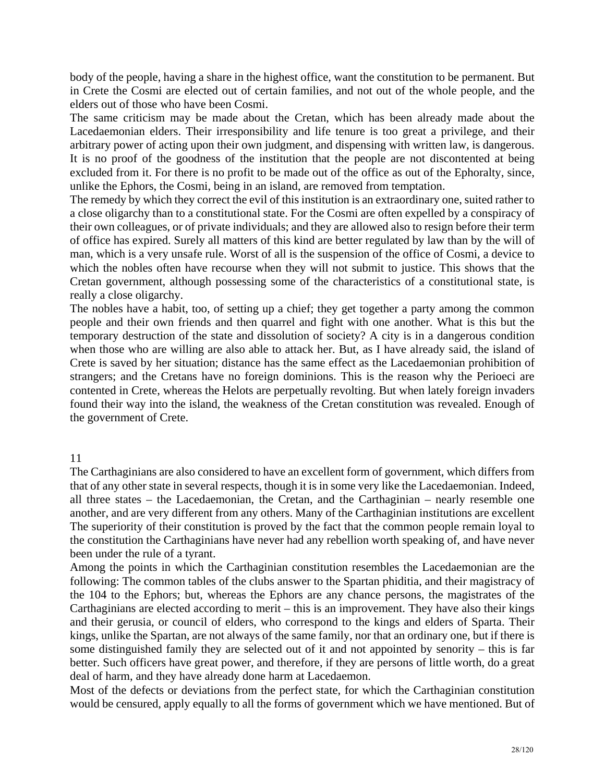body of the people, having a share in the highest office, want the constitution to be permanent. But in Crete the Cosmi are elected out of certain families, and not out of the whole people, and the elders out of those who have been Cosmi.

The same criticism may be made about the Cretan, which has been already made about the Lacedaemonian elders. Their irresponsibility and life tenure is too great a privilege, and their arbitrary power of acting upon their own judgment, and dispensing with written law, is dangerous. It is no proof of the goodness of the institution that the people are not discontented at being excluded from it. For there is no profit to be made out of the office as out of the Ephoralty, since, unlike the Ephors, the Cosmi, being in an island, are removed from temptation.

The remedy by which they correct the evil of this institution is an extraordinary one, suited rather to a close oligarchy than to a constitutional state. For the Cosmi are often expelled by a conspiracy of their own colleagues, or of private individuals; and they are allowed also to resign before their term of office has expired. Surely all matters of this kind are better regulated by law than by the will of man, which is a very unsafe rule. Worst of all is the suspension of the office of Cosmi, a device to which the nobles often have recourse when they will not submit to justice. This shows that the Cretan government, although possessing some of the characteristics of a constitutional state, is really a close oligarchy.

people and their own friends and then quarrel and fight with one another. What is this but the found their way into the island, the weakness of the Cretan constitution was revealed. Enough of The nobles have a habit, too, of setting up a chief; they get together a party among the common temporary destruction of the state and dissolution of society? A city is in a dangerous condition when those who are willing are also able to attack her. But, as I have already said, the island of Crete is saved by her situation; distance has the same effect as the Lacedaemonian prohibition of strangers; and the Cretans have no foreign dominions. This is the reason why the Perioeci are contented in Crete, whereas the Helots are perpetually revolting. But when lately foreign invaders the government of Crete.

11

that of any other state in several respects, though it is in some very like the Lacedaemonian. Indeed, The Carthaginians are also considered to have an excellent form of government, which differs from all three states – the Lacedaemonian, the Cretan, and the Carthaginian – nearly resemble one another, and are very different from any others. Many of the Carthaginian institutions are excellent The superiority of their constitution is proved by the fact that the common people remain loyal to the constitution the Carthaginians have never had any rebellion worth speaking of, and have never been under the rule of a tyrant.

the 104 to the Ephors; but, whereas the Ephors are any chance persons, the magistrates of the Among the points in which the Carthaginian constitution resembles the Lacedaemonian are the following: The common tables of the clubs answer to the Spartan phiditia, and their magistracy of Carthaginians are elected according to merit – this is an improvement. They have also their kings and their gerusia, or council of elders, who correspond to the kings and elders of Sparta. Their kings, unlike the Spartan, are not always of the same family, nor that an ordinary one, but if there is some distinguished family they are selected out of it and not appointed by senority – this is far better. Such officers have great power, and therefore, if they are persons of little worth, do a great deal of harm, and they have already done harm at Lacedaemon.

would be censured, apply equally to all the forms of government which we have mentioned. But of Most of the defects or deviations from the perfect state, for which the Carthaginian constitution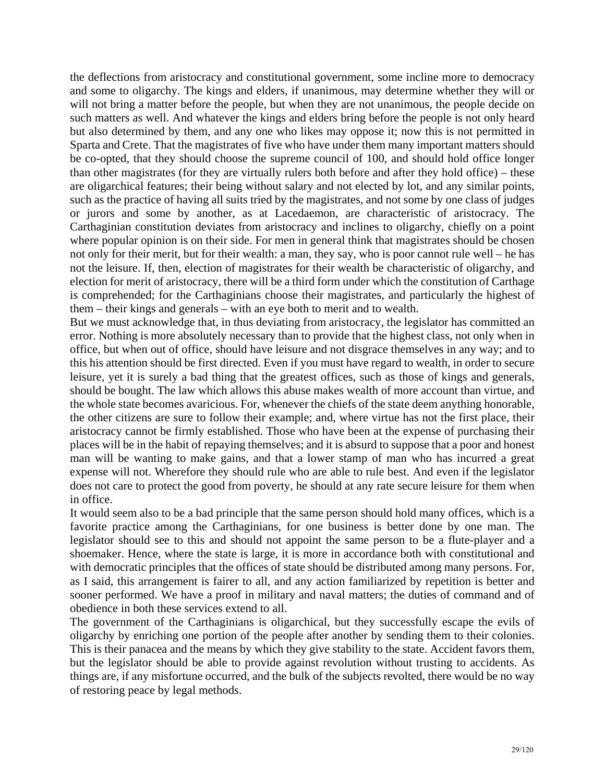the deflections from aristocracy and constitutional government, some incline more to democracy and some to oligarchy. The kings and elders, if unanimous, may determine whether they will or will not bring a matter before the people, but when they are not unanimous, the people decide on such matters as well. And whatever the kings and elders bring before the people is not only heard but also determined by them, and any one who likes may oppose it; now this is not permitted in Carthaginian constitution deviates from aristocracy and inclines to oligarchy, chiefly on a point Sparta and Crete. That the magistrates of five who have under them many important matters should be co-opted, that they should choose the supreme council of 100, and should hold office longer than other magistrates (for they are virtually rulers both before and after they hold office) – these are oligarchical features; their being without salary and not elected by lot, and any similar points, such as the practice of having all suits tried by the magistrates, and not some by one class of judges or jurors and some by another, as at Lacedaemon, are characteristic of aristocracy. The where popular opinion is on their side. For men in general think that magistrates should be chosen not only for their merit, but for their wealth: a man, they say, who is poor cannot rule well – he has not the leisure. If, then, election of magistrates for their wealth be characteristic of oligarchy, and election for merit of aristocracy, there will be a third form under which the constitution of Carthage is comprehended; for the Carthaginians choose their magistrates, and particularly the highest of them – their kings and generals – with an eye both to merit and to wealth.

office, but when out of office, should have leisure and not disgrace themselves in any way; and to But we must acknowledge that, in thus deviating from aristocracy, the legislator has committed an error. Nothing is more absolutely necessary than to provide that the highest class, not only when in this his attention should be first directed. Even if you must have regard to wealth, in order to secure leisure, yet it is surely a bad thing that the greatest offices, such as those of kings and generals, should be bought. The law which allows this abuse makes wealth of more account than virtue, and the whole state becomes avaricious. For, whenever the chiefs of the state deem anything honorable, the other citizens are sure to follow their example; and, where virtue has not the first place, their aristocracy cannot be firmly established. Those who have been at the expense of purchasing their places will be in the habit of repaying themselves; and it is absurd to suppose that a poor and honest man will be wanting to make gains, and that a lower stamp of man who has incurred a great expense will not. Wherefore they should rule who are able to rule best. And even if the legislator does not care to protect the good from poverty, he should at any rate secure leisure for them when in office.

It would seem also to be a bad principle that the same person should hold many offices, which is a favorite practice among the Carthaginians, for one business is better done by one man. The legislator should see to this and should not appoint the same person to be a flute-player and a shoemaker. Hence, where the state is large, it is more in accordance both with constitutional and with democratic principles that the offices of state should be distributed among many persons. For, as I said, this arrangement is fairer to all, and any action familiarized by repetition is better and sooner performed. We have a proof in military and naval matters; the duties of command and of obedience in both these services extend to all.

oligarchy by enriching one portion of the people after another by sending them to their colonies. The government of the Carthaginians is oligarchical, but they successfully escape the evils of This is their panacea and the means by which they give stability to the state. Accident favors them, but the legislator should be able to provide against revolution without trusting to accidents. As things are, if any misfortune occurred, and the bulk of the subjects revolted, there would be no way of restoring peace by legal methods.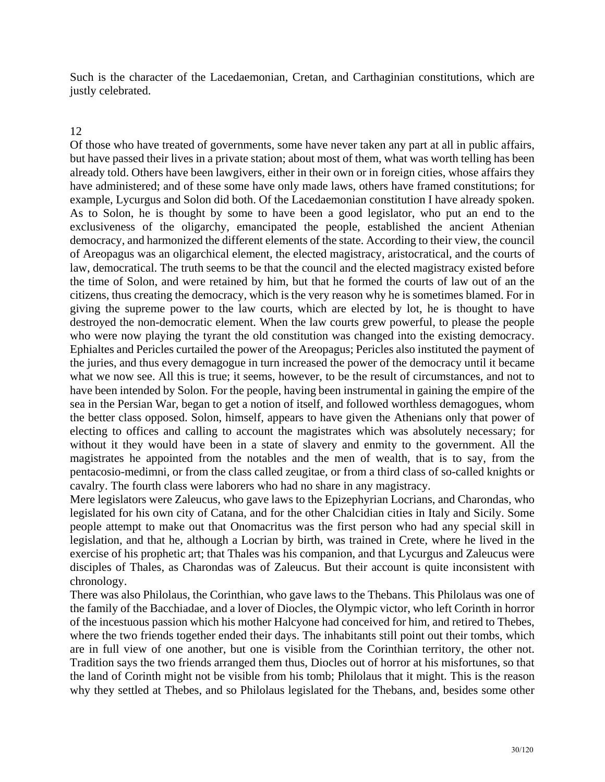Such is the character of the Lacedaemonian, Cretan, and Carthaginian constitutions, which are justly celebrated.

# 12

Of those who have treated of governments, some have never taken any part at all in public affairs, but have passed their lives in a private station; about most of them, what was worth telling has been already told. Others have been lawgivers, either in their own or in foreign cities, whose affairs they have administered; and of these some have only made laws, others have framed constitutions; for citizens, thus creating the democracy, which is the very reason why he is sometimes blamed. For in what we now see. All this is true; it seems, however, to be the result of circumstances, and not to sea in the Persian War, began to get a notion of itself, and followed worthless demagogues, whom the better class opposed. Solon, himself, appears to have given the Athenians only that power of electing to offices and calling to account the magistrates which was absolutely necessary; for without it they would have been in a state of slavery and enmity to the government. All the example, Lycurgus and Solon did both. Of the Lacedaemonian constitution I have already spoken. As to Solon, he is thought by some to have been a good legislator, who put an end to the exclusiveness of the oligarchy, emancipated the people, established the ancient Athenian democracy, and harmonized the different elements of the state. According to their view, the council of Areopagus was an oligarchical element, the elected magistracy, aristocratical, and the courts of law, democratical. The truth seems to be that the council and the elected magistracy existed before the time of Solon, and were retained by him, but that he formed the courts of law out of an the giving the supreme power to the law courts, which are elected by lot, he is thought to have destroyed the non-democratic element. When the law courts grew powerful, to please the people who were now playing the tyrant the old constitution was changed into the existing democracy. Ephialtes and Pericles curtailed the power of the Areopagus; Pericles also instituted the payment of the juries, and thus every demagogue in turn increased the power of the democracy until it became have been intended by Solon. For the people, having been instrumental in gaining the empire of the magistrates he appointed from the notables and the men of wealth, that is to say, from the pentacosio-medimni, or from the class called zeugitae, or from a third class of so-called knights or cavalry. The fourth class were laborers who had no share in any magistracy.

Mere legislators were Zaleucus, who gave laws to the Epizephyrian Locrians, and Charondas, who legislated for his own city of Catana, and for the other Chalcidian cities in Italy and Sicily. Some people attempt to make out that Onomacritus was the first person who had any special skill in legislation, and that he, although a Locrian by birth, was trained in Crete, where he lived in the exercise of his prophetic art; that Thales was his companion, and that Lycurgus and Zaleucus were disciples of Thales, as Charondas was of Zaleucus. But their account is quite inconsistent with chronology.

There was also Philolaus, the Corinthian, who gave laws to the Thebans. This Philolaus was one of the family of the Bacchiadae, and a lover of Diocles, the Olympic victor, who left Corinth in horror of the incestuous passion which his mother Halcyone had conceived for him, and retired to Thebes, where the two friends together ended their days. The inhabitants still point out their tombs, which are in full view of one another, but one is visible from the Corinthian territory, the other not. Tradition says the two friends arranged them thus, Diocles out of horror at his misfortunes, so that the land of Corinth might not be visible from his tomb; Philolaus that it might. This is the reason why they settled at Thebes, and so Philolaus legislated for the Thebans, and, besides some other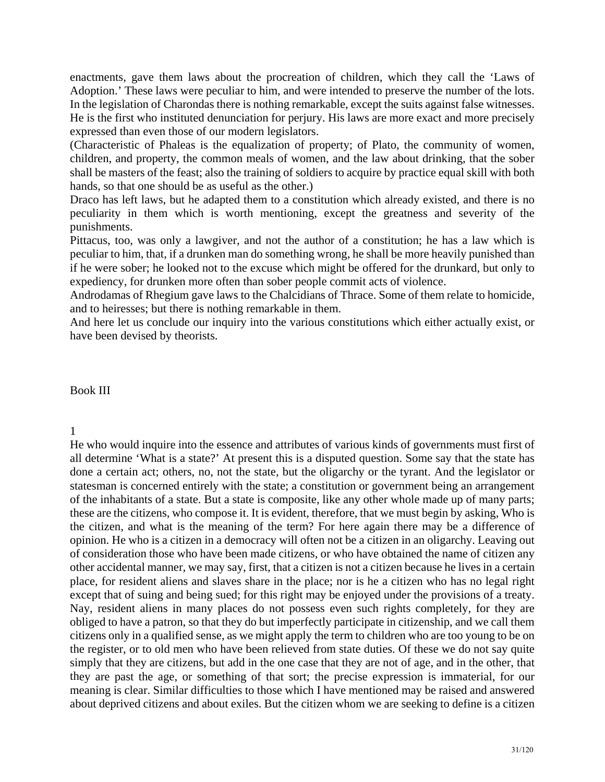enactments, gave them laws about the procreation of children, which they call the 'Laws of Adoption.' These laws were peculiar to him, and were intended to preserve the number of the lots. In the legislation of Charondas there is nothing remarkable, except the suits against false witnesses. He is the first who instituted denunciation for perjury. His laws are more exact and more precisely expressed than even those of our modern legislators.

(Characteristic of Phaleas is the equalization of property; of Plato, the community of women, children, and property, the common meals of women, and the law about drinking, that the sober shall be masters of the feast; also the training of soldiers to acquire by practice equal skill with both hands, so that one should be as useful as the other.)

Draco has left laws, but he adapted them to a constitution which already existed, and there is no peculiarity in them which is worth mentioning, except the greatness and severity of the punishments.

peculiar to him, that, if a drunken man do something wrong, he shall be more heavily punished than Pittacus, too, was only a lawgiver, and not the author of a constitution; he has a law which is if he were sober; he looked not to the excuse which might be offered for the drunkard, but only to expediency, for drunken more often than sober people commit acts of violence.

Androdamas of Rhegium gave laws to the Chalcidians of Thrace. Some of them relate to homicide, and to heiresses; but there is nothing remarkable in them.

And here let us conclude our inquiry into the various constitutions which either actually exist, or have been devised by theorists.

## Book III

## 1

He who would inquire into the essence and attributes of various kinds of governments must first of of the inhabitants of a state. But a state is composite, like any other whole made up of many parts; opinion. He who is a citizen in a democracy will often not be a citizen in an oligarchy. Leaving out except that of suing and being sued; for this right may be enjoyed under the provisions of a treaty. obliged to have a patron, so that they do but imperfectly participate in citizenship, and we call them the register, or to old men who have been relieved from state duties. Of these we do not say quite simply that they are citizens, but add in the one case that they are not of age, and in the other, that they are past the age, or something of that sort; the precise expression is immaterial, for our meaning is clear. Similar difficulties to those which I have mentioned may be raised and answered about deprived citizens and about exiles. But the citizen whom we are seeking to define is a citizen all determine 'What is a state?' At present this is a disputed question. Some say that the state has done a certain act; others, no, not the state, but the oligarchy or the tyrant. And the legislator or statesman is concerned entirely with the state; a constitution or government being an arrangement these are the citizens, who compose it. It is evident, therefore, that we must begin by asking, Who is the citizen, and what is the meaning of the term? For here again there may be a difference of of consideration those who have been made citizens, or who have obtained the name of citizen any other accidental manner, we may say, first, that a citizen is not a citizen because he lives in a certain place, for resident aliens and slaves share in the place; nor is he a citizen who has no legal right Nay, resident aliens in many places do not possess even such rights completely, for they are citizens only in a qualified sense, as we might apply the term to children who are too young to be on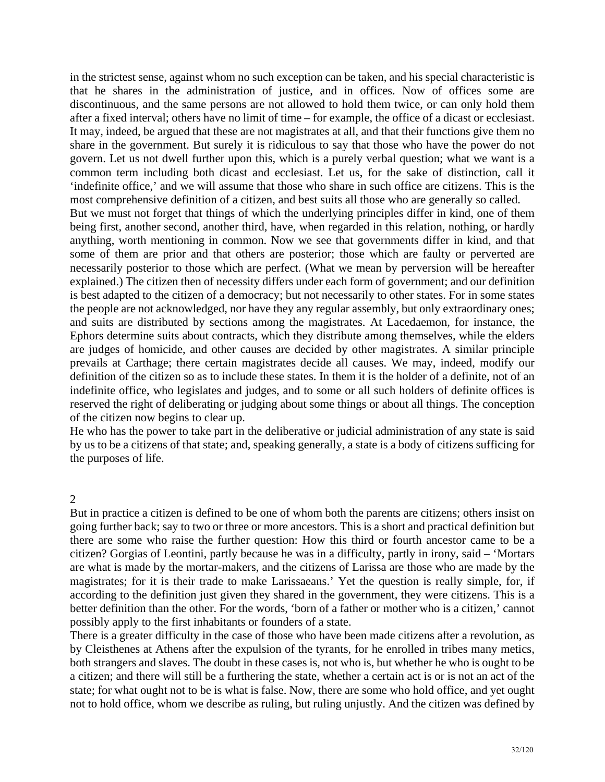in the strictest sense, against whom no such exception can be taken, and his special characteristic is that he shares in the administration of justice, and in offices. Now of offices some are discontinuous, and the same persons are not allowed to hold them twice, or can only hold them after a fixed interval; others have no limit of time – for example, the office of a dicast or ecclesiast. It may, indeed, be argued that these are not magistrates at all, and that their functions give them no share in the government. But surely it is ridiculous to say that those who have the power do not govern. Let us not dwell further upon this, which is a purely verbal question; what we want is a common term including both dicast and ecclesiast. Let us, for the sake of distinction, call it 'indefinite office,' and we will assume that those who share in such office are citizens. This is the most comprehensive definition of a citizen, and best suits all those who are generally so called. But we must not forget that things of which the underlying principles differ in kind, one of them being first, another second, another third, have, when regarded in this relation, nothing, or hardly anything, worth mentioning in common. Now we see that governments differ in kind, and that some of them are prior and that others are posterior; those which are faulty or perverted are necessarily posterior to those which are perfect. (What we mean by perversion will be hereafter explained.) The citizen then of necessity differs under each form of government; and our definition is best adapted to the citizen of a democracy; but not necessarily to other states. For in some states the people are not acknowledged, nor have they any regular assembly, but only extraordinary ones; and suits are distributed by sections among the magistrates. At Lacedaemon, for instance, the Ephors determine suits about contracts, which they distribute among themselves, while the elders are judges of homicide, and other causes are decided by other magistrates. A similar principle prevails at Carthage; there certain magistrates decide all causes. We may, indeed, modify our definition of the citizen so as to include these states. In them it is the holder of a definite, not of an indefinite office, who legislates and judges, and to some or all such holders of definite offices is reserved the right of deliberating or judging about some things or about all things. The conception of the citizen now begins to clear up.

He who has the power to take part in the deliberative or judicial administration of any state is said by us to be a citizens of that state; and, speaking generally, a state is a body of citizens sufficing for the purposes of life.

### 2

there are some who raise the further question: How this third or fourth ancestor came to be a But in practice a citizen is defined to be one of whom both the parents are citizens; others insist on going further back; say to two or three or more ancestors. This is a short and practical definition but citizen? Gorgias of Leontini, partly because he was in a difficulty, partly in irony, said – 'Mortars are what is made by the mortar-makers, and the citizens of Larissa are those who are made by the magistrates; for it is their trade to make Larissaeans.' Yet the question is really simple, for, if according to the definition just given they shared in the government, they were citizens. This is a better definition than the other. For the words, 'born of a father or mother who is a citizen,' cannot possibly apply to the first inhabitants or founders of a state.

There is a greater difficulty in the case of those who have been made citizens after a revolution, as by Cleisthenes at Athens after the expulsion of the tyrants, for he enrolled in tribes many metics, both strangers and slaves. The doubt in these cases is, not who is, but whether he who is ought to be a citizen; and there will still be a furthering the state, whether a certain act is or is not an act of the state; for what ought not to be is what is false. Now, there are some who hold office, and yet ought not to hold office, whom we describe as ruling, but ruling unjustly. And the citizen was defined by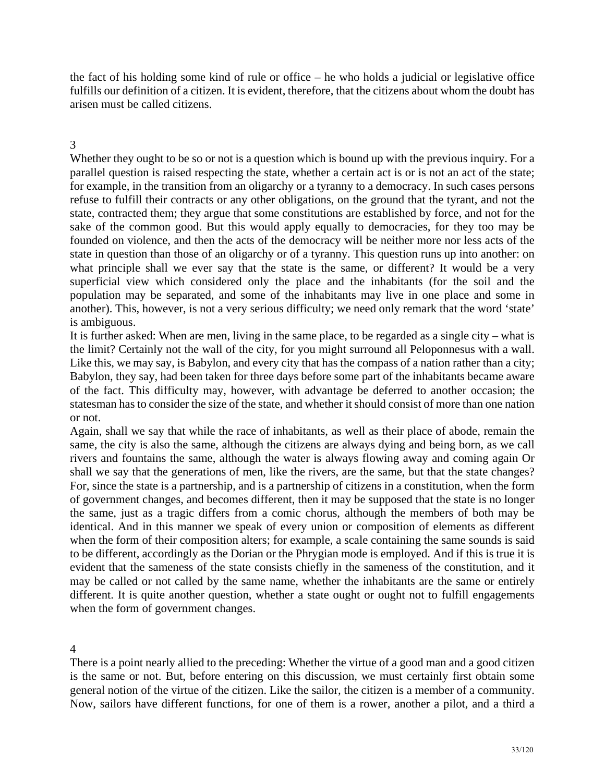the fact of his holding some kind of rule or office – he who holds a judicial or legislative office fulfills our definition of a citizen. It is evident, therefore, that the citizens about whom the doubt has arisen must be called citizens.

# 3

Whether they ought to be so or not is a question which is bound up with the previous inquiry. For a parallel question is raised respecting the state, whether a certain act is or is not an act of the state; for example, in the transition from an oligarchy or a tyranny to a democracy. In such cases persons refuse to fulfill their contracts or any other obligations, on the ground that the tyrant, and not the state, contracted them; they argue that some constitutions are established by force, and not for the sake of the common good. But this would apply equally to democracies, for they too may be founded on violence, and then the acts of the democracy will be neither more nor less acts of the state in question than those of an oligarchy or of a tyranny. This question runs up into another: on what principle shall we ever say that the state is the same, or different? It would be a very superficial view which considered only the place and the inhabitants (for the soil and the population may be separated, and some of the inhabitants may live in one place and some in another). This, however, is not a very serious difficulty; we need only remark that the word 'state' is ambiguous.

It is further asked: When are men, living in the same place, to be regarded as a single city – what is the limit? Certainly not the wall of the city, for you might surround all Peloponnesus with a wall. Like this, we may say, is Babylon, and every city that has the compass of a nation rather than a city; Babylon, they say, had been taken for three days before some part of the inhabitants became aware of the fact. This difficulty may, however, with advantage be deferred to another occasion; the statesman has to consider the size of the state, and whether it should consist of more than one nation or not.

same, the city is also the same, although the citizens are always dying and being born, as we call rivers and fountains the same, although the water is always flowing away and coming again Or shall we say that the generations of men, like the rivers, are the same, but that the state changes? For, since the state is a partnership, and is a partnership of citizens in a constitution, when the form Again, shall we say that while the race of inhabitants, as well as their place of abode, remain the of government changes, and becomes different, then it may be supposed that the state is no longer the same, just as a tragic differs from a comic chorus, although the members of both may be identical. And in this manner we speak of every union or composition of elements as different when the form of their composition alters; for example, a scale containing the same sounds is said to be different, accordingly as the Dorian or the Phrygian mode is employed. And if this is true it is evident that the sameness of the state consists chiefly in the sameness of the constitution, and it may be called or not called by the same name, whether the inhabitants are the same or entirely different. It is quite another question, whether a state ought or ought not to fulfill engagements when the form of government changes.

4

There is a point nearly allied to the preceding: Whether the virtue of a good man and a good citizen is the same or not. But, before entering on this discussion, we must certainly first obtain some general notion of the virtue of the citizen. Like the sailor, the citizen is a member of a community. Now, sailors have different functions, for one of them is a rower, another a pilot, and a third a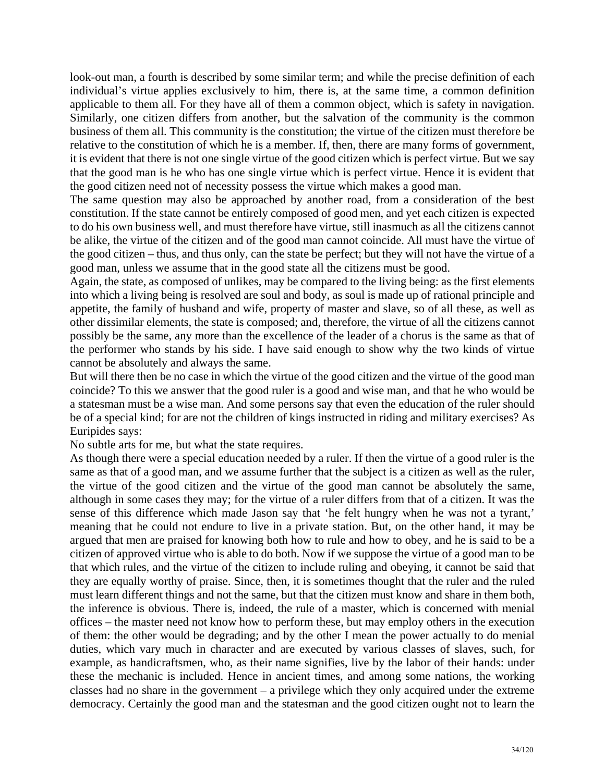look-out man, a fourth is described by some similar term; and while the precise definition of each individual's virtue applies exclusively to him, there is, at the same time, a common definition applicable to them all. For they have all of them a common object, which is safety in navigation. Similarly, one citizen differs from another, but the salvation of the community is the common business of them all. This community is the constitution; the virtue of the citizen must therefore be relative to the constitution of which he is a member. If, then, there are many forms of government, it is evident that there is not one single virtue of the good citizen which is perfect virtue. But we say that the good man is he who has one single virtue which is perfect virtue. Hence it is evident that the good citizen need not of necessity possess the virtue which makes a good man.

The same question may also be approached by another road, from a consideration of the best constitution. If the state cannot be entirely composed of good men, and yet each citizen is expected to do his own business well, and must therefore have virtue, still inasmuch as all the citizens cannot be alike, the virtue of the citizen and of the good man cannot coincide. All must have the virtue of the good citizen – thus, and thus only, can the state be perfect; but they will not have the virtue of a good man, unless we assume that in the good state all the citizens must be good.

appetite, the family of husband and wife, property of master and slave, so of all these, as well as other dissimilar elements, the state is composed; and, therefore, the virtue of all the citizens cannot possibly be the same, any more than the excellence of the leader of a chorus is the same as that of the performer who stands by his side. I have said enough to show why the two kinds of virtue Again, the state, as composed of unlikes, may be compared to the living being: as the first elements into which a living being is resolved are soul and body, as soul is made up of rational principle and cannot be absolutely and always the same.

But will there then be no case in which the virtue of the good citizen and the virtue of the good man coincide? To this we answer that the good ruler is a good and wise man, and that he who would be a statesman must be a wise man. And some persons say that even the education of the ruler should be of a special kind; for are not the children of kings instructed in riding and military exercises? As Euripides says:

No subtle arts for me, but what the state requires.

argued that men are praised for knowing both how to rule and how to obey, and he is said to be a of them: the other would be degrading; and by the other I mean the power actually to do menial As though there were a special education needed by a ruler. If then the virtue of a good ruler is the same as that of a good man, and we assume further that the subject is a citizen as well as the ruler, the virtue of the good citizen and the virtue of the good man cannot be absolutely the same, although in some cases they may; for the virtue of a ruler differs from that of a citizen. It was the sense of this difference which made Jason say that 'he felt hungry when he was not a tyrant,' meaning that he could not endure to live in a private station. But, on the other hand, it may be citizen of approved virtue who is able to do both. Now if we suppose the virtue of a good man to be that which rules, and the virtue of the citizen to include ruling and obeying, it cannot be said that they are equally worthy of praise. Since, then, it is sometimes thought that the ruler and the ruled must learn different things and not the same, but that the citizen must know and share in them both, the inference is obvious. There is, indeed, the rule of a master, which is concerned with menial offices – the master need not know how to perform these, but may employ others in the execution duties, which vary much in character and are executed by various classes of slaves, such, for example, as handicraftsmen, who, as their name signifies, live by the labor of their hands: under these the mechanic is included. Hence in ancient times, and among some nations, the working classes had no share in the government – a privilege which they only acquired under the extreme democracy. Certainly the good man and the statesman and the good citizen ought not to learn the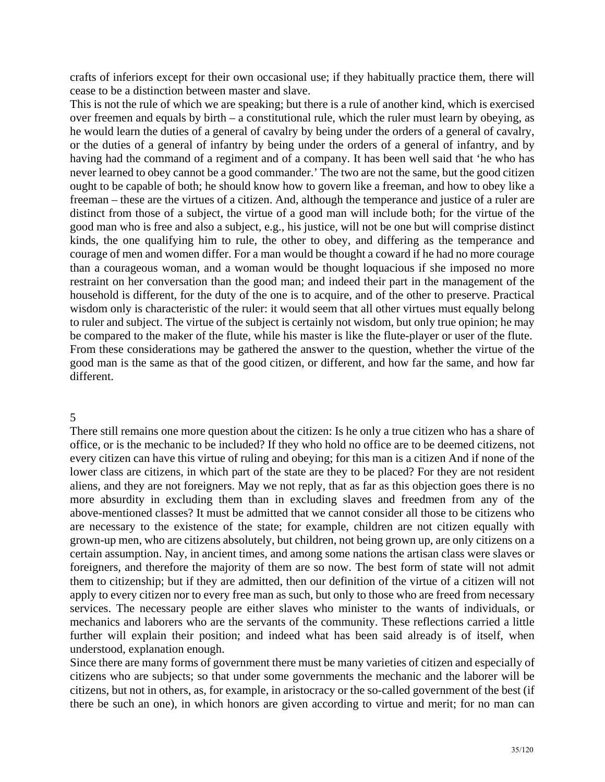crafts of inferiors except for their own occasional use; if they habitually practice them, there will cease to be a distinction between master and slave.

This is not the rule of which we are speaking; but there is a rule of another kind, which is exercised over freemen and equals by birth – a constitutional rule, which the ruler must learn by obeying, as he would learn the duties of a general of cavalry by being under the orders of a general of cavalry, or the duties of a general of infantry by being under the orders of a general of infantry, and by having had the command of a regiment and of a company. It has been well said that 'he who has never learned to obey cannot be a good commander.' The two are not the same, but the good citizen ought to be capable of both; he should know how to govern like a freeman, and how to obey like a freeman – these are the virtues of a citizen. And, although the temperance and justice of a ruler are distinct from those of a subject, the virtue of a good man will include both; for the virtue of the good man who is free and also a subject, e.g., his justice, will not be one but will comprise distinct kinds, the one qualifying him to rule, the other to obey, and differing as the temperance and courage of men and women differ. For a man would be thought a coward if he had no more courage than a courageous woman, and a woman would be thought loquacious if she imposed no more restraint on her conversation than the good man; and indeed their part in the management of the household is different, for the duty of the one is to acquire, and of the other to preserve. Practical wisdom only is characteristic of the ruler: it would seem that all other virtues must equally belong to ruler and subject. The virtue of the subject is certainly not wisdom, but only true opinion; he may be compared to the maker of the flute, while his master is like the flute-player or user of the flute. From these considerations may be gathered the answer to the question, whether the virtue of the good man is the same as that of the good citizen, or different, and how far the same, and how far different.

## 5

every citizen can have this virtue of ruling and obeying; for this man is a citizen And if none of the There still remains one more question about the citizen: Is he only a true citizen who has a share of office, or is the mechanic to be included? If they who hold no office are to be deemed citizens, not lower class are citizens, in which part of the state are they to be placed? For they are not resident aliens, and they are not foreigners. May we not reply, that as far as this objection goes there is no more absurdity in excluding them than in excluding slaves and freedmen from any of the above-mentioned classes? It must be admitted that we cannot consider all those to be citizens who are necessary to the existence of the state; for example, children are not citizen equally with grown-up men, who are citizens absolutely, but children, not being grown up, are only citizens on a certain assumption. Nay, in ancient times, and among some nations the artisan class were slaves or foreigners, and therefore the majority of them are so now. The best form of state will not admit them to citizenship; but if they are admitted, then our definition of the virtue of a citizen will not apply to every citizen nor to every free man as such, but only to those who are freed from necessary services. The necessary people are either slaves who minister to the wants of individuals, or mechanics and laborers who are the servants of the community. These reflections carried a little further will explain their position; and indeed what has been said already is of itself, when understood, explanation enough.

there be such an one), in which honors are given according to virtue and merit; for no man can Since there are many forms of government there must be many varieties of citizen and especially of citizens who are subjects; so that under some governments the mechanic and the laborer will be citizens, but not in others, as, for example, in aristocracy or the so-called government of the best (if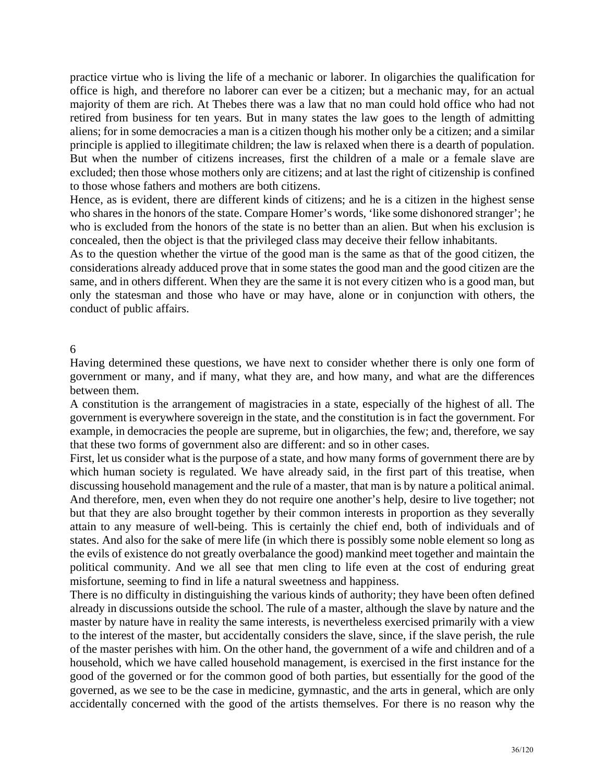practice virtue who is living the life of a mechanic or laborer. In oligarchies the qualification for office is high, and therefore no laborer can ever be a citizen; but a mechanic may, for an actual aliens; for in some democracies a man is a citizen though his mother only be a citizen; and a similar principle is applied to illegitimate children; the law is relaxed when there is a dearth of population. But when the number of citizens increases, first the children of a male or a female slave are excluded; then those whose mothers only are citizens; and at last the right of citizenship is confined majority of them are rich. At Thebes there was a law that no man could hold office who had not retired from business for ten years. But in many states the law goes to the length of admitting to those whose fathers and mothers are both citizens.

Hence, as is evident, there are different kinds of citizens; and he is a citizen in the highest sense who shares in the honors of the state. Compare Homer's words, 'like some dishonored stranger'; he who is excluded from the honors of the state is no better than an alien. But when his exclusion is concealed, then the object is that the privileged class may deceive their fellow inhabitants.

As to the question whether the virtue of the good man is the same as that of the good citizen, the considerations already adduced prove that in some states the good man and the good citizen are the same, and in others different. When they are the same it is not every citizen who is a good man, but only the statesman and those who have or may have, alone or in conjunction with others, the conduct of public affairs.

6

Having determined these questions, we have next to consider whether there is only one form of government or many, and if many, what they are, and how many, and what are the differences between them.

A constitution is the arrangement of magistracies in a state, especially of the highest of all. The government is everywhere sovereign in the state, and the constitution is in fact the government. For example, in democracies the people are supreme, but in oligarchies, the few; and, therefore, we say that these two forms of government also are different: and so in other cases.

First, let us consider what is the purpose of a state, and how many forms of government there are by which human society is regulated. We have already said, in the first part of this treatise, when discussing household management and the rule of a master, that man is by nature a political animal. And therefore, men, even when they do not require one another's help, desire to live together; not but that they are also brought together by their common interests in proportion as they severally attain to any measure of well-being. This is certainly the chief end, both of individuals and of states. And also for the sake of mere life (in which there is possibly some noble element so long as the evils of existence do not greatly overbalance the good) mankind meet together and maintain the political community. And we all see that men cling to life even at the cost of enduring great misfortune, seeming to find in life a natural sweetness and happiness.

to the interest of the master, but accidentally considers the slave, since, if the slave perish, the rule accidentally concerned with the good of the artists themselves. For there is no reason why the There is no difficulty in distinguishing the various kinds of authority; they have been often defined already in discussions outside the school. The rule of a master, although the slave by nature and the master by nature have in reality the same interests, is nevertheless exercised primarily with a view of the master perishes with him. On the other hand, the government of a wife and children and of a household, which we have called household management, is exercised in the first instance for the good of the governed or for the common good of both parties, but essentially for the good of the governed, as we see to be the case in medicine, gymnastic, and the arts in general, which are only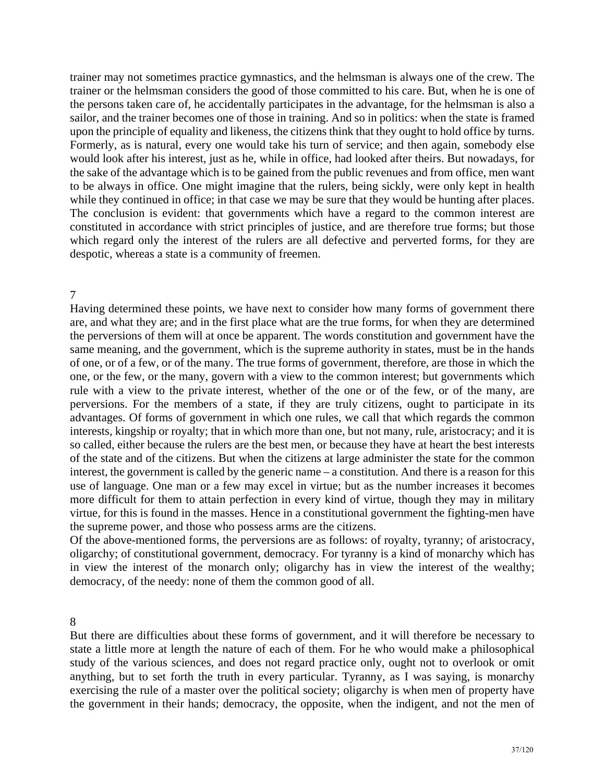trainer may not sometimes practice gymnastics, and the helmsman is always one of the crew. The trainer or the helmsman considers the good of those committed to his care. But, when he is one of the persons taken care of, he accidentally participates in the advantage, for the helmsman is also a Formerly, as is natural, every one would take his turn of service; and then again, somebody else while they continued in office; in that case we may be sure that they would be hunting after places. sailor, and the trainer becomes one of those in training. And so in politics: when the state is framed upon the principle of equality and likeness, the citizens think that they ought to hold office by turns. would look after his interest, just as he, while in office, had looked after theirs. But nowadays, for the sake of the advantage which is to be gained from the public revenues and from office, men want to be always in office. One might imagine that the rulers, being sickly, were only kept in health The conclusion is evident: that governments which have a regard to the common interest are constituted in accordance with strict principles of justice, and are therefore true forms; but those which regard only the interest of the rulers are all defective and perverted forms, for they are despotic, whereas a state is a community of freemen.

7

the perversions of them will at once be apparent. The words constitution and government have the Having determined these points, we have next to consider how many forms of government there are, and what they are; and in the first place what are the true forms, for when they are determined same meaning, and the government, which is the supreme authority in states, must be in the hands of one, or of a few, or of the many. The true forms of government, therefore, are those in which the one, or the few, or the many, govern with a view to the common interest; but governments which rule with a view to the private interest, whether of the one or of the few, or of the many, are perversions. For the members of a state, if they are truly citizens, ought to participate in its advantages. Of forms of government in which one rules, we call that which regards the common interests, kingship or royalty; that in which more than one, but not many, rule, aristocracy; and it is so called, either because the rulers are the best men, or because they have at heart the best interests of the state and of the citizens. But when the citizens at large administer the state for the common interest, the government is called by the generic name – a constitution. And there is a reason for this use of language. One man or a few may excel in virtue; but as the number increases it becomes more difficult for them to attain perfection in every kind of virtue, though they may in military virtue, for this is found in the masses. Hence in a constitutional government the fighting-men have the supreme power, and those who possess arms are the citizens.

Of the above-mentioned forms, the perversions are as follows: of royalty, tyranny; of aristocracy, oligarchy; of constitutional government, democracy. For tyranny is a kind of monarchy which has in view the interest of the monarch only; oligarchy has in view the interest of the wealthy; democracy, of the needy: none of them the common good of all.

8

study of the various sciences, and does not regard practice only, ought not to overlook or omit nything, but to set forth the truth in every particular. Tyranny, as I was saying, is monarchy a exercising the rule of a master over the political society; oligarchy is when men of property have the government in their hands; democracy, the opposite, when the indigent, and not the men of But there are difficulties about these forms of government, and it will therefore be necessary to state a little more at length the nature of each of them. For he who would make a philosophical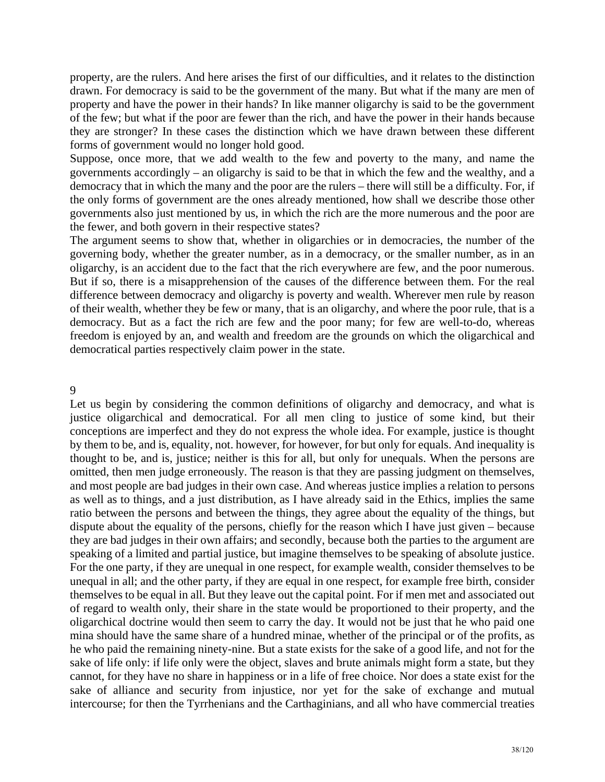property, are the rulers. And here arises the first of our difficulties, and it relates to the distinction drawn. For democracy is said to be the government of the many. But what if the many are men of property and have the power in their hands? In like manner oligarchy is said to be the government of the few; but what if the poor are fewer than the rich, and have the power in their hands because they are stronger? In these cases the distinction which we have drawn between these different forms of government would no longer hold good.

Suppose, once more, that we add wealth to the few and poverty to the many, and name the governments accordingly – an oligarchy is said to be that in which the few and the wealthy, and a democracy that in which the many and the poor are the rulers – there will still be a difficulty. For, if the only forms of government are the ones already mentioned, how shall we describe those other governments also just mentioned by us, in which the rich are the more numerous and the poor are the fewer, and both govern in their respective states?

democracy. But as a fact the rich are few and the poor many; for few are well-to-do, whereas The argument seems to show that, whether in oligarchies or in democracies, the number of the governing body, whether the greater number, as in a democracy, or the smaller number, as in an oligarchy, is an accident due to the fact that the rich everywhere are few, and the poor numerous. But if so, there is a misapprehension of the causes of the difference between them. For the real difference between democracy and oligarchy is poverty and wealth. Wherever men rule by reason of their wealth, whether they be few or many, that is an oligarchy, and where the poor rule, that is a freedom is enjoyed by an, and wealth and freedom are the grounds on which the oligarchical and democratical parties respectively claim power in the state.

### 9

Let us begin by considering the common definitions of oligarchy and democracy, and what is justice oligarchical and democratical. For all men cling to justice of some kind, but their unequal in all; and the other party, if they are equal in one respect, for example free birth, consider sake of life only: if life only were the object, slaves and brute animals might form a state, but they conceptions are imperfect and they do not express the whole idea. For example, justice is thought by them to be, and is, equality, not. however, for however, for but only for equals. And inequality is thought to be, and is, justice; neither is this for all, but only for unequals. When the persons are omitted, then men judge erroneously. The reason is that they are passing judgment on themselves, and most people are bad judges in their own case. And whereas justice implies a relation to persons as well as to things, and a just distribution, as I have already said in the Ethics, implies the same ratio between the persons and between the things, they agree about the equality of the things, but dispute about the equality of the persons, chiefly for the reason which I have just given – because they are bad judges in their own affairs; and secondly, because both the parties to the argument are speaking of a limited and partial justice, but imagine themselves to be speaking of absolute justice. For the one party, if they are unequal in one respect, for example wealth, consider themselves to be themselves to be equal in all. But they leave out the capital point. For if men met and associated out of regard to wealth only, their share in the state would be proportioned to their property, and the oligarchical doctrine would then seem to carry the day. It would not be just that he who paid one mina should have the same share of a hundred minae, whether of the principal or of the profits, as he who paid the remaining ninety-nine. But a state exists for the sake of a good life, and not for the cannot, for they have no share in happiness or in a life of free choice. Nor does a state exist for the sake of alliance and security from injustice, nor yet for the sake of exchange and mutual intercourse; for then the Tyrrhenians and the Carthaginians, and all who have commercial treaties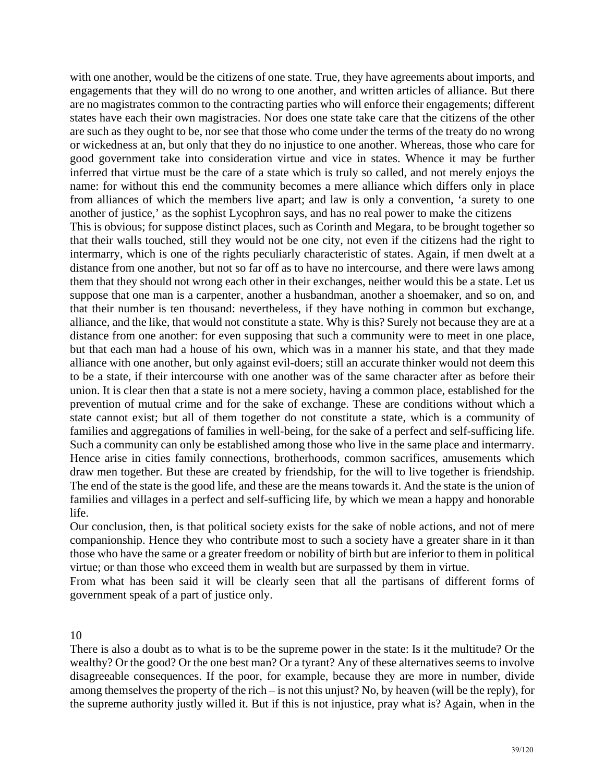with one another, would be the citizens of one state. True, they have agreements about imports, and engagements that they will do no wrong to one another, and written articles of alliance. But there are no magistrates common to the contracting parties who will enforce their engagements; different states have each their own magistracies. Nor does one state take care that the citizens of the other are such as they ought to be, nor see that those who come under the terms of the treaty do no wrong or wickedness at an, but only that they do no injustice to one another. Whereas, those who care for good government take into consideration virtue and vice in states. Whence it may be further inferred that virtue must be the care of a state which is truly so called, and not merely enjoys the name: for without this end the community becomes a mere alliance which differs only in place from alliances of which the members live apart; and law is only a convention, 'a surety to one another of justice,' as the sophist Lycophron says, and has no real power to make the citizens This is obvious; for suppose distinct places, such as Corinth and Megara, to be brought together so that their walls touched, still they would not be one city, not even if the citizens had the right to intermarry, which is one of the rights peculiarly characteristic of states. Again, if men dwelt at a distance from one another, but not so far off as to have no intercourse, and there were laws among them that they should not wrong each other in their exchanges, neither would this be a state. Let us suppose that one man is a carpenter, another a husbandman, another a shoemaker, and so on, and that their number is ten thousand: nevertheless, if they have nothing in common but exchange, alliance, and the like, that would not constitute a state. Why is this? Surely not because they are at a distance from one another: for even supposing that such a community were to meet in one place, but that each man had a house of his own, which was in a manner his state, and that they made alliance with one another, but only against evil-doers; still an accurate thinker would not deem this to be a state, if their intercourse with one another was of the same character after as before their union. It is clear then that a state is not a mere society, having a common place, established for the prevention of mutual crime and for the sake of exchange. These are conditions without which a state cannot exist; but all of them together do not constitute a state, which is a community of families and aggregations of families in well-being, for the sake of a perfect and self-sufficing life. Such a community can only be established among those who live in the same place and intermarry. Hence arise in cities family connections, brotherhoods, common sacrifices, amusements which draw men together. But these are created by friendship, for the will to live together is friendship. The end of the state is the good life, and these are the means towards it. And the state is the union of families and villages in a perfect and self-sufficing life, by which we mean a happy and honorable life.

Our conclusion, then, is that political society exists for the sake of noble actions, and not of mere companionship. Hence they who contribute most to such a society have a greater share in it than those who have the same or a greater freedom or nobility of birth but are inferior to them in political virtue; or than those who exceed them in wealth but are surpassed by them in virtue.

From what has been said it will be clearly seen that all the partisans of different forms of government speak of a part of justice only.

10

wealthy? Or the good? Or the one best man? Or a tyrant? Any of these alternatives seems to involve There is also a doubt as to what is to be the supreme power in the state: Is it the multitude? Or the disagreeable consequences. If the poor, for example, because they are more in number, divide among themselves the property of the rich – is not this unjust? No, by heaven (will be the reply), for the supreme authority justly willed it. But if this is not injustice, pray what is? Again, when in the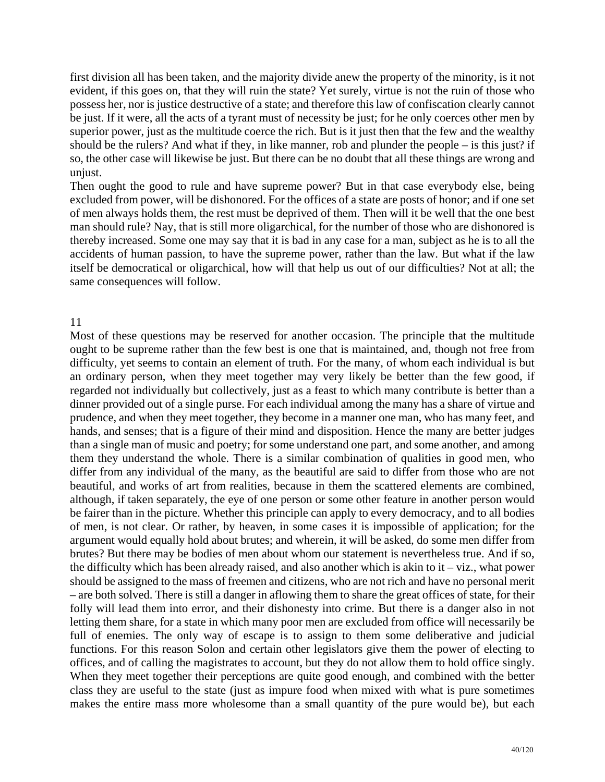first division all has been taken, and the majority divide anew the property of the minority, is it not evident, if this goes on, that they will ruin the state? Yet surely, virtue is not the ruin of those who possess her, nor is justice destructive of a state; and therefore this law of confiscation clearly cannot be just. If it were, all the acts of a tyrant must of necessity be just; for he only coerces other men by superior power, just as the multitude coerce the rich. But is it just then that the few and the wealthy should be the rulers? And what if they, in like manner, rob and plunder the people – is this just? if so, the other case will likewise be just. But there can be no doubt that all these things are wrong and unjust.

Then ought the good to rule and have supreme power? But in that case everybody else, being excluded from power, will be dishonored. For the offices of a state are posts of honor; and if one set of men always holds them, the rest must be deprived of them. Then will it be well that the one best man should rule? Nay, that is still more oligarchical, for the number of those who are dishonored is thereby increased. Some one may say that it is bad in any case for a man, subject as he is to all the accidents of human passion, to have the supreme power, rather than the law. But what if the law itself be democratical or oligarchical, how will that help us out of our difficulties? Not at all; the same consequences will follow.

### 11

Most of these questions may be reserved for another occasion. The principle that the multitude ought to be supreme rather than the few best is one that is maintained, and, though not free from difficulty, yet seems to contain an element of truth. For the many, of whom each individual is but an ordinary person, when they meet together may very likely be better than the few good, if dinner provided out of a single purse. For each individual among the many has a share of virtue and prudence, and when they meet together, they become in a manner one man, who has many feet, and hands, and senses; that is a figure of their mind and disposition. Hence the many are better judges than a single man of music and poetry; for some understand one part, and some another, and among letting them share, for a state in which many poor men are excluded from office will necessarily be regarded not individually but collectively, just as a feast to which many contribute is better than a them they understand the whole. There is a similar combination of qualities in good men, who differ from any individual of the many, as the beautiful are said to differ from those who are not beautiful, and works of art from realities, because in them the scattered elements are combined, although, if taken separately, the eye of one person or some other feature in another person would be fairer than in the picture. Whether this principle can apply to every democracy, and to all bodies of men, is not clear. Or rather, by heaven, in some cases it is impossible of application; for the argument would equally hold about brutes; and wherein, it will be asked, do some men differ from brutes? But there may be bodies of men about whom our statement is nevertheless true. And if so, the difficulty which has been already raised, and also another which is akin to it – viz., what power should be assigned to the mass of freemen and citizens, who are not rich and have no personal merit – are both solved. There is still a danger in aflowing them to share the great offices of state, for their folly will lead them into error, and their dishonesty into crime. But there is a danger also in not full of enemies. The only way of escape is to assign to them some deliberative and judicial functions. For this reason Solon and certain other legislators give them the power of electing to offices, and of calling the magistrates to account, but they do not allow them to hold office singly. When they meet together their perceptions are quite good enough, and combined with the better class they are useful to the state (just as impure food when mixed with what is pure sometimes makes the entire mass more wholesome than a small quantity of the pure would be), but each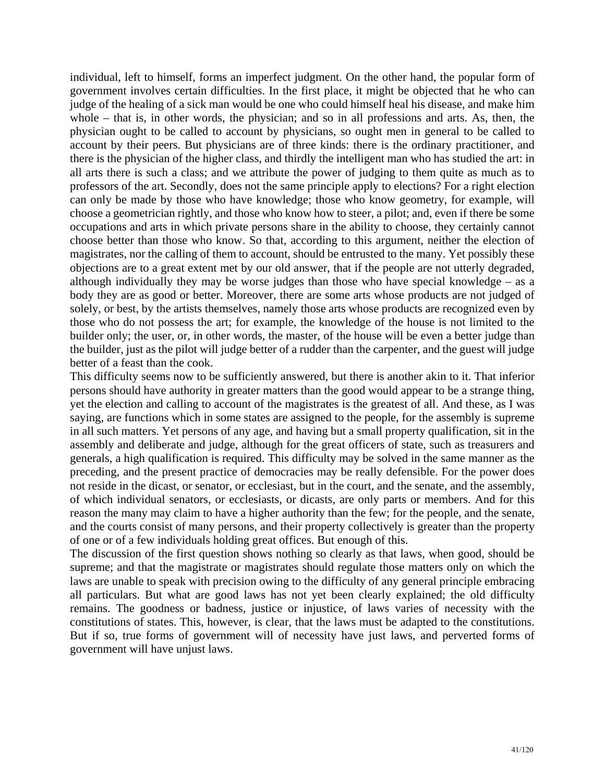individual, left to himself, forms an imperfect judgment. On the other hand, the popular form of government involves certain difficulties. In the first place, it might be objected that he who can judge of the healing of a sick man would be one who could himself heal his disease, and make him whole – that is, in other words, the physician; and so in all professions and arts. As, then, the physician ought to be called to account by physicians, so ought men in general to be called to account by their peers. But physicians are of three kinds: there is the ordinary practitioner, and there is the physician of the higher class, and thirdly the intelligent man who has studied the art: in all arts there is such a class; and we attribute the power of judging to them quite as much as to professors of the art. Secondly, does not the same principle apply to elections? For a right election can only be made by those who have knowledge; those who know geometry, for example, will choose a geometrician rightly, and those who know how to steer, a pilot; and, even if there be some occupations and arts in which private persons share in the ability to choose, they certainly cannot choose better than those who know. So that, according to this argument, neither the election of magistrates, nor the calling of them to account, should be entrusted to the many. Yet possibly these objections are to a great extent met by our old answer, that if the people are not utterly degraded, although individually they may be worse judges than those who have special knowledge – as a body they are as good or better. Moreover, there are some arts whose products are not judged of solely, or best, by the artists themselves, namely those arts whose products are recognized even by those who do not possess the art; for example, the knowledge of the house is not limited to the builder only; the user, or, in other words, the master, of the house will be even a better judge than the builder, just as the pilot will judge better of a rudder than the carpenter, and the guest will judge better of a feast than the cook.

This difficulty seems now to be sufficiently answered, but there is another akin to it. That inferior persons should have authority in greater matters than the good would appear to be a strange thing, yet the election and calling to account of the magistrates is the greatest of all. And these, as I was saying, are functions which in some states are assigned to the people, for the assembly is supreme in all such matters. Yet persons of any age, and having but a small property qualification, sit in the assembly and deliberate and judge, although for the great officers of state, such as treasurers and generals, a high qualification is required. This difficulty may be solved in the same manner as the preceding, and the present practice of democracies may be really defensible. For the power does not reside in the dicast, or senator, or ecclesiast, but in the court, and the senate, and the assembly, of which individual senators, or ecclesiasts, or dicasts, are only parts or members. And for this reason the many may claim to have a higher authority than the few; for the people, and the senate, and the courts consist of many persons, and their property collectively is greater than the property of one or of a few individuals holding great offices. But enough of this.

The discussion of the first question shows nothing so clearly as that laws, when good, should be supreme; and that the magistrate or magistrates should regulate those matters only on which the laws are unable to speak with precision owing to the difficulty of any general principle embracing all particulars. But what are good laws has not yet been clearly explained; the old difficulty remains. The goodness or badness, justice or injustice, of laws varies of necessity with the constitutions of states. This, however, is clear, that the laws must be adapted to the constitutions. But if so, true forms of government will of necessity have just laws, and perverted forms of government will have unjust laws.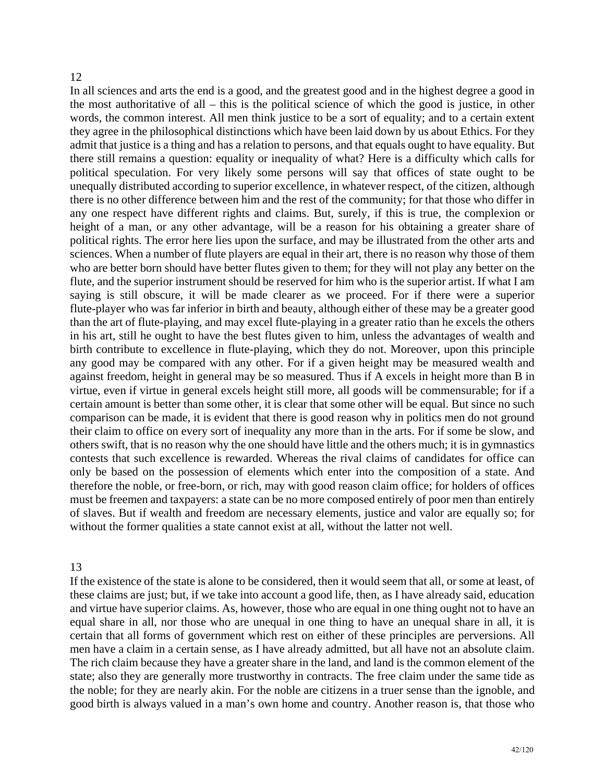### 12

In all sciences and arts the end is a good, and the greatest good and in the highest degree a good in the most authoritative of all – this is the political science of which the good is justice, in other words, the common interest. All men think justice to be a sort of equality; and to a certain extent they agree in the philosophical distinctions which have been laid down by us about Ethics. For they admit that justice is a thing and has a relation to persons, and that equals ought to have equality. But there still remains a question: equality or inequality of what? Here is a difficulty which calls for political speculation. For very likely some persons will say that offices of state ought to be unequally distributed according to superior excellence, in whatever respect, of the citizen, although any good may be compared with any other. For if a given height may be measured wealth and only be based on the possession of elements which enter into the composition of a state. And therefore the noble, or free-born, or rich, may with good reason claim office; for holders of offices must be freemen and taxpayers: a state can be no more composed entirely of poor men than entirely of slaves. But if wealth and freedom are necessary elements, justice and valor are equally so; for there is no other difference between him and the rest of the community; for that those who differ in any one respect have different rights and claims. But, surely, if this is true, the complexion or height of a man, or any other advantage, will be a reason for his obtaining a greater share of political rights. The error here lies upon the surface, and may be illustrated from the other arts and sciences. When a number of flute players are equal in their art, there is no reason why those of them who are better born should have better flutes given to them; for they will not play any better on the flute, and the superior instrument should be reserved for him who is the superior artist. If what I am saying is still obscure, it will be made clearer as we proceed. For if there were a superior flute-player who was far inferior in birth and beauty, although either of these may be a greater good than the art of flute-playing, and may excel flute-playing in a greater ratio than he excels the others in his art, still he ought to have the best flutes given to him, unless the advantages of wealth and birth contribute to excellence in flute-playing, which they do not. Moreover, upon this principle against freedom, height in general may be so measured. Thus if A excels in height more than B in virtue, even if virtue in general excels height still more, all goods will be commensurable; for if a certain amount is better than some other, it is clear that some other will be equal. But since no such comparison can be made, it is evident that there is good reason why in politics men do not ground their claim to office on every sort of inequality any more than in the arts. For if some be slow, and others swift, that is no reason why the one should have little and the others much; it is in gymnastics contests that such excellence is rewarded. Whereas the rival claims of candidates for office can without the former qualities a state cannot exist at all, without the latter not well.

# 13

If the existence of the state is alone to be considered, then it would seem that all, or some at least, of these claims are just; but, if we take into account a good life, then, as I have already said, education and virtue have superior claims. As, however, those who are equal in one thing ought not to have an equal share in all, nor those who are unequal in one thing to have an unequal share in all, it is certain that all forms of government which rest on either of these principles are perversions. All men have a claim in a certain sense, as I have already admitted, but all have not an absolute claim. The rich claim because they have a greater share in the land, and land is the common element of the state; also they are generally more trustworthy in contracts. The free claim under the same tide as the noble; for they are nearly akin. For the noble are citizens in a truer sense than the ignoble, and good birth is always valued in a man's own home and country. Another reason is, that those who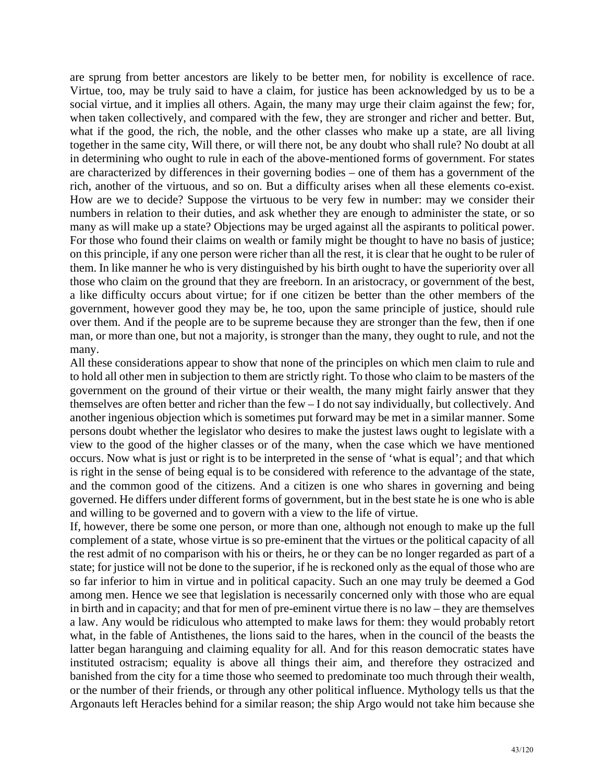are sprung from better ancestors are likely to be better men, for nobility is excellence of race. Virtue, too, may be truly said to have a claim, for justice has been acknowledged by us to be a social virtue, and it implies all others. Again, the many may urge their claim against the few; for, when taken collectively, and compared with the few, they are stronger and richer and better. But, what if the good, the rich, the noble, and the other classes who make up a state, are all living together in the same city, Will there, or will there not, be any doubt who shall rule? No doubt at all in determining who ought to rule in each of the above-mentioned forms of government. For states are characterized by differences in their governing bodies – one of them has a government of the rich, another of the virtuous, and so on. But a difficulty arises when all these elements co-exist. How are we to decide? Suppose the virtuous to be very few in number: may we consider their numbers in relation to their duties, and ask whether they are enough to administer the state, or so many as will make up a state? Objections may be urged against all the aspirants to political power. For those who found their claims on wealth or family might be thought to have no basis of justice; on this principle, if any one person were richer than all the rest, it is clear that he ought to be ruler of them. In like manner he who is very distinguished by his birth ought to have the superiority over all those who claim on the ground that they are freeborn. In an aristocracy, or government of the best, a like difficulty occurs about virtue; for if one citizen be better than the other members of the government, however good they may be, he too, upon the same principle of justice, should rule over them. And if the people are to be supreme because they are stronger than the few, then if one man, or more than one, but not a majority, is stronger than the many, they ought to rule, and not the many.

All these considerations appear to show that none of the principles on which men claim to rule and to hold all other men in subjection to them are strictly right. To those who claim to be masters of the government on the ground of their virtue or their wealth, the many might fairly answer that they themselves are often better and richer than the few – I do not say individually, but collectively. And another ingenious objection which is sometimes put forward may be met in a similar manner. Some persons doubt whether the legislator who desires to make the justest laws ought to legislate with a view to the good of the higher classes or of the many, when the case which we have mentioned occurs. Now what is just or right is to be interpreted in the sense of 'what is equal'; and that which is right in the sense of being equal is to be considered with reference to the advantage of the state, and the common good of the citizens. And a citizen is one who shares in governing and being governed. He differs under different forms of government, but in the best state he is one who is able and willing to be governed and to govern with a view to the life of virtue.

If, however, there be some one person, or more than one, although not enough to make up the full complement of a state, whose virtue is so pre-eminent that the virtues or the political capacity of all the rest admit of no comparison with his or theirs, he or they can be no longer regarded as part of a state; for justice will not be done to the superior, if he is reckoned only as the equal of those who are so far inferior to him in virtue and in political capacity. Such an one may truly be deemed a God among men. Hence we see that legislation is necessarily concerned only with those who are equal in birth and in capacity; and that for men of pre-eminent virtue there is no law – they are themselves a law. Any would be ridiculous who attempted to make laws for them: they would probably retort what, in the fable of Antisthenes, the lions said to the hares, when in the council of the beasts the latter began haranguing and claiming equality for all. And for this reason democratic states have instituted ostracism; equality is above all things their aim, and therefore they ostracized and banished from the city for a time those who seemed to predominate too much through their wealth, or the number of their friends, or through any other political influence. Mythology tells us that the Argonauts left Heracles behind for a similar reason; the ship Argo would not take him because she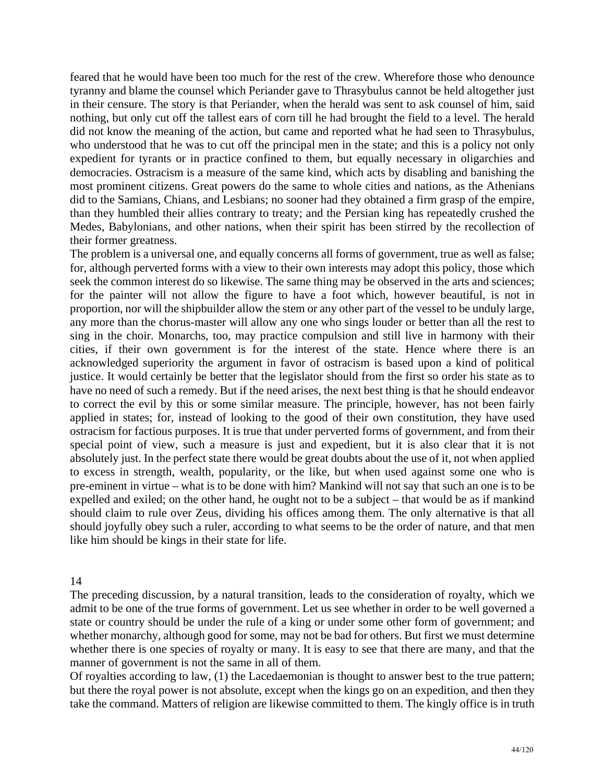feared that he would have been too much for the rest of the crew. Wherefore those who denounce tyranny and blame the counsel which Periander gave to Thrasybulus cannot be held altogether just in their censure. The story is that Periander, when the herald was sent to ask counsel of him, said nothing, but only cut off the tallest ears of corn till he had brought the field to a level. The herald did not know the meaning of the action, but came and reported what he had seen to Thrasybulus, who understood that he was to cut off the principal men in the state; and this is a policy not only expedient for tyrants or in practice confined to them, but equally necessary in oligarchies and democracies. Ostracism is a measure of the same kind, which acts by disabling and banishing the most prominent citizens. Great powers do the same to whole cities and nations, as the Athenians did to the Samians, Chians, and Lesbians; no sooner had they obtained a firm grasp of the empire, than they humbled their allies contrary to treaty; and the Persian king has repeatedly crushed the Medes, Babylonians, and other nations, when their spirit has been stirred by the recollection of their former greatness.

sing in the choir. Monarchs, too, may practice compulsion and still live in harmony with their The problem is a universal one, and equally concerns all forms of government, true as well as false; for, although perverted forms with a view to their own interests may adopt this policy, those which seek the common interest do so likewise. The same thing may be observed in the arts and sciences; for the painter will not allow the figure to have a foot which, however beautiful, is not in proportion, nor will the shipbuilder allow the stem or any other part of the vessel to be unduly large, any more than the chorus-master will allow any one who sings louder or better than all the rest to cities, if their own government is for the interest of the state. Hence where there is an acknowledged superiority the argument in favor of ostracism is based upon a kind of political justice. It would certainly be better that the legislator should from the first so order his state as to have no need of such a remedy. But if the need arises, the next best thing is that he should endeavor to correct the evil by this or some similar measure. The principle, however, has not been fairly applied in states; for, instead of looking to the good of their own constitution, they have used ostracism for factious purposes. It is true that under perverted forms of government, and from their special point of view, such a measure is just and expedient, but it is also clear that it is not absolutely just. In the perfect state there would be great doubts about the use of it, not when applied to excess in strength, wealth, popularity, or the like, but when used against some one who is pre-eminent in virtue – what is to be done with him? Mankind will not say that such an one is to be expelled and exiled; on the other hand, he ought not to be a subject – that would be as if mankind should claim to rule over Zeus, dividing his offices among them. The only alternative is that all should joyfully obey such a ruler, according to what seems to be the order of nature, and that men like him should be kings in their state for life.

# 14

The preceding discussion, by a natural transition, leads to the consideration of royalty, which we admit to be one of the true forms of government. Let us see whether in order to be well governed a state or country should be under the rule of a king or under some other form of government; and whether monarchy, although good for some, may not be bad for others. But first we must determine whether there is one species of royalty or many. It is easy to see that there are many, and that the manner of government is not the same in all of them.

take the command. Matters of religion are likewise committed to them. The kingly office is in truth Of royalties according to law, (1) the Lacedaemonian is thought to answer best to the true pattern; but there the royal power is not absolute, except when the kings go on an expedition, and then they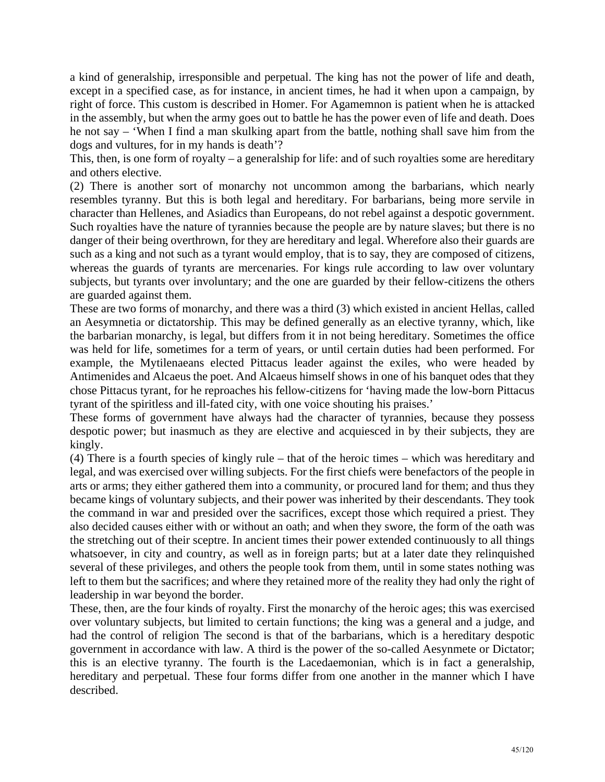a kind of generalship, irresponsible and perpetual. The king has not the power of life and death, except in a specified case, as for instance, in ancient times, he had it when upon a campaign, by right of force. This custom is described in Homer. For Agamemnon is patient when he is attacked in the assembly, but when the army goes out to battle he has the power even of life and death. Does he not say – 'When I find a man skulking apart from the battle, nothing shall save him from the dogs and vultures, for in my hands is death'?

This, then, is one form of royalty – a generalship for life: and of such royalties some are hereditary and others elective.

(2) There is another sort of monarchy not uncommon among the barbarians, which nearly resembles tyranny. But this is both legal and hereditary. For barbarians, being more servile in character than Hellenes, and Asiadics than Europeans, do not rebel against a despotic government. Such royalties have the nature of tyrannies because the people are by nature slaves; but there is no danger of their being overthrown, for they are hereditary and legal. Wherefore also their guards are such as a king and not such as a tyrant would employ, that is to say, they are composed of citizens, whereas the guards of tyrants are mercenaries. For kings rule according to law over voluntary subjects, but tyrants over involuntary; and the one are guarded by their fellow-citizens the others are guarded against them.

These are two forms of monarchy, and there was a third (3) which existed in ancient Hellas, called an Aesymnetia or dictatorship. This may be defined generally as an elective tyranny, which, like the barbarian monarchy, is legal, but differs from it in not being hereditary. Sometimes the office was held for life, sometimes for a term of years, or until certain duties had been performed. For example, the Mytilenaeans elected Pittacus leader against the exiles, who were headed by Antimenides and Alcaeus the poet. And Alcaeus himself shows in one of his banquet odes that they hose Pittacus tyrant, for he reproaches his fellow-citizens for 'having made the low-born Pittacus c tyrant of the spiritless and ill-fated city, with one voice shouting his praises.'

These forms of government have always had the character of tyrannies, because they possess despotic power; but inasmuch as they are elective and acquiesced in by their subjects, they are kingly.

arts or arms; they either gathered them into a community, or procured land for them; and thus they (4) There is a fourth species of kingly rule – that of the heroic times – which was hereditary and legal, and was exercised over willing subjects. For the first chiefs were benefactors of the people in became kings of voluntary subjects, and their power was inherited by their descendants. They took the command in war and presided over the sacrifices, except those which required a priest. They also decided causes either with or without an oath; and when they swore, the form of the oath was the stretching out of their sceptre. In ancient times their power extended continuously to all things whatsoever, in city and country, as well as in foreign parts; but at a later date they relinquished several of these privileges, and others the people took from them, until in some states nothing was left to them but the sacrifices; and where they retained more of the reality they had only the right of leadership in war beyond the border.

These, then, are the four kinds of royalty. First the monarchy of the heroic ages; this was exercised had the control of religion The second is that of the barbarians, which is a hereditary despotic over voluntary subjects, but limited to certain functions; the king was a general and a judge, and government in accordance with law. A third is the power of the so-called Aesynmete or Dictator; this is an elective tyranny. The fourth is the Lacedaemonian, which is in fact a generalship, hereditary and perpetual. These four forms differ from one another in the manner which I have described.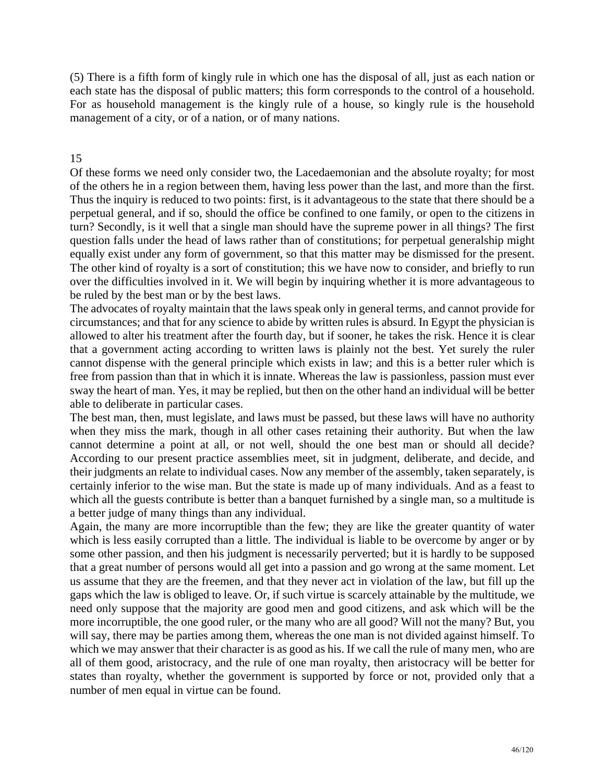(5) There is a fifth form of kingly rule in which one has the disposal of all, just as each nation or each state has the disposal of public matters; this form corresponds to the control of a household. For as household management is the kingly rule of a house, so kingly rule is the household management of a city, or of a nation, or of many nations.

# 15

question falls under the head of laws rather than of constitutions; for perpetual generalship might over the difficulties involved in it. We will begin by inquiring whether it is more advantageous to Of these forms we need only consider two, the Lacedaemonian and the absolute royalty; for most of the others he in a region between them, having less power than the last, and more than the first. Thus the inquiry is reduced to two points: first, is it advantageous to the state that there should be a perpetual general, and if so, should the office be confined to one family, or open to the citizens in turn? Secondly, is it well that a single man should have the supreme power in all things? The first equally exist under any form of government, so that this matter may be dismissed for the present. The other kind of royalty is a sort of constitution; this we have now to consider, and briefly to run be ruled by the best man or by the best laws.

The advocates of royalty maintain that the laws speak only in general terms, and cannot provide for circumstances; and that for any science to abide by written rules is absurd. In Egypt the physician is allowed to alter his treatment after the fourth day, but if sooner, he takes the risk. Hence it is clear that a government acting according to written laws is plainly not the best. Yet surely the ruler cannot dispense with the general principle which exists in law; and this is a better ruler which is free from passion than that in which it is innate. Whereas the law is passionless, passion must ever sway the heart of man. Yes, it may be replied, but then on the other hand an individual will be better able to deliberate in particular cases.

when they miss the mark, though in all other cases retaining their authority. But when the law The best man, then, must legislate, and laws must be passed, but these laws will have no authority cannot determine a point at all, or not well, should the one best man or should all decide? According to our present practice assemblies meet, sit in judgment, deliberate, and decide, and their judgments an relate to individual cases. Now any member of the assembly, taken separately, is certainly inferior to the wise man. But the state is made up of many individuals. And as a feast to which all the guests contribute is better than a banquet furnished by a single man, so a multitude is a better judge of many things than any individual.

Again, the many are more incorruptible than the few; they are like the greater quantity of water us assume that they are the freemen, and that they never act in violation of the law, but fill up the gaps which the law is obliged to leave. Or, if such virtue is scarcely attainable by the multitude, we need only suppose that the majority are good men and good citizens, and ask which will be the more incorruptible, the one good ruler, or the many who are all good? Will not the many? But, you which is less easily corrupted than a little. The individual is liable to be overcome by anger or by some other passion, and then his judgment is necessarily perverted; but it is hardly to be supposed that a great number of persons would all get into a passion and go wrong at the same moment. Let will say, there may be parties among them, whereas the one man is not divided against himself. To which we may answer that their character is as good as his. If we call the rule of many men, who are all of them good, aristocracy, and the rule of one man royalty, then aristocracy will be better for states than royalty, whether the government is supported by force or not, provided only that a number of men equal in virtue can be found.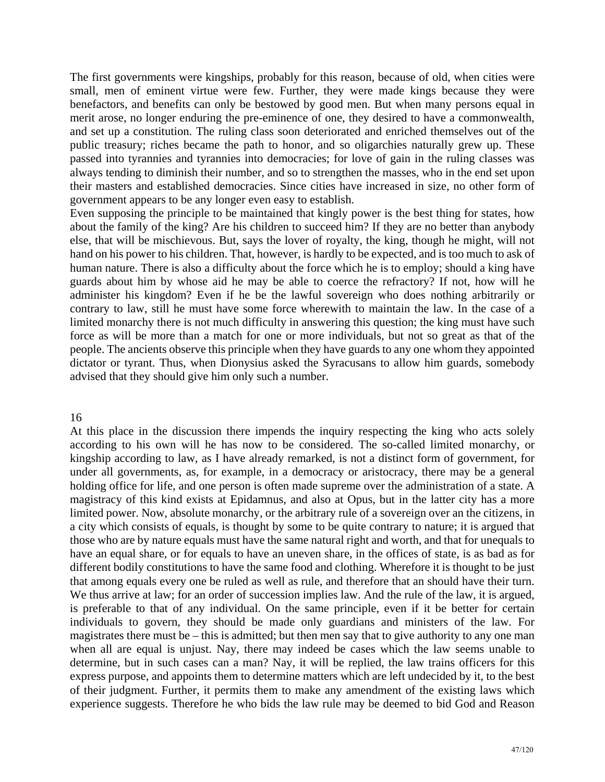The first governments were kingships, probably for this reason, because of old, when cities were small, men of eminent virtue were few. Further, they were made kings because they were benefactors, and benefits can only be bestowed by good men. But when many persons equal in merit arose, no longer enduring the pre-eminence of one, they desired to have a commonwealth, and set up a constitution. The ruling class soon deteriorated and enriched themselves out of the public treasury; riches became the path to honor, and so oligarchies naturally grew up. These passed into tyrannies and tyrannies into democracies; for love of gain in the ruling classes was always tending to diminish their number, and so to strengthen the masses, who in the end set upon their masters and established democracies. Since cities have increased in size, no other form of government appears to be any longer even easy to establish.

about the family of the king? Are his children to succeed him? If they are no better than anybody force as will be more than a match for one or more individuals, but not so great as that of the Even supposing the principle to be maintained that kingly power is the best thing for states, how else, that will be mischievous. But, says the lover of royalty, the king, though he might, will not hand on his power to his children. That, however, is hardly to be expected, and is too much to ask of human nature. There is also a difficulty about the force which he is to employ; should a king have guards about him by whose aid he may be able to coerce the refractory? If not, how will he administer his kingdom? Even if he be the lawful sovereign who does nothing arbitrarily or contrary to law, still he must have some force wherewith to maintain the law. In the case of a limited monarchy there is not much difficulty in answering this question; the king must have such people. The ancients observe this principle when they have guards to any one whom they appointed dictator or tyrant. Thus, when Dionysius asked the Syracusans to allow him guards, somebody advised that they should give him only such a number.

# 16

limited power. Now, absolute monarchy, or the arbitrary rule of a sovereign over an the citizens, in when all are equal is unjust. Nay, there may indeed be cases which the law seems unable to At this place in the discussion there impends the inquiry respecting the king who acts solely according to his own will he has now to be considered. The so-called limited monarchy, or kingship according to law, as I have already remarked, is not a distinct form of government, for under all governments, as, for example, in a democracy or aristocracy, there may be a general holding office for life, and one person is often made supreme over the administration of a state. A magistracy of this kind exists at Epidamnus, and also at Opus, but in the latter city has a more a city which consists of equals, is thought by some to be quite contrary to nature; it is argued that those who are by nature equals must have the same natural right and worth, and that for unequals to have an equal share, or for equals to have an uneven share, in the offices of state, is as bad as for different bodily constitutions to have the same food and clothing. Wherefore it is thought to be just that among equals every one be ruled as well as rule, and therefore that an should have their turn. We thus arrive at law; for an order of succession implies law. And the rule of the law, it is argued, is preferable to that of any individual. On the same principle, even if it be better for certain individuals to govern, they should be made only guardians and ministers of the law. For magistrates there must be – this is admitted; but then men say that to give authority to any one man determine, but in such cases can a man? Nay, it will be replied, the law trains officers for this express purpose, and appoints them to determine matters which are left undecided by it, to the best of their judgment. Further, it permits them to make any amendment of the existing laws which experience suggests. Therefore he who bids the law rule may be deemed to bid God and Reason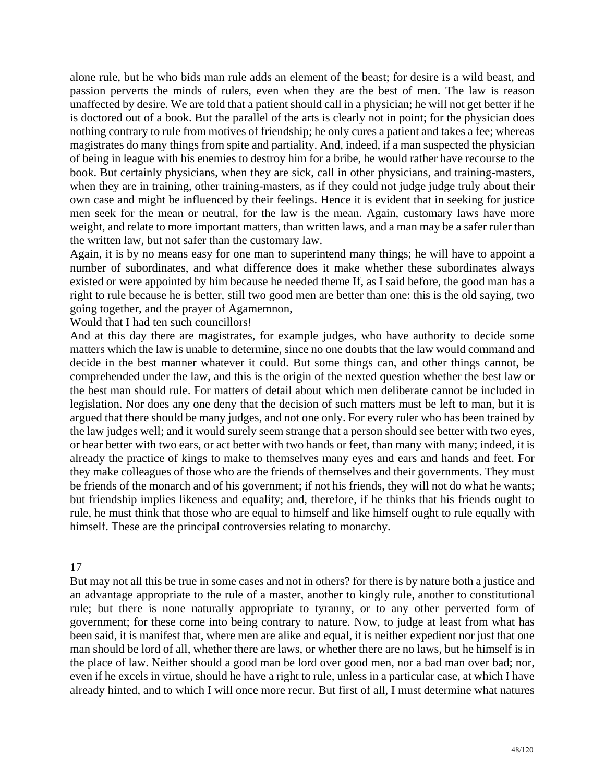alone rule, but he who bids man rule adds an element of the beast; for desire is a wild beast, and passion perverts the minds of rulers, even when they are the best of men. The law is reason unaffected by desire. We are told that a patient should call in a physician; he will not get better if he is doctored out of a book. But the parallel of the arts is clearly not in point; for the physician does nothing contrary to rule from motives of friendship; he only cures a patient and takes a fee; whereas magistrates do many things from spite and partiality. And, indeed, if a man suspected the physician of being in league with his enemies to destroy him for a bribe, he would rather have recourse to the book. But certainly physicians, when they are sick, call in other physicians, and training-masters, when they are in training, other training-masters, as if they could not judge judge truly about their own case and might be influenced by their feelings. Hence it is evident that in seeking for justice men seek for the mean or neutral, for the law is the mean. Again, customary laws have more weight, and relate to more important matters, than written laws, and a man may be a safer ruler than the written law, but not safer than the customary law.

Again, it is by no means easy for one man to superintend many things; he will have to appoint a number of subordinates, and what difference does it make whether these subordinates always existed or were appointed by him because he needed theme If, as I said before, the good man has a right to rule because he is better, still two good men are better than one: this is the old saying, two going together, and the prayer of Agamemnon,

Would that I had ten such councillors!

And at this day there are magistrates, for example judges, who have authority to decide some matters which the law is unable to determine, since no one doubts that the law would command and decide in the best manner whatever it could. But some things can, and other things cannot, be comprehended under the law, and this is the origin of the nexted question whether the best law or the best man should rule. For matters of detail about which men deliberate cannot be included in legislation. Nor does any one deny that the decision of such matters must be left to man, but it is argued that there should be many judges, and not one only. For every ruler who has been trained by the law judges well; and it would surely seem strange that a person should see better with two eyes, or hear better with two ears, or act better with two hands or feet, than many with many; indeed, it is already the practice of kings to make to themselves many eyes and ears and hands and feet. For they make colleagues of those who are the friends of themselves and their governments. They must be friends of the monarch and of his government; if not his friends, they will not do what he wants; but friendship implies likeness and equality; and, therefore, if he thinks that his friends ought to rule, he must think that those who are equal to himself and like himself ought to rule equally with himself. These are the principal controversies relating to monarchy.

#### 17

already hinted, and to which I will once more recur. But first of all, I must determine what natures But may not all this be true in some cases and not in others? for there is by nature both a justice and an advantage appropriate to the rule of a master, another to kingly rule, another to constitutional rule; but there is none naturally appropriate to tyranny, or to any other perverted form of government; for these come into being contrary to nature. Now, to judge at least from what has been said, it is manifest that, where men are alike and equal, it is neither expedient nor just that one man should be lord of all, whether there are laws, or whether there are no laws, but he himself is in the place of law. Neither should a good man be lord over good men, nor a bad man over bad; nor, even if he excels in virtue, should he have a right to rule, unless in a particular case, at which I have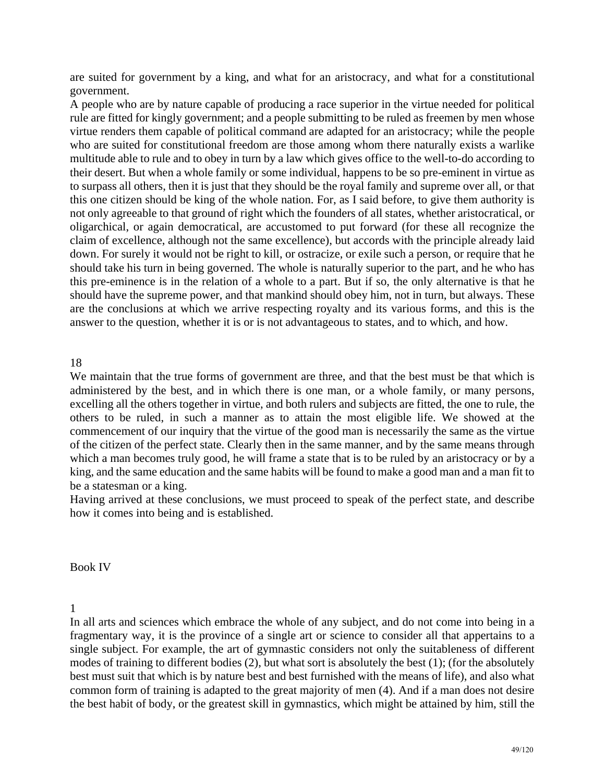are suited for government by a king, and what for an aristocracy, and what for a constitutional government.

A people who are by nature capable of producing a race superior in the virtue needed for political rule are fitted for kingly government; and a people submitting to be ruled as freemen by men whose virtue renders them capable of political command are adapted for an aristocracy; while the people who are suited for constitutional freedom are those among whom there naturally exists a warlike multitude able to rule and to obey in turn by a law which gives office to the well-to-do according to their desert. But when a whole family or some individual, happens to be so pre-eminent in virtue as to surpass all others, then it is just that they should be the royal family and supreme over all, or that this one citizen should be king of the whole nation. For, as I said before, to give them authority is not only agreeable to that ground of right which the founders of all states, whether aristocratical, or oligarchical, or again democratical, are accustomed to put forward (for these all recognize the claim of excellence, although not the same excellence), but accords with the principle already laid down. For surely it would not be right to kill, or ostracize, or exile such a person, or require that he should take his turn in being governed. The whole is naturally superior to the part, and he who has this pre-eminence is in the relation of a whole to a part. But if so, the only alternative is that he should have the supreme power, and that mankind should obey him, not in turn, but always. These are the conclusions at which we arrive respecting royalty and its various forms, and this is the answer to the question, whether it is or is not advantageous to states, and to which, and how.

# 18

We maintain that the true forms of government are three, and that the best must be that which is administered by the best, and in which there is one man, or a whole family, or many persons, excelling all the others together in virtue, and both rulers and subjects are fitted, the one to rule, the others to be ruled, in such a manner as to attain the most eligible life. We showed at the commencement of our inquiry that the virtue of the good man is necessarily the same as the virtue of the citizen of the perfect state. Clearly then in the same manner, and by the same means through which a man becomes truly good, he will frame a state that is to be ruled by an aristocracy or by a king, and the same education and the same habits will be found to make a good man and a man fit to be a statesman or a king.

Having arrived at these conclusions, we must proceed to speak of the perfect state, and describe how it comes into being and is established.

Book IV

1

In all arts and sciences which embrace the whole of any subject, and do not come into being in a fragmentary way, it is the province of a single art or science to consider all that appertains to a single subject. For example, the art of gymnastic considers not only the suitableness of different modes of training to different bodies (2), but what sort is absolutely the best (1); (for the absolutely best must suit that which is by nature best and best furnished with the means of life), and also what common form of training is adapted to the great majority of men (4). And if a man does not desire the best habit of body, or the greatest skill in gymnastics, which might be attained by him, still the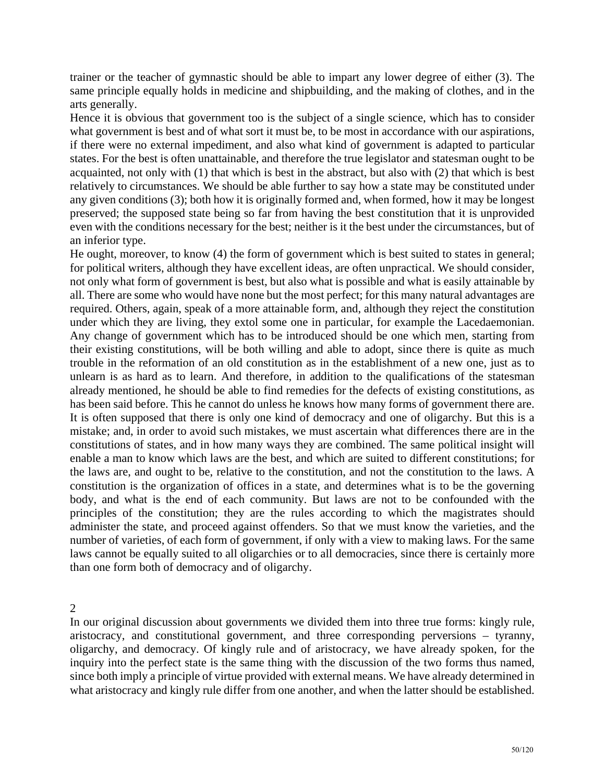trainer or the teacher of gymnastic should be able to impart any lower degree of either (3). The same principle equally holds in medicine and shipbuilding, and the making of clothes, and in the arts generally.

Hence it is obvious that government too is the subject of a single science, which has to consider what government is best and of what sort it must be, to be most in accordance with our aspirations, if there were no external impediment, and also what kind of government is adapted to particular states. For the best is often unattainable, and therefore the true legislator and statesman ought to be acquainted, not only with  $(1)$  that which is best in the abstract, but also with  $(2)$  that which is best relatively to circumstances. We should be able further to say how a state may be constituted under any given conditions (3); both how it is originally formed and, when formed, how it may be longest preserved; the supposed state being so far from having the best constitution that it is unprovided even with the conditions necessary for the best; neither is it the best under the circumstances, but of an inferior type.

under which they are living, they extol some one in particular, for example the Lacedaemonian. their existing constitutions, will be both willing and able to adopt, since there is quite as much trouble in the reformation of an old constitution as in the establishment of a new one, just as to unlearn is as hard as to learn. And therefore, in addition to the qualifications of the statesman already mentioned, he should be able to find remedies for the defects of existing constitutions, as has been said before. This he cannot do unless he knows how many forms of government there are. It is often supposed that there is only one kind of democracy and one of oligarchy. But this is a mistake; and, in order to avoid such mistakes, we must ascertain what differences there are in the constitutions of states, and in how many ways they are combined. The same political insight will He ought, moreover, to know (4) the form of government which is best suited to states in general; for political writers, although they have excellent ideas, are often unpractical. We should consider, not only what form of government is best, but also what is possible and what is easily attainable by all. There are some who would have none but the most perfect; for this many natural advantages are required. Others, again, speak of a more attainable form, and, although they reject the constitution Any change of government which has to be introduced should be one which men, starting from enable a man to know which laws are the best, and which are suited to different constitutions; for the laws are, and ought to be, relative to the constitution, and not the constitution to the laws. A constitution is the organization of offices in a state, and determines what is to be the governing body, and what is the end of each community. But laws are not to be confounded with the principles of the constitution; they are the rules according to which the magistrates should administer the state, and proceed against offenders. So that we must know the varieties, and the number of varieties, of each form of government, if only with a view to making laws. For the same laws cannot be equally suited to all oligarchies or to all democracies, since there is certainly more than one form both of democracy and of oligarchy.

2

In our original discussion about governments we divided them into three true forms: kingly rule, aristocracy, and constitutional government, and three corresponding perversions – tyranny, oligarchy, and democracy. Of kingly rule and of aristocracy, we have already spoken, for the inquiry into the perfect state is the same thing with the discussion of the two forms thus named, since both imply a principle of virtue provided with external means. We have already determined in what aristocracy and kingly rule differ from one another, and when the latter should be established.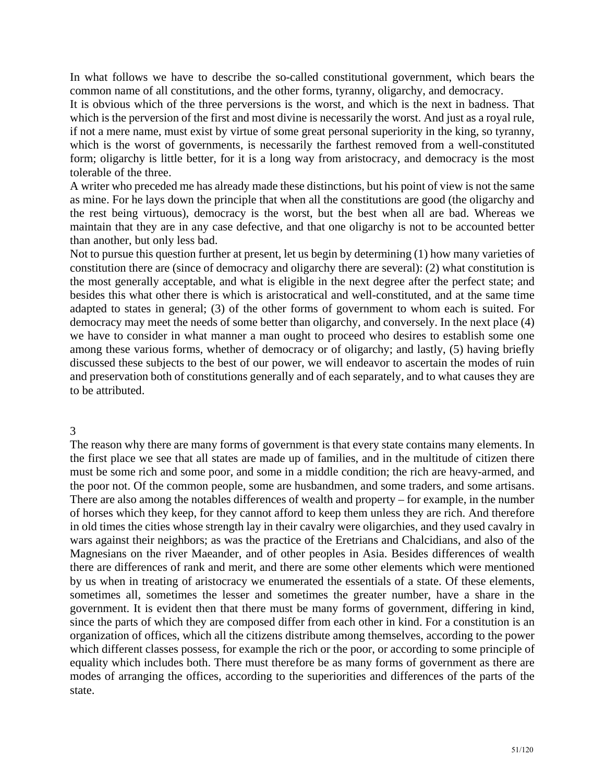In what follows we have to describe the so-called constitutional government, which bears the common name of all constitutions, and the other forms, tyranny, oligarchy, and democracy.

It is obvious which of the three perversions is the worst, and which is the next in badness. That which is the perversion of the first and most divine is necessarily the worst. And just as a royal rule, if not a mere name, must exist by virtue of some great personal superiority in the king, so tyranny, which is the worst of governments, is necessarily the farthest removed from a well-constituted form; oligarchy is little better, for it is a long way from aristocracy, and democracy is the most tolerable of the three.

A writer who preceded me has already made these distinctions, but his point of view is not the same as mine. For he lays down the principle that when all the constitutions are good (the oligarchy and the rest being virtuous), democracy is the worst, but the best when all are bad. Whereas we maintain that they are in any case defective, and that one oligarchy is not to be accounted better than another, but only less bad.

Not to pursue this question further at present, let us begin by determining (1) how many varieties of constitution there are (since of democracy and oligarchy there are several): (2) what constitution is the most generally acceptable, and what is eligible in the next degree after the perfect state; and besides this what other there is which is aristocratical and well-constituted, and at the same time adapted to states in general; (3) of the other forms of government to whom each is suited. For democracy may meet the needs of some better than oligarchy, and conversely. In the next place (4) we have to consider in what manner a man ought to proceed who desires to establish some one among these various forms, whether of democracy or of oligarchy; and lastly, (5) having briefly discussed these subjects to the best of our power, we will endeavor to ascertain the modes of ruin and preservation both of constitutions generally and of each separately, and to what causes they are to be attributed.

# 3

The reason why there are many forms of government is that every state contains many elements. In the first place we see that all states are made up of families, and in the multitude of citizen there by us when in treating of aristocracy we enumerated the essentials of a state. Of these elements, equality which includes both. There must therefore be as many forms of government as there are must be some rich and some poor, and some in a middle condition; the rich are heavy-armed, and the poor not. Of the common people, some are husbandmen, and some traders, and some artisans. There are also among the notables differences of wealth and property – for example, in the number of horses which they keep, for they cannot afford to keep them unless they are rich. And therefore in old times the cities whose strength lay in their cavalry were oligarchies, and they used cavalry in wars against their neighbors; as was the practice of the Eretrians and Chalcidians, and also of the Magnesians on the river Maeander, and of other peoples in Asia. Besides differences of wealth there are differences of rank and merit, and there are some other elements which were mentioned sometimes all, sometimes the lesser and sometimes the greater number, have a share in the government. It is evident then that there must be many forms of government, differing in kind, since the parts of which they are composed differ from each other in kind. For a constitution is an organization of offices, which all the citizens distribute among themselves, according to the power which different classes possess, for example the rich or the poor, or according to some principle of modes of arranging the offices, according to the superiorities and differences of the parts of the state.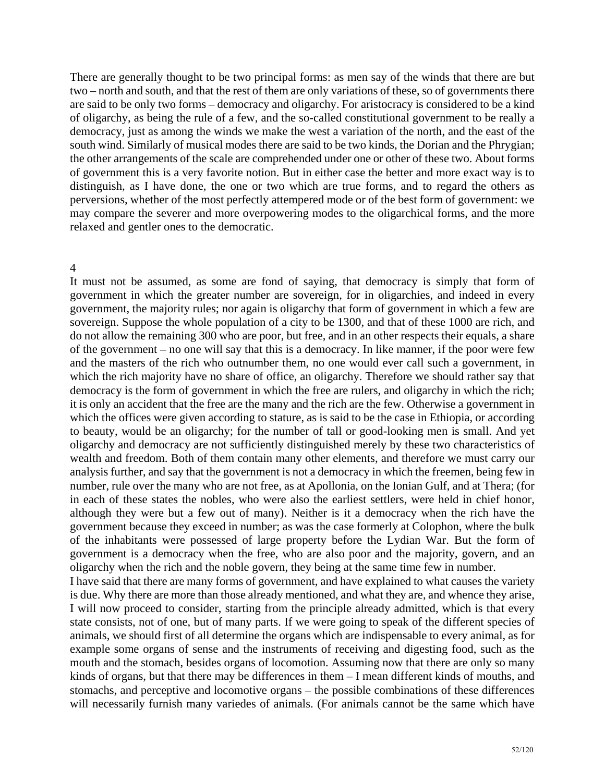There are generally thought to be two principal forms: as men say of the winds that there are but two – north and south, and that the rest of them are only variations of these, so of governments there are said to be only two forms – democracy and oligarchy. For aristocracy is considered to be a kind of oligarchy, as being the rule of a few, and the so-called constitutional government to be really a democracy, just as among the winds we make the west a variation of the north, and the east of the south wind. Similarly of musical modes there are said to be two kinds, the Dorian and the Phrygian; the other arrangements of the scale are comprehended under one or other of these two. About forms of government this is a very favorite notion. But in either case the better and more exact way is to distinguish, as I have done, the one or two which are true forms, and to regard the others as perversions, whether of the most perfectly attempered mode or of the best form of government: we may compare the severer and more overpowering modes to the oligarchical forms, and the more relaxed and gentler ones to the democratic.

#### 4

It must not be assumed, as some are fond of saying, that democracy is simply that form of of the inhabitants were possessed of large property before the Lydian War. But the form of government in which the greater number are sovereign, for in oligarchies, and indeed in every government, the majority rules; nor again is oligarchy that form of government in which a few are sovereign. Suppose the whole population of a city to be 1300, and that of these 1000 are rich, and do not allow the remaining 300 who are poor, but free, and in an other respects their equals, a share of the government – no one will say that this is a democracy. In like manner, if the poor were few and the masters of the rich who outnumber them, no one would ever call such a government, in which the rich majority have no share of office, an oligarchy. Therefore we should rather say that democracy is the form of government in which the free are rulers, and oligarchy in which the rich; it is only an accident that the free are the many and the rich are the few. Otherwise a government in which the offices were given according to stature, as is said to be the case in Ethiopia, or according to beauty, would be an oligarchy; for the number of tall or good-looking men is small. And yet oligarchy and democracy are not sufficiently distinguished merely by these two characteristics of wealth and freedom. Both of them contain many other elements, and therefore we must carry our analysis further, and say that the government is not a democracy in which the freemen, being few in number, rule over the many who are not free, as at Apollonia, on the Ionian Gulf, and at Thera; (for in each of these states the nobles, who were also the earliest settlers, were held in chief honor, although they were but a few out of many). Neither is it a democracy when the rich have the government because they exceed in number; as was the case formerly at Colophon, where the bulk government is a democracy when the free, who are also poor and the majority, govern, and an oligarchy when the rich and the noble govern, they being at the same time few in number.

will necessarily furnish many variedes of animals. (For animals cannot be the same which have I have said that there are many forms of government, and have explained to what causes the variety is due. Why there are more than those already mentioned, and what they are, and whence they arise, I will now proceed to consider, starting from the principle already admitted, which is that every state consists, not of one, but of many parts. If we were going to speak of the different species of animals, we should first of all determine the organs which are indispensable to every animal, as for example some organs of sense and the instruments of receiving and digesting food, such as the mouth and the stomach, besides organs of locomotion. Assuming now that there are only so many kinds of organs, but that there may be differences in them – I mean different kinds of mouths, and stomachs, and perceptive and locomotive organs – the possible combinations of these differences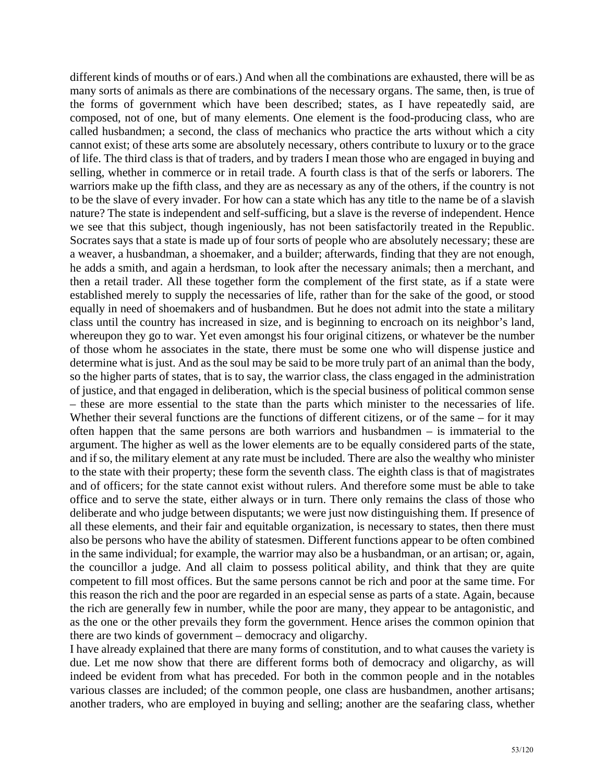different kinds of mouths or of ears.) And when all the combinations are exhausted, there will be as many sorts of animals as there are combinations of the necessary organs. The same, then, is true of the forms of government which have been described; states, as I have repeatedly said, are Whether their several functions are the functions of different citizens, or of the same – for it may composed, not of one, but of many elements. One element is the food-producing class, who are called husbandmen; a second, the class of mechanics who practice the arts without which a city cannot exist; of these arts some are absolutely necessary, others contribute to luxury or to the grace of life. The third class is that of traders, and by traders I mean those who are engaged in buying and selling, whether in commerce or in retail trade. A fourth class is that of the serfs or laborers. The warriors make up the fifth class, and they are as necessary as any of the others, if the country is not to be the slave of every invader. For how can a state which has any title to the name be of a slavish nature? The state is independent and self-sufficing, but a slave is the reverse of independent. Hence we see that this subject, though ingeniously, has not been satisfactorily treated in the Republic. Socrates says that a state is made up of four sorts of people who are absolutely necessary; these are a weaver, a husbandman, a shoemaker, and a builder; afterwards, finding that they are not enough, he adds a smith, and again a herdsman, to look after the necessary animals; then a merchant, and then a retail trader. All these together form the complement of the first state, as if a state were established merely to supply the necessaries of life, rather than for the sake of the good, or stood equally in need of shoemakers and of husbandmen. But he does not admit into the state a military class until the country has increased in size, and is beginning to encroach on its neighbor's land, whereupon they go to war. Yet even amongst his four original citizens, or whatever be the number of those whom he associates in the state, there must be some one who will dispense justice and determine what is just. And as the soul may be said to be more truly part of an animal than the body, so the higher parts of states, that is to say, the warrior class, the class engaged in the administration of justice, and that engaged in deliberation, which is the special business of political common sense – these are more essential to the state than the parts which minister to the necessaries of life. often happen that the same persons are both warriors and husbandmen – is immaterial to the argument. The higher as well as the lower elements are to be equally considered parts of the state, and if so, the military element at any rate must be included. There are also the wealthy who minister to the state with their property; these form the seventh class. The eighth class is that of magistrates and of officers; for the state cannot exist without rulers. And therefore some must be able to take office and to serve the state, either always or in turn. There only remains the class of those who deliberate and who judge between disputants; we were just now distinguishing them. If presence of all these elements, and their fair and equitable organization, is necessary to states, then there must also be persons who have the ability of statesmen. Different functions appear to be often combined in the same individual; for example, the warrior may also be a husbandman, or an artisan; or, again, the councillor a judge. And all claim to possess political ability, and think that they are quite competent to fill most offices. But the same persons cannot be rich and poor at the same time. For this reason the rich and the poor are regarded in an especial sense as parts of a state. Again, because the rich are generally few in number, while the poor are many, they appear to be antagonistic, and as the one or the other prevails they form the government. Hence arises the common opinion that there are two kinds of government – democracy and oligarchy.

I have already explained that there are many forms of constitution, and to what causes the variety is due. Let me now show that there are different forms both of democracy and oligarchy, as will indeed be evident from what has preceded. For both in the common people and in the notables various classes are included; of the common people, one class are husbandmen, another artisans; another traders, who are employed in buying and selling; another are the seafaring class, whether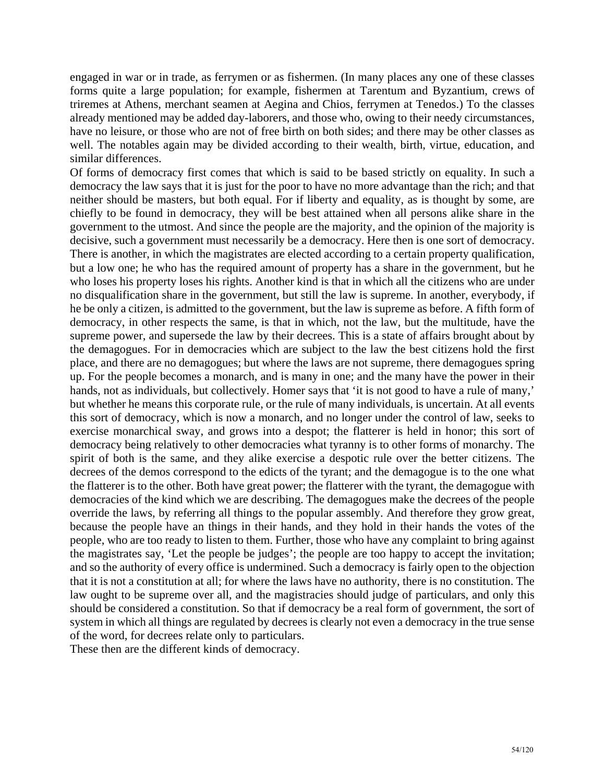engaged in war or in trade, as ferrymen or as fishermen. (In many places any one of these classes forms quite a large population; for example, fishermen at Tarentum and Byzantium, crews of triremes at Athens, merchant seamen at Aegina and Chios, ferrymen at Tenedos.) To the classes already mentioned may be added day-laborers, and those who, owing to their needy circumstances, have no leisure, or those who are not of free birth on both sides; and there may be other classes as well. The notables again may be divided according to their wealth, birth, virtue, education, and similar differences.

Of forms of democracy first comes that which is said to be based strictly on equality. In such a democracy the law says that it is just for the poor to have no more advantage than the rich; and that neither should be masters, but both equal. For if liberty and equality, as is thought by some, are chiefly to be found in democracy, they will be best attained when all persons alike share in the government to the utmost. And since the people are the majority, and the opinion of the majority is decisive, such a government must necessarily be a democracy. Here then is one sort of democracy. There is another, in which the magistrates are elected according to a certain property qualification, but a low one; he who has the required amount of property has a share in the government, but he who loses his property loses his rights. Another kind is that in which all the citizens who are under no disqualification share in the government, but still the law is supreme. In another, everybody, if he be only a citizen, is admitted to the government, but the law is supreme as before. A fifth form of democracy, in other respects the same, is that in which, not the law, but the multitude, have the supreme power, and supersede the law by their decrees. This is a state of affairs brought about by the demagogues. For in democracies which are subject to the law the best citizens hold the first place, and there are no demagogues; but where the laws are not supreme, there demagogues spring up. For the people becomes a monarch, and is many in one; and the many have the power in their hands, not as individuals, but collectively. Homer says that 'it is not good to have a rule of many,' but whether he means this corporate rule, or the rule of many individuals, is uncertain. At all events this sort of democracy, which is now a monarch, and no longer under the control of law, seeks to exercise monarchical sway, and grows into a despot; the flatterer is held in honor; this sort of democracy being relatively to other democracies what tyranny is to other forms of monarchy. The spirit of both is the same, and they alike exercise a despotic rule over the better citizens. The decrees of the demos correspond to the edicts of the tyrant; and the demagogue is to the one what the flatterer is to the other. Both have great power; the flatterer with the tyrant, the demagogue with democracies of the kind which we are describing. The demagogues make the decrees of the people override the laws, by referring all things to the popular assembly. And therefore they grow great, because the people have an things in their hands, and they hold in their hands the votes of the people, who are too ready to listen to them. Further, those who have any complaint to bring against the magistrates say, 'Let the people be judges'; the people are too happy to accept the invitation; and so the authority of every office is undermined. Such a democracy is fairly open to the objection that it is not a constitution at all; for where the laws have no authority, there is no constitution. The law ought to be supreme over all, and the magistracies should judge of particulars, and only this should be considered a constitution. So that if democracy be a real form of government, the sort of system in which all things are regulated by decrees is clearly not even a democracy in the true sense of the word, for decrees relate only to particulars. These then are the different kinds of democracy.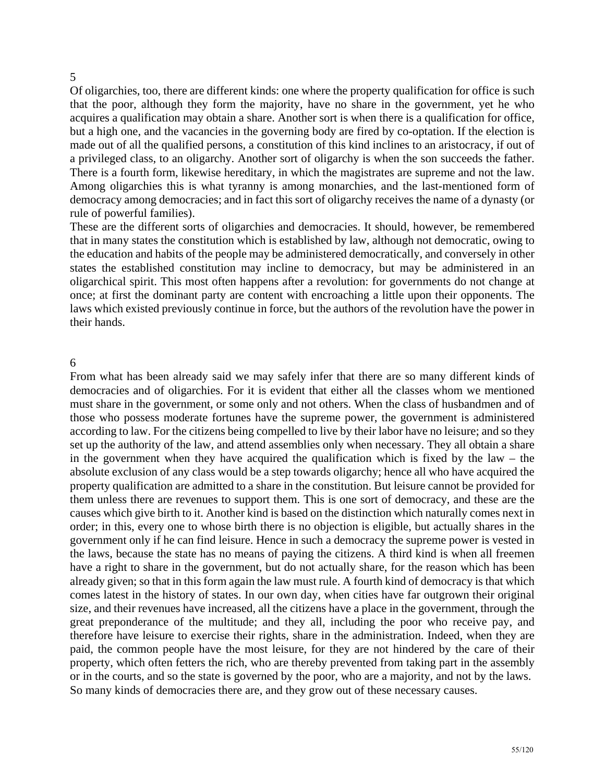#### 5

Of oligarchies, too, there are different kinds: one where the property qualification for office is such that the poor, although they form the majority, have no share in the government, yet he who acquires a qualification may obtain a share. Another sort is when there is a qualification for office, but a high one, and the vacancies in the governing body are fired by co-optation. If the election is made out of all the qualified persons, a constitution of this kind inclines to an aristocracy, if out of a privileged class, to an oligarchy. Another sort of oligarchy is when the son succeeds the father. There is a fourth form, likewise hereditary, in which the magistrates are supreme and not the law. Among oligarchies this is what tyranny is among monarchies, and the last-mentioned form of democracy among democracies; and in fact this sort of oligarchy receives the name of a dynasty (or rule of powerful families).

These are the different sorts of oligarchies and democracies. It should, however, be remembered that in many states the constitution which is established by law, although not democratic, owing to the education and habits of the people may be administered democratically, and conversely in other states the established constitution may incline to democracy, but may be administered in an oligarchical spirit. This most often happens after a revolution: for governments do not change at once; at first the dominant party are content with encroaching a little upon their opponents. The laws which existed previously continue in force, but the authors of the revolution have the power in their hands.

#### 6

From what has been already said we may safely infer that there are so many different kinds of democracies and of oligarchies. For it is evident that either all the classes whom we mentioned must share in the government, or some only and not others. When the class of husbandmen and of those who possess moderate fortunes have the supreme power, the government is administered according to law. For the citizens being compelled to live by their labor have no leisure; and so they set up the authority of the law, and attend assemblies only when necessary. They all obtain a share in the government when they have acquired the qualification which is fixed by the law – the absolute exclusion of any class would be a step towards oligarchy; hence all who have acquired the property qualification are admitted to a share in the constitution. But leisure cannot be provided for them unless there are revenues to support them. This is one sort of democracy, and these are the causes which give birth to it. Another kind is based on the distinction which naturally comes next in order; in this, every one to whose birth there is no objection is eligible, but actually shares in the government only if he can find leisure. Hence in such a democracy the supreme power is vested in the laws, because the state has no means of paying the citizens. A third kind is when all freemen have a right to share in the government, but do not actually share, for the reason which has been already given; so that in this form again the law must rule. A fourth kind of democracy is that which comes latest in the history of states. In our own day, when cities have far outgrown their original size, and their revenues have increased, all the citizens have a place in the government, through the great preponderance of the multitude; and they all, including the poor who receive pay, and therefore have leisure to exercise their rights, share in the administration. Indeed, when they are paid, the common people have the most leisure, for they are not hindered by the care of their property, which often fetters the rich, who are thereby prevented from taking part in the assembly or in the courts, and so the state is governed by the poor, who are a majority, and not by the laws. So many kinds of democracies there are, and they grow out of these necessary causes.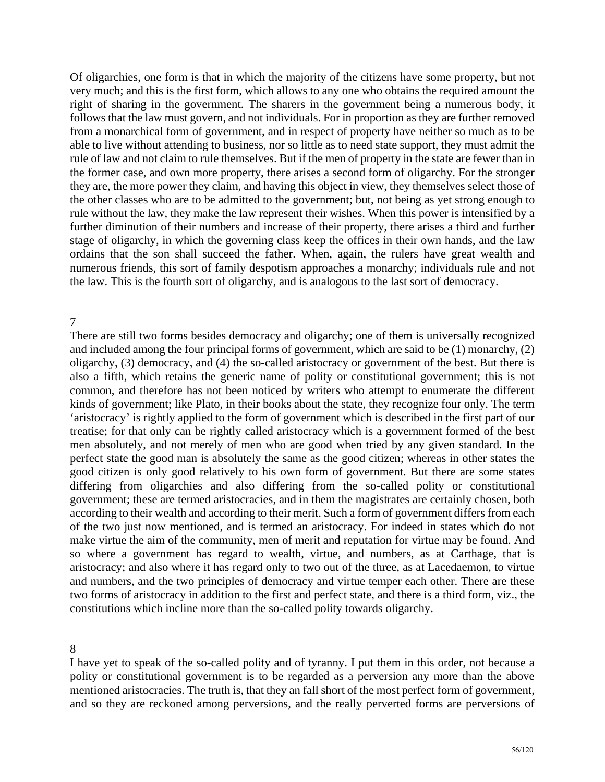Of oligarchies, one form is that in which the majority of the citizens have some property, but not very much; and this is the first form, which allows to any one who obtains the required amount the right of sharing in the government. The sharers in the government being a numerous body, it follows that the law must govern, and not individuals. For in proportion as they are further removed from a monarchical form of government, and in respect of property have neither so much as to be able to live without attending to business, nor so little as to need state support, they must admit the rule of law and not claim to rule themselves. But if the men of property in the state are fewer than in the former case, and own more property, there arises a second form of oligarchy. For the stronger they are, the more power they claim, and having this object in view, they themselves select those of the other classes who are to be admitted to the government; but, not being as yet strong enough to rule without the law, they make the law represent their wishes. When this power is intensified by a further diminution of their numbers and increase of their property, there arises a third and further stage of oligarchy, in which the governing class keep the offices in their own hands, and the law ordains that the son shall succeed the father. When, again, the rulers have great wealth and numerous friends, this sort of family despotism approaches a monarchy; individuals rule and not the law. This is the fourth sort of oligarchy, and is analogous to the last sort of democracy.

# 7

make virtue the aim of the community, men of merit and reputation for virtue may be found. And so where a government has regard to wealth, virtue, and numbers, as at Carthage, that is There are still two forms besides democracy and oligarchy; one of them is universally recognized and included among the four principal forms of government, which are said to be (1) monarchy, (2) oligarchy, (3) democracy, and (4) the so-called aristocracy or government of the best. But there is also a fifth, which retains the generic name of polity or constitutional government; this is not common, and therefore has not been noticed by writers who attempt to enumerate the different kinds of government; like Plato, in their books about the state, they recognize four only. The term 'aristocracy' is rightly applied to the form of government which is described in the first part of our treatise; for that only can be rightly called aristocracy which is a government formed of the best men absolutely, and not merely of men who are good when tried by any given standard. In the perfect state the good man is absolutely the same as the good citizen; whereas in other states the good citizen is only good relatively to his own form of government. But there are some states differing from oligarchies and also differing from the so-called polity or constitutional government; these are termed aristocracies, and in them the magistrates are certainly chosen, both according to their wealth and according to their merit. Such a form of government differs from each of the two just now mentioned, and is termed an aristocracy. For indeed in states which do not aristocracy; and also where it has regard only to two out of the three, as at Lacedaemon, to virtue and numbers, and the two principles of democracy and virtue temper each other. There are these two forms of aristocracy in addition to the first and perfect state, and there is a third form, viz., the constitutions which incline more than the so-called polity towards oligarchy.

8

I have yet to speak of the so-called polity and of tyranny. I put them in this order, not because a polity or constitutional government is to be regarded as a perversion any more than the above mentioned aristocracies. The truth is, that they an fall short of the most perfect form of government, and so they are reckoned among perversions, and the really perverted forms are perversions of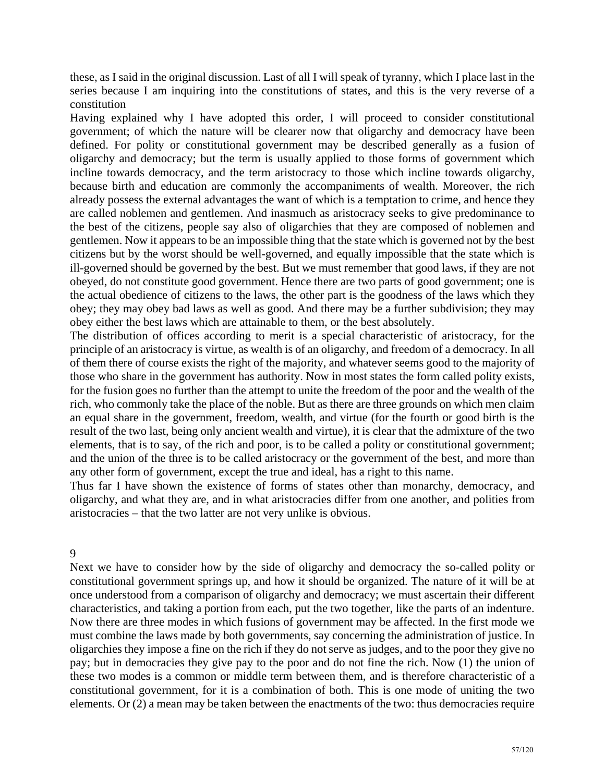these, as I said in the original discussion. Last of all I will speak of tyranny, which I place last in the series because I am inquiring into the constitutions of states, and this is the very reverse of a constitution

Having explained why I have adopted this order, I will proceed to consider constitutional government; of which the nature will be clearer now that oligarchy and democracy have been defined. For polity or constitutional government may be described generally as a fusion of oligarchy and democracy; but the term is usually applied to those forms of government which incline towards democracy, and the term aristocracy to those which incline towards oligarchy, because birth and education are commonly the accompaniments of wealth. Moreover, the rich already possess the external advantages the want of which is a temptation to crime, and hence they are called noblemen and gentlemen. And inasmuch as aristocracy seeks to give predominance to the best of the citizens, people say also of oligarchies that they are composed of noblemen and gentlemen. Now it appears to be an impossible thing that the state which is governed not by the best citizens but by the worst should be well-governed, and equally impossible that the state which is ill-governed should be governed by the best. But we must remember that good laws, if they are not obeyed, do not constitute good government. Hence there are two parts of good government; one is the actual obedience of citizens to the laws, the other part is the goodness of the laws which they obey; they may obey bad laws as well as good. And there may be a further subdivision; they may obey either the best laws which are attainable to them, or the best absolutely.

The distribution of offices according to merit is a special characteristic of aristocracy, for the principle of an aristocracy is virtue, as wealth is of an oligarchy, and freedom of a democracy. In all of them there of course exists the right of the majority, and whatever seems good to the majority of those who share in the government has authority. Now in most states the form called polity exists, for the fusion goes no further than the attempt to unite the freedom of the poor and the wealth of the rich, who commonly take the place of the noble. But as there are three grounds on which men claim an equal share in the government, freedom, wealth, and virtue (for the fourth or good birth is the result of the two last, being only ancient wealth and virtue), it is clear that the admixture of the two elements, that is to say, of the rich and poor, is to be called a polity or constitutional government; and the union of the three is to be called aristocracy or the government of the best, and more than any other form of government, except the true and ideal, has a right to this name.

Thus far I have shown the existence of forms of states other than monarchy, democracy, and oligarchy, and what they are, and in what aristocracies differ from one another, and polities from ristocracies – that the two latter are not very unlike is obvious. a

#### 9

Now there are three modes in which fusions of government may be affected. In the first mode we Next we have to consider how by the side of oligarchy and democracy the so-called polity or constitutional government springs up, and how it should be organized. The nature of it will be at once understood from a comparison of oligarchy and democracy; we must ascertain their different characteristics, and taking a portion from each, put the two together, like the parts of an indenture. must combine the laws made by both governments, say concerning the administration of justice. In oligarchies they impose a fine on the rich if they do not serve as judges, and to the poor they give no pay; but in democracies they give pay to the poor and do not fine the rich. Now (1) the union of these two modes is a common or middle term between them, and is therefore characteristic of a constitutional government, for it is a combination of both. This is one mode of uniting the two elements. Or (2) a mean may be taken between the enactments of the two: thus democracies require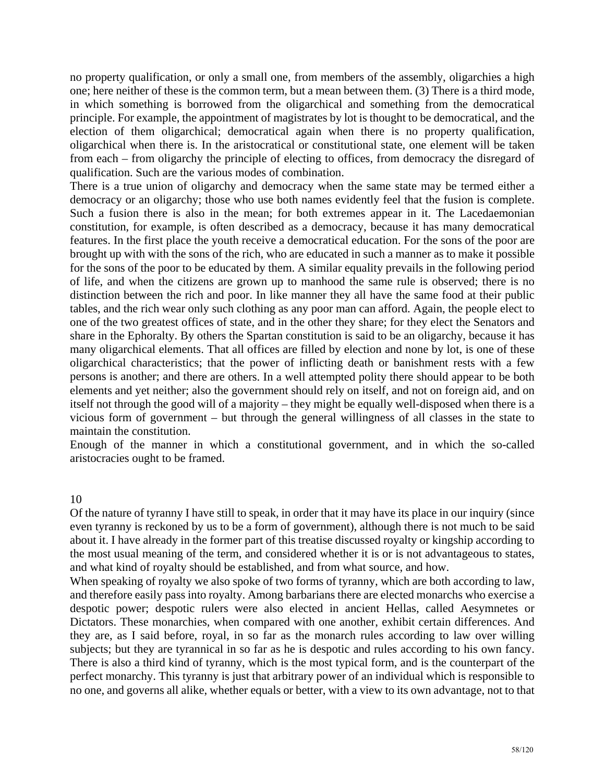no property qualification, or only a small one, from members of the assembly, oligarchies a high one; here neither of these is the common term, but a mean between them. (3) There is a third mode, in which something is borrowed from the oligarchical and something from the democratical principle. For example, the appointment of magistrates by lot is thought to be democratical, and the election of them oligarchical; democratical again when there is no property qualification, oligarchical when there is. In the aristocratical or constitutional state, one element will be taken from each – from oligarchy the principle of electing to offices, from democracy the disregard of qualification. Such are the various modes of combination.

There is a true union of oligarchy and democracy when the same state may be termed either a democracy or an oligarchy; those who use both names evidently feel that the fusion is complete. Such a fusion there is also in the mean; for both extremes appear in it. The Lacedaemonian persons is another; and there are others. In a well attempted polity there should appear to be both vicious form of government  $-$  but through the general willingness of all classes in the state to maintain the constitution. constitution, for example, is often described as a democracy, because it has many democratical features. In the first place the youth receive a democratical education. For the sons of the poor are brought up with with the sons of the rich, who are educated in such a manner as to make it possible for the sons of the poor to be educated by them. A similar equality prevails in the following period of life, and when the citizens are grown up to manhood the same rule is observed; there is no distinction between the rich and poor. In like manner they all have the same food at their public tables, and the rich wear only such clothing as any poor man can afford. Again, the people elect to one of the two greatest offices of state, and in the other they share; for they elect the Senators and share in the Ephoralty. By others the Spartan constitution is said to be an oligarchy, because it has many oligarchical elements. That all offices are filled by election and none by lot, is one of these oligarchical characteristics; that the power of inflicting death or banishment rests with a few elements and yet neither; also the government should rely on itself, and not on foreign aid, and on itself not through the good will of a majority – they might be equally well-disposed when there is a

Enough of the manner in which a constitutional government, and in which the so-called aristocracies ought to be framed.

#### 10

Of the nature of tyranny I have still to speak, in order that it may have its place in our inquiry (since even tyranny is reckoned by us to be a form of government), although there is not much to be said about it. I have already in the former part of this treatise discussed royalty or kingship according to the most usual meaning of the term, and considered whether it is or is not advantageous to states, and what kind of royalty should be established, and from what source, and how.

When speaking of royalty we also spoke of two forms of tyranny, which are both according to law, and therefore easily pass into royalty. Among barbarians there are elected monarchs who exercise a despotic power; despotic rulers were also elected in ancient Hellas, called Aesymnetes or Dictators. These monarchies, when compared with one another, exhibit certain differences. And they are, as I said before, royal, in so far as the monarch rules according to law over willing subjects; but they are tyrannical in so far as he is despotic and rules according to his own fancy. There is also a third kind of tyranny, which is the most typical form, and is the counterpart of the perfect monarchy. This tyranny is just that arbitrary power of an individual which is responsible to no one, and governs all alike, whether equals or better, with a view to its own advantage, not to that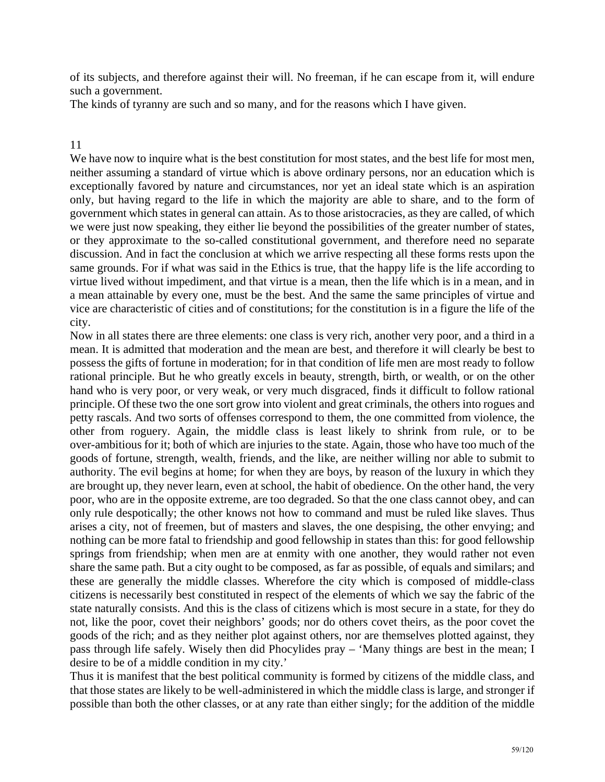of its subjects, and therefore against their will. No freeman, if he can escape from it, will endure such a government.

The kinds of tyranny are such and so many, and for the reasons which I have given.

# 11

We have now to inquire what is the best constitution for most states, and the best life for most men, neither assuming a standard of virtue which is above ordinary persons, nor an education which is exceptionally favored by nature and circumstances, nor yet an ideal state which is an aspiration only, but having regard to the life in which the majority are able to share, and to the form of government which states in general can attain. As to those aristocracies, as they are called, of which we were just now speaking, they either lie beyond the possibilities of the greater number of states, or they approximate to the so-called constitutional government, and therefore need no separate discussion. And in fact the conclusion at which we arrive respecting all these forms rests upon the same grounds. For if what was said in the Ethics is true, that the happy life is the life according to virtue lived without impediment, and that virtue is a mean, then the life which is in a mean, and in a mean attainable by every one, must be the best. And the same the same principles of virtue and vice are characteristic of cities and of constitutions; for the constitution is in a figure the life of the city.

Now in all states there are three elements: one class is very rich, another very poor, and a third in a mean. It is admitted that moderation and the mean are best, and therefore it will clearly be best to rational principle. But he who greatly excels in beauty, strength, birth, or wealth, or on the other hand who is very poor, or very weak, or very much disgraced, finds it difficult to follow rational principle. Of these two the one sort grow into violent and great criminals, the others into rogues and petty rascals. And two sorts of offenses correspond to them, the one committed from violence, the poor, who are in the opposite extreme, are too degraded. So that the one class cannot obey, and can pass through life safely. Wisely then did Phocylides pray – 'Many things are best in the mean; I possess the gifts of fortune in moderation; for in that condition of life men are most ready to follow other from roguery. Again, the middle class is least likely to shrink from rule, or to be over-ambitious for it; both of which are injuries to the state. Again, those who have too much of the goods of fortune, strength, wealth, friends, and the like, are neither willing nor able to submit to authority. The evil begins at home; for when they are boys, by reason of the luxury in which they are brought up, they never learn, even at school, the habit of obedience. On the other hand, the very only rule despotically; the other knows not how to command and must be ruled like slaves. Thus arises a city, not of freemen, but of masters and slaves, the one despising, the other envying; and nothing can be more fatal to friendship and good fellowship in states than this: for good fellowship springs from friendship; when men are at enmity with one another, they would rather not even share the same path. But a city ought to be composed, as far as possible, of equals and similars; and these are generally the middle classes. Wherefore the city which is composed of middle-class citizens is necessarily best constituted in respect of the elements of which we say the fabric of the state naturally consists. And this is the class of citizens which is most secure in a state, for they do not, like the poor, covet their neighbors' goods; nor do others covet theirs, as the poor covet the goods of the rich; and as they neither plot against others, nor are themselves plotted against, they desire to be of a middle condition in my city.'

Thus it is manifest that the best political community is formed by citizens of the middle class, and that those states are likely to be well-administered in which the middle class is large, and stronger if possible than both the other classes, or at any rate than either singly; for the addition of the middle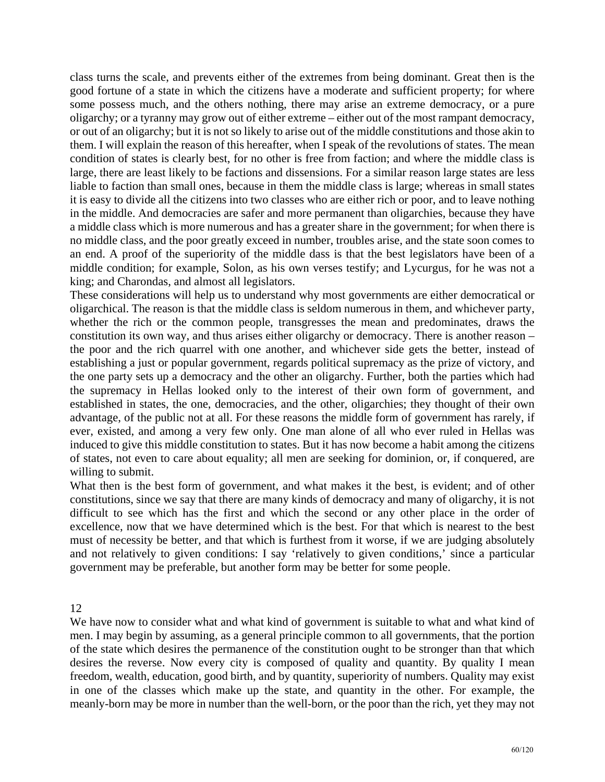class turns the scale, and prevents either of the extremes from being dominant. Great then is the an end. A proof of the superiority of the middle dass is that the best legislators have been of a good fortune of a state in which the citizens have a moderate and sufficient property; for where some possess much, and the others nothing, there may arise an extreme democracy, or a pure oligarchy; or a tyranny may grow out of either extreme – either out of the most rampant democracy, or out of an oligarchy; but it is not so likely to arise out of the middle constitutions and those akin to them. I will explain the reason of this hereafter, when I speak of the revolutions of states. The mean condition of states is clearly best, for no other is free from faction; and where the middle class is large, there are least likely to be factions and dissensions. For a similar reason large states are less liable to faction than small ones, because in them the middle class is large; whereas in small states it is easy to divide all the citizens into two classes who are either rich or poor, and to leave nothing in the middle. And democracies are safer and more permanent than oligarchies, because they have a middle class which is more numerous and has a greater share in the government; for when there is no middle class, and the poor greatly exceed in number, troubles arise, and the state soon comes to middle condition; for example, Solon, as his own verses testify; and Lycurgus, for he was not a king; and Charondas, and almost all legislators.

These considerations will help us to understand why most governments are either democratical or oligarchical. The reason is that the middle class is seldom numerous in them, and whichever party, whether the rich or the common people, transgresses the mean and predominates, draws the constitution its own way, and thus arises either oligarchy or democracy. There is another reason – the poor and the rich quarrel with one another, and whichever side gets the better, instead of establishing a just or popular government, regards political supremacy as the prize of victory, and the one party sets up a democracy and the other an oligarchy. Further, both the parties which had the supremacy in Hellas looked only to the interest of their own form of government, and established in states, the one, democracies, and the other, oligarchies; they thought of their own advantage, of the public not at all. For these reasons the middle form of government has rarely, if ever, existed, and among a very few only. One man alone of all who ever ruled in Hellas was induced to give this middle constitution to states. But it has now become a habit among the citizens of states, not even to care about equality; all men are seeking for dominion, or, if conquered, are willing to submit.

What then is the best form of government, and what makes it the best, is evident; and of other constitutions, since we say that there are many kinds of democracy and many of oligarchy, it is not difficult to see which has the first and which the second or any other place in the order of excellence, now that we have determined which is the best. For that which is nearest to the best must of necessity be better, and that which is furthest from it worse, if we are judging absolutely and not relatively to given conditions: I say 'relatively to given conditions,' since a particular government may be preferable, but another form may be better for some people.

12

We have now to consider what and what kind of government is suitable to what and what kind of men. I may begin by assuming, as a general principle common to all governments, that the portion of the state which desires the permanence of the constitution ought to be stronger than that which desires the reverse. Now every city is composed of quality and quantity. By quality I mean freedom, wealth, education, good birth, and by quantity, superiority of numbers. Quality may exist in one of the classes which make up the state, and quantity in the other. For example, the meanly-born may be more in number than the well-born, or the poor than the rich, yet they may not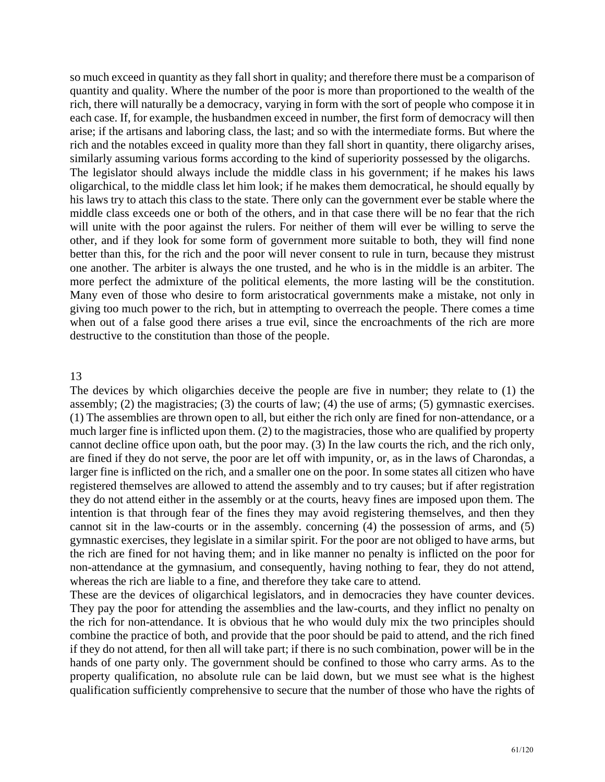so much exceed in quantity as they fall short in quality; and therefore there must be a comparison of quantity and quality. Where the number of the poor is more than proportioned to the wealth of the rich, there will naturally be a democracy, varying in form with the sort of people who compose it in each case. If, for example, the husbandmen exceed in number, the first form of democracy will then arise; if the artisans and laboring class, the last; and so with the intermediate forms. But where the rich and the notables exceed in quality more than they fall short in quantity, there oligarchy arises, similarly assuming various forms according to the kind of superiority possessed by the oligarchs. The legislator should always include the middle class in his government; if he makes his laws oligarchical, to the middle class let him look; if he makes them democratical, he should equally by his laws try to attach this class to the state. There only can the government ever be stable where the middle class exceeds one or both of the others, and in that case there will be no fear that the rich will unite with the poor against the rulers. For neither of them will ever be willing to serve the other, and if they look for some form of government more suitable to both, they will find none better than this, for the rich and the poor will never consent to rule in turn, because they mistrust one another. The arbiter is always the one trusted, and he who is in the middle is an arbiter. The more perfect the admixture of the political elements, the more lasting will be the constitution. Many even of those who desire to form aristocratical governments make a mistake, not only in giving too much power to the rich, but in attempting to overreach the people. There comes a time when out of a false good there arises a true evil, since the encroachments of the rich are more destructive to the constitution than those of the people.

#### 13

assembly; (2) the magistracies; (3) the courts of law; (4) the use of arms; (5) gymnastic exercises. they do not attend either in the assembly or at the courts, heavy fines are imposed upon them. The intention is that through fear of the fines they may avoid registering themselves, and then they cannot sit in the law-courts or in the assembly. concerning (4) the possession of arms, and (5) gymnastic exercises, they legislate in a similar spirit. For the poor are not obliged to have arms, but The devices by which oligarchies deceive the people are five in number; they relate to (1) the (1) The assemblies are thrown open to all, but either the rich only are fined for non-attendance, or a much larger fine is inflicted upon them. (2) to the magistracies, those who are qualified by property cannot decline office upon oath, but the poor may. (3) In the law courts the rich, and the rich only, are fined if they do not serve, the poor are let off with impunity, or, as in the laws of Charondas, a larger fine is inflicted on the rich, and a smaller one on the poor. In some states all citizen who have registered themselves are allowed to attend the assembly and to try causes; but if after registration the rich are fined for not having them; and in like manner no penalty is inflicted on the poor for non-attendance at the gymnasium, and consequently, having nothing to fear, they do not attend, whereas the rich are liable to a fine, and therefore they take care to attend.

These are the devices of oligarchical legislators, and in democracies they have counter devices. They pay the poor for attending the assemblies and the law-courts, and they inflict no penalty on the rich for non-attendance. It is obvious that he who would duly mix the two principles should combine the practice of both, and provide that the poor should be paid to attend, and the rich fined if they do not attend, for then all will take part; if there is no such combination, power will be in the hands of one party only. The government should be confined to those who carry arms. As to the property qualification, no absolute rule can be laid down, but we must see what is the highest qualification sufficiently comprehensive to secure that the number of those who have the rights of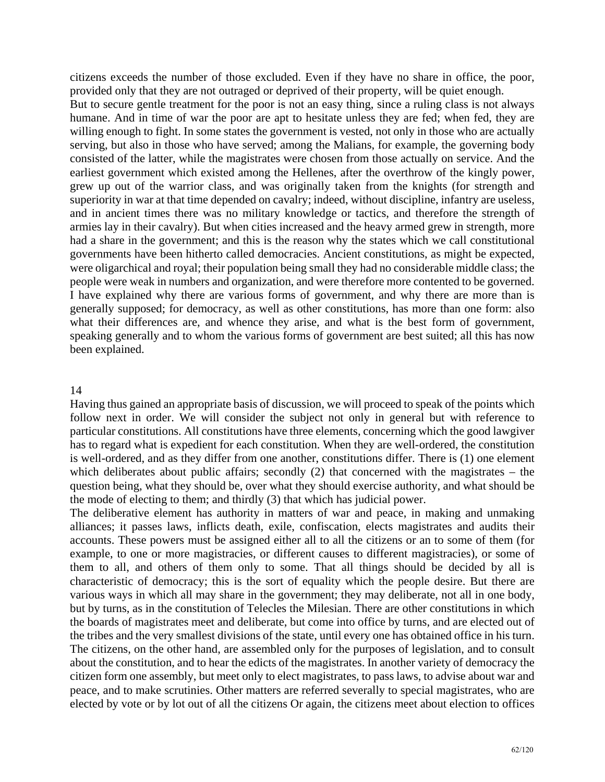citizens exceeds the number of those excluded. Even if they have no share in office, the poor, provided only that they are not outraged or deprived of their property, will be quiet enough.

But to secure gentle treatment for the poor is not an easy thing, since a ruling class is not always people were weak in numbers and organization, and were therefore more contented to be governed. I have explained why there are various forms of government, and why there are more than is generally supposed; for democracy, as well as other constitutions, has more than one form: also what their differences are, and whence they arise, and what is the best form of government, humane. And in time of war the poor are apt to hesitate unless they are fed; when fed, they are willing enough to fight. In some states the government is vested, not only in those who are actually serving, but also in those who have served; among the Malians, for example, the governing body consisted of the latter, while the magistrates were chosen from those actually on service. And the earliest government which existed among the Hellenes, after the overthrow of the kingly power, grew up out of the warrior class, and was originally taken from the knights (for strength and superiority in war at that time depended on cavalry; indeed, without discipline, infantry are useless, and in ancient times there was no military knowledge or tactics, and therefore the strength of armies lay in their cavalry). But when cities increased and the heavy armed grew in strength, more had a share in the government; and this is the reason why the states which we call constitutional governments have been hitherto called democracies. Ancient constitutions, as might be expected, were oligarchical and royal; their population being small they had no considerable middle class; the speaking generally and to whom the various forms of government are best suited; all this has now been explained.

#### 14

Having thus gained an appropriate basis of discussion, we will proceed to speak of the points which follow next in order. We will consider the subject not only in general but with reference to particular constitutions. All constitutions have three elements, concerning which the good lawgiver has to regard what is expedient for each constitution. When they are well-ordered, the constitution is well-ordered, and as they differ from one another, constitutions differ. There is (1) one element which deliberates about public affairs; secondly (2) that concerned with the magistrates – the question being, what they should be, over what they should exercise authority, and what should be the mode of electing to them; and thirdly (3) that which has judicial power.

accounts. These powers must be assigned either all to all the citizens or an to some of them (for The deliberative element has authority in matters of war and peace, in making and unmaking alliances; it passes laws, inflicts death, exile, confiscation, elects magistrates and audits their example, to one or more magistracies, or different causes to different magistracies), or some of them to all, and others of them only to some. That all things should be decided by all is characteristic of democracy; this is the sort of equality which the people desire. But there are various ways in which all may share in the government; they may deliberate, not all in one body, but by turns, as in the constitution of Telecles the Milesian. There are other constitutions in which the boards of magistrates meet and deliberate, but come into office by turns, and are elected out of the tribes and the very smallest divisions of the state, until every one has obtained office in his turn. The citizens, on the other hand, are assembled only for the purposes of legislation, and to consult about the constitution, and to hear the edicts of the magistrates. In another variety of democracy the citizen form one assembly, but meet only to elect magistrates, to pass laws, to advise about war and peace, and to make scrutinies. Other matters are referred severally to special magistrates, who are elected by vote or by lot out of all the citizens Or again, the citizens meet about election to offices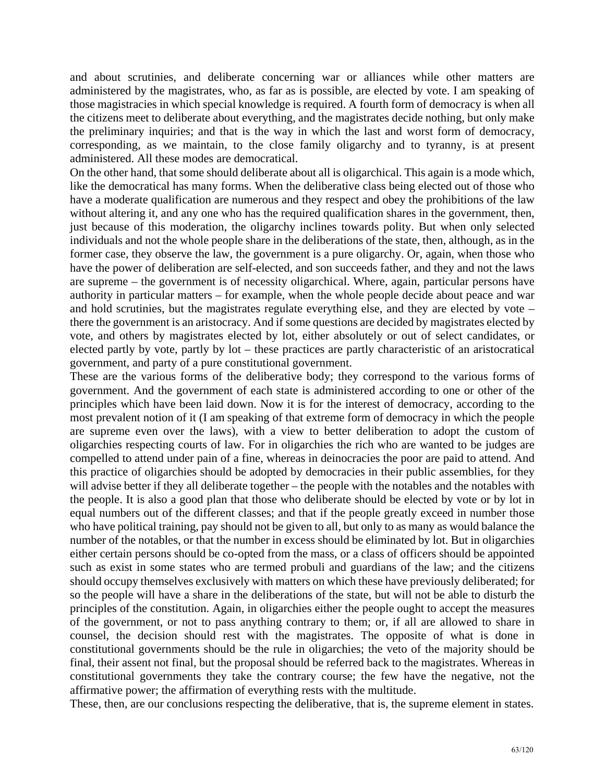and about scrutinies, and deliberate concerning war or alliances while other matters are administered by the magistrates, who, as far as is possible, are elected by vote. I am speaking of those magistracies in which special knowledge is required. A fourth form of democracy is when all the citizens meet to deliberate about everything, and the magistrates decide nothing, but only make the preliminary inquiries; and that is the way in which the last and worst form of democracy, corresponding, as we maintain, to the close family oligarchy and to tyranny, is at present administered. All these modes are democratical.

On the other hand, that some should deliberate about all is oligarchical. This again is a mode which, like the democratical has many forms. When the deliberative class being elected out of those who have a moderate qualification are numerous and they respect and obey the prohibitions of the law without altering it, and any one who has the required qualification shares in the government, then, just because of this moderation, the oligarchy inclines towards polity. But when only selected individuals and not the whole people share in the deliberations of the state, then, although, as in the and hold scrutinies, but the magistrates regulate everything else, and they are elected by vote  $$ there the government is an aristocracy. And if some questions are decided by magistrates elected by vote, and others by magistrates elected by lot, either absolutely or out of select candidates, or elected partly by vote, partly by lot – these practices are partly characteristic of an aristocratical former case, they observe the law, the government is a pure oligarchy. Or, again, when those who have the power of deliberation are self-elected, and son succeeds father, and they and not the laws are supreme – the government is of necessity oligarchical. Where, again, particular persons have authority in particular matters – for example, when the whole people decide about peace and war government, and party of a pure constitutional government.

compelled to attend under pain of a fine, whereas in deinocracies the poor are paid to attend. And These are the various forms of the deliberative body; they correspond to the various forms of government. And the government of each state is administered according to one or other of the principles which have been laid down. Now it is for the interest of democracy, according to the most prevalent notion of it (I am speaking of that extreme form of democracy in which the people are supreme even over the laws), with a view to better deliberation to adopt the custom of oligarchies respecting courts of law. For in oligarchies the rich who are wanted to be judges are this practice of oligarchies should be adopted by democracies in their public assemblies, for they will advise better if they all deliberate together – the people with the notables and the notables with the people. It is also a good plan that those who deliberate should be elected by vote or by lot in equal numbers out of the different classes; and that if the people greatly exceed in number those who have political training, pay should not be given to all, but only to as many as would balance the number of the notables, or that the number in excess should be eliminated by lot. But in oligarchies either certain persons should be co-opted from the mass, or a class of officers should be appointed such as exist in some states who are termed probuli and guardians of the law; and the citizens should occupy themselves exclusively with matters on which these have previously deliberated; for so the people will have a share in the deliberations of the state, but will not be able to disturb the principles of the constitution. Again, in oligarchies either the people ought to accept the measures of the government, or not to pass anything contrary to them; or, if all are allowed to share in counsel, the decision should rest with the magistrates. The opposite of what is done in constitutional governments should be the rule in oligarchies; the veto of the majority should be final, their assent not final, but the proposal should be referred back to the magistrates. Whereas in constitutional governments they take the contrary course; the few have the negative, not the affirmative power; the affirmation of everything rests with the multitude.

These, then, are our conclusions respecting the deliberative, that is, the supreme element in states.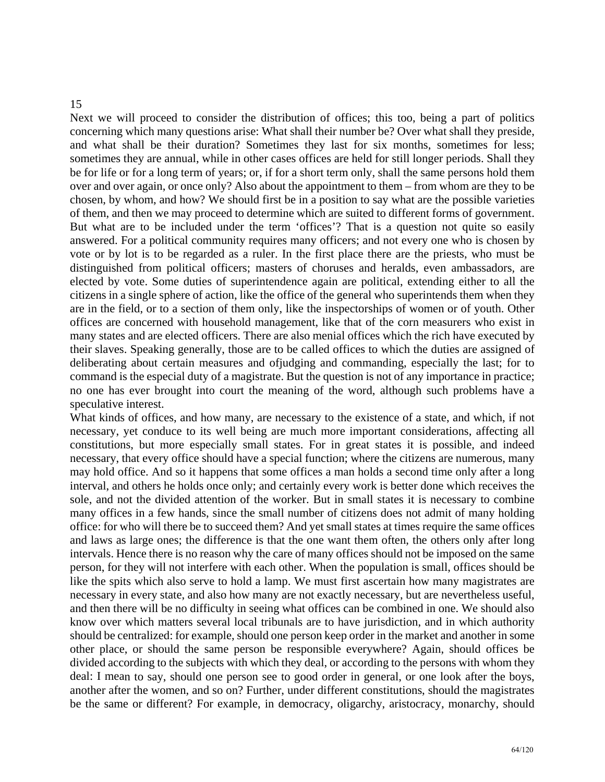#### 15

Next we will proceed to consider the distribution of offices; this too, being a part of politics many states and are elected officers. There are also menial offices which the rich have executed by concerning which many questions arise: What shall their number be? Over what shall they preside, and what shall be their duration? Sometimes they last for six months, sometimes for less; sometimes they are annual, while in other cases offices are held for still longer periods. Shall they be for life or for a long term of years; or, if for a short term only, shall the same persons hold them over and over again, or once only? Also about the appointment to them – from whom are they to be chosen, by whom, and how? We should first be in a position to say what are the possible varieties of them, and then we may proceed to determine which are suited to different forms of government. But what are to be included under the term 'offices'? That is a question not quite so easily answered. For a political community requires many officers; and not every one who is chosen by vote or by lot is to be regarded as a ruler. In the first place there are the priests, who must be distinguished from political officers; masters of choruses and heralds, even ambassadors, are elected by vote. Some duties of superintendence again are political, extending either to all the citizens in a single sphere of action, like the office of the general who superintends them when they are in the field, or to a section of them only, like the inspectorships of women or of youth. Other offices are concerned with household management, like that of the corn measurers who exist in their slaves. Speaking generally, those are to be called offices to which the duties are assigned of deliberating about certain measures and ofjudging and commanding, especially the last; for to command is the especial duty of a magistrate. But the question is not of any importance in practice; no one has ever brought into court the meaning of the word, although such problems have a speculative interest.

deal: I mean to say, should one person see to good order in general, or one look after the boys, be the same or different? For example, in democracy, oligarchy, aristocracy, monarchy, should What kinds of offices, and how many, are necessary to the existence of a state, and which, if not necessary, yet conduce to its well being are much more important considerations, affecting all constitutions, but more especially small states. For in great states it is possible, and indeed necessary, that every office should have a special function; where the citizens are numerous, many may hold office. And so it happens that some offices a man holds a second time only after a long interval, and others he holds once only; and certainly every work is better done which receives the sole, and not the divided attention of the worker. But in small states it is necessary to combine many offices in a few hands, since the small number of citizens does not admit of many holding office: for who will there be to succeed them? And yet small states at times require the same offices and laws as large ones; the difference is that the one want them often, the others only after long intervals. Hence there is no reason why the care of many offices should not be imposed on the same person, for they will not interfere with each other. When the population is small, offices should be like the spits which also serve to hold a lamp. We must first ascertain how many magistrates are necessary in every state, and also how many are not exactly necessary, but are nevertheless useful, and then there will be no difficulty in seeing what offices can be combined in one. We should also know over which matters several local tribunals are to have jurisdiction, and in which authority should be centralized: for example, should one person keep order in the market and another in some other place, or should the same person be responsible everywhere? Again, should offices be divided according to the subjects with which they deal, or according to the persons with whom they another after the women, and so on? Further, under different constitutions, should the magistrates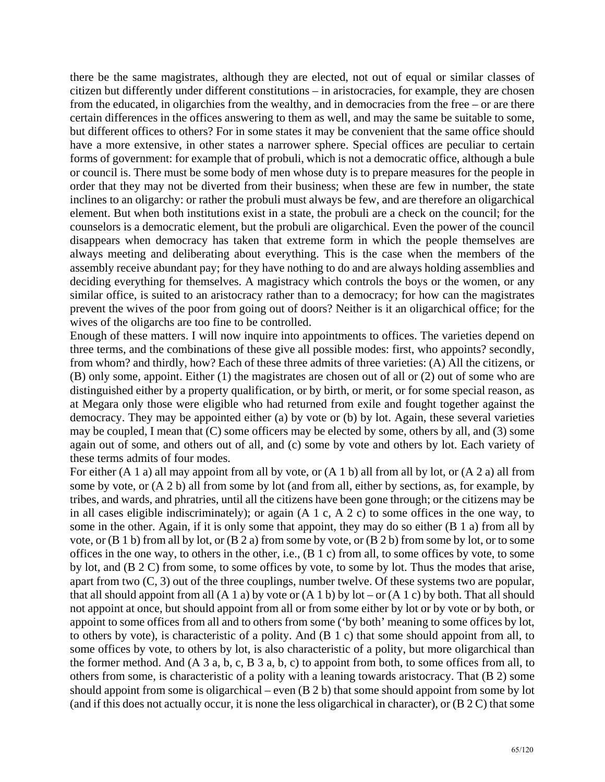there be the same magistrates, although they are elected, not out of equal or similar classes of citizen but differently under different constitutions – in aristocracies, for example, they are chosen from the educated, in oligarchies from the wealthy, and in democracies from the free – or are there certain differences in the offices answering to them as well, and may the same be suitable to some, but different offices to others? For in some states it may be convenient that the same office should have a more extensive, in other states a narrower sphere. Special offices are peculiar to certain forms of government: for example that of probuli, which is not a democratic office, although a bule or council is. There must be some body of men whose duty is to prepare measures for the people in order that they may not be diverted from their business; when these are few in number, the state inclines to an oligarchy: or rather the probuli must always be few, and are therefore an oligarchical element. But when both institutions exist in a state, the probuli are a check on the council; for the counselors is a democratic element, but the probuli are oligarchical. Even the power of the council disappears when democracy has taken that extreme form in which the people themselves are always meeting and deliberating about everything. This is the case when the members of the assembly receive abundant pay; for they have nothing to do and are always holding assemblies and deciding everything for themselves. A magistracy which controls the boys or the women, or any similar office, is suited to an aristocracy rather than to a democracy; for how can the magistrates prevent the wives of the poor from going out of doors? Neither is it an oligarchical office; for the wives of the oligarchs are too fine to be controlled.

distinguished either by a property qualification, or by birth, or merit, or for some special reason, as Enough of these matters. I will now inquire into appointments to offices. The varieties depend on three terms, and the combinations of these give all possible modes: first, who appoints? secondly, from whom? and thirdly, how? Each of these three admits of three varieties: (A) All the citizens, or (B) only some, appoint. Either (1) the magistrates are chosen out of all or (2) out of some who are at Megara only those were eligible who had returned from exile and fought together against the democracy. They may be appointed either (a) by vote or (b) by lot. Again, these several varieties may be coupled, I mean that (C) some officers may be elected by some, others by all, and (3) some again out of some, and others out of all, and (c) some by vote and others by lot. Each variety of these terms admits of four modes.

For either (A 1 a) all may appoint from all by vote, or (A 1 b) all from all by lot, or (A 2 a) all from some by vote, or (A 2 b) all from some by lot (and from all, either by sections, as, for example, by tribes, and wards, and phratries, until all the citizens have been gone through; or the citizens may be in all cases eligible indiscriminately); or again (A 1 c, A 2 c) to some offices in the one way, to some in the other. Again, if it is only some that appoint, they may do so either (B 1 a) from all by vote, or (B 1 b) from all by lot, or (B 2 a) from some by vote, or (B 2 b) from some by lot, or to some offices in the one way, to others in the other, i.e., (B 1 c) from all, to some offices by vote, to some by lot, and (B 2 C) from some, to some offices by vote, to some by lot. Thus the modes that arise, apart from two (C, 3) out of the three couplings, number twelve. Of these systems two are popular, that all should appoint from all  $(A 1 a)$  by vote or  $(A 1 b)$  by lot – or  $(A 1 c)$  by both. That all should not appoint at once, but should appoint from all or from some either by lot or by vote or by both, or appoint to some offices from all and to others from some ('by both' meaning to some offices by lot, to others by vote), is characteristic of a polity. And (B 1 c) that some should appoint from all, to some offices by vote, to others by lot, is also characteristic of a polity, but more oligarchical than the former method. And (A 3 a, b, c, B 3 a, b, c) to appoint from both, to some offices from all, to others from some, is characteristic of a polity with a leaning towards aristocracy. That (B 2) some should appoint from some is oligarchical – even (B 2 b) that some should appoint from some by lot (and if this does not actually occur, it is none the less oligarchical in character), or (B 2 C) that some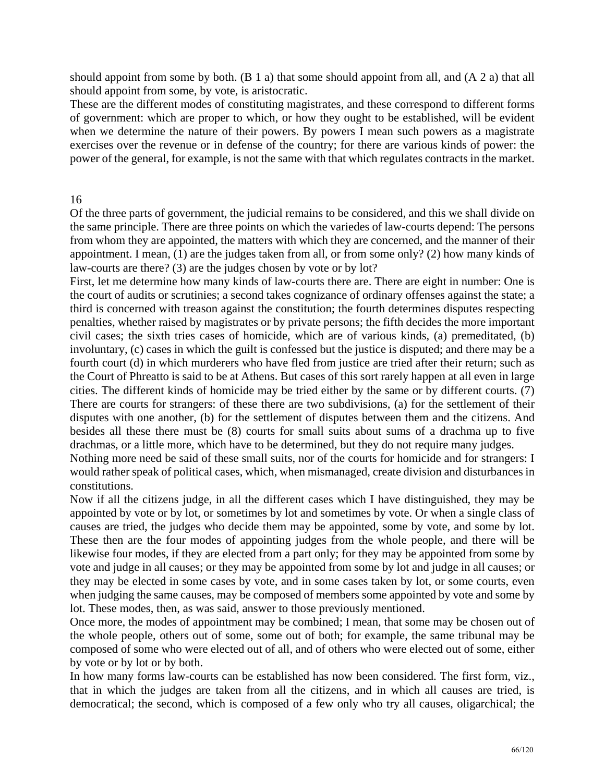should appoint from some by both.  $(B 1 a)$  that some should appoint from all, and  $(A 2 a)$  that all should appoint from some, by vote, is aristocratic.

These are the different modes of constituting magistrates, and these correspond to different forms of government: which are proper to which, or how they ought to be established, will be evident when we determine the nature of their powers. By powers I mean such powers as a magistrate exercises over the revenue or in defense of the country; for there are various kinds of power: the power of the general, for example, is not the same with that which regulates contracts in the market.

# 16

Of the three parts of government, the judicial remains to be considered, and this we shall divide on the same principle. There are three points on which the variedes of law-courts depend: The persons from whom they are appointed, the matters with which they are concerned, and the manner of their appointment. I mean, (1) are the judges taken from all, or from some only? (2) how many kinds of law-courts are there? (3) are the judges chosen by vote or by lot?

First, let me determine how many kinds of law-courts there are. There are eight in number: One is the court of audits or scrutinies; a second takes cognizance of ordinary offenses against the state; a third is concerned with treason against the constitution; the fourth determines disputes respecting penalties, whether raised by magistrates or by private persons; the fifth decides the more important civil cases; the sixth tries cases of homicide, which are of various kinds, (a) premeditated, (b) involuntary, (c) cases in which the guilt is confessed but the justice is disputed; and there may be a fourth court (d) in which murderers who have fled from justice are tried after their return; such as the Court of Phreatto is said to be at Athens. But cases of this sort rarely happen at all even in large cities. The different kinds of homicide may be tried either by the same or by different courts. (7) There are courts for strangers: of these there are two subdivisions, (a) for the settlement of their disputes with one another, (b) for the settlement of disputes between them and the citizens. And besides all these there must be (8) courts for small suits about sums of a drachma up to five drachmas, or a little more, which have to be determined, but they do not require many judges.

Nothing more need be said of these small suits, nor of the courts for homicide and for strangers: I would rather speak of political cases, which, when mismanaged, create division and disturbances in constitutions.

Now if all the citizens judge, in all the different cases which I have distinguished, they may be appointed by vote or by lot, or sometimes by lot and sometimes by vote. Or when a single class of causes are tried, the judges who decide them may be appointed, some by vote, and some by lot. These then are the four modes of appointing judges from the whole people, and there will be likewise four modes, if they are elected from a part only; for they may be appointed from some by vote and judge in all causes; or they may be appointed from some by lot and judge in all causes; or they may be elected in some cases by vote, and in some cases taken by lot, or some courts, even when judging the same causes, may be composed of members some appointed by vote and some by lot. These modes, then, as was said, answer to those previously mentioned.

Once more, the modes of appointment may be combined; I mean, that some may be chosen out of the whole people, others out of some, some out of both; for example, the same tribunal may be composed of some who were elected out of all, and of others who were elected out of some, either by vote or by lot or by both.

In how many forms law-courts can be established has now been considered. The first form, viz., that in which the judges are taken from all the citizens, and in which all causes are tried, is democratical; the second, which is composed of a few only who try all causes, oligarchical; the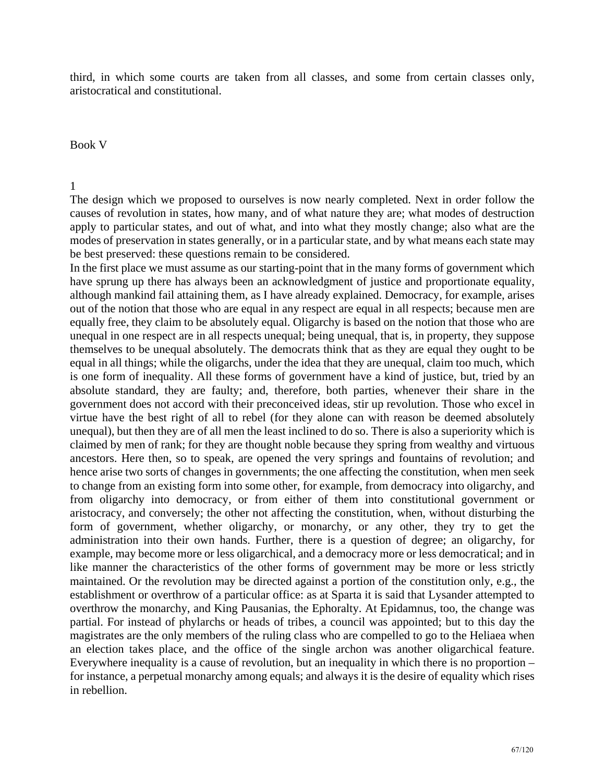third, in which some courts are taken from all classes, and some from certain classes only, aristocratical and constitutional.

### Book V

# 1

The design which we proposed to ourselves is now nearly completed. Next in order follow the causes of revolution in states, how many, and of what nature they are; what modes of destruction apply to particular states, and out of what, and into what they mostly change; also what are the modes of preservation in states generally, or in a particular state, and by what means each state may be best preserved: these questions remain to be considered.

although mankind fail attaining them, as I have already explained. Democracy, for example, arises to change from an existing form into some other, for example, from democracy into oligarchy, and form of government, whether oligarchy, or monarchy, or any other, they try to get the an election takes place, and the office of the single archon was another oligarchical feature. In the first place we must assume as our starting-point that in the many forms of government which have sprung up there has always been an acknowledgment of justice and proportionate equality, out of the notion that those who are equal in any respect are equal in all respects; because men are equally free, they claim to be absolutely equal. Oligarchy is based on the notion that those who are unequal in one respect are in all respects unequal; being unequal, that is, in property, they suppose themselves to be unequal absolutely. The democrats think that as they are equal they ought to be equal in all things; while the oligarchs, under the idea that they are unequal, claim too much, which is one form of inequality. All these forms of government have a kind of justice, but, tried by an absolute standard, they are faulty; and, therefore, both parties, whenever their share in the government does not accord with their preconceived ideas, stir up revolution. Those who excel in virtue have the best right of all to rebel (for they alone can with reason be deemed absolutely unequal), but then they are of all men the least inclined to do so. There is also a superiority which is claimed by men of rank; for they are thought noble because they spring from wealthy and virtuous ancestors. Here then, so to speak, are opened the very springs and fountains of revolution; and hence arise two sorts of changes in governments; the one affecting the constitution, when men seek from oligarchy into democracy, or from either of them into constitutional government or aristocracy, and conversely; the other not affecting the constitution, when, without disturbing the administration into their own hands. Further, there is a question of degree; an oligarchy, for example, may become more or less oligarchical, and a democracy more or less democratical; and in like manner the characteristics of the other forms of government may be more or less strictly maintained. Or the revolution may be directed against a portion of the constitution only, e.g., the establishment or overthrow of a particular office: as at Sparta it is said that Lysander attempted to overthrow the monarchy, and King Pausanias, the Ephoralty. At Epidamnus, too, the change was partial. For instead of phylarchs or heads of tribes, a council was appointed; but to this day the magistrates are the only members of the ruling class who are compelled to go to the Heliaea when Everywhere inequality is a cause of revolution, but an inequality in which there is no proportion – for instance, a perpetual monarchy among equals; and always it is the desire of equality which rises in rebellion.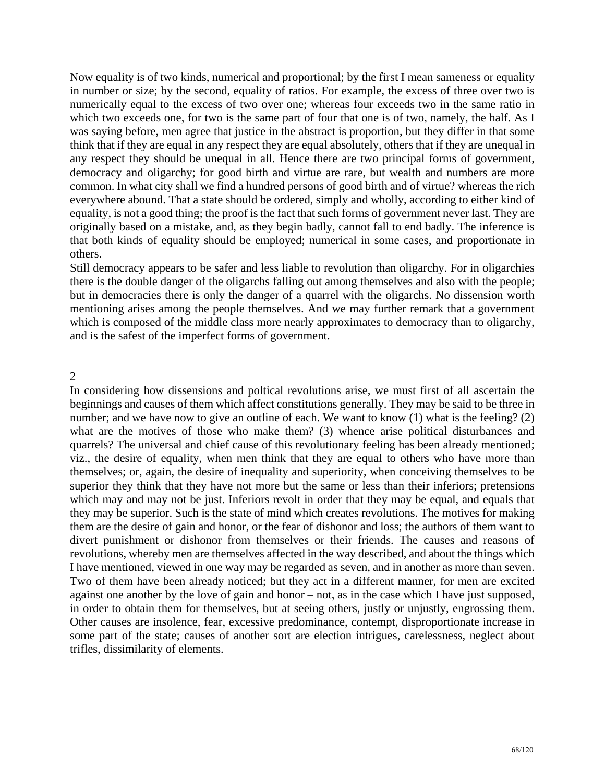Now equality is of two kinds, numerical and proportional; by the first I mean sameness or equality in number or size; by the second, equality of ratios. For example, the excess of three over two is numerically equal to the excess of two over one; whereas four exceeds two in the same ratio in which two exceeds one, for two is the same part of four that one is of two, namely, the half. As I was saying before, men agree that justice in the abstract is proportion, but they differ in that some think that if they are equal in any respect they are equal absolutely, others that if they are unequal in any respect they should be unequal in all. Hence there are two principal forms of government, democracy and oligarchy; for good birth and virtue are rare, but wealth and numbers are more common. In what city shall we find a hundred persons of good birth and of virtue? whereas the rich everywhere abound. That a state should be ordered, simply and wholly, according to either kind of equality, is not a good thing; the proof is the fact that such forms of government never last. They are originally based on a mistake, and, as they begin badly, cannot fall to end badly. The inference is that both kinds of equality should be employed; numerical in some cases, and proportionate in others.

but in democracies there is only the danger of a quarrel with the oligarchs. No dissension worth Still democracy appears to be safer and less liable to revolution than oligarchy. For in oligarchies there is the double danger of the oligarchs falling out among themselves and also with the people; mentioning arises among the people themselves. And we may further remark that a government which is composed of the middle class more nearly approximates to democracy than to oligarchy, and is the safest of the imperfect forms of government.

### 2

In considering how dissensions and poltical revolutions arise, we must first of all ascertain the beginnings and causes of them which affect constitutions generally. They may be said to be three in number; and we have now to give an outline of each. We want to know (1) what is the feeling? (2) what are the motives of those who make them? (3) whence arise political disturbances and quarrels? The universal and chief cause of this revolutionary feeling has been already mentioned; viz., the desire of equality, when men think that they are equal to others who have more than themselves; or, again, the desire of inequality and superiority, when conceiving themselves to be superior they think that they have not more but the same or less than their inferiors; pretensions which may and may not be just. Inferiors revolt in order that they may be equal, and equals that they may be superior. Such is the state of mind which creates revolutions. The motives for making them are the desire of gain and honor, or the fear of dishonor and loss; the authors of them want to divert punishment or dishonor from themselves or their friends. The causes and reasons of revolutions, whereby men are themselves affected in the way described, and about the things which I have mentioned, viewed in one way may be regarded as seven, and in another as more than seven. Two of them have been already noticed; but they act in a different manner, for men are excited against one another by the love of gain and honor – not, as in the case which I have just supposed, in order to obtain them for themselves, but at seeing others, justly or unjustly, engrossing them. Other causes are insolence, fear, excessive predominance, contempt, disproportionate increase in some part of the state; causes of another sort are election intrigues, carelessness, neglect about trifles, dissimilarity of elements.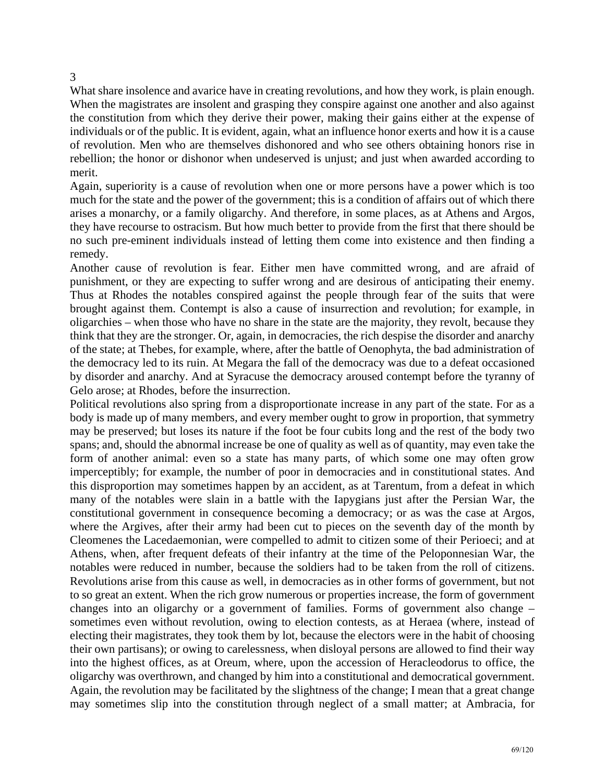### 3

What share insolence and avarice have in creating revolutions, and how they work, is plain enough. When the magistrates are insolent and grasping they conspire against one another and also against the constitution from which they derive their power, making their gains either at the expense of individuals or of the public. It is evident, again, what an influence honor exerts and how it is a cause of revolution. Men who are themselves dishonored and who see others obtaining honors rise in rebellion; the honor or dishonor when undeserved is unjust; and just when awarded according to merit.

Again, superiority is a cause of revolution when one or more persons have a power which is too much for the state and the power of the government; this is a condition of affairs out of which there arises a monarchy, or a family oligarchy. And therefore, in some places, as at Athens and Argos, they have recourse to ostracism. But how much better to provide from the first that there should be no such pre-eminent individuals instead of letting them come into existence and then finding a remedy.

punishment, or they are expecting to suffer wrong and are desirous of anticipating their enemy. the democracy led to its ruin. At Megara the fall of the democracy was due to a defeat occasioned by disorder and anarchy. And at Syracuse the democracy aroused contempt before the tyranny of Gelo arose; at Rhodes, before the insurrection. Another cause of revolution is fear. Either men have committed wrong, and are afraid of Thus at Rhodes the notables conspired against the people through fear of the suits that were brought against them. Contempt is also a cause of insurrection and revolution; for example, in oligarchies – when those who have no share in the state are the majority, they revolt, because they think that they are the stronger. Or, again, in democracies, the rich despise the disorder and anarchy of the state; at Thebes, for example, where, after the battle of Oenophyta, the bad administration of

Political revolutions also spring from a disproportionate increase in any part of the state. For as a oligarchy was overthrown, and changed by him into a constitutional and democratical government. Again, the revolution may be facilitated by the slightness of the change; I mean that a great change may sometimes slip into the constitution through neglect of a small matter; at Ambracia, for body is made up of many members, and every member ought to grow in proportion, that symmetry may be preserved; but loses its nature if the foot be four cubits long and the rest of the body two spans; and, should the abnormal increase be one of quality as well as of quantity, may even take the form of another animal: even so a state has many parts, of which some one may often grow imperceptibly; for example, the number of poor in democracies and in constitutional states. And this disproportion may sometimes happen by an accident, as at Tarentum, from a defeat in which many of the notables were slain in a battle with the Iapygians just after the Persian War, the constitutional government in consequence becoming a democracy; or as was the case at Argos, where the Argives, after their army had been cut to pieces on the seventh day of the month by Cleomenes the Lacedaemonian, were compelled to admit to citizen some of their Perioeci; and at Athens, when, after frequent defeats of their infantry at the time of the Peloponnesian War, the notables were reduced in number, because the soldiers had to be taken from the roll of citizens. Revolutions arise from this cause as well, in democracies as in other forms of government, but not to so great an extent. When the rich grow numerous or properties increase, the form of government changes into an oligarchy or a government of families. Forms of government also change – sometimes even without revolution, owing to election contests, as at Heraea (where, instead of electing their magistrates, they took them by lot, because the electors were in the habit of choosing their own partisans); or owing to carelessness, when disloyal persons are allowed to find their way into the highest offices, as at Oreum, where, upon the accession of Heracleodorus to office, the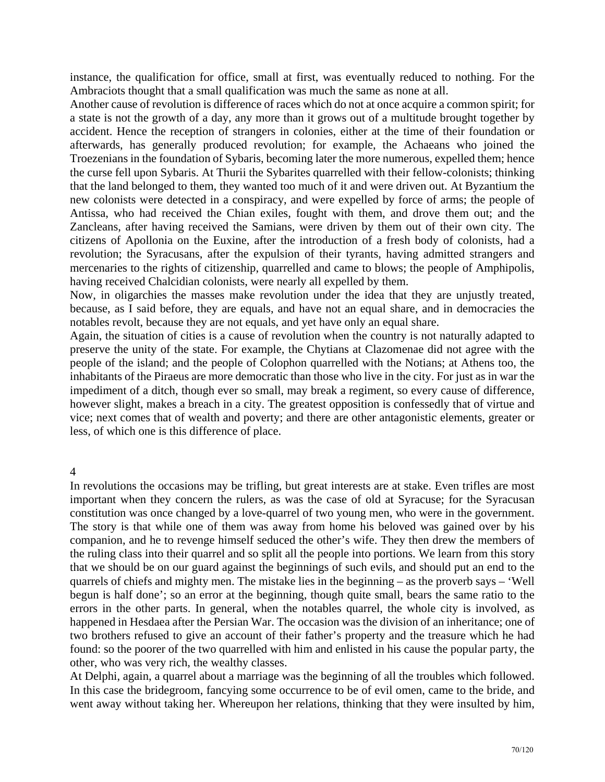instance, the qualification for office, small at first, was eventually reduced to nothing. For the Ambraciots thought that a small qualification was much the same as none at all.

the curse fell upon Sybaris. At Thurii the Sybarites quarrelled with their fellow-colonists; thinking revolution; the Syracusans, after the expulsion of their tyrants, having admitted strangers and Another cause of revolution is difference of races which do not at once acquire a common spirit; for a state is not the growth of a day, any more than it grows out of a multitude brought together by accident. Hence the reception of strangers in colonies, either at the time of their foundation or afterwards, has generally produced revolution; for example, the Achaeans who joined the Troezenians in the foundation of Sybaris, becoming later the more numerous, expelled them; hence that the land belonged to them, they wanted too much of it and were driven out. At Byzantium the new colonists were detected in a conspiracy, and were expelled by force of arms; the people of Antissa, who had received the Chian exiles, fought with them, and drove them out; and the Zancleans, after having received the Samians, were driven by them out of their own city. The citizens of Apollonia on the Euxine, after the introduction of a fresh body of colonists, had a mercenaries to the rights of citizenship, quarrelled and came to blows; the people of Amphipolis, having received Chalcidian colonists, were nearly all expelled by them.

Now, in oligarchies the masses make revolution under the idea that they are unjustly treated, because, as I said before, they are equals, and have not an equal share, and in democracies the notables revolt, because they are not equals, and yet have only an equal share.

impediment of a ditch, though ever so small, may break a regiment, so every cause of difference, Again, the situation of cities is a cause of revolution when the country is not naturally adapted to preserve the unity of the state. For example, the Chytians at Clazomenae did not agree with the people of the island; and the people of Colophon quarrelled with the Notians; at Athens too, the inhabitants of the Piraeus are more democratic than those who live in the city. For just as in war the however slight, makes a breach in a city. The greatest opposition is confessedly that of virtue and vice; next comes that of wealth and poverty; and there are other antagonistic elements, greater or less, of which one is this difference of place.

4

In revolutions the occasions may be trifling, but great interests are at stake. Even trifles are most important when they concern the rulers, as was the case of old at Syracuse; for the Syracusan constitution was once changed by a love-quarrel of two young men, who were in the government. The story is that while one of them was away from home his beloved was gained over by his companion, and he to revenge himself seduced the other's wife. They then drew the members of the ruling class into their quarrel and so split all the people into portions. We learn from this story that we should be on our guard against the beginnings of such evils, and should put an end to the quarrels of chiefs and mighty men. The mistake lies in the beginning – as the proverb says – 'Well begun is half done'; so an error at the beginning, though quite small, bears the same ratio to the errors in the other parts. In general, when the notables quarrel, the whole city is involved, as happened in Hesdaea after the Persian War. The occasion was the division of an inheritance; one of two brothers refused to give an account of their father's property and the treasure which he had found: so the poorer of the two quarrelled with him and enlisted in his cause the popular party, the other, who was very rich, the wealthy classes.

In this case the bridegroom, fancying some occurrence to be of evil omen, came to the bride, and went away without taking her. Whereupon her relations, thinking that they were insulted by him, At Delphi, again, a quarrel about a marriage was the beginning of all the troubles which followed.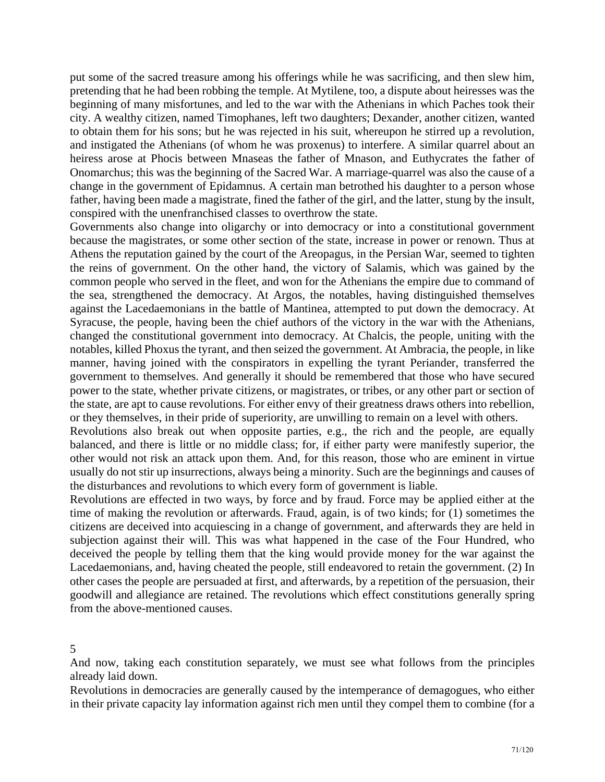put some of the sacred treasure among his offerings while he was sacrificing, and then slew him, pretending that he had been robbing the temple. At Mytilene, too, a dispute about heiresses was the beginning of many misfortunes, and led to the war with the Athenians in which Paches took their city. A wealthy citizen, named Timophanes, left two daughters; Dexander, another citizen, wanted to obtain them for his sons; but he was rejected in his suit, whereupon he stirred up a revolution, and instigated the Athenians (of whom he was proxenus) to interfere. A similar quarrel about an heiress arose at Phocis between Mnaseas the father of Mnason, and Euthycrates the father of Onomarchus; this was the beginning of the Sacred War. A marriage-quarrel was also the cause of a change in the government of Epidamnus. A certain man betrothed his daughter to a person whose father, having been made a magistrate, fined the father of the girl, and the latter, stung by the insult, conspired with the unenfranchised classes to overthrow the state.

against the Lacedaemonians in the battle of Mantinea, attempted to put down the democracy. At notables, killed Phoxus the tyrant, and then seized the government. At Ambracia, the people, in like Governments also change into oligarchy or into democracy or into a constitutional government because the magistrates, or some other section of the state, increase in power or renown. Thus at Athens the reputation gained by the court of the Areopagus, in the Persian War, seemed to tighten the reins of government. On the other hand, the victory of Salamis, which was gained by the common people who served in the fleet, and won for the Athenians the empire due to command of the sea, strengthened the democracy. At Argos, the notables, having distinguished themselves Syracuse, the people, having been the chief authors of the victory in the war with the Athenians, changed the constitutional government into democracy. At Chalcis, the people, uniting with the manner, having joined with the conspirators in expelling the tyrant Periander, transferred the government to themselves. And generally it should be remembered that those who have secured power to the state, whether private citizens, or magistrates, or tribes, or any other part or section of the state, are apt to cause revolutions. For either envy of their greatness draws others into rebellion, or they themselves, in their pride of superiority, are unwilling to remain on a level with others.

other would not risk an attack upon them. And, for this reason, those who are eminent in virtue usually do not stir up insurrections, always being a minority. Such are the beginnings and causes of the disturbances and revolutions to which every form of government is liable. Revolutions also break out when opposite parties, e.g., the rich and the people, are equally balanced, and there is little or no middle class; for, if either party were manifestly superior, the

Revolutions are effected in two ways, by force and by fraud. Force may be applied either at the time of making the revolution or afterwards. Fraud, again, is of two kinds; for (1) sometimes the citizens are deceived into acquiescing in a change of government, and afterwards they are held in subjection against their will. This was what happened in the case of the Four Hundred, who deceived the people by telling them that the king would provide money for the war against the Lacedaemonians, and, having cheated the people, still endeavored to retain the government. (2) In other cases the people are persuaded at first, and afterwards, by a repetition of the persuasion, their goodwill and allegiance are retained. The revolutions which effect constitutions generally spring from the above-mentioned causes.

5

And now, taking each constitution separately, we must see what follows from the principles already laid down.

Revolutions in democracies are generally caused by the intemperance of demagogues, who either in their private capacity lay information against rich men until they compel them to combine (for a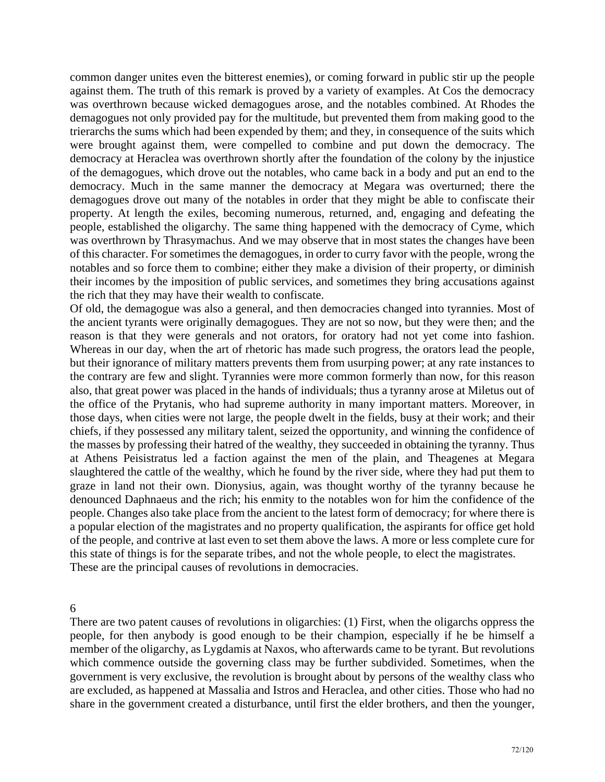common danger unites even the bitterest enemies), or coming forward in public stir up the people against them. The truth of this remark is proved by a variety of examples. At Cos the democracy was overthrown because wicked demagogues arose, and the notables combined. At Rhodes the demagogues not only provided pay for the multitude, but prevented them from making good to the trierarchs the sums which had been expended by them; and they, in consequence of the suits which were brought against them, were compelled to combine and put down the democracy. The democracy at Heraclea was overthrown shortly after the foundation of the colony by the injustice of the demagogues, which drove out the notables, who came back in a body and put an end to the democracy. Much in the same manner the democracy at Megara was overturned; there the demagogues drove out many of the notables in order that they might be able to confiscate their property. At length the exiles, becoming numerous, returned, and, engaging and defeating the people, established the oligarchy. The same thing happened with the democracy of Cyme, which was overthrown by Thrasymachus. And we may observe that in most states the changes have been of this character. For sometimes the demagogues, in order to curry favor with the people, wrong the notables and so force them to combine; either they make a division of their property, or diminish their incomes by the imposition of public services, and sometimes they bring accusations against the rich that they may have their wealth to confiscate.

slaughtered the cattle of the wealthy, which he found by the river side, where they had put them to of the people, and contrive at last even to set them above the laws. A more or less complete cure for Of old, the demagogue was also a general, and then democracies changed into tyrannies. Most of the ancient tyrants were originally demagogues. They are not so now, but they were then; and the reason is that they were generals and not orators, for oratory had not yet come into fashion. Whereas in our day, when the art of rhetoric has made such progress, the orators lead the people, but their ignorance of military matters prevents them from usurping power; at any rate instances to the contrary are few and slight. Tyrannies were more common formerly than now, for this reason also, that great power was placed in the hands of individuals; thus a tyranny arose at Miletus out of the office of the Prytanis, who had supreme authority in many important matters. Moreover, in those days, when cities were not large, the people dwelt in the fields, busy at their work; and their chiefs, if they possessed any military talent, seized the opportunity, and winning the confidence of the masses by professing their hatred of the wealthy, they succeeded in obtaining the tyranny. Thus at Athens Peisistratus led a faction against the men of the plain, and Theagenes at Megara graze in land not their own. Dionysius, again, was thought worthy of the tyranny because he denounced Daphnaeus and the rich; his enmity to the notables won for him the confidence of the people. Changes also take place from the ancient to the latest form of democracy; for where there is a popular election of the magistrates and no property qualification, the aspirants for office get hold this state of things is for the separate tribes, and not the whole people, to elect the magistrates. These are the principal causes of revolutions in democracies.

6

which commence outside the governing class may be further subdivided. Sometimes, when the government is very exclusive, the revolution is brought about by persons of the wealthy class who are excluded, as happened at Massalia and Istros and Heraclea, and other cities. Those who had no share in the government created a disturbance, until first the elder brothers, and then the younger, There are two patent causes of revolutions in oligarchies: (1) First, when the oligarchs oppress the people, for then anybody is good enough to be their champion, especially if he be himself a member of the oligarchy, as Lygdamis at Naxos, who afterwards came to be tyrant. But revolutions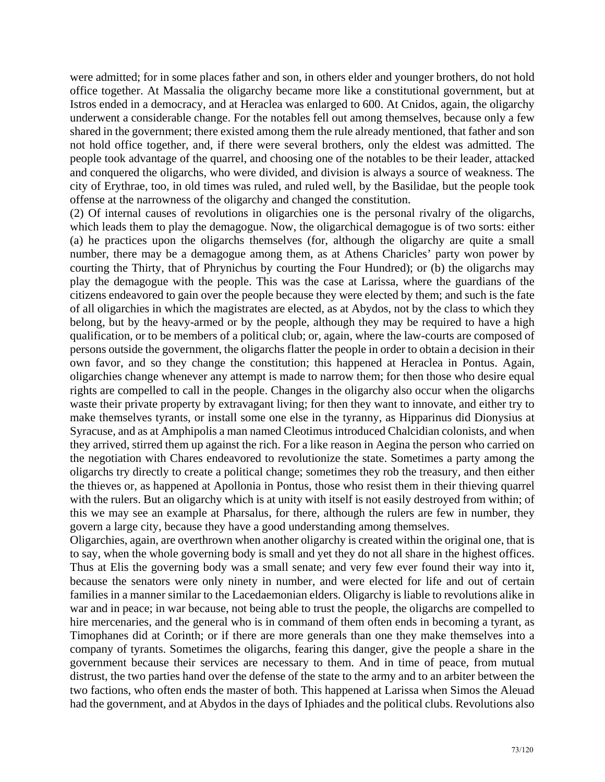were admitted; for in some places father and son, in others elder and younger brothers, do not hold Istros ended in a democracy, and at Heraclea was enlarged to 600. At Cnidos, again, the oligarchy office together. At Massalia the oligarchy became more like a constitutional government, but at underwent a considerable change. For the notables fell out among themselves, because only a few shared in the government; there existed among them the rule already mentioned, that father and son not hold office together, and, if there were several brothers, only the eldest was admitted. The people took advantage of the quarrel, and choosing one of the notables to be their leader, attacked and conquered the oligarchs, who were divided, and division is always a source of weakness. The city of Erythrae, too, in old times was ruled, and ruled well, by the Basilidae, but the people took offense at the narrowness of the oligarchy and changed the constitution.

own favor, and so they change the constitution; this happened at Heraclea in Pontus. Again, (2) Of internal causes of revolutions in oligarchies one is the personal rivalry of the oligarchs, which leads them to play the demagogue. Now, the oligarchical demagogue is of two sorts: either (a) he practices upon the oligarchs themselves (for, although the oligarchy are quite a small number, there may be a demagogue among them, as at Athens Charicles' party won power by courting the Thirty, that of Phrynichus by courting the Four Hundred); or (b) the oligarchs may play the demagogue with the people. This was the case at Larissa, where the guardians of the citizens endeavored to gain over the people because they were elected by them; and such is the fate of all oligarchies in which the magistrates are elected, as at Abydos, not by the class to which they belong, but by the heavy-armed or by the people, although they may be required to have a high qualification, or to be members of a political club; or, again, where the law-courts are composed of persons outside the government, the oligarchs flatter the people in order to obtain a decision in their oligarchies change whenever any attempt is made to narrow them; for then those who desire equal rights are compelled to call in the people. Changes in the oligarchy also occur when the oligarchs waste their private property by extravagant living; for then they want to innovate, and either try to make themselves tyrants, or install some one else in the tyranny, as Hipparinus did Dionysius at Syracuse, and as at Amphipolis a man named Cleotimus introduced Chalcidian colonists, and when they arrived, stirred them up against the rich. For a like reason in Aegina the person who carried on the negotiation with Chares endeavored to revolutionize the state. Sometimes a party among the oligarchs try directly to create a political change; sometimes they rob the treasury, and then either the thieves or, as happened at Apollonia in Pontus, those who resist them in their thieving quarrel with the rulers. But an oligarchy which is at unity with itself is not easily destroyed from within; of this we may see an example at Pharsalus, for there, although the rulers are few in number, they govern a large city, because they have a good understanding among themselves.

Timophanes did at Corinth; or if there are more generals than one they make themselves into a company of tyrants. Sometimes the oligarchs, fearing this danger, give the people a share in the government because their services are necessary to them. And in time of peace, from mutual distrust, the two parties hand over the defense of the state to the army and to an arbiter between the two factions, who often ends the master of both. This happened at Larissa when Simos the Aleuad had the government, and at Abydos in the days of Iphiades and the political clubs. Revolutions also Oligarchies, again, are overthrown when another oligarchy is created within the original one, that is to say, when the whole governing body is small and yet they do not all share in the highest offices. Thus at Elis the governing body was a small senate; and very few ever found their way into it, because the senators were only ninety in number, and were elected for life and out of certain families in a manner similar to the Lacedaemonian elders. Oligarchy is liable to revolutions alike in war and in peace; in war because, not being able to trust the people, the oligarchs are compelled to hire mercenaries, and the general who is in command of them often ends in becoming a tyrant, as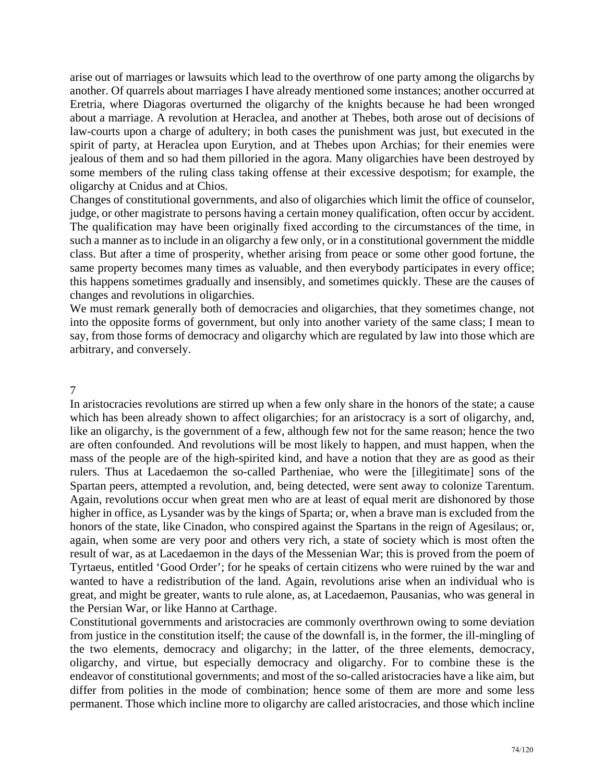arise out of marriages or lawsuits which lead to the overthrow of one party among the oligarchs by another. Of quarrels about marriages I have already mentioned some instances; another occurred at Eretria, where Diagoras overturned the oligarchy of the knights because he had been wronged about a marriage. A revolution at Heraclea, and another at Thebes, both arose out of decisions of law-courts upon a charge of adultery; in both cases the punishment was just, but executed in the spirit of party, at Heraclea upon Eurytion, and at Thebes upon Archias; for their enemies were jealous of them and so had them pilloried in the agora. Many oligarchies have been destroyed by some members of the ruling class taking offense at their excessive despotism; for example, the oligarchy at Cnidus and at Chios.

Changes of constitutional governments, and also of oligarchies which limit the office of counselor, judge, or other magistrate to persons having a certain money qualification, often occur by accident. The qualification may have been originally fixed according to the circumstances of the time, in such a manner as to include in an oligarchy a few only, or in a constitutional government the middle class. But after a time of prosperity, whether arising from peace or some other good fortune, the same property becomes many times as valuable, and then everybody participates in every office; this happens sometimes gradually and insensibly, and sometimes quickly. These are the causes of changes and revolutions in oligarchies.

into the opposite forms of government, but only into another variety of the same class; I mean to We must remark generally both of democracies and oligarchies, that they sometimes change, not say, from those forms of democracy and oligarchy which are regulated by law into those which are arbitrary, and conversely.

## 7

In aristocracies revolutions are stirred up when a few only share in the honors of the state; a cause which has been already shown to affect oligarchies; for an aristocracy is a sort of oligarchy, and, like an oligarchy, is the government of a few, although few not for the same reason; hence the two are often confounded. And revolutions will be most likely to happen, and must happen, when the mass of the people are of the high-spirited kind, and have a notion that they are as good as their rulers. Thus at Lacedaemon the so-called Partheniae, who were the [illegitimate] sons of the Spartan peers, attempted a revolution, and, being detected, were sent away to colonize Tarentum. Again, revolutions occur when great men who are at least of equal merit are dishonored by those higher in office, as Lysander was by the kings of Sparta; or, when a brave man is excluded from the honors of the state, like Cinadon, who conspired against the Spartans in the reign of Agesilaus; or, again, when some are very poor and others very rich, a state of society which is most often the result of war, as at Lacedaemon in the days of the Messenian War; this is proved from the poem of Tyrtaeus, entitled 'Good Order'; for he speaks of certain citizens who were ruined by the war and wanted to have a redistribution of the land. Again, revolutions arise when an individual who is great, and might be greater, wants to rule alone, as, at Lacedaemon, Pausanias, who was general in the Persian War, or like Hanno at Carthage.

oligarchy, and virtue, but especially democracy and oligarchy. For to combine these is the Constitutional governments and aristocracies are commonly overthrown owing to some deviation from justice in the constitution itself; the cause of the downfall is, in the former, the ill-mingling of the two elements, democracy and oligarchy; in the latter, of the three elements, democracy, endeavor of constitutional governments; and most of the so-called aristocracies have a like aim, but differ from polities in the mode of combination; hence some of them are more and some less permanent. Those which incline more to oligarchy are called aristocracies, and those which incline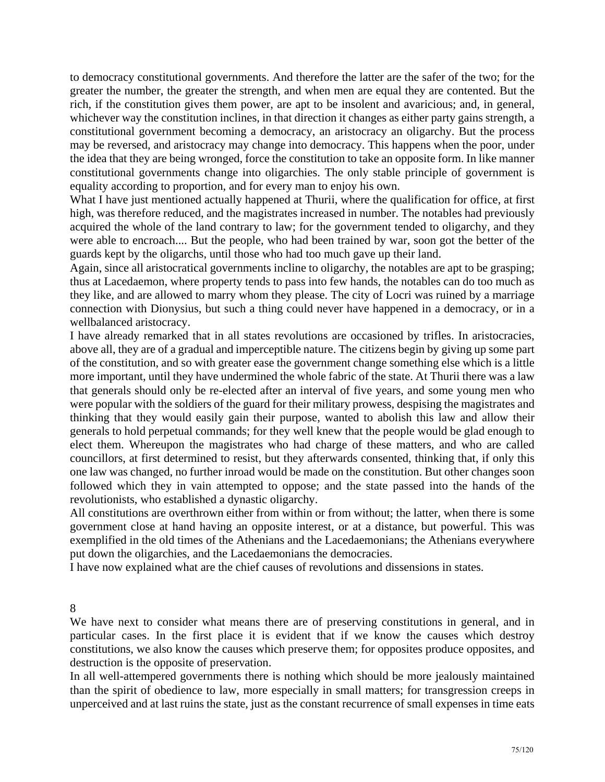to democracy constitutional governments. And therefore the latter are the safer of the two; for the greater the number, the greater the strength, and when men are equal they are contented. But the rich, if the constitution gives them power, are apt to be insolent and avaricious; and, in general, whichever way the constitution inclines, in that direction it changes as either party gains strength, a constitutional government becoming a democracy, an aristocracy an oligarchy. But the process may be reversed, and aristocracy may change into democracy. This happens when the poor, under the idea that they are being wronged, force the constitution to take an opposite form. In like manner constitutional governments change into oligarchies. The only stable principle of government is equality according to proportion, and for every man to enjoy his own.

What I have just mentioned actually happened at Thurii, where the qualification for office, at first high, was therefore reduced, and the magistrates increased in number. The notables had previously acquired the whole of the land contrary to law; for the government tended to oligarchy, and they were able to encroach.... But the people, who had been trained by war, soon got the better of the guards kept by the oligarchs, until those who had too much gave up their land.

Again, since all aristocratical governments incline to oligarchy, the notables are apt to be grasping; thus at Lacedaemon, where property tends to pass into few hands, the notables can do too much as they like, and are allowed to marry whom they please. The city of Locri was ruined by a marriage connection with Dionysius, but such a thing could never have happened in a democracy, or in a wellbalanced aristocracy.

I have already remarked that in all states revolutions are occasioned by trifles. In aristocracies, elect them. Whereupon the magistrates who had charge of these matters, and who are called revolutionists, who established a dynastic oligarchy. above all, they are of a gradual and imperceptible nature. The citizens begin by giving up some part of the constitution, and so with greater ease the government change something else which is a little more important, until they have undermined the whole fabric of the state. At Thurii there was a law that generals should only be re-elected after an interval of five years, and some young men who were popular with the soldiers of the guard for their military prowess, despising the magistrates and thinking that they would easily gain their purpose, wanted to abolish this law and allow their generals to hold perpetual commands; for they well knew that the people would be glad enough to councillors, at first determined to resist, but they afterwards consented, thinking that, if only this one law was changed, no further inroad would be made on the constitution. But other changes soon followed which they in vain attempted to oppose; and the state passed into the hands of the

All constitutions are overthrown either from within or from without; the latter, when there is some government close at hand having an opposite interest, or at a distance, but powerful. This was exemplified in the old times of the Athenians and the Lacedaemonians; the Athenians everywhere put down the oligarchies, and the Lacedaemonians the democracies.

I have now explained what are the chief causes of revolutions and dissensions in states.

8

We have next to consider what means there are of preserving constitutions in general, and in particular cases. In the first place it is evident that if we know the causes which destroy constitutions, we also know the causes which preserve them; for opposites produce opposites, and destruction is the opposite of preservation.

In all well-attempered governments there is nothing which should be more jealously maintained than the spirit of obedience to law, more especially in small matters; for transgression creeps in unperceived and at last ruins the state, just as the constant recurrence of small expenses in time eats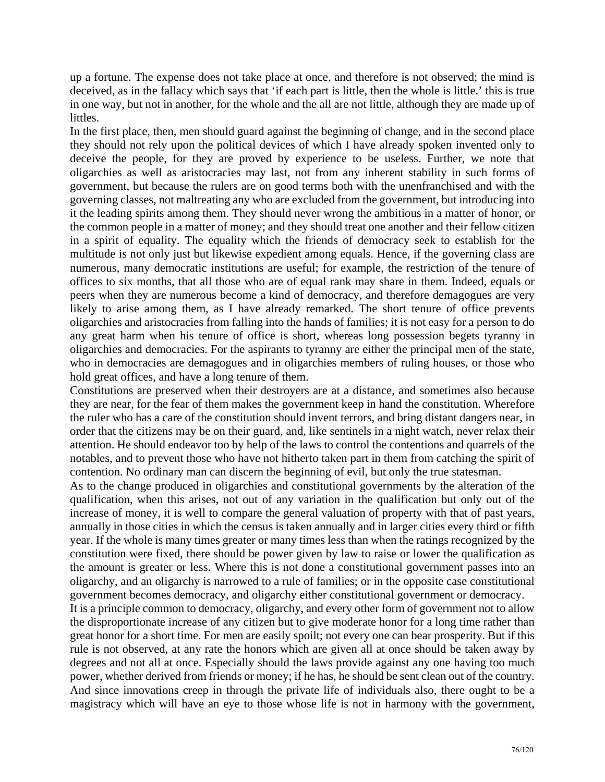up a fortune. The expense does not take place at once, and therefore is not observed; the mind is deceived, as in the fallacy which says that 'if each part is little, then the whole is little.' this is true in one way, but not in another, for the whole and the all are not little, although they are made up of littles.

In the first place, then, men should guard against the beginning of change, and in the second place they should not rely upon the political devices of which I have already spoken invented only to deceive the people, for they are proved by experience to be useless. Further, we note that oligarchies as well as aristocracies may last, not from any inherent stability in such forms of government, but because the rulers are on good terms both with the unenfranchised and with the governing classes, not maltreating any who are excluded from the government, but introducing into it the leading spirits among them. They should never wrong the ambitious in a matter of honor, or the common people in a matter of money; and they should treat one another and their fellow citizen in a spirit of equality. The equality which the friends of democracy seek to establish for the multitude is not only just but likewise expedient among equals. Hence, if the governing class are numerous, many democratic institutions are useful; for example, the restriction of the tenure of offices to six months, that all those who are of equal rank may share in them. Indeed, equals or peers when they are numerous become a kind of democracy, and therefore demagogues are very likely to arise among them, as I have already remarked. The short tenure of office prevents oligarchies and aristocracies from falling into the hands of families; it is not easy for a person to do any great harm when his tenure of office is short, whereas long possession begets tyranny in oligarchies and democracies. For the aspirants to tyranny are either the principal men of the state, who in democracies are demagogues and in oligarchies members of ruling houses, or those who hold great offices, and have a long tenure of them.

the ruler who has a care of the constitution should invent terrors, and bring distant dangers near, in Constitutions are preserved when their destroyers are at a distance, and sometimes also because they are near, for the fear of them makes the government keep in hand the constitution. Wherefore order that the citizens may be on their guard, and, like sentinels in a night watch, never relax their attention. He should endeavor too by help of the laws to control the contentions and quarrels of the notables, and to prevent those who have not hitherto taken part in them from catching the spirit of contention. No ordinary man can discern the beginning of evil, but only the true statesman.

As to the change produced in oligarchies and constitutional governments by the alteration of the qualification, when this arises, not out of any variation in the qualification but only out of the increase of money, it is well to compare the general valuation of property with that of past years, annually in those cities in which the census is taken annually and in larger cities every third or fifth year. If the whole is many times greater or many times less than when the ratings recognized by the constitution were fixed, there should be power given by law to raise or lower the qualification as the amount is greater or less. Where this is not done a constitutional government passes into an oligarchy, and an oligarchy is narrowed to a rule of families; or in the opposite case constitutional government becomes democracy, and oligarchy either constitutional government or democracy.

degrees and not all at once. Especially should the laws provide against any one having too much magistracy which will have an eye to those whose life is not in harmony with the government, It is a principle common to democracy, oligarchy, and every other form of government not to allow the disproportionate increase of any citizen but to give moderate honor for a long time rather than great honor for a short time. For men are easily spoilt; not every one can bear prosperity. But if this rule is not observed, at any rate the honors which are given all at once should be taken away by power, whether derived from friends or money; if he has, he should be sent clean out of the country. And since innovations creep in through the private life of individuals also, there ought to be a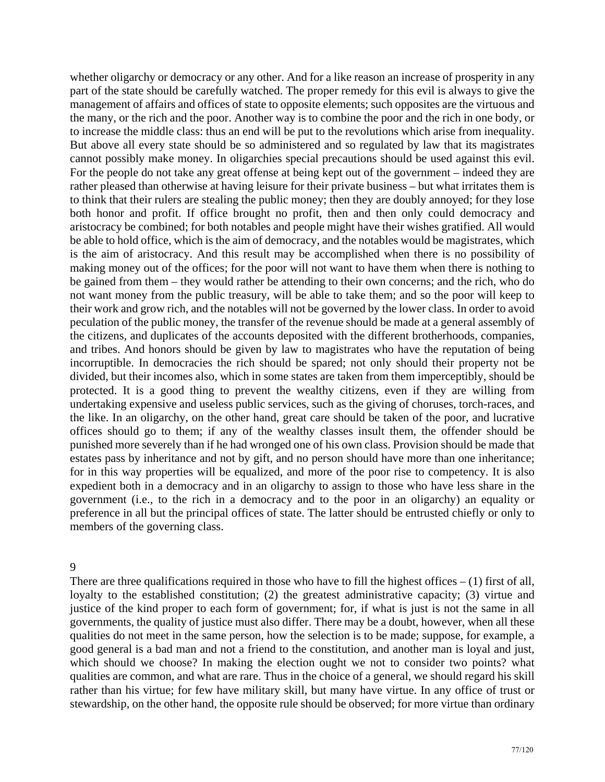whether oligarchy or democracy or any other. And for a like reason an increase of prosperity in any part of the state should be carefully watched. The proper remedy for this evil is always to give the management of affairs and offices of state to opposite elements; such opposites are the virtuous and the many, or the rich and the poor. Another way is to combine the poor and the rich in one body, or to increase the middle class: thus an end will be put to the revolutions which arise from inequality. But above all every state should be so administered and so regulated by law that its magistrates to think that their rulers are stealing the public money; then they are doubly annoyed; for they lose not want money from the public treasury, will be able to take them; and so the poor will keep to cannot possibly make money. In oligarchies special precautions should be used against this evil. For the people do not take any great offense at being kept out of the government – indeed they are rather pleased than otherwise at having leisure for their private business – but what irritates them is both honor and profit. If office brought no profit, then and then only could democracy and aristocracy be combined; for both notables and people might have their wishes gratified. All would be able to hold office, which is the aim of democracy, and the notables would be magistrates, which is the aim of aristocracy. And this result may be accomplished when there is no possibility of making money out of the offices; for the poor will not want to have them when there is nothing to be gained from them – they would rather be attending to their own concerns; and the rich, who do their work and grow rich, and the notables will not be governed by the lower class. In order to avoid peculation of the public money, the transfer of the revenue should be made at a general assembly of the citizens, and duplicates of the accounts deposited with the different brotherhoods, companies, and tribes. And honors should be given by law to magistrates who have the reputation of being incorruptible. In democracies the rich should be spared; not only should their property not be divided, but their incomes also, which in some states are taken from them imperceptibly, should be protected. It is a good thing to prevent the wealthy citizens, even if they are willing from undertaking expensive and useless public services, such as the giving of choruses, torch-races, and the like. In an oligarchy, on the other hand, great care should be taken of the poor, and lucrative offices should go to them; if any of the wealthy classes insult them, the offender should be punished more severely than if he had wronged one of his own class. Provision should be made that estates pass by inheritance and not by gift, and no person should have more than one inheritance; for in this way properties will be equalized, and more of the poor rise to competency. It is also expedient both in a democracy and in an oligarchy to assign to those who have less share in the government (i.e., to the rich in a democracy and to the poor in an oligarchy) an equality or preference in all but the principal offices of state. The latter should be entrusted chiefly or only to members of the governing class.

## 9

which should we choose? In making the election ought we not to consider two points? what There are three qualifications required in those who have to fill the highest offices  $- (1)$  first of all, loyalty to the established constitution; (2) the greatest administrative capacity; (3) virtue and justice of the kind proper to each form of government; for, if what is just is not the same in all governments, the quality of justice must also differ. There may be a doubt, however, when all these qualities do not meet in the same person, how the selection is to be made; suppose, for example, a good general is a bad man and not a friend to the constitution, and another man is loyal and just, qualities are common, and what are rare. Thus in the choice of a general, we should regard his skill rather than his virtue; for few have military skill, but many have virtue. In any office of trust or stewardship, on the other hand, the opposite rule should be observed; for more virtue than ordinary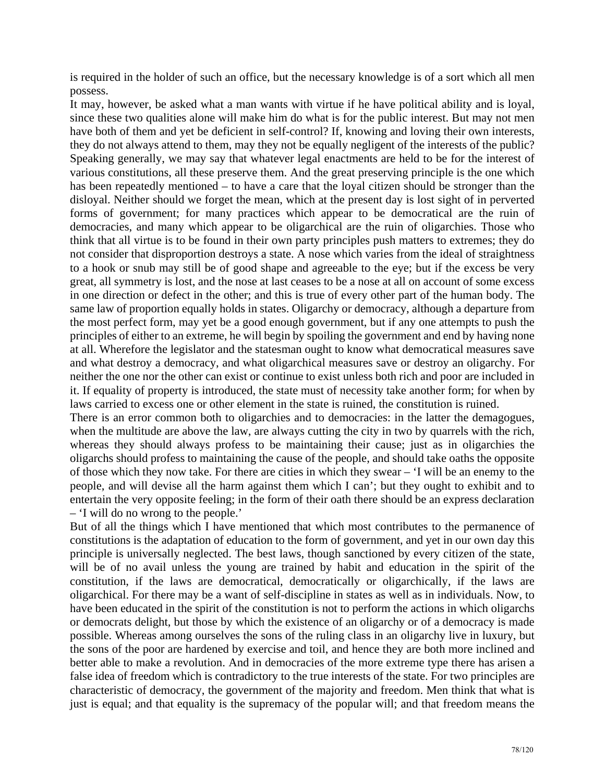is required in the holder of such an office, but the necessary knowledge is of a sort which all men possess.

It may, however, be asked what a man wants with virtue if he have political ability and is loyal, since these two qualities alone will make him do what is for the public interest. But may not men have both of them and yet be deficient in self-control? If, knowing and loving their own interests, they do not always attend to them, may they not be equally negligent of the interests of the public? Speaking generally, we may say that whatever legal enactments are held to be for the interest of at all. Wherefore the legislator and the statesman ought to know what democratical measures save various constitutions, all these preserve them. And the great preserving principle is the one which has been repeatedly mentioned – to have a care that the loyal citizen should be stronger than the disloyal. Neither should we forget the mean, which at the present day is lost sight of in perverted forms of government; for many practices which appear to be democratical are the ruin of democracies, and many which appear to be oligarchical are the ruin of oligarchies. Those who think that all virtue is to be found in their own party principles push matters to extremes; they do not consider that disproportion destroys a state. A nose which varies from the ideal of straightness to a hook or snub may still be of good shape and agreeable to the eye; but if the excess be very great, all symmetry is lost, and the nose at last ceases to be a nose at all on account of some excess in one direction or defect in the other; and this is true of every other part of the human body. The same law of proportion equally holds in states. Oligarchy or democracy, although a departure from the most perfect form, may yet be a good enough government, but if any one attempts to push the principles of either to an extreme, he will begin by spoiling the government and end by having none and what destroy a democracy, and what oligarchical measures save or destroy an oligarchy. For neither the one nor the other can exist or continue to exist unless both rich and poor are included in it. If equality of property is introduced, the state must of necessity take another form; for when by laws carried to excess one or other element in the state is ruined, the constitution is ruined.

There is an error common both to oligarchies and to democracies: in the latter the demagogues, when the multitude are above the law, are always cutting the city in two by quarrels with the rich, whereas they should always profess to be maintaining their cause; just as in oligarchies the oligarchs should profess to maintaining the cause of the people, and should take oaths the opposite of those which they now take. For there are cities in which they swear – 'I will be an enemy to the people, and will devise all the harm against them which I can'; but they ought to exhibit and to entertain the very opposite feeling; in the form of their oath there should be an express declaration – 'I will do no wrong to the people.'

But of all the things which I have mentioned that which most contributes to the permanence of constitutions is the adaptation of education to the form of government, and yet in our own day this principle is universally neglected. The best laws, though sanctioned by every citizen of the state, will be of no avail unless the young are trained by habit and education in the spirit of the constitution, if the laws are democratical, democratically or oligarchically, if the laws are oligarchical. For there may be a want of self-discipline in states as well as in individuals. Now, to have been educated in the spirit of the constitution is not to perform the actions in which oligarchs or democrats delight, but those by which the existence of an oligarchy or of a democracy is made possible. Whereas among ourselves the sons of the ruling class in an oligarchy live in luxury, but the sons of the poor are hardened by exercise and toil, and hence they are both more inclined and better able to make a revolution. And in democracies of the more extreme type there has arisen a false idea of freedom which is contradictory to the true interests of the state. For two principles are characteristic of democracy, the government of the majority and freedom. Men think that what is just is equal; and that equality is the supremacy of the popular will; and that freedom means the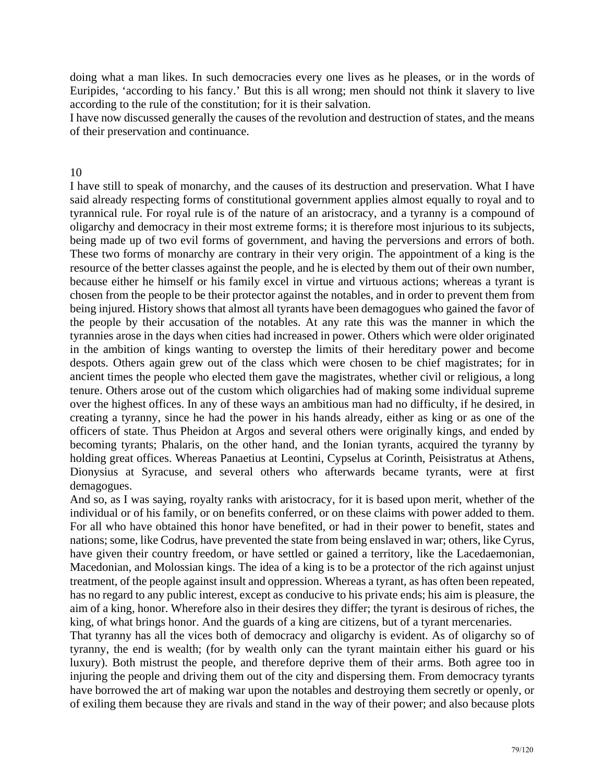doing what a man likes. In such democracies every one lives as he pleases, or in the words of Euripides, 'according to his fancy.' But this is all wrong; men should not think it slavery to live according to the rule of the constitution; for it is their salvation.

I have now discussed generally the causes of the revolution and destruction of states, and the means of their preservation and continuance.

10

being injured. History shows that almost all tyrants have been demagogues who gained the favor of ancient times the people who elected them gave the magistrates, whether civil or religious, a long I have still to speak of monarchy, and the causes of its destruction and preservation. What I have said already respecting forms of constitutional government applies almost equally to royal and to tyrannical rule. For royal rule is of the nature of an aristocracy, and a tyranny is a compound of oligarchy and democracy in their most extreme forms; it is therefore most injurious to its subjects, being made up of two evil forms of government, and having the perversions and errors of both. These two forms of monarchy are contrary in their very origin. The appointment of a king is the resource of the better classes against the people, and he is elected by them out of their own number, because either he himself or his family excel in virtue and virtuous actions; whereas a tyrant is chosen from the people to be their protector against the notables, and in order to prevent them from the people by their accusation of the notables. At any rate this was the manner in which the tyrannies arose in the days when cities had increased in power. Others which were older originated in the ambition of kings wanting to overstep the limits of their hereditary power and become despots. Others again grew out of the class which were chosen to be chief magistrates; for in tenure. Others arose out of the custom which oligarchies had of making some individual supreme over the highest offices. In any of these ways an ambitious man had no difficulty, if he desired, in creating a tyranny, since he had the power in his hands already, either as king or as one of the officers of state. Thus Pheidon at Argos and several others were originally kings, and ended by becoming tyrants; Phalaris, on the other hand, and the Ionian tyrants, acquired the tyranny by holding great offices. Whereas Panaetius at Leontini, Cypselus at Corinth, Peisistratus at Athens, Dionysius at Syracuse, and several others who afterwards became tyrants, were at first demagogues.

And so, as I was saying, royalty ranks with aristocracy, for it is based upon merit, whether of the individual or of his family, or on benefits conferred, or on these claims with power added to them. For all who have obtained this honor have benefited, or had in their power to benefit, states and nations; some, like Codrus, have prevented the state from being enslaved in war; others, like Cyrus, have given their country freedom, or have settled or gained a territory, like the Lacedaemonian, Macedonian, and Molossian kings. The idea of a king is to be a protector of the rich against unjust treatment, of the people against insult and oppression. Whereas a tyrant, as has often been repeated, has no regard to any public interest, except as conducive to his private ends; his aim is pleasure, the aim of a king, honor. Wherefore also in their desires they differ; the tyrant is desirous of riches, the king, of what brings honor. And the guards of a king are citizens, but of a tyrant mercenaries.

tyranny, the end is wealth; (for by wealth only can the tyrant maintain either his guard or his That tyranny has all the vices both of democracy and oligarchy is evident. As of oligarchy so of luxury). Both mistrust the people, and therefore deprive them of their arms. Both agree too in injuring the people and driving them out of the city and dispersing them. From democracy tyrants have borrowed the art of making war upon the notables and destroying them secretly or openly, or of exiling them because they are rivals and stand in the way of their power; and also because plots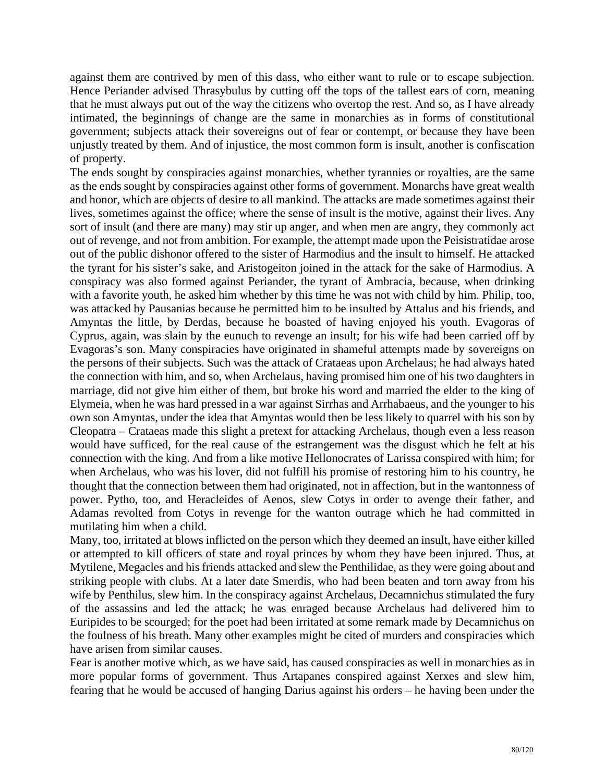against them are contrived by men of this dass, who either want to rule or to escape subjection. Hence Periander advised Thrasybulus by cutting off the tops of the tallest ears of corn, meaning that he must always put out of the way the citizens who overtop the rest. And so, as I have already intimated, the beginnings of change are the same in monarchies as in forms of constitutional government; subjects attack their sovereigns out of fear or contempt, or because they have been unjustly treated by them. And of injustice, the most common form is insult, another is confiscation of property.

the persons of their subjects. Such was the attack of Crataeas upon Archelaus; he had always hated marriage, did not give him either of them, but broke his word and married the elder to the king of Elymeia, when he was hard pressed in a war against Sirrhas and Arrhabaeus, and the younger to his own son Amyntas, under the idea that Amyntas would then be less likely to quarrel with his son by Cleopatra – Crataeas made this slight a pretext for attacking Archelaus, though even a less reason The ends sought by conspiracies against monarchies, whether tyrannies or royalties, are the same as the ends sought by conspiracies against other forms of government. Monarchs have great wealth and honor, which are objects of desire to all mankind. The attacks are made sometimes against their lives, sometimes against the office; where the sense of insult is the motive, against their lives. Any sort of insult (and there are many) may stir up anger, and when men are angry, they commonly act out of revenge, and not from ambition. For example, the attempt made upon the Peisistratidae arose out of the public dishonor offered to the sister of Harmodius and the insult to himself. He attacked the tyrant for his sister's sake, and Aristogeiton joined in the attack for the sake of Harmodius. A conspiracy was also formed against Periander, the tyrant of Ambracia, because, when drinking with a favorite youth, he asked him whether by this time he was not with child by him. Philip, too, was attacked by Pausanias because he permitted him to be insulted by Attalus and his friends, and Amyntas the little, by Derdas, because he boasted of having enjoyed his youth. Evagoras of Cyprus, again, was slain by the eunuch to revenge an insult; for his wife had been carried off by Evagoras's son. Many conspiracies have originated in shameful attempts made by sovereigns on the connection with him, and so, when Archelaus, having promised him one of his two daughters in would have sufficed, for the real cause of the estrangement was the disgust which he felt at his connection with the king. And from a like motive Hellonocrates of Larissa conspired with him; for when Archelaus, who was his lover, did not fulfill his promise of restoring him to his country, he thought that the connection between them had originated, not in affection, but in the wantonness of power. Pytho, too, and Heracleides of Aenos, slew Cotys in order to avenge their father, and Adamas revolted from Cotys in revenge for the wanton outrage which he had committed in mutilating him when a child.

Many, too, irritated at blows inflicted on the person which they deemed an insult, have either killed or attempted to kill officers of state and royal princes by whom they have been injured. Thus, at Mytilene, Megacles and his friends attacked and slew the Penthilidae, as they were going about and striking people with clubs. At a later date Smerdis, who had been beaten and torn away from his wife by Penthilus, slew him. In the conspiracy against Archelaus, Decamnichus stimulated the fury of the assassins and led the attack; he was enraged because Archelaus had delivered him to Euripides to be scourged; for the poet had been irritated at some remark made by Decamnichus on the foulness of his breath. Many other examples might be cited of murders and conspiracies which have arisen from similar causes.

Fear is another motive which, as we have said, has caused conspiracies as well in monarchies as in more popular forms of government. Thus Artapanes conspired against Xerxes and slew him, fearing that he would be accused of hanging Darius against his orders – he having been under the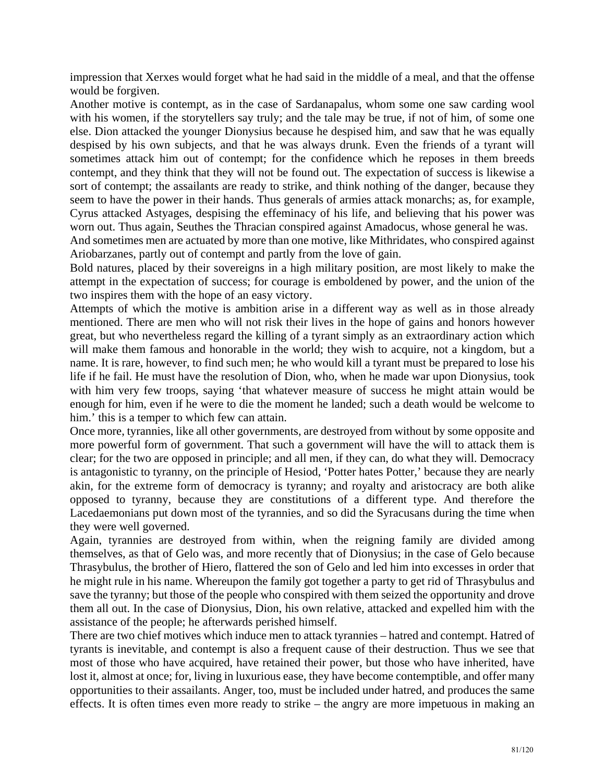impression that Xerxes would forget what he had said in the middle of a meal, and that the offense would be forgiven.

Another motive is contempt, as in the case of Sardanapalus, whom some one saw carding wool with his women, if the storytellers say truly; and the tale may be true, if not of him, of some one else. Dion attacked the younger Dionysius because he despised him, and saw that he was equally despised by his own subjects, and that he was always drunk. Even the friends of a tyrant will sometimes attack him out of contempt; for the confidence which he reposes in them breeds contempt, and they think that they will not be found out. The expectation of success is likewise a sort of contempt; the assailants are ready to strike, and think nothing of the danger, because they seem to have the power in their hands. Thus generals of armies attack monarchs; as, for example, Cyrus attacked Astyages, despising the effeminacy of his life, and believing that his power was worn out. Thus again, Seuthes the Thracian conspired against Amadocus, whose general he was.

Ariobarzanes, partly out of contempt and partly from the love of gain. And sometimes men are actuated by more than one motive, like Mithridates, who conspired against

Bold natures, placed by their sovereigns in a high military position, are most likely to make the attempt in the expectation of success; for courage is emboldened by power, and the union of the two inspires them with the hope of an easy victory.

Attempts of which the motive is ambition arise in a different way as well as in those already mentioned. There are men who will not risk their lives in the hope of gains and honors however great, but who nevertheless regard the killing of a tyrant simply as an extraordinary action which will make them famous and honorable in the world; they wish to acquire, not a kingdom, but a name. It is rare, however, to find such men; he who would kill a tyrant must be prepared to lose his life if he fail. He must have the resolution of Dion, who, when he made war upon Dionysius, took with him very few troops, saying 'that whatever measure of success he might attain would be enough for him, even if he were to die the moment he landed; such a death would be welcome to him.' this is a temper to which few can attain.

Once more, tyrannies, like all other governments, are destroyed from without by some opposite and more powerful form of government. That such a government will have the will to attack them is clear; for the two are opposed in principle; and all men, if they can, do what they will. Democracy is antagonistic to tyranny, on the principle of Hesiod, 'Potter hates Potter,' because they are nearly akin, for the extreme form of democracy is tyranny; and royalty and aristocracy are both alike opposed to tyranny, because they are constitutions of a different type. And therefore the Lacedaemonians put down most of the tyrannies, and so did the Syracusans during the time when they were well governed.

Again, tyrannies are destroyed from within, when the reigning family are divided among themselves, as that of Gelo was, and more recently that of Dionysius; in the case of Gelo because Thrasybulus, the brother of Hiero, flattered the son of Gelo and led him into excesses in order that he might rule in his name. Whereupon the family got together a party to get rid of Thrasybulus and save the tyranny; but those of the people who conspired with them seized the opportunity and drove them all out. In the case of Dionysius, Dion, his own relative, attacked and expelled him with the assistance of the people; he afterwards perished himself.

There are two chief motives which induce men to attack tyrannies – hatred and contempt. Hatred of tyrants is inevitable, and contempt is also a frequent cause of their destruction. Thus we see that most of those who have acquired, have retained their power, but those who have inherited, have lost it, almost at once; for, living in luxurious ease, they have become contemptible, and offer many opportunities to their assailants. Anger, too, must be included under hatred, and produces the same effects. It is often times even more ready to strike – the angry are more impetuous in making an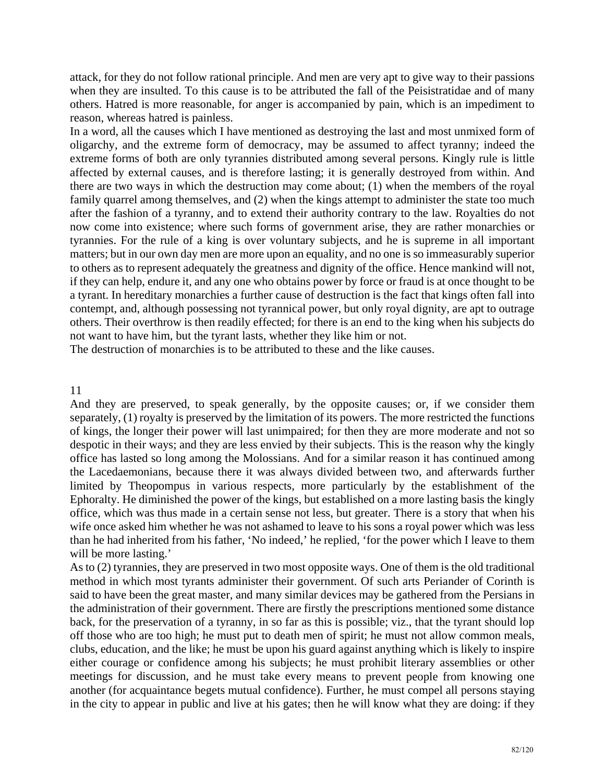attack, for they do not follow rational principle. And men are very apt to give way to their passions when they are insulted. To this cause is to be attributed the fall of the Peisistratidae and of many others. Hatred is more reasonable, for anger is accompanied by pain, which is an impediment to reason, whereas hatred is painless.

In a word, all the causes which I have mentioned as destroying the last and most unmixed form of oligarchy, and the extreme form of democracy, may be assumed to affect tyranny; indeed the extreme forms of both are only tyrannies distributed among several persons. Kingly rule is little if they can help, endure it, and any one who obtains power by force or fraud is at once thought to be affected by external causes, and is therefore lasting; it is generally destroyed from within. And there are two ways in which the destruction may come about; (1) when the members of the royal family quarrel among themselves, and (2) when the kings attempt to administer the state too much after the fashion of a tyranny, and to extend their authority contrary to the law. Royalties do not now come into existence; where such forms of government arise, they are rather monarchies or tyrannies. For the rule of a king is over voluntary subjects, and he is supreme in all important matters; but in our own day men are more upon an equality, and no one is so immeasurably superior to others as to represent adequately the greatness and dignity of the office. Hence mankind will not, a tyrant. In hereditary monarchies a further cause of destruction is the fact that kings often fall into contempt, and, although possessing not tyrannical power, but only royal dignity, are apt to outrage others. Their overthrow is then readily effected; for there is an end to the king when his subjects do not want to have him, but the tyrant lasts, whether they like him or not.

The destruction of monarchies is to be attributed to these and the like causes.

#### 11

office, which was thus made in a certain sense not less, but greater. There is a story that when his And they are preserved, to speak generally, by the opposite causes; or, if we consider them separately, (1) royalty is preserved by the limitation of its powers. The more restricted the functions of kings, the longer their power will last unimpaired; for then they are more moderate and not so despotic in their ways; and they are less envied by their subjects. This is the reason why the kingly office has lasted so long among the Molossians. And for a similar reason it has continued among the Lacedaemonians, because there it was always divided between two, and afterwards further limited by Theopompus in various respects, more particularly by the establishment of the Ephoralty. He diminished the power of the kings, but established on a more lasting basis the kingly wife once asked him whether he was not ashamed to leave to his sons a royal power which was less than he had inherited from his father, 'No indeed,' he replied, 'for the power which I leave to them will be more lasting.'

meetings for discussion, and he must take every means to prevent people from knowing one As to (2) tyrannies, they are preserved in two most opposite ways. One of them is the old traditional method in which most tyrants administer their government. Of such arts Periander of Corinth is said to have been the great master, and many similar devices may be gathered from the Persians in the administration of their government. There are firstly the prescriptions mentioned some distance back, for the preservation of a tyranny, in so far as this is possible; viz., that the tyrant should lop off those who are too high; he must put to death men of spirit; he must not allow common meals, clubs, education, and the like; he must be upon his guard against anything which is likely to inspire either courage or confidence among his subjects; he must prohibit literary assemblies or other another (for acquaintance begets mutual confidence). Further, he must compel all persons staying in the city to appear in public and live at his gates; then he will know what they are doing: if they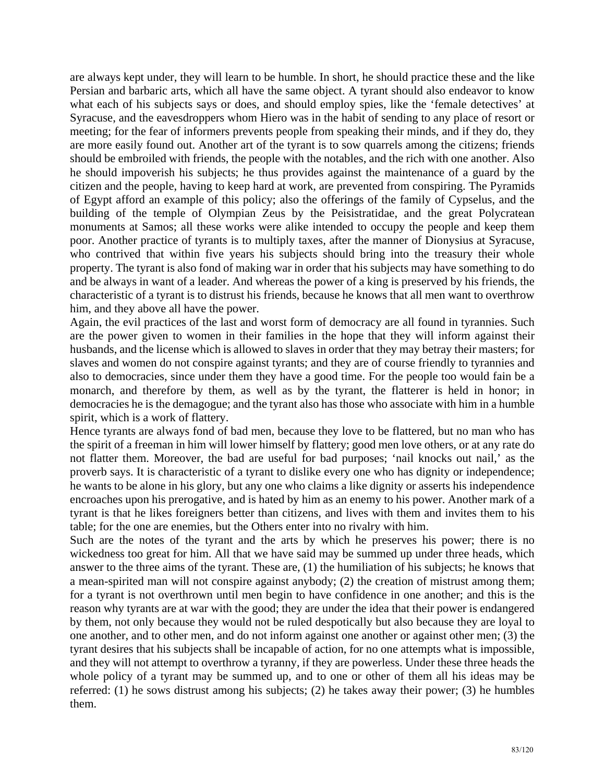are always kept under, they will learn to be humble. In short, he should practice these and the like Persian and barbaric arts, which all have the same object. A tyrant should also endeavor to know what each of his subjects says or does, and should employ spies, like the 'female detectives' at Syracuse, and the eavesdroppers whom Hiero was in the habit of sending to any place of resort or meeting; for the fear of informers prevents people from speaking their minds, and if they do, they are more easily found out. Another art of the tyrant is to sow quarrels among the citizens; friends poor. Another practice of tyrants is to multiply taxes, after the manner of Dionysius at Syracuse, should be embroiled with friends, the people with the notables, and the rich with one another. Also he should impoverish his subjects; he thus provides against the maintenance of a guard by the citizen and the people, having to keep hard at work, are prevented from conspiring. The Pyramids of Egypt afford an example of this policy; also the offerings of the family of Cypselus, and the building of the temple of Olympian Zeus by the Peisistratidae, and the great Polycratean monuments at Samos; all these works were alike intended to occupy the people and keep them who contrived that within five years his subjects should bring into the treasury their whole property. The tyrant is also fond of making war in order that his subjects may have something to do and be always in want of a leader. And whereas the power of a king is preserved by his friends, the characteristic of a tyrant is to distrust his friends, because he knows that all men want to overthrow him, and they above all have the power.

Again, the evil practices of the last and worst form of democracy are all found in tyrannies. Such are the power given to women in their families in the hope that they will inform against their husbands, and the license which is allowed to slaves in order that they may betray their masters; for slaves and women do not conspire against tyrants; and they are of course friendly to tyrannies and also to democracies, since under them they have a good time. For the people too would fain be a monarch, and therefore by them, as well as by the tyrant, the flatterer is held in honor; in democracies he is the demagogue; and the tyrant also has those who associate with him in a humble spirit, which is a work of flattery.

Hence tyrants are always fond of bad men, because they love to be flattered, but no man who has the spirit of a freeman in him will lower himself by flattery; good men love others, or at any rate do not flatter them. Moreover, the bad are useful for bad purposes; 'nail knocks out nail,' as the proverb says. It is characteristic of a tyrant to dislike every one who has dignity or independence; he wants to be alone in his glory, but any one who claims a like dignity or asserts his independence encroaches upon his prerogative, and is hated by him as an enemy to his power. Another mark of a tyrant is that he likes foreigners better than citizens, and lives with them and invites them to his table; for the one are enemies, but the Others enter into no rivalry with him.

reason why tyrants are at war with the good; they are under the idea that their power is endangered by them, not only because they would not be ruled despotically but also because they are loyal to one another, and to other men, and do not inform against one another or against other men; (3) the tyrant desires that his subjects shall be incapable of action, for no one attempts what is impossible, and they will not attempt to overthrow a tyranny, if they are powerless. Under these three heads the Such are the notes of the tyrant and the arts by which he preserves his power; there is no wickedness too great for him. All that we have said may be summed up under three heads, which answer to the three aims of the tyrant. These are, (1) the humiliation of his subjects; he knows that a mean-spirited man will not conspire against anybody; (2) the creation of mistrust among them; for a tyrant is not overthrown until men begin to have confidence in one another; and this is the whole policy of a tyrant may be summed up, and to one or other of them all his ideas may be referred: (1) he sows distrust among his subjects; (2) he takes away their power; (3) he humbles them.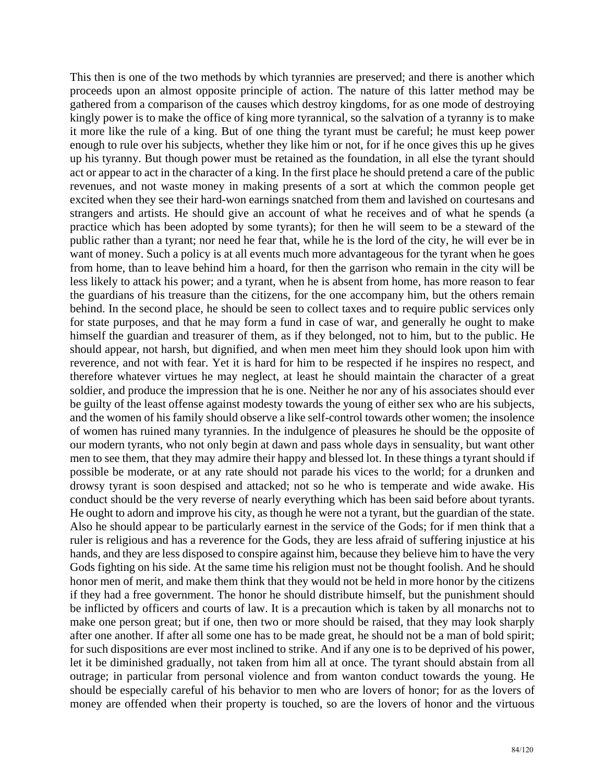This then is one of the two methods by which tyrannies are preserved; and there is another which proceeds upon an almost opposite principle of action. The nature of this latter method may be gathered from a comparison of the causes which destroy kingdoms, for as one mode of destroying kingly power is to make the office of king more tyrannical, so the salvation of a tyranny is to make it more like the rule of a king. But of one thing the tyrant must be careful; he must keep power enough to rule over his subjects, whether they like him or not, for if he once gives this up he gives up his tyranny. But though power must be retained as the foundation, in all else the tyrant should act or appear to act in the character of a king. In the first place he should pretend a care of the public revenues, and not waste money in making presents of a sort at which the common people get honor men of merit, and make them think that they would not be held in more honor by the citizens should be especially careful of his behavior to men who are lovers of honor; for as the lovers of money are offended when their property is touched, so are the lovers of honor and the virtuous excited when they see their hard-won earnings snatched from them and lavished on courtesans and strangers and artists. He should give an account of what he receives and of what he spends (a practice which has been adopted by some tyrants); for then he will seem to be a steward of the public rather than a tyrant; nor need he fear that, while he is the lord of the city, he will ever be in want of money. Such a policy is at all events much more advantageous for the tyrant when he goes from home, than to leave behind him a hoard, for then the garrison who remain in the city will be less likely to attack his power; and a tyrant, when he is absent from home, has more reason to fear the guardians of his treasure than the citizens, for the one accompany him, but the others remain behind. In the second place, he should be seen to collect taxes and to require public services only for state purposes, and that he may form a fund in case of war, and generally he ought to make himself the guardian and treasurer of them, as if they belonged, not to him, but to the public. He should appear, not harsh, but dignified, and when men meet him they should look upon him with reverence, and not with fear. Yet it is hard for him to be respected if he inspires no respect, and therefore whatever virtues he may neglect, at least he should maintain the character of a great soldier, and produce the impression that he is one. Neither he nor any of his associates should ever be guilty of the least offense against modesty towards the young of either sex who are his subjects, and the women of his family should observe a like self-control towards other women; the insolence of women has ruined many tyrannies. In the indulgence of pleasures he should be the opposite of our modern tyrants, who not only begin at dawn and pass whole days in sensuality, but want other men to see them, that they may admire their happy and blessed lot. In these things a tyrant should if possible be moderate, or at any rate should not parade his vices to the world; for a drunken and drowsy tyrant is soon despised and attacked; not so he who is temperate and wide awake. His conduct should be the very reverse of nearly everything which has been said before about tyrants. He ought to adorn and improve his city, as though he were not a tyrant, but the guardian of the state. Also he should appear to be particularly earnest in the service of the Gods; for if men think that a ruler is religious and has a reverence for the Gods, they are less afraid of suffering injustice at his hands, and they are less disposed to conspire against him, because they believe him to have the very Gods fighting on his side. At the same time his religion must not be thought foolish. And he should if they had a free government. The honor he should distribute himself, but the punishment should be inflicted by officers and courts of law. It is a precaution which is taken by all monarchs not to make one person great; but if one, then two or more should be raised, that they may look sharply after one another. If after all some one has to be made great, he should not be a man of bold spirit; for such dispositions are ever most inclined to strike. And if any one is to be deprived of his power, let it be diminished gradually, not taken from him all at once. The tyrant should abstain from all outrage; in particular from personal violence and from wanton conduct towards the young. He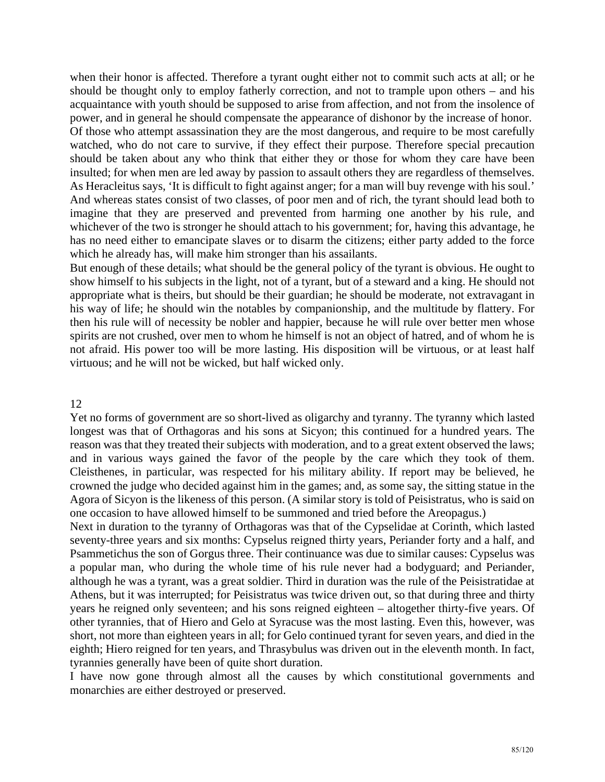when their honor is affected. Therefore a tyrant ought either not to commit such acts at all; or he should be thought only to employ fatherly correction, and not to trample upon others – and his acquaintance with youth should be supposed to arise from affection, and not from the insolence of power, and in general he should compensate the appearance of dishonor by the increase of honor.

Of those who attempt assassination they are the most dangerous, and require to be most carefully watched, who do not care to survive, if they effect their purpose. Therefore special precaution should be taken about any who think that either they or those for whom they care have been insulted; for when men are led away by passion to assault others they are regardless of themselves. As Heracleitus says, 'It is difficult to fight against anger; for a man will buy revenge with his soul.' And whereas states consist of two classes, of poor men and of rich, the tyrant should lead both to imagine that they are preserved and prevented from harming one another by his rule, and whichever of the two is stronger he should attach to his government; for, having this advantage, he has no need either to emancipate slaves or to disarm the citizens; either party added to the force which he already has, will make him stronger than his assailants.

not afraid. His power too will be more lasting. His disposition will be virtuous, or at least half But enough of these details; what should be the general policy of the tyrant is obvious. He ought to show himself to his subjects in the light, not of a tyrant, but of a steward and a king. He should not appropriate what is theirs, but should be their guardian; he should be moderate, not extravagant in his way of life; he should win the notables by companionship, and the multitude by flattery. For then his rule will of necessity be nobler and happier, because he will rule over better men whose spirits are not crushed, over men to whom he himself is not an object of hatred, and of whom he is virtuous; and he will not be wicked, but half wicked only.

#### 12

Yet no forms of government are so short-lived as oligarchy and tyranny. The tyranny which lasted longest was that of Orthagoras and his sons at Sicyon; this continued for a hundred years. The reason was that they treated their subjects with moderation, and to a great extent observed the laws; and in various ways gained the favor of the people by the care which they took of them. Cleisthenes, in particular, was respected for his military ability. If report may be believed, he crowned the judge who decided against him in the games; and, as some say, the sitting statue in the Agora of Sicyon is the likeness of this person. (A similar story is told of Peisistratus, who is said on one occasion to have allowed himself to be summoned and tried before the Areopagus.)

Next in duration to the tyranny of Orthagoras was that of the Cypselidae at Corinth, which lasted seventy-three years and six months: Cypselus reigned thirty years, Periander forty and a half, and Psammetichus the son of Gorgus three. Their continuance was due to similar causes: Cypselus was a popular man, who during the whole time of his rule never had a bodyguard; and Periander, although he was a tyrant, was a great soldier. Third in duration was the rule of the Peisistratidae at Athens, but it was interrupted; for Peisistratus was twice driven out, so that during three and thirty years he reigned only seventeen; and his sons reigned eighteen – altogether thirty-five years. Of other tyrannies, that of Hiero and Gelo at Syracuse was the most lasting. Even this, however, was short, not more than eighteen years in all; for Gelo continued tyrant for seven years, and died in the eighth; Hiero reigned for ten years, and Thrasybulus was driven out in the eleventh month. In fact, tyrannies generally have been of quite short duration.

I have now gone through almost all the causes by which constitutional governments and monarchies are either destroyed or preserved.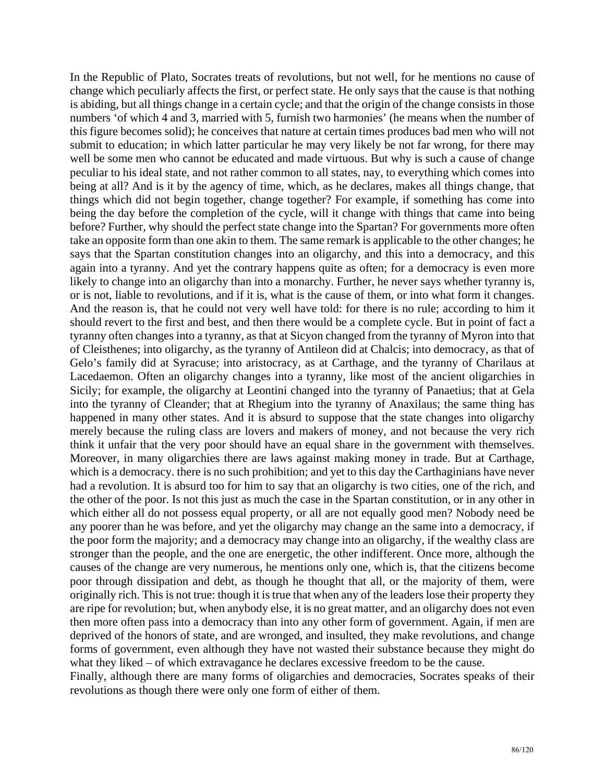In the Republic of Plato, Socrates treats of revolutions, but not well, for he mentions no cause of change which peculiarly affects the first, or perfect state. He only says that the cause is that nothing is abiding, but all things change in a certain cycle; and that the origin of the change consists in those numbers 'of which 4 and 3, married with 5, furnish two harmonies' (he means when the number of this figure becomes solid); he conceives that nature at certain times produces bad men who will not submit to education; in which latter particular he may very likely be not far wrong, for there may well be some men who cannot be educated and made virtuous. But why is such a cause of change peculiar to his ideal state, and not rather common to all states, nay, to everything which comes into being at all? And is it by the agency of time, which, as he declares, makes all things change, that things which did not begin together, change together? For example, if something has come into being the day before the completion of the cycle, will it change with things that came into being before? Further, why should the perfect state change into the Spartan? For governments more often take an opposite form than one akin to them. The same remark is applicable to the other changes; he says that the Spartan constitution changes into an oligarchy, and this into a democracy, and this again into a tyranny. And yet the contrary happens quite as often; for a democracy is even more likely to change into an oligarchy than into a monarchy. Further, he never says whether tyranny is, or is not, liable to revolutions, and if it is, what is the cause of them, or into what form it changes. And the reason is, that he could not very well have told: for there is no rule; according to him it should revert to the first and best, and then there would be a complete cycle. But in point of fact a tyranny often changes into a tyranny, as that at Sicyon changed from the tyranny of Myron into that of Cleisthenes; into oligarchy, as the tyranny of Antileon did at Chalcis; into democracy, as that of Gelo's family did at Syracuse; into aristocracy, as at Carthage, and the tyranny of Charilaus at Lacedaemon. Often an oligarchy changes into a tyranny, like most of the ancient oligarchies in Sicily; for example, the oligarchy at Leontini changed into the tyranny of Panaetius; that at Gela into the tyranny of Cleander; that at Rhegium into the tyranny of Anaxilaus; the same thing has happened in many other states. And it is absurd to suppose that the state changes into oligarchy merely because the ruling class are lovers and makers of money, and not because the very rich which either all do not possess equal property, or all are not equally good men? Nobody need be poor through dissipation and debt, as though he thought that all, or the majority of them, were think it unfair that the very poor should have an equal share in the government with themselves. Moreover, in many oligarchies there are laws against making money in trade. But at Carthage, which is a democracy. there is no such prohibition; and yet to this day the Carthaginians have never had a revolution. It is absurd too for him to say that an oligarchy is two cities, one of the rich, and the other of the poor. Is not this just as much the case in the Spartan constitution, or in any other in any poorer than he was before, and yet the oligarchy may change an the same into a democracy, if the poor form the majority; and a democracy may change into an oligarchy, if the wealthy class are stronger than the people, and the one are energetic, the other indifferent. Once more, although the causes of the change are very numerous, he mentions only one, which is, that the citizens become originally rich. This is not true: though it is true that when any of the leaders lose their property they are ripe for revolution; but, when anybody else, it is no great matter, and an oligarchy does not even then more often pass into a democracy than into any other form of government. Again, if men are deprived of the honors of state, and are wronged, and insulted, they make revolutions, and change forms of government, even although they have not wasted their substance because they might do what they liked – of which extravagance he declares excessive freedom to be the cause.

Finally, although there are many forms of oligarchies and democracies, Socrates speaks of their revolutions as though there were only one form of either of them.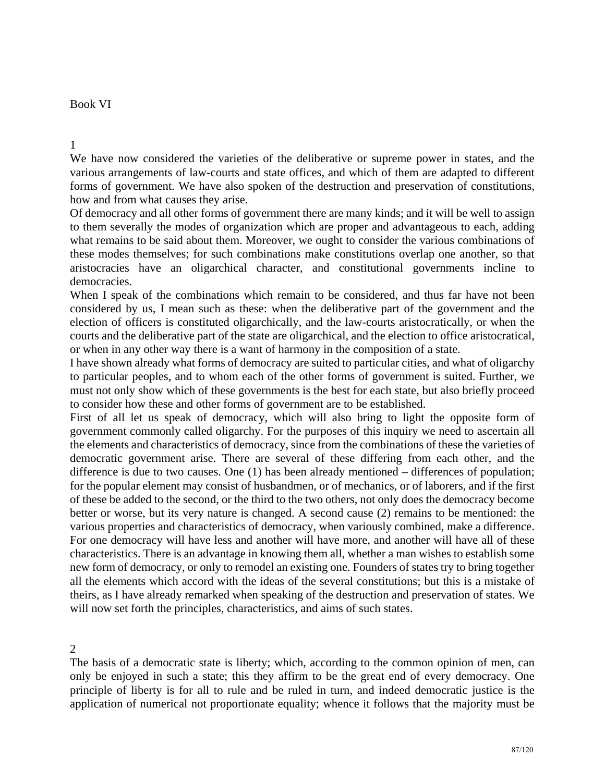## Book VI

1

We have now considered the varieties of the deliberative or supreme power in states, and the various arrangements of law-courts and state offices, and which of them are adapted to different forms of government. We have also spoken of the destruction and preservation of constitutions, how and from what causes they arise.

Of democracy and all other forms of government there are many kinds; and it will be well to assign to them severally the modes of organization which are proper and advantageous to each, adding what remains to be said about them. Moreover, we ought to consider the various combinations of these modes themselves; for such combinations make constitutions overlap one another, so that aristocracies have an oligarchical character, and constitutional governments incline to democracies.

When I speak of the combinations which remain to be considered, and thus far have not been considered by us, I mean such as these: when the deliberative part of the government and the election of officers is constituted oligarchically, and the law-courts aristocratically, or when the courts and the deliberative part of the state are oligarchical, and the election to office aristocratical, or when in any other way there is a want of harmony in the composition of a state.

to particular peoples, and to whom each of the other forms of government is suited. Further, we I have shown already what forms of democracy are suited to particular cities, and what of oligarchy must not only show which of these governments is the best for each state, but also briefly proceed to consider how these and other forms of government are to be established.

First of all let us speak of democracy, which will also bring to light the opposite form of government commonly called oligarchy. For the purposes of this inquiry we need to ascertain all the elements and characteristics of democracy, since from the combinations of these the varieties of democratic government arise. There are several of these differing from each other, and the difference is due to two causes. One (1) has been already mentioned – differences of population; for the popular element may consist of husbandmen, or of mechanics, or of laborers, and if the first of these be added to the second, or the third to the two others, not only does the democracy become better or worse, but its very nature is changed. A second cause (2) remains to be mentioned: the various properties and characteristics of democracy, when variously combined, make a difference. For one democracy will have less and another will have more, and another will have all of these characteristics. There is an advantage in knowing them all, whether a man wishes to establish some new form of democracy, or only to remodel an existing one. Founders of states try to bring together all the elements which accord with the ideas of the several constitutions; but this is a mistake of theirs, as I have already remarked when speaking of the destruction and preservation of states. We will now set forth the principles, characteristics, and aims of such states.

 $\mathcal{D}_{\alpha}$ 

The basis of a democratic state is liberty; which, according to the common opinion of men, can only be enjoyed in such a state; this they affirm to be the great end of every democracy. One principle of liberty is for all to rule and be ruled in turn, and indeed democratic justice is the application of numerical not proportionate equality; whence it follows that the majority must be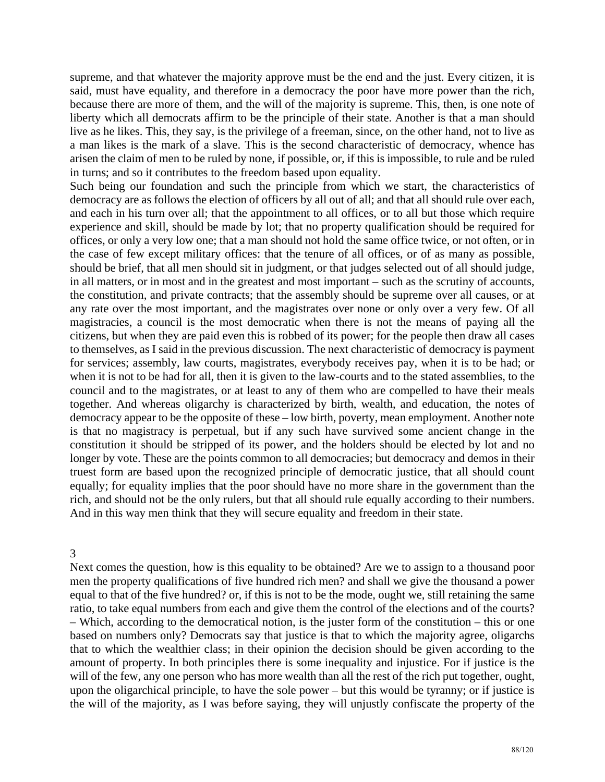supreme, and that whatever the majority approve must be the end and the just. Every citizen, it is said, must have equality, and therefore in a democracy the poor have more power than the rich, because there are more of them, and the will of the majority is supreme. This, then, is one note of liberty which all democrats affirm to be the principle of their state. Another is that a man should live as he likes. This, they say, is the privilege of a freeman, since, on the other hand, not to live as a man likes is the mark of a slave. This is the second characteristic of democracy, whence has arisen the claim of men to be ruled by none, if possible, or, if this is impossible, to rule and be ruled in turns; and so it contributes to the freedom based upon equality.

Such being our foundation and such the principle from which we start, the characteristics of democracy are as follows the election of officers by all out of all; and that all should rule over each, and each in his turn over all; that the appointment to all offices, or to all but those which require experience and skill, should be made by lot; that no property qualification should be required for offices, or only a very low one; that a man should not hold the same office twice, or not often, or in the case of few except military offices: that the tenure of all offices, or of as many as possible, should be brief, that all men should sit in judgment, or that judges selected out of all should judge, in all matters, or in most and in the greatest and most important – such as the scrutiny of accounts, the constitution, and private contracts; that the assembly should be supreme over all causes, or at any rate over the most important, and the magistrates over none or only over a very few. Of all magistracies, a council is the most democratic when there is not the means of paying all the citizens, but when they are paid even this is robbed of its power; for the people then draw all cases to themselves, as I said in the previous discussion. The next characteristic of democracy is payment when it is not to be had for all, then it is given to the law-courts and to the stated assemblies, to the council and to the magistrates, or at least to any of them who are compelled to have their meals together. And whereas oligarchy is characterized by birth, wealth, and education, the notes of democracy appear to be the opposite of these – low birth, poverty, mean employment. Another note is that no magistracy is perpetual, but if any such have survived some ancient change in the constitution it should be stripped of its power, and the holders should be elected by lot and no longer by vote. These are the points common to all democracies; but democracy and demos in their truest form are based upon the recognized principle of democratic justice, that all should count for services; assembly, law courts, magistrates, everybody receives pay, when it is to be had; or equally; for equality implies that the poor should have no more share in the government than the rich, and should not be the only rulers, but that all should rule equally according to their numbers. And in this way men think that they will secure equality and freedom in their state.

#### 3

ratio, to take equal numbers from each and give them the control of the elections and of the courts? Next comes the question, how is this equality to be obtained? Are we to assign to a thousand poor men the property qualifications of five hundred rich men? and shall we give the thousand a power equal to that of the five hundred? or, if this is not to be the mode, ought we, still retaining the same – Which, according to the democratical notion, is the juster form of the constitution – this or one based on numbers only? Democrats say that justice is that to which the majority agree, oligarchs that to which the wealthier class; in their opinion the decision should be given according to the amount of property. In both principles there is some inequality and injustice. For if justice is the will of the few, any one person who has more wealth than all the rest of the rich put together, ought, upon the oligarchical principle, to have the sole power – but this would be tyranny; or if justice is the will of the majority, as I was before saying, they will unjustly confiscate the property of the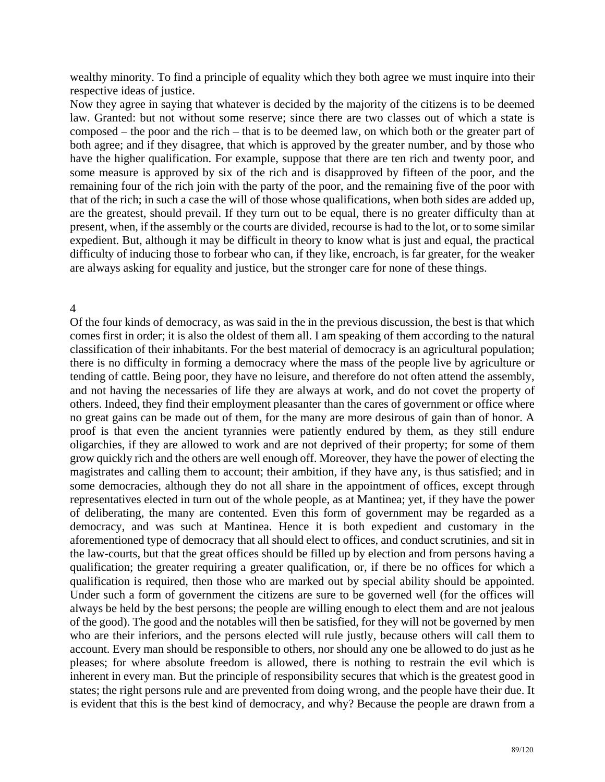wealthy minority. To find a principle of equality which they both agree we must inquire into their respective ideas of justice.

Now they agree in saying that whatever is decided by the majority of the citizens is to be deemed law. Granted: but not without some reserve; since there are two classes out of which a state is composed – the poor and the rich – that is to be deemed law, on which both or the greater part of both agree; and if they disagree, that which is approved by the greater number, and by those who have the higher qualification. For example, suppose that there are ten rich and twenty poor, and some measure is approved by six of the rich and is disapproved by fifteen of the poor, and the remaining four of the rich join with the party of the poor, and the remaining five of the poor with that of the rich; in such a case the will of those whose qualifications, when both sides are added up, are the greatest, should prevail. If they turn out to be equal, there is no greater difficulty than at present, when, if the assembly or the courts are divided, recourse is had to the lot, or to some similar expedient. But, although it may be difficult in theory to know what is just and equal, the practical difficulty of inducing those to forbear who can, if they like, encroach, is far greater, for the weaker are always asking for equality and justice, but the stronger care for none of these things.

# 4

Of the four kinds of democracy, as was said in the in the previous discussion, the best is that which comes first in order; it is also the oldest of them all. I am speaking of them according to the natural classification of their inhabitants. For the best material of democracy is an agricultural population; of deliberating, the many are contented. Even this form of government may be regarded as a there is no difficulty in forming a democracy where the mass of the people live by agriculture or tending of cattle. Being poor, they have no leisure, and therefore do not often attend the assembly, and not having the necessaries of life they are always at work, and do not covet the property of others. Indeed, they find their employment pleasanter than the cares of government or office where no great gains can be made out of them, for the many are more desirous of gain than of honor. A proof is that even the ancient tyrannies were patiently endured by them, as they still endure oligarchies, if they are allowed to work and are not deprived of their property; for some of them grow quickly rich and the others are well enough off. Moreover, they have the power of electing the magistrates and calling them to account; their ambition, if they have any, is thus satisfied; and in some democracies, although they do not all share in the appointment of offices, except through representatives elected in turn out of the whole people, as at Mantinea; yet, if they have the power democracy, and was such at Mantinea. Hence it is both expedient and customary in the aforementioned type of democracy that all should elect to offices, and conduct scrutinies, and sit in the law-courts, but that the great offices should be filled up by election and from persons having a qualification; the greater requiring a greater qualification, or, if there be no offices for which a qualification is required, then those who are marked out by special ability should be appointed. Under such a form of government the citizens are sure to be governed well (for the offices will always be held by the best persons; the people are willing enough to elect them and are not jealous of the good). The good and the notables will then be satisfied, for they will not be governed by men who are their inferiors, and the persons elected will rule justly, because others will call them to account. Every man should be responsible to others, nor should any one be allowed to do just as he pleases; for where absolute freedom is allowed, there is nothing to restrain the evil which is inherent in every man. But the principle of responsibility secures that which is the greatest good in states; the right persons rule and are prevented from doing wrong, and the people have their due. It is evident that this is the best kind of democracy, and why? Because the people are drawn from a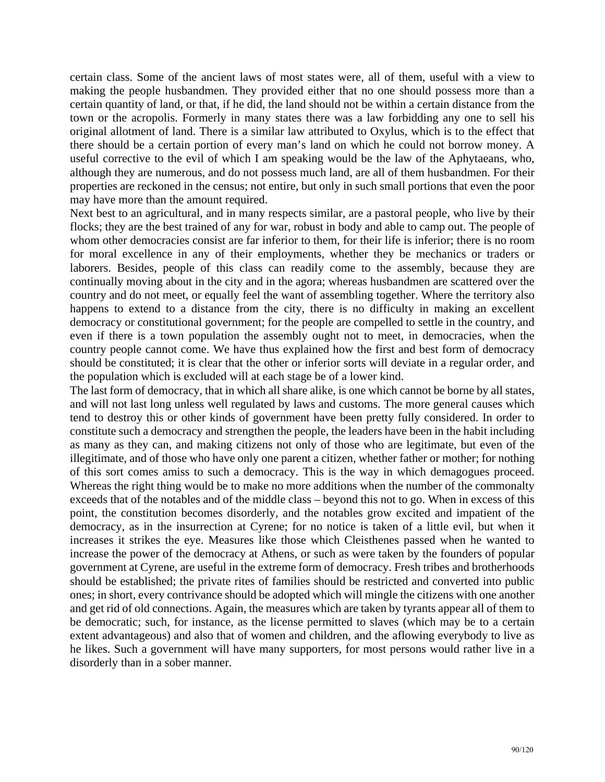certain class. Some of the ancient laws of most states were, all of them, useful with a view to making the people husbandmen. They provided either that no one should possess more than a certain quantity of land, or that, if he did, the land should not be within a certain distance from the town or the acropolis. Formerly in many states there was a law forbidding any one to sell his original allotment of land. There is a similar law attributed to Oxylus, which is to the effect that there should be a certain portion of every man's land on which he could not borrow money. A useful corrective to the evil of which I am speaking would be the law of the Aphytaeans, who, although they are numerous, and do not possess much land, are all of them husbandmen. For their properties are reckoned in the census; not entire, but only in such small portions that even the poor may have more than the amount required.

Next best to an agricultural, and in many respects similar, are a pastoral people, who live by their flocks; they are the best trained of any for war, robust in body and able to camp out. The people of whom other democracies consist are far inferior to them, for their life is inferior; there is no room for moral excellence in any of their employments, whether they be mechanics or traders or laborers. Besides, people of this class can readily come to the assembly, because they are continually moving about in the city and in the agora; whereas husbandmen are scattered over the country and do not meet, or equally feel the want of assembling together. Where the territory also happens to extend to a distance from the city, there is no difficulty in making an excellent democracy or constitutional government; for the people are compelled to settle in the country, and even if there is a town population the assembly ought not to meet, in democracies, when the country people cannot come. We have thus explained how the first and best form of democracy should be constituted; it is clear that the other or inferior sorts will deviate in a regular order, and the population which is excluded will at each stage be of a lower kind.

as many as they can, and making citizens not only of those who are legitimate, but even of the extent advantageous) and also that of women and children, and the aflowing everybody to live as he likes. Such a government will have many supporters, for most persons would rather live in a disorderly than in a sober manner. The last form of democracy, that in which all share alike, is one which cannot be borne by all states, and will not last long unless well regulated by laws and customs. The more general causes which tend to destroy this or other kinds of government have been pretty fully considered. In order to constitute such a democracy and strengthen the people, the leaders have been in the habit including illegitimate, and of those who have only one parent a citizen, whether father or mother; for nothing of this sort comes amiss to such a democracy. This is the way in which demagogues proceed. Whereas the right thing would be to make no more additions when the number of the commonalty exceeds that of the notables and of the middle class – beyond this not to go. When in excess of this point, the constitution becomes disorderly, and the notables grow excited and impatient of the democracy, as in the insurrection at Cyrene; for no notice is taken of a little evil, but when it increases it strikes the eye. Measures like those which Cleisthenes passed when he wanted to increase the power of the democracy at Athens, or such as were taken by the founders of popular government at Cyrene, are useful in the extreme form of democracy. Fresh tribes and brotherhoods should be established; the private rites of families should be restricted and converted into public ones; in short, every contrivance should be adopted which will mingle the citizens with one another and get rid of old connections. Again, the measures which are taken by tyrants appear all of them to be democratic; such, for instance, as the license permitted to slaves (which may be to a certain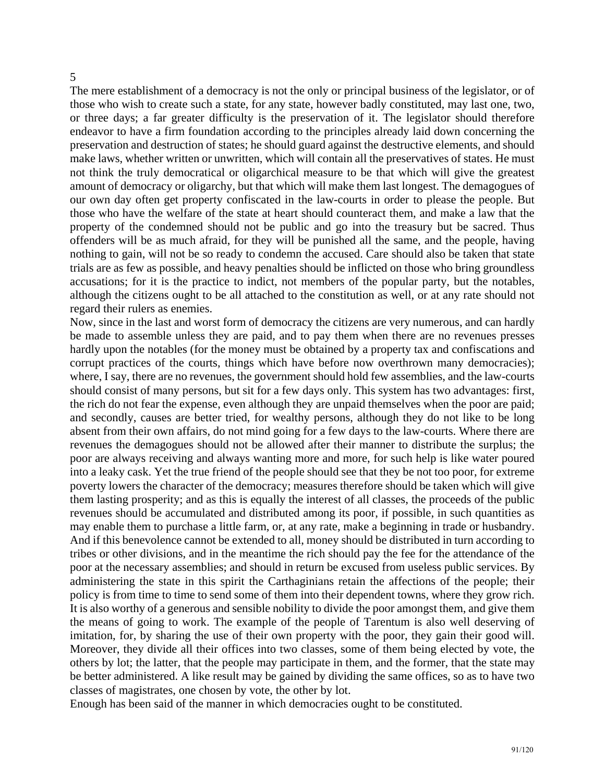#### 5

The mere establishment of a democracy is not the only or principal business of the legislator, or of those who wish to create such a state, for any state, however badly constituted, may last one, two, or three days; a far greater difficulty is the preservation of it. The legislator should therefore endeavor to have a firm foundation according to the principles already laid down concerning the preservation and destruction of states; he should guard against the destructive elements, and should make laws, whether written or unwritten, which will contain all the preservatives of states. He must not think the truly democratical or oligarchical measure to be that which will give the greatest amount of democracy or oligarchy, but that which will make them last longest. The demagogues of our own day often get property confiscated in the law-courts in order to please the people. But those who have the welfare of the state at heart should counteract them, and make a law that the property of the condemned should not be public and go into the treasury but be sacred. Thus offenders will be as much afraid, for they will be punished all the same, and the people, having nothing to gain, will not be so ready to condemn the accused. Care should also be taken that state trials are as few as possible, and heavy penalties should be inflicted on those who bring groundless accusations; for it is the practice to indict, not members of the popular party, but the notables, although the citizens ought to be all attached to the constitution as well, or at any rate should not regard their rulers as enemies.

Now, since in the last and worst form of democracy the citizens are very numerous, and can hardly be made to assemble unless they are paid, and to pay them when there are no revenues presses hardly upon the notables (for the money must be obtained by a property tax and confiscations and corrupt practices of the courts, things which have before now overthrown many democracies); where, I say, there are no revenues, the government should hold few assemblies, and the law-courts should consist of many persons, but sit for a few days only. This system has two advantages: first, the rich do not fear the expense, even although they are unpaid themselves when the poor are paid; and secondly, causes are better tried, for wealthy persons, although they do not like to be long absent from their own affairs, do not mind going for a few days to the law-courts. Where there are revenues the demagogues should not be allowed after their manner to distribute the surplus; the poor are always receiving and always wanting more and more, for such help is like water poured into a leaky cask. Yet the true friend of the people should see that they be not too poor, for extreme poverty lowers the character of the democracy; measures therefore should be taken which will give them lasting prosperity; and as this is equally the interest of all classes, the proceeds of the public revenues should be accumulated and distributed among its poor, if possible, in such quantities as may enable them to purchase a little farm, or, at any rate, make a beginning in trade or husbandry. And if this benevolence cannot be extended to all, money should be distributed in turn according to tribes or other divisions, and in the meantime the rich should pay the fee for the attendance of the poor at the necessary assemblies; and should in return be excused from useless public services. By administering the state in this spirit the Carthaginians retain the affections of the people; their policy is from time to time to send some of them into their dependent towns, where they grow rich. It is also worthy of a generous and sensible nobility to divide the poor amongst them, and give them the means of going to work. The example of the people of Tarentum is also well deserving of imitation, for, by sharing the use of their own property with the poor, they gain their good will. Moreover, they divide all their offices into two classes, some of them being elected by vote, the others by lot; the latter, that the people may participate in them, and the former, that the state may be better administered. A like result may be gained by dividing the same offices, so as to have two classes of magistrates, one chosen by vote, the other by lot.

Enough has been said of the manner in which democracies ought to be constituted.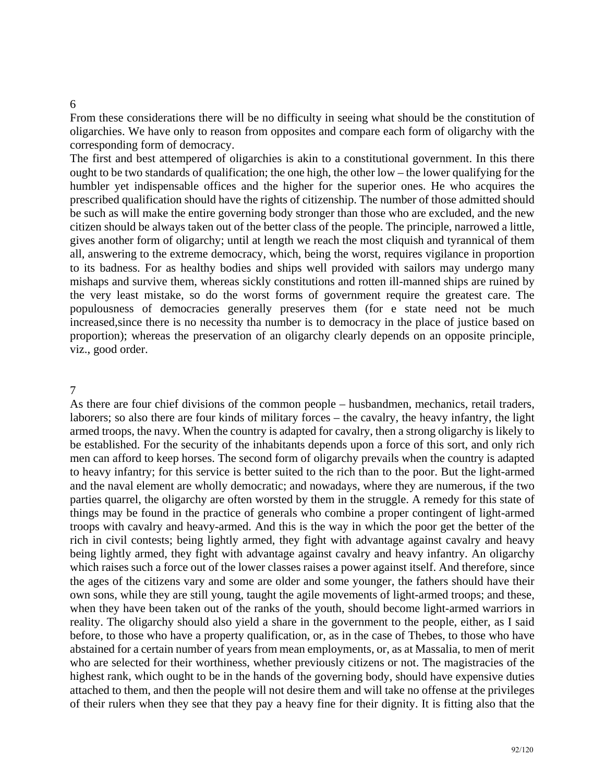#### 6

From these considerations there will be no difficulty in seeing what should be the constitution of oligarchies. We have only to reason from opposites and compare each form of oligarchy with the corresponding form of democracy.

The first and best attempered of oligarchies is akin to a constitutional government. In this there ought to be two standards of qualification; the one high, the other low – the lower qualifying for the humbler yet indispensable offices and the higher for the superior ones. He who acquires the prescribed qualification should have the rights of citizenship. The number of those admitted should be such as will make the entire governing body stronger than those who are excluded, and the new citizen should be always taken out of the better class of the people. The principle, narrowed a little, gives another form of oligarchy; until at length we reach the most cliquish and tyrannical of them all, answering to the extreme democracy, which, being the worst, requires vigilance in proportion to its badness. For as healthy bodies and ships well provided with sailors may undergo many mishaps and survive them, whereas sickly constitutions and rotten ill-manned ships are ruined by the very least mistake, so do the worst forms of government require the greatest care. The populousness of democracies generally preserves them (for e state need not be much increased,since there is no necessity tha number is to democracy in the place of justice based on proportion); whereas the preservation of an oligarchy clearly depends on an opposite principle, viz., good order.

#### 7

As there are four chief divisions of the common people – husbandmen, mechanics, retail traders, laborers; so also there are four kinds of military forces – the cavalry, the heavy infantry, the light armed troops, the navy. When the country is adapted for cavalry, then a strong oligarchy is likely to be established. For the security of the inhabitants depends upon a force of this sort, and only rich highest rank, which ought to be in the hands of the governing body, should have expensive duties men can afford to keep horses. The second form of oligarchy prevails when the country is adapted to heavy infantry; for this service is better suited to the rich than to the poor. But the light-armed and the naval element are wholly democratic; and nowadays, where they are numerous, if the two parties quarrel, the oligarchy are often worsted by them in the struggle. A remedy for this state of things may be found in the practice of generals who combine a proper contingent of light-armed troops with cavalry and heavy-armed. And this is the way in which the poor get the better of the rich in civil contests; being lightly armed, they fight with advantage against cavalry and heavy being lightly armed, they fight with advantage against cavalry and heavy infantry. An oligarchy which raises such a force out of the lower classes raises a power against itself. And therefore, since the ages of the citizens vary and some are older and some younger, the fathers should have their own sons, while they are still young, taught the agile movements of light-armed troops; and these, when they have been taken out of the ranks of the youth, should become light-armed warriors in reality. The oligarchy should also yield a share in the government to the people, either, as I said before, to those who have a property qualification, or, as in the case of Thebes, to those who have abstained for a certain number of years from mean employments, or, as at Massalia, to men of merit who are selected for their worthiness, whether previously citizens or not. The magistracies of the attached to them, and then the people will not desire them and will take no offense at the privileges of their rulers when they see that they pay a heavy fine for their dignity. It is fitting also that the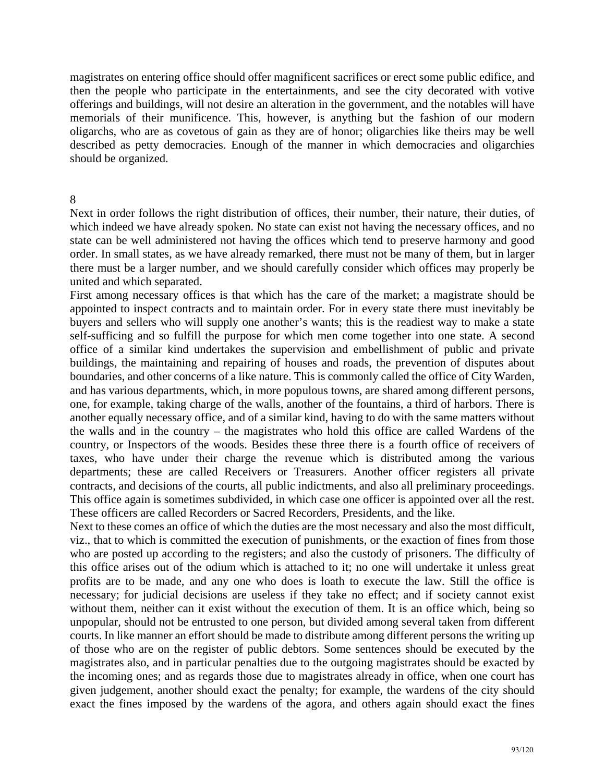magistrates on entering office should offer magnificent sacrifices or erect some public edifice, and then the people who participate in the entertainments, and see the city decorated with votive offerings and buildings, will not desire an alteration in the government, and the notables will have memorials of their munificence. This, however, is anything but the fashion of our modern oligarchs, who are as covetous of gain as they are of honor; oligarchies like theirs may be well described as petty democracies. Enough of the manner in which democracies and oligarchies should be organized.

# 8

Next in order follows the right distribution of offices, their number, their nature, their duties, of which indeed we have already spoken. No state can exist not having the necessary offices, and no state can be well administered not having the offices which tend to preserve harmony and good order. In small states, as we have already remarked, there must not be many of them, but in larger there must be a larger number, and we should carefully consider which offices may properly be united and which separated.

First among necessary offices is that which has the care of the market; a magistrate should be appointed to inspect contracts and to maintain order. For in every state there must inevitably be buyers and sellers who will supply one another's wants; this is the readiest way to make a state self-sufficing and so fulfill the purpose for which men come together into one state. A second office of a similar kind undertakes the supervision and embellishment of public and private buildings, the maintaining and repairing of houses and roads, the prevention of disputes about boundaries, and other concerns of a like nature. This is commonly called the office of City Warden, and has various departments, which, in more populous towns, are shared among different persons, one, for example, taking charge of the walls, another of the fountains, a third of harbors. There is another equally necessary office, and of a similar kind, having to do with the same matters without the walls and in the country – the magistrates who hold this office are called Wardens of the country, or Inspectors of the woods. Besides these three there is a fourth office of receivers of taxes, who have under their charge the revenue which is distributed among the various departments; these are called Receivers or Treasurers. Another officer registers all private contracts, and decisions of the courts, all public indictments, and also all preliminary proceedings. This office again is sometimes subdivided, in which case one officer is appointed over all the rest. These officers are called Recorders or Sacred Recorders, Presidents, and the like.

Next to these comes an office of which the duties are the most necessary and also the most difficult, viz., that to which is committed the execution of punishments, or the exaction of fines from those who are posted up according to the registers; and also the custody of prisoners. The difficulty of this office arises out of the odium which is attached to it; no one will undertake it unless great profits are to be made, and any one who does is loath to execute the law. Still the office is necessary; for judicial decisions are useless if they take no effect; and if society cannot exist without them, neither can it exist without the execution of them. It is an office which, being so unpopular, should not be entrusted to one person, but divided among several taken from different courts. In like manner an effort should be made to distribute among different persons the writing up of those who are on the register of public debtors. Some sentences should be executed by the magistrates also, and in particular penalties due to the outgoing magistrates should be exacted by the incoming ones; and as regards those due to magistrates already in office, when one court has given judgement, another should exact the penalty; for example, the wardens of the city should exact the fines imposed by the wardens of the agora, and others again should exact the fines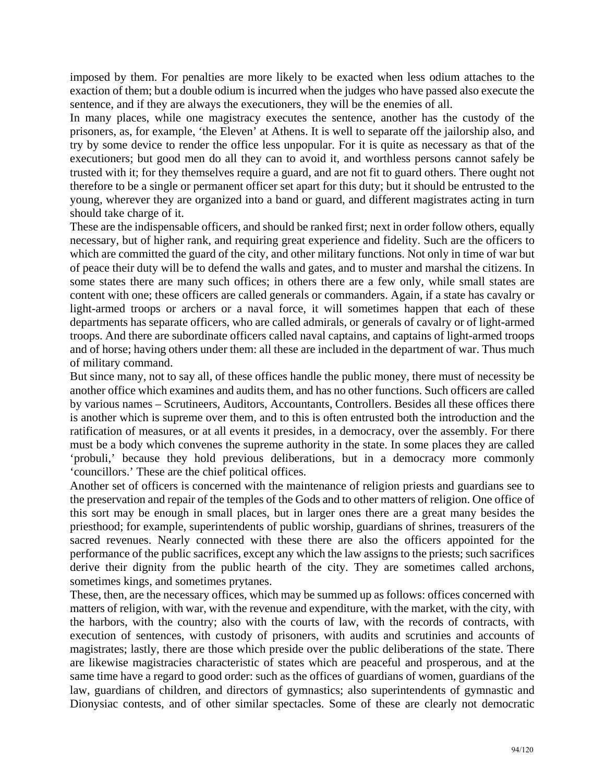imposed by them. For penalties are more likely to be exacted when less odium attaches to the exaction of them; but a double odium is incurred when the judges who have passed also execute the sentence, and if they are always the executioners, they will be the enemies of all.

 many places, while one magistracy executes the sentence, another has the custody of the In prisoners, as, for example, 'the Eleven' at Athens. It is well to separate off the jailorship also, and try by some device to render the office less unpopular. For it is quite as necessary as that of the executioners; but good men do all they can to avoid it, and worthless persons cannot safely be trusted with it; for they themselves require a guard, and are not fit to guard others. There ought not therefore to be a single or permanent officer set apart for this duty; but it should be entrusted to the young, wherever they are organized into a band or guard, and different magistrates acting in turn should take charge of it.

These are the indispensable officers, and should be ranked first; next in order follow others, equally necessary, but of higher rank, and requiring great experience and fidelity. Such are the officers to which are committed the guard of the city, and other military functions. Not only in time of war but of peace their duty will be to defend the walls and gates, and to muster and marshal the citizens. In some states there are many such offices; in others there are a few only, while small states are content with one; these officers are called generals or commanders. Again, if a state has cavalry or light-armed troops or archers or a naval force, it will sometimes happen that each of these departments has separate officers, who are called admirals, or generals of cavalry or of light-armed troops. And there are subordinate officers called naval captains, and captains of light-armed troops and of horse; having others under them: all these are included in the department of war. Thus much of military command.

But since many, not to say all, of these offices handle the public money, there must of necessity be another office which examines and audits them, and has no other functions. Such officers are called by various names – Scrutineers, Auditors, Accountants, Controllers. Besides all these offices there is another which is supreme over them, and to this is often entrusted both the introduction and the ratification of measures, or at all events it presides, in a democracy, over the assembly. For there must be a body which convenes the supreme authority in the state. In some places they are called 'probuli,' because they hold previous deliberations, but in a democracy more commonly 'councillors.' These are the chief political offices.

sacred revenues. Nearly connected with these there are also the officers appointed for the erformance of the public sacrifices, except any which the law assigns to the priests; such sacrifices p derive their dignity from the public hearth of the city. They are sometimes called archons, sometimes kings, and sometimes prytanes. Another set of officers is concerned with the maintenance of religion priests and guardians see to the preservation and repair of the temples of the Gods and to other matters of religion. One office of this sort may be enough in small places, but in larger ones there are a great many besides the priesthood; for example, superintendents of public worship, guardians of shrines, treasurers of the

are likewise magistracies characteristic of states which are peaceful and prosperous, and at the These, then, are the necessary offices, which may be summed up as follows: offices concerned with matters of religion, with war, with the revenue and expenditure, with the market, with the city, with the harbors, with the country; also with the courts of law, with the records of contracts, with execution of sentences, with custody of prisoners, with audits and scrutinies and accounts of magistrates; lastly, there are those which preside over the public deliberations of the state. There same time have a regard to good order: such as the offices of guardians of women, guardians of the law, guardians of children, and directors of gymnastics; also superintendents of gymnastic and Dionysiac contests, and of other similar spectacles. Some of these are clearly not democratic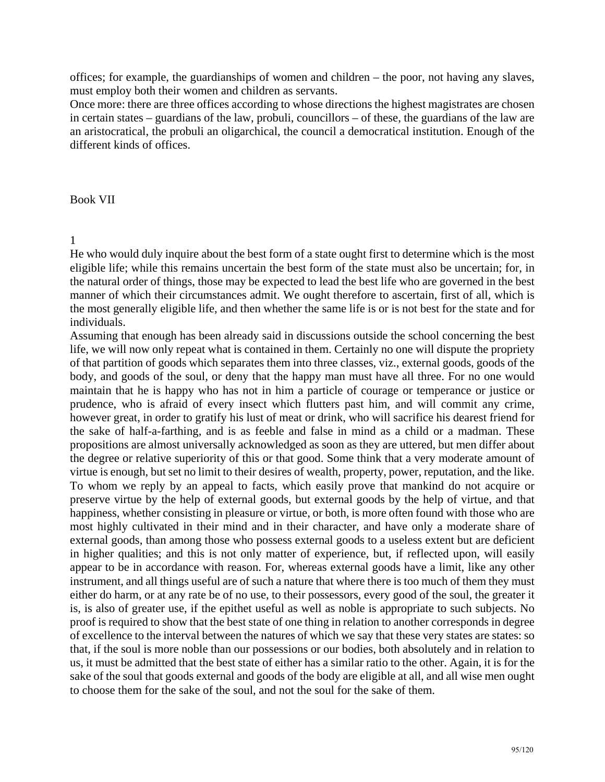offices; for example, the guardianships of women and children – the poor, not having any slaves, must employ both their women and children as servants.

Once more: there are three offices according to whose directions the highest magistrates are chosen in certain states – guardians of the law, probuli, councillors – of these, the guardians of the law are an aristocratical, the probuli an oligarchical, the council a democratical institution. Enough of the different kinds of offices.

Book VII

1

He who would duly inquire about the best form of a state ought first to determine which is the most eligible life; while this remains uncertain the best form of the state must also be uncertain; for, in the natural order of things, those may be expected to lead the best life who are governed in the best manner of which their circumstances admit. We ought therefore to ascertain, first of all, which is the most generally eligible life, and then whether the same life is or is not best for the state and for individuals.

Assuming that enough has been already said in discussions outside the school concerning the best life, we will now only repeat what is contained in them. Certainly no one will dispute the propriety of that partition of goods which separates them into three classes, viz., external goods, goods of the body, and goods of the soul, or deny that the happy man must have all three. For no one would maintain that he is happy who has not in him a particle of courage or temperance or justice or prudence, who is afraid of every insect which flutters past him, and will commit any crime, however great, in order to gratify his lust of meat or drink, who will sacrifice his dearest friend for the sake of half-a-farthing, and is as feeble and false in mind as a child or a madman. These propositions are almost universally acknowledged as soon as they are uttered, but men differ about the degree or relative superiority of this or that good. Some think that a very moderate amount of virtue is enough, but set no limit to their desires of wealth, property, power, reputation, and the like. To whom we reply by an appeal to facts, which easily prove that mankind do not acquire or either do harm, or at any rate be of no use, to their possessors, every good of the soul, the greater it preserve virtue by the help of external goods, but external goods by the help of virtue, and that happiness, whether consisting in pleasure or virtue, or both, is more often found with those who are most highly cultivated in their mind and in their character, and have only a moderate share of external goods, than among those who possess external goods to a useless extent but are deficient in higher qualities; and this is not only matter of experience, but, if reflected upon, will easily appear to be in accordance with reason. For, whereas external goods have a limit, like any other instrument, and all things useful are of such a nature that where there is too much of them they must is, is also of greater use, if the epithet useful as well as noble is appropriate to such subjects. No proof is required to show that the best state of one thing in relation to another corresponds in degree of excellence to the interval between the natures of which we say that these very states are states: so that, if the soul is more noble than our possessions or our bodies, both absolutely and in relation to us, it must be admitted that the best state of either has a similar ratio to the other. Again, it is for the sake of the soul that goods external and goods of the body are eligible at all, and all wise men ought to choose them for the sake of the soul, and not the soul for the sake of them.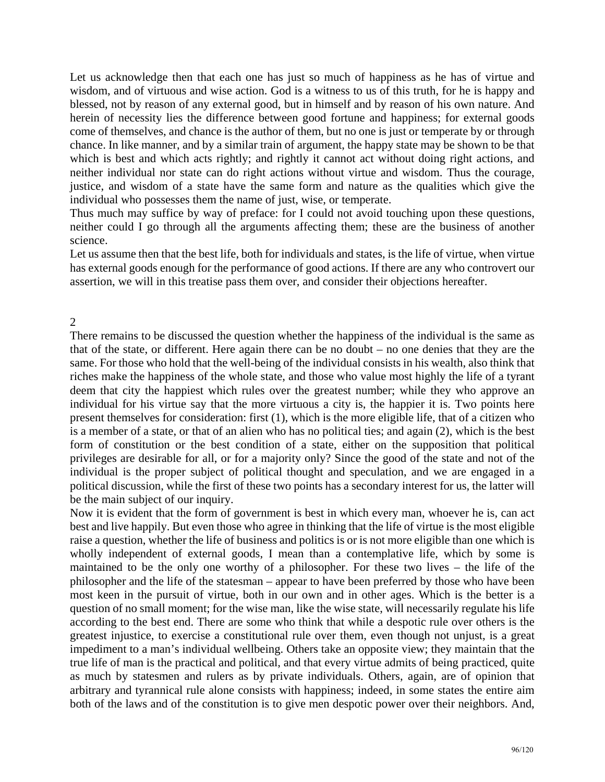Let us acknowledge then that each one has just so much of happiness as he has of virtue and wisdom, and of virtuous and wise action. God is a witness to us of this truth, for he is happy and blessed, not by reason of any external good, but in himself and by reason of his own nature. And herein of necessity lies the difference between good fortune and happiness; for external goods come of themselves, and chance is the author of them, but no one is just or temperate by or through chance. In like manner, and by a similar train of argument, the happy state may be shown to be that which is best and which acts rightly; and rightly it cannot act without doing right actions, and neither individual nor state can do right actions without virtue and wisdom. Thus the courage, justice, and wisdom of a state have the same form and nature as the qualities which give the individual who possesses them the name of just, wise, or temperate.

Thus much may suffice by way of preface: for I could not avoid touching upon these questions, neither could I go through all the arguments affecting them; these are the business of another science.

Let us assume then that the best life, both for individuals and states, is the life of virtue, when virtue has external goods enough for the performance of good actions. If there are any who controvert our assertion, we will in this treatise pass them over, and consider their objections hereafter.

# 2

individual is the proper subject of political thought and speculation, and we are engaged in a There remains to be discussed the question whether the happiness of the individual is the same as that of the state, or different. Here again there can be no doubt – no one denies that they are the same. For those who hold that the well-being of the individual consists in his wealth, also think that riches make the happiness of the whole state, and those who value most highly the life of a tyrant deem that city the happiest which rules over the greatest number; while they who approve an individual for his virtue say that the more virtuous a city is, the happier it is. Two points here present themselves for consideration: first (1), which is the more eligible life, that of a citizen who is a member of a state, or that of an alien who has no political ties; and again (2), which is the best form of constitution or the best condition of a state, either on the supposition that political privileges are desirable for all, or for a majority only? Since the good of the state and not of the political discussion, while the first of these two points has a secondary interest for us, the latter will be the main subject of our inquiry.

best and live happily. But even those who agree in thinking that the life of virtue is the most eligible raise a question, whether the life of business and politics is or is not more eligible than one which is wholly independent of external goods, I mean than a contemplative life, which by some is maintained to be the only one worthy of a philosopher. For these two lives – the life of the philosopher and the life of the statesman – appear to have been preferred by those who have been most keen in the pursuit of virtue, both in our own and in other ages. Which is the better is a question of no small moment; for the wise man, like the wise state, will necessarily regulate his life according to the best end. There are some who think that while a despotic rule over others is the both of the laws and of the constitution is to give men despotic power over their neighbors. And, Now it is evident that the form of government is best in which every man, whoever he is, can act greatest injustice, to exercise a constitutional rule over them, even though not unjust, is a great impediment to a man's individual wellbeing. Others take an opposite view; they maintain that the true life of man is the practical and political, and that every virtue admits of being practiced, quite as much by statesmen and rulers as by private individuals. Others, again, are of opinion that arbitrary and tyrannical rule alone consists with happiness; indeed, in some states the entire aim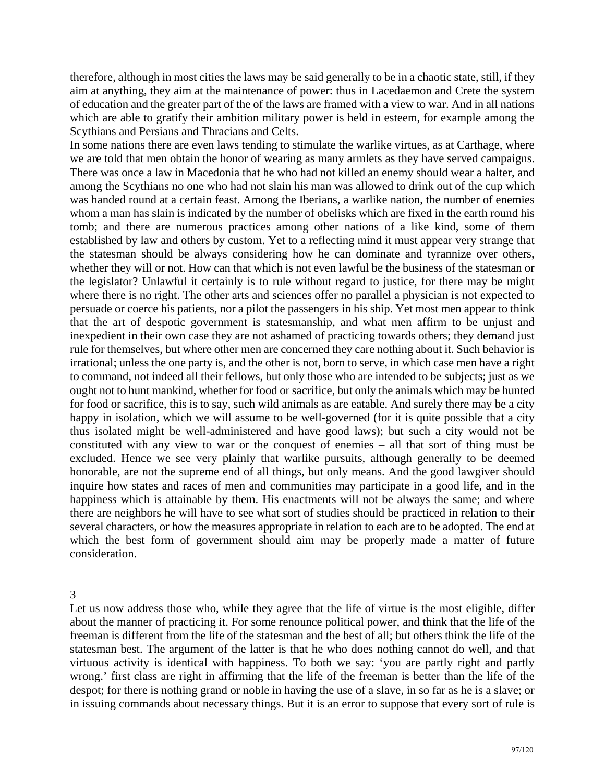therefore, although in most cities the laws may be said generally to be in a chaotic state, still, if they aim at anything, they aim at the maintenance of power: thus in Lacedaemon and Crete the system of education and the greater part of the of the laws are framed with a view to war. And in all nations which are able to gratify their ambition military power is held in esteem, for example among the Scythians and Persians and Thracians and Celts.

In some nations there are even laws tending to stimulate the warlike virtues, as at Carthage, where we are told that men obtain the honor of wearing as many armlets as they have served campaigns. There was once a law in Macedonia that he who had not killed an enemy should wear a halter, and among the Scythians no one who had not slain his man was allowed to drink out of the cup which was handed round at a certain feast. Among the Iberians, a warlike nation, the number of enemies whom a man has slain is indicated by the number of obelisks which are fixed in the earth round his tomb; and there are numerous practices among other nations of a like kind, some of them established by law and others by custom. Yet to a reflecting mind it must appear very strange that the statesman should be always considering how he can dominate and tyrannize over others, whether they will or not. How can that which is not even lawful be the business of the statesman or the legislator? Unlawful it certainly is to rule without regard to justice, for there may be might where there is no right. The other arts and sciences offer no parallel a physician is not expected to persuade or coerce his patients, nor a pilot the passengers in his ship. Yet most men appear to think that the art of despotic government is statesmanship, and what men affirm to be unjust and inexpedient in their own case they are not ashamed of practicing towards others; they demand just rule for themselves, but where other men are concerned they care nothing about it. Such behavior is irrational; unless the one party is, and the other is not, born to serve, in which case men have a right to command, not indeed all their fellows, but only those who are intended to be subjects; just as we ought not to hunt mankind, whether for food or sacrifice, but only the animals which may be hunted for food or sacrifice, this is to say, such wild animals as are eatable. And surely there may be a city happy in isolation, which we will assume to be well-governed (for it is quite possible that a city thus isolated might be well-administered and have good laws); but such a city would not be constituted with any view to war or the conquest of enemies – all that sort of thing must be excluded. Hence we see very plainly that warlike pursuits, although generally to be deemed honorable, are not the supreme end of all things, but only means. And the good lawgiver should inquire how states and races of men and communities may participate in a good life, and in the happiness which is attainable by them. His enactments will not be always the same; and where there are neighbors he will have to see what sort of studies should be practiced in relation to their several characters, or how the measures appropriate in relation to each are to be adopted. The end at which the best form of government should aim may be properly made a matter of future consideration.

# 3

about the manner of practicing it. For some renounce political power, and think that the life of the wrong.' first class are right in affirming that the life of the freeman is better than the life of the despot; for there is nothing grand or noble in having the use of a slave, in so far as he is a slave; or in issuing commands about necessary things. But it is an error to suppose that every sort of rule is Let us now address those who, while they agree that the life of virtue is the most eligible, differ freeman is different from the life of the statesman and the best of all; but others think the life of the statesman best. The argument of the latter is that he who does nothing cannot do well, and that virtuous activity is identical with happiness. To both we say: 'you are partly right and partly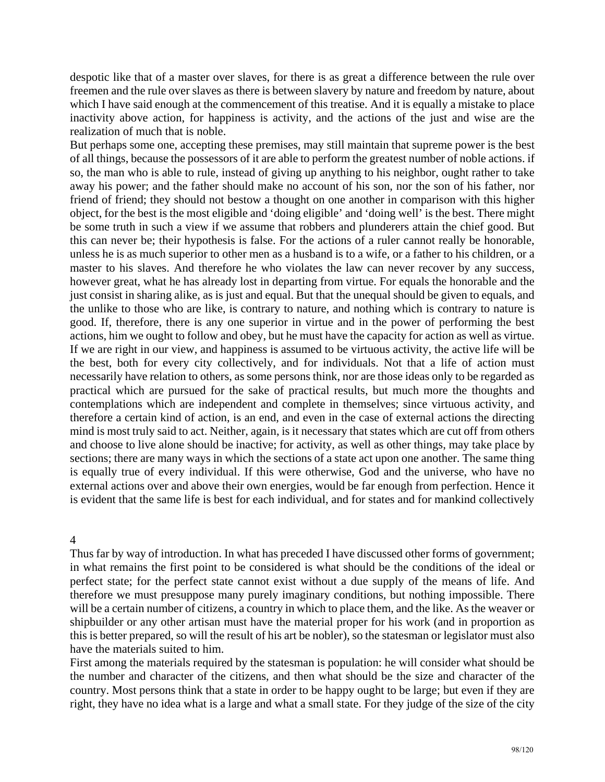despotic like that of a master over slaves, for there is as great a difference between the rule over freemen and the rule over slaves as there is between slavery by nature and freedom by nature, about which I have said enough at the commencement of this treatise. And it is equally a mistake to place inactivity above action, for happiness is activity, and the actions of the just and wise are the realization of much that is noble.

unless he is as much superior to other men as a husband is to a wife, or a father to his children, or a But perhaps some one, accepting these premises, may still maintain that supreme power is the best of all things, because the possessors of it are able to perform the greatest number of noble actions. if so, the man who is able to rule, instead of giving up anything to his neighbor, ought rather to take away his power; and the father should make no account of his son, nor the son of his father, nor friend of friend; they should not bestow a thought on one another in comparison with this higher object, for the best is the most eligible and 'doing eligible' and 'doing well' is the best. There might be some truth in such a view if we assume that robbers and plunderers attain the chief good. But this can never be; their hypothesis is false. For the actions of a ruler cannot really be honorable, master to his slaves. And therefore he who violates the law can never recover by any success, however great, what he has already lost in departing from virtue. For equals the honorable and the just consist in sharing alike, as is just and equal. But that the unequal should be given to equals, and the unlike to those who are like, is contrary to nature, and nothing which is contrary to nature is good. If, therefore, there is any one superior in virtue and in the power of performing the best actions, him we ought to follow and obey, but he must have the capacity for action as well as virtue. If we are right in our view, and happiness is assumed to be virtuous activity, the active life will be the best, both for every city collectively, and for individuals. Not that a life of action must necessarily have relation to others, as some persons think, nor are those ideas only to be regarded as practical which are pursued for the sake of practical results, but much more the thoughts and contemplations which are independent and complete in themselves; since virtuous activity, and therefore a certain kind of action, is an end, and even in the case of external actions the directing mind is most truly said to act. Neither, again, is it necessary that states which are cut off from others and choose to live alone should be inactive; for activity, as well as other things, may take place by sections; there are many ways in which the sections of a state act upon one another. The same thing is equally true of every individual. If this were otherwise, God and the universe, who have no external actions over and above their own energies, would be far enough from perfection. Hence it is evident that the same life is best for each individual, and for states and for mankind collectively

4

Thus far by way of introduction. In what has preceded I have discussed other forms of government; in what remains the first point to be considered is what should be the conditions of the ideal or perfect state; for the perfect state cannot exist without a due supply of the means of life. And therefore we must presuppose many purely imaginary conditions, but nothing impossible. There will be a certain number of citizens, a country in which to place them, and the like. As the weaver or shipbuilder or any other artisan must have the material proper for his work (and in proportion as this is better prepared, so will the result of his art be nobler), so the statesman or legislator must also have the materials suited to him.

First among the materials required by the statesman is population: he will consider what should be the number and character of the citizens, and then what should be the size and character of the country. Most persons think that a state in order to be happy ought to be large; but even if they are right, they have no idea what is a large and what a small state. For they judge of the size of the city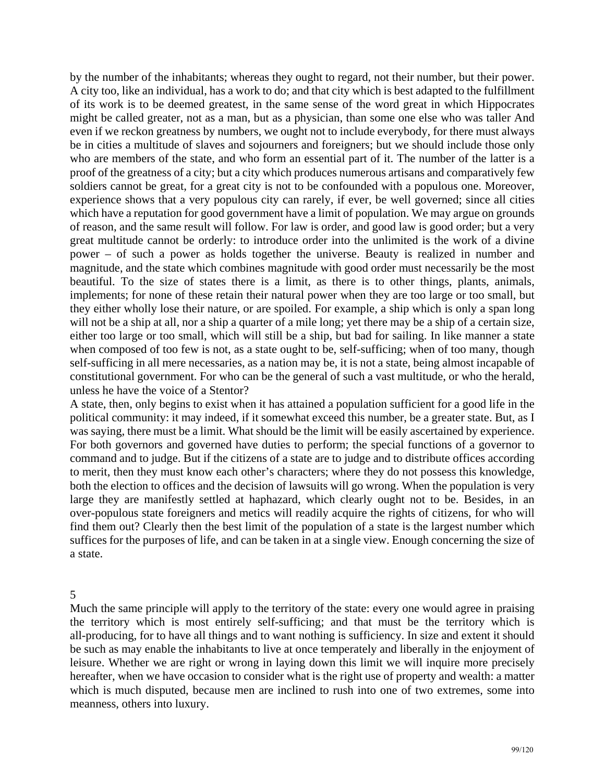by the number of the inhabitants; whereas they ought to regard, not their number, but their power. A city too, like an individual, has a work to do; and that city which is best adapted to the fulfillment of its work is to be deemed greatest, in the same sense of the word great in which Hippocrates might be called greater, not as a man, but as a physician, than some one else who was taller And even if we reckon greatness by numbers, we ought not to include everybody, for there must always be in cities a multitude of slaves and sojourners and foreigners; but we should include those only who are members of the state, and who form an essential part of it. The number of the latter is a proof of the greatness of a city; but a city which produces numerous artisans and comparatively few soldiers cannot be great, for a great city is not to be confounded with a populous one. Moreover, experience shows that a very populous city can rarely, if ever, be well governed; since all cities which have a reputation for good government have a limit of population. We may argue on grounds of reason, and the same result will follow. For law is order, and good law is good order; but a very great multitude cannot be orderly: to introduce order into the unlimited is the work of a divine power – of such a power as holds together the universe. Beauty is realized in number and magnitude, and the state which combines magnitude with good order must necessarily be the most beautiful. To the size of states there is a limit, as there is to other things, plants, animals, implements; for none of these retain their natural power when they are too large or too small, but they either wholly lose their nature, or are spoiled. For example, a ship which is only a span long will not be a ship at all, nor a ship a quarter of a mile long; yet there may be a ship of a certain size, either too large or too small, which will still be a ship, but bad for sailing. In like manner a state when composed of too few is not, as a state ought to be, self-sufficing; when of too many, though self-sufficing in all mere necessaries, as a nation may be, it is not a state, being almost incapable of constitutional government. For who can be the general of such a vast multitude, or who the herald, unless he have the voice of a Stentor?

find them out? Clearly then the best limit of the population of a state is the largest number which A state, then, only begins to exist when it has attained a population sufficient for a good life in the political community: it may indeed, if it somewhat exceed this number, be a greater state. But, as I was saying, there must be a limit. What should be the limit will be easily ascertained by experience. For both governors and governed have duties to perform; the special functions of a governor to command and to judge. But if the citizens of a state are to judge and to distribute offices according to merit, then they must know each other's characters; where they do not possess this knowledge, both the election to offices and the decision of lawsuits will go wrong. When the population is very large they are manifestly settled at haphazard, which clearly ought not to be. Besides, in an over-populous state foreigners and metics will readily acquire the rights of citizens, for who will suffices for the purposes of life, and can be taken in at a single view. Enough concerning the size of a state.

# 5

Much the same principle will apply to the territory of the state: every one would agree in praising the territory which is most entirely self-sufficing; and that must be the territory which is all-producing, for to have all things and to want nothing is sufficiency. In size and extent it should be such as may enable the inhabitants to live at once temperately and liberally in the enjoyment of leisure. Whether we are right or wrong in laying down this limit we will inquire more precisely hereafter, when we have occasion to consider what is the right use of property and wealth: a matter which is much disputed, because men are inclined to rush into one of two extremes, some into meanness, others into luxury.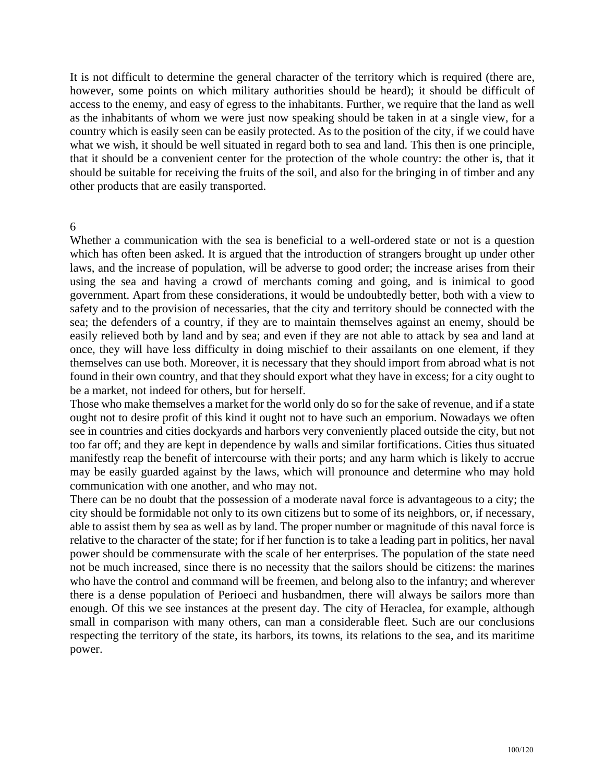It is not difficult to determine the general character of the territory which is required (there are, however, some points on which military authorities should be heard); it should be difficult of access to the enemy, and easy of egress to the inhabitants. Further, we require that the land as well as the inhabitants of whom we were just now speaking should be taken in at a single view, for a country which is easily seen can be easily protected. As to the position of the city, if we could have what we wish, it should be well situated in regard both to sea and land. This then is one principle, that it should be a convenient center for the protection of the whole country: the other is, that it should be suitable for receiving the fruits of the soil, and also for the bringing in of timber and any other products that are easily transported.

## 6

using the sea and having a crowd of merchants coming and going, and is inimical to good government. Apart from these considerations, it would be undoubtedly better, both with a view to safety and to the provision of necessaries, that the city and territory should be connected with the sea; the defenders of a country, if they are to maintain themselves against an enemy, should be Whether a communication with the sea is beneficial to a well-ordered state or not is a question which has often been asked. It is argued that the introduction of strangers brought up under other laws, and the increase of population, will be adverse to good order; the increase arises from their easily relieved both by land and by sea; and even if they are not able to attack by sea and land at once, they will have less difficulty in doing mischief to their assailants on one element, if they themselves can use both. Moreover, it is necessary that they should import from abroad what is not found in their own country, and that they should export what they have in excess; for a city ought to be a market, not indeed for others, but for herself.

see in countries and cities dockyards and harbors very conveniently placed outside the city, but not Those who make themselves a market for the world only do so for the sake of revenue, and if a state ought not to desire profit of this kind it ought not to have such an emporium. Nowadays we often too far off; and they are kept in dependence by walls and similar fortifications. Cities thus situated manifestly reap the benefit of intercourse with their ports; and any harm which is likely to accrue may be easily guarded against by the laws, which will pronounce and determine who may hold communication with one another, and who may not.

There can be no doubt that the possession of a moderate naval force is advantageous to a city; the city should be formidable not only to its own citizens but to some of its neighbors, or, if necessary, able to assist them by sea as well as by land. The proper number or magnitude of this naval force is relative to the character of the state; for if her function is to take a leading part in politics, her naval power should be commensurate with the scale of her enterprises. The population of the state need not be much increased, since there is no necessity that the sailors should be citizens: the marines who have the control and command will be freemen, and belong also to the infantry; and wherever there is a dense population of Perioeci and husbandmen, there will always be sailors more than enough. Of this we see instances at the present day. The city of Heraclea, for example, although small in comparison with many others, can man a considerable fleet. Such are our conclusions respecting the territory of the state, its harbors, its towns, its relations to the sea, and its maritime power.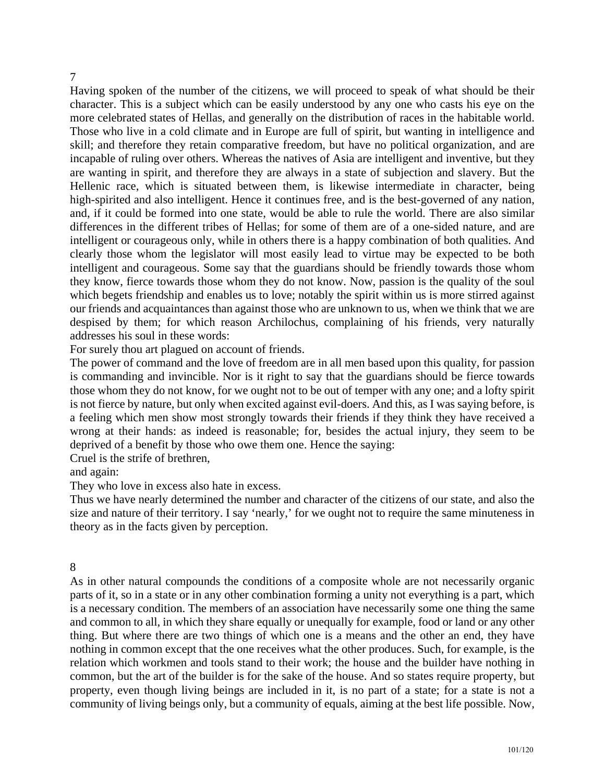# 7

Having spoken of the number of the citizens, we will proceed to speak of what should be their character. This is a subject which can be easily understood by any one who casts his eye on the more celebrated states of Hellas, and generally on the distribution of races in the habitable world. Those who live in a cold climate and in Europe are full of spirit, but wanting in intelligence and skill; and therefore they retain comparative freedom, but have no political organization, and are incapable of ruling over others. Whereas the natives of Asia are intelligent and inventive, but they are wanting in spirit, and therefore they are always in a state of subjection and slavery. But the Hellenic race, which is situated between them, is likewise intermediate in character, being high-spirited and also intelligent. Hence it continues free, and is the best-governed of any nation, and, if it could be formed into one state, would be able to rule the world. There are also similar differences in the different tribes of Hellas; for some of them are of a one-sided nature, and are intelligent or courageous only, while in others there is a happy combination of both qualities. And clearly those whom the legislator will most easily lead to virtue may be expected to be both intelligent and courageous. Some say that the guardians should be friendly towards those whom they know, fierce towards those whom they do not know. Now, passion is the quality of the soul which begets friendship and enables us to love; notably the spirit within us is more stirred against our friends and acquaintances than against those who are unknown to us, when we think that we are despised by them; for which reason Archilochus, complaining of his friends, very naturally addresses his soul in these words:

For surely thou art plagued on account of friends.

The power of command and the love of freedom are in all men based upon this quality, for passion is commanding and invincible. Nor is it right to say that the guardians should be fierce towards those whom they do not know, for we ought not to be out of temper with any one; and a lofty spirit is not fierce by nature, but only when excited against evil-doers. And this, as I was saying before, is a feeling which men show most strongly towards their friends if they think they have received a wrong at their hands: as indeed is reasonable; for, besides the actual injury, they seem to be deprived of a benefit by those who owe them one. Hence the saying:

Cruel is the strife of brethren,

and again:

They who love in excess also hate in excess.

Thus we have nearly determined the number and character of the citizens of our state, and also the size and nature of their territory. I say 'nearly,' for we ought not to require the same minuteness in theory as in the facts given by perception.

#### 8

is a necessary condition. The members of an association have necessarily some one thing the same and common to all, in which they share equally or unequally for example, food or land or any other thing. But where there are two things of which one is a means and the other an end, they have nothing in common except that the one receives what the other produces. Such, for example, is the As in other natural compounds the conditions of a composite whole are not necessarily organic parts of it, so in a state or in any other combination forming a unity not everything is a part, which relation which workmen and tools stand to their work; the house and the builder have nothing in common, but the art of the builder is for the sake of the house. And so states require property, but property, even though living beings are included in it, is no part of a state; for a state is not a community of living beings only, but a community of equals, aiming at the best life possible. Now,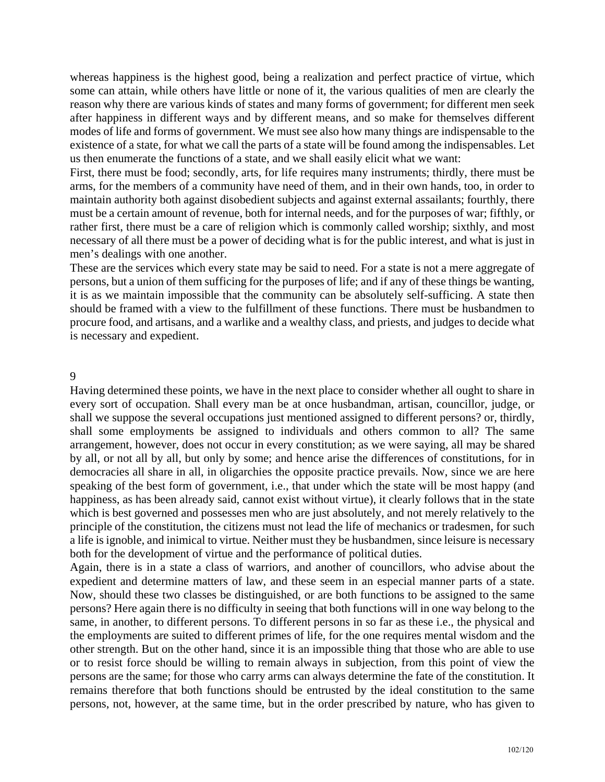whereas happiness is the highest good, being a realization and perfect practice of virtue, which some can attain, while others have little or none of it, the various qualities of men are clearly the reason why there are various kinds of states and many forms of government; for different men seek after happiness in different ways and by different means, and so make for themselves different modes of life and forms of government. We must see also how many things are indispensable to the existence of a state, for what we call the parts of a state will be found among the indispensables. Let us then enumerate the functions of a state, and we shall easily elicit what we want:

First, there must be food; secondly, arts, for life requires many instruments; thirdly, there must be arms, for the members of a community have need of them, and in their own hands, too, in order to maintain authority both against disobedient subjects and against external assailants; fourthly, there must be a certain amount of revenue, both for internal needs, and for the purposes of war; fifthly, or rather first, there must be a care of religion which is commonly called worship; sixthly, and most necessary of all there must be a power of deciding what is for the public interest, and what is just in men's dealings with one another.

These are the services which every state may be said to need. For a state is not a mere aggregate of persons, but a union of them sufficing for the purposes of life; and if any of these things be wanting, it is as we maintain impossible that the community can be absolutely self-sufficing. A state then should be framed with a view to the fulfillment of these functions. There must be husbandmen to procure food, and artisans, and a warlike and a wealthy class, and priests, and judges to decide what is necessary and expedient.

#### 9

shall some employments be assigned to individuals and others common to all? The same arrangement, however, does not occur in every constitution; as we were saying, all may be shared by all, or not all by all, but only by some; and hence arise the differences of constitutions, for in democracies all share in all, in oligarchies the opposite practice prevails. Now, since we are here Having determined these points, we have in the next place to consider whether all ought to share in every sort of occupation. Shall every man be at once husbandman, artisan, councillor, judge, or shall we suppose the several occupations just mentioned assigned to different persons? or, thirdly, speaking of the best form of government, i.e., that under which the state will be most happy (and happiness, as has been already said, cannot exist without virtue), it clearly follows that in the state which is best governed and possesses men who are just absolutely, and not merely relatively to the principle of the constitution, the citizens must not lead the life of mechanics or tradesmen, for such a life is ignoble, and inimical to virtue. Neither must they be husbandmen, since leisure is necessary both for the development of virtue and the performance of political duties.

Again, there is in a state a class of warriors, and another of councillors, who advise about the expedient and determine matters of law, and these seem in an especial manner parts of a state. Now, should these two classes be distinguished, or are both functions to be assigned to the same persons? Here again there is no difficulty in seeing that both functions will in one way belong to the same, in another, to different persons. To different persons in so far as these i.e., the physical and the employments are suited to different primes of life, for the one requires mental wisdom and the other strength. But on the other hand, since it is an impossible thing that those who are able to use or to resist force should be willing to remain always in subjection, from this point of view the persons are the same; for those who carry arms can always determine the fate of the constitution. It remains therefore that both functions should be entrusted by the ideal constitution to the same persons, not, however, at the same time, but in the order prescribed by nature, who has given to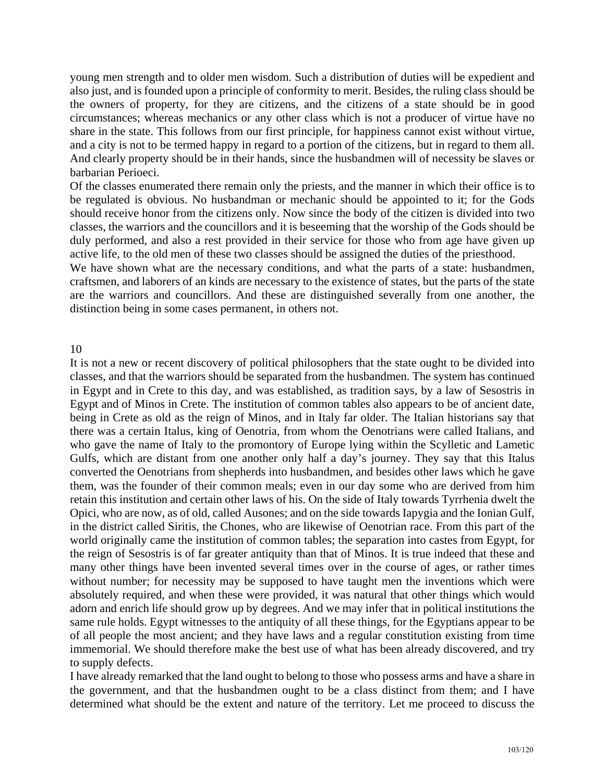young men strength and to older men wisdom. Such a distribution of duties will be expedient and also just, and is founded upon a principle of conformity to merit. Besides, the ruling class should be the owners of property, for they are citizens, and the citizens of a state should be in good circumstances; whereas mechanics or any other class which is not a producer of virtue have no share in the state. This follows from our first principle, for happiness cannot exist without virtue, and a city is not to be termed happy in regard to a portion of the citizens, but in regard to them all. And clearly property should be in their hands, since the husbandmen will of necessity be slaves or barbarian Perioeci.

be regulated is obvious. No husbandman or mechanic should be appointed to it; for the Gods should receive honor from the citizens only. Now since the body of the citizen is divided into two classes, the warriors and the councillors and it is beseeming that the worship of the Gods should be duly performed, and also a rest provided in their service for those who from age have given up Of the classes enumerated there remain only the priests, and the manner in which their office is to active life, to the old men of these two classes should be assigned the duties of the priesthood.

craftsmen, and laborers of an kinds are necessary to the existence of states, but the parts of the state are the warriors and councillors. And these are distinguished severally from one another, the distinction being in some cases permanent, in others not. We have shown what are the necessary conditions, and what the parts of a state: husbandmen,

10

many other things have been invented several times over in the course of ages, or rather times It is not a new or recent discovery of political philosophers that the state ought to be divided into classes, and that the warriors should be separated from the husbandmen. The system has continued in Egypt and in Crete to this day, and was established, as tradition says, by a law of Sesostris in Egypt and of Minos in Crete. The institution of common tables also appears to be of ancient date, being in Crete as old as the reign of Minos, and in Italy far older. The Italian historians say that there was a certain Italus, king of Oenotria, from whom the Oenotrians were called Italians, and who gave the name of Italy to the promontory of Europe lying within the Scylletic and Lametic Gulfs, which are distant from one another only half a day's journey. They say that this Italus converted the Oenotrians from shepherds into husbandmen, and besides other laws which he gave them, was the founder of their common meals; even in our day some who are derived from him retain this institution and certain other laws of his. On the side of Italy towards Tyrrhenia dwelt the Opici, who are now, as of old, called Ausones; and on the side towards Iapygia and the Ionian Gulf, in the district called Siritis, the Chones, who are likewise of Oenotrian race. From this part of the world originally came the institution of common tables; the separation into castes from Egypt, for the reign of Sesostris is of far greater antiquity than that of Minos. It is true indeed that these and without number; for necessity may be supposed to have taught men the inventions which were absolutely required, and when these were provided, it was natural that other things which would adorn and enrich life should grow up by degrees. And we may infer that in political institutions the same rule holds. Egypt witnesses to the antiquity of all these things, for the Egyptians appear to be of all people the most ancient; and they have laws and a regular constitution existing from time immemorial. We should therefore make the best use of what has been already discovered, and try to supply defects.

I have already remarked that the land ought to belong to those who possess arms and have a share in the government, and that the husbandmen ought to be a class distinct from them; and I have determined what should be the extent and nature of the territory. Let me proceed to discuss the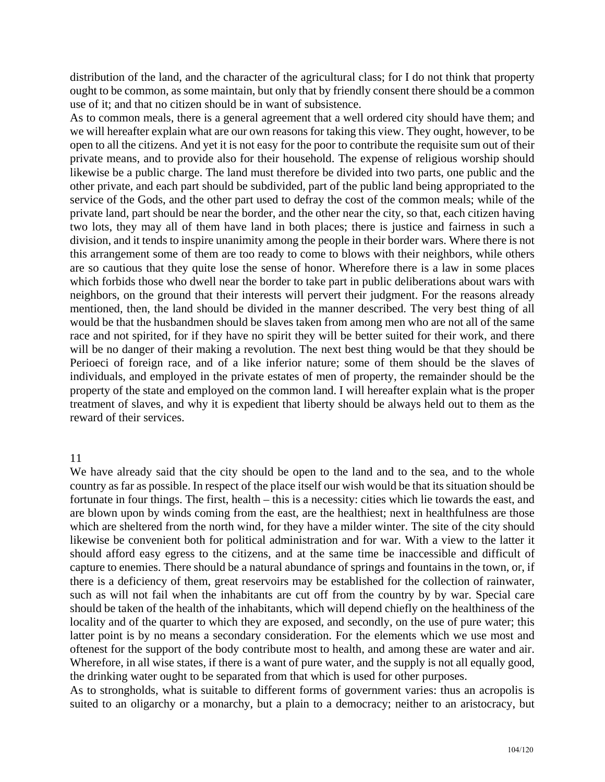distribution of the land, and the character of the agricultural class; for I do not think that property ought to be common, as some maintain, but only that by friendly consent there should be a common use of it; and that no citizen should be in want of subsistence.

As to common meals, there is a general agreement that a well ordered city should have them; and we will hereafter explain what are our own reasons for taking this view. They ought, however, to be open to all the citizens. And yet it is not easy for the poor to contribute the requisite sum out of their would be that the husbandmen should be slaves taken from among men who are not all of the same private means, and to provide also for their household. The expense of religious worship should likewise be a public charge. The land must therefore be divided into two parts, one public and the other private, and each part should be subdivided, part of the public land being appropriated to the service of the Gods, and the other part used to defray the cost of the common meals; while of the private land, part should be near the border, and the other near the city, so that, each citizen having two lots, they may all of them have land in both places; there is justice and fairness in such a division, and it tends to inspire unanimity among the people in their border wars. Where there is not this arrangement some of them are too ready to come to blows with their neighbors, while others are so cautious that they quite lose the sense of honor. Wherefore there is a law in some places which forbids those who dwell near the border to take part in public deliberations about wars with neighbors, on the ground that their interests will pervert their judgment. For the reasons already mentioned, then, the land should be divided in the manner described. The very best thing of all race and not spirited, for if they have no spirit they will be better suited for their work, and there will be no danger of their making a revolution. The next best thing would be that they should be Perioeci of foreign race, and of a like inferior nature; some of them should be the slaves of individuals, and employed in the private estates of men of property, the remainder should be the property of the state and employed on the common land. I will hereafter explain what is the proper treatment of slaves, and why it is expedient that liberty should be always held out to them as the reward of their services.

# 11

there is a deficiency of them, great reservoirs may be established for the collection of rainwater, Wherefore, in all wise states, if there is a want of pure water, and the supply is not all equally good, We have already said that the city should be open to the land and to the sea, and to the whole country as far as possible. In respect of the place itself our wish would be that its situation should be fortunate in four things. The first, health – this is a necessity: cities which lie towards the east, and are blown upon by winds coming from the east, are the healthiest; next in healthfulness are those which are sheltered from the north wind, for they have a milder winter. The site of the city should likewise be convenient both for political administration and for war. With a view to the latter it should afford easy egress to the citizens, and at the same time be inaccessible and difficult of capture to enemies. There should be a natural abundance of springs and fountains in the town, or, if such as will not fail when the inhabitants are cut off from the country by by war. Special care should be taken of the health of the inhabitants, which will depend chiefly on the healthiness of the locality and of the quarter to which they are exposed, and secondly, on the use of pure water; this latter point is by no means a secondary consideration. For the elements which we use most and oftenest for the support of the body contribute most to health, and among these are water and air. the drinking water ought to be separated from that which is used for other purposes.

suited to an oligarchy or a monarchy, but a plain to a democracy; neither to an aristocracy, but As to strongholds, what is suitable to different forms of government varies: thus an acropolis is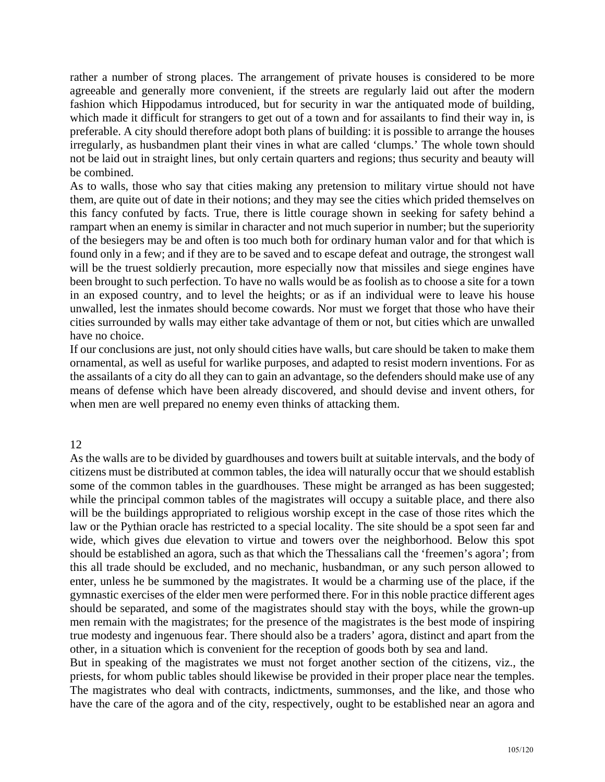rather a number of strong places. The arrangement of private houses is considered to be more agreeable and generally more convenient, if the streets are regularly laid out after the modern fashion which Hippodamus introduced, but for security in war the antiquated mode of building, which made it difficult for strangers to get out of a town and for assailants to find their way in, is preferable. A city should therefore adopt both plans of building: it is possible to arrange the houses irregularly, as husbandmen plant their vines in what are called 'clumps.' The whole town should not be laid out in straight lines, but only certain quarters and regions; thus security and beauty will be combined.

As to walls, those who say that cities making any pretension to military virtue should not have them, are quite out of date in their notions; and they may see the cities which prided themselves on this fancy confuted by facts. True, there is little courage shown in seeking for safety behind a rampart when an enemy is similar in character and not much superior in number; but the superiority of the besiegers may be and often is too much both for ordinary human valor and for that which is found only in a few; and if they are to be saved and to escape defeat and outrage, the strongest wall will be the truest soldierly precaution, more especially now that missiles and siege engines have been brought to such perfection. To have no walls would be as foolish as to choose a site for a town in an exposed country, and to level the heights; or as if an individual were to leave his house unwalled, lest the inmates should become cowards. Nor must we forget that those who have their cities surrounded by walls may either take advantage of them or not, but cities which are unwalled have no choice.

If our conclusions are just, not only should cities have walls, but care should be taken to make them ornamental, as well as useful for warlike purposes, and adapted to resist modern inventions. For as the assailants of a city do all they can to gain an advantage, so the defenders should make use of any means of defense which have been already discovered, and should devise and invent others, for when men are well prepared no enemy even thinks of attacking them.

# 12

law or the Pythian oracle has restricted to a special locality. The site should be a spot seen far and As the walls are to be divided by guardhouses and towers built at suitable intervals, and the body of citizens must be distributed at common tables, the idea will naturally occur that we should establish some of the common tables in the guardhouses. These might be arranged as has been suggested; while the principal common tables of the magistrates will occupy a suitable place, and there also will be the buildings appropriated to religious worship except in the case of those rites which the wide, which gives due elevation to virtue and towers over the neighborhood. Below this spot should be established an agora, such as that which the Thessalians call the 'freemen's agora'; from this all trade should be excluded, and no mechanic, husbandman, or any such person allowed to enter, unless he be summoned by the magistrates. It would be a charming use of the place, if the gymnastic exercises of the elder men were performed there. For in this noble practice different ages should be separated, and some of the magistrates should stay with the boys, while the grown-up men remain with the magistrates; for the presence of the magistrates is the best mode of inspiring true modesty and ingenuous fear. There should also be a traders' agora, distinct and apart from the other, in a situation which is convenient for the reception of goods both by sea and land.

But in speaking of the magistrates we must not forget another section of the citizens, viz., the priests, for whom public tables should likewise be provided in their proper place near the temples. The magistrates who deal with contracts, indictments, summonses, and the like, and those who have the care of the agora and of the city, respectively, ought to be established near an agora and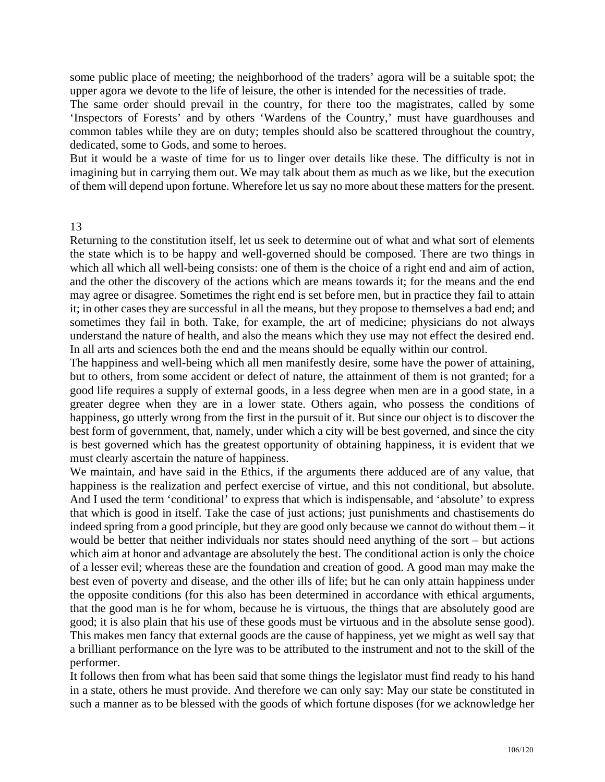some public place of meeting; the neighborhood of the traders' agora will be a suitable spot; the upper agora we devote to the life of leisure, the other is intended for the necessities of trade.

The same order should prevail in the country, for there too the magistrates, called by some 'Inspectors of Forests' and by others 'Wardens of the Country,' must have guardhouses and common tables while they are on duty; temples should also be scattered throughout the country, dedicated, some to Gods, and some to heroes.

But it would be a waste of time for us to linger over details like these. The difficulty is not in imagining but in carrying them out. We may talk about them as much as we like, but the execution of them will depend upon fortune. Wherefore let us say no more about these matters for the present.

## 13

Returning to the constitution itself, let us seek to determine out of what and what sort of elements the state which is to be happy and well-governed should be composed. There are two things in which all which all well-being consists: one of them is the choice of a right end and aim of action, and the other the discovery of the actions which are means towards it; for the means and the end may agree or disagree. Sometimes the right end is set before men, but in practice they fail to attain it; in other cases they are successful in all the means, but they propose to themselves a bad end; and sometimes they fail in both. Take, for example, the art of medicine; physicians do not always understand the nature of health, and also the means which they use may not effect the desired end. In all arts and sciences both the end and the means should be equally within our control.

The happiness and well-being which all men manifestly desire, some have the power of attaining, but to others, from some accident or defect of nature, the attainment of them is not granted; for a good life requires a supply of external goods, in a less degree when men are in a good state, in a greater degree when they are in a lower state. Others again, who possess the conditions of happiness, go utterly wrong from the first in the pursuit of it. But since our object is to discover the best form of government, that, namely, under which a city will be best governed, and since the city is best governed which has the greatest opportunity of obtaining happiness, it is evident that we must clearly ascertain the nature of happiness.

We maintain, and have said in the Ethics, if the arguments there adduced are of any value, that that the good man is he for whom, because he is virtuous, the things that are absolutely good are happiness is the realization and perfect exercise of virtue, and this not conditional, but absolute. And I used the term 'conditional' to express that which is indispensable, and 'absolute' to express that which is good in itself. Take the case of just actions; just punishments and chastisements do indeed spring from a good principle, but they are good only because we cannot do without them – it would be better that neither individuals nor states should need anything of the sort – but actions which aim at honor and advantage are absolutely the best. The conditional action is only the choice of a lesser evil; whereas these are the foundation and creation of good. A good man may make the best even of poverty and disease, and the other ills of life; but he can only attain happiness under the opposite conditions (for this also has been determined in accordance with ethical arguments, good; it is also plain that his use of these goods must be virtuous and in the absolute sense good). This makes men fancy that external goods are the cause of happiness, yet we might as well say that a brilliant performance on the lyre was to be attributed to the instrument and not to the skill of the performer.

It follows then from what has been said that some things the legislator must find ready to his hand in a state, others he must provide. And therefore we can only say: May our state be constituted in such a manner as to be blessed with the goods of which fortune disposes (for we acknowledge her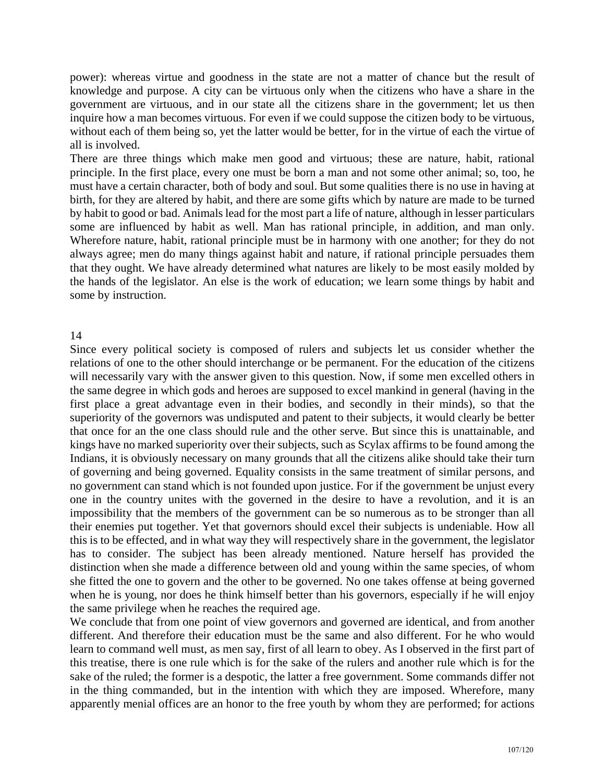power): whereas virtue and goodness in the state are not a matter of chance but the result of knowledge and purpose. A city can be virtuous only when the citizens who have a share in the government are virtuous, and in our state all the citizens share in the government; let us then inquire how a man becomes virtuous. For even if we could suppose the citizen body to be virtuous, without each of them being so, yet the latter would be better, for in the virtue of each the virtue of all is involved.

birth, for they are altered by habit, and there are some gifts which by nature are made to be turned by habit to good or bad. Animals lead for the most part a life of nature, although in lesser particulars some are influenced by habit as well. Man has rational principle, in addition, and man only. Wherefore nature, habit, rational principle must be in harmony with one another; for they do not There are three things which make men good and virtuous; these are nature, habit, rational principle. In the first place, every one must be born a man and not some other animal; so, too, he must have a certain character, both of body and soul. But some qualities there is no use in having at always agree; men do many things against habit and nature, if rational principle persuades them that they ought. We have already determined what natures are likely to be most easily molded by the hands of the legislator. An else is the work of education; we learn some things by habit and some by instruction.

## 14

Indians, it is obviously necessary on many grounds that all the citizens alike should take their turn has to consider. The subject has been already mentioned. Nature herself has provided the the same privilege when he reaches the required age. Since every political society is composed of rulers and subjects let us consider whether the relations of one to the other should interchange or be permanent. For the education of the citizens will necessarily vary with the answer given to this question. Now, if some men excelled others in the same degree in which gods and heroes are supposed to excel mankind in general (having in the first place a great advantage even in their bodies, and secondly in their minds), so that the superiority of the governors was undisputed and patent to their subjects, it would clearly be better that once for an the one class should rule and the other serve. But since this is unattainable, and kings have no marked superiority over their subjects, such as Scylax affirms to be found among the of governing and being governed. Equality consists in the same treatment of similar persons, and no government can stand which is not founded upon justice. For if the government be unjust every one in the country unites with the governed in the desire to have a revolution, and it is an impossibility that the members of the government can be so numerous as to be stronger than all their enemies put together. Yet that governors should excel their subjects is undeniable. How all this is to be effected, and in what way they will respectively share in the government, the legislator distinction when she made a difference between old and young within the same species, of whom she fitted the one to govern and the other to be governed. No one takes offense at being governed when he is young, nor does he think himself better than his governors, especially if he will enjoy

this treatise, there is one rule which is for the sake of the rulers and another rule which is for the sake of the ruled; the former is a despotic, the latter a free government. Some commands differ not in the thing commanded, but in the intention with which they are imposed. Wherefore, many apparently menial offices are an honor to the free youth by whom they are performed; for actions We conclude that from one point of view governors and governed are identical, and from another different. And therefore their education must be the same and also different. For he who would learn to command well must, as men say, first of all learn to obey. As I observed in the first part of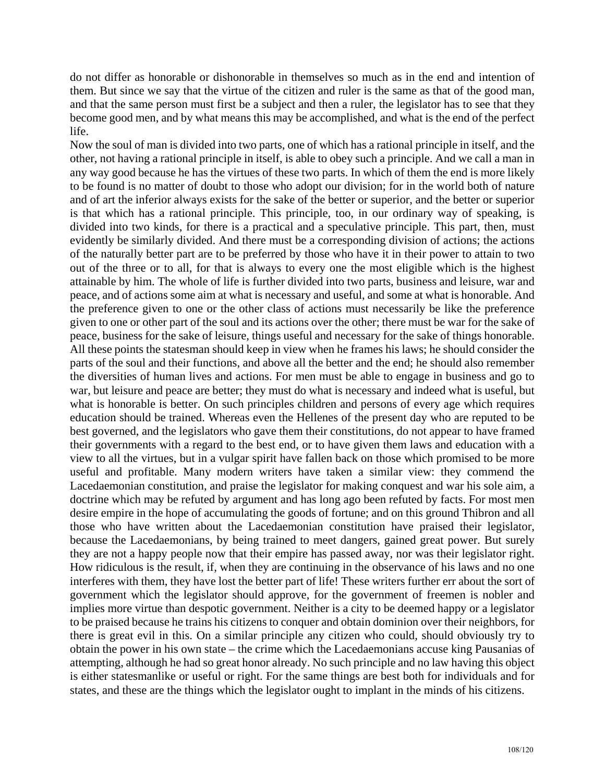do not differ as honorable or dishonorable in themselves so much as in the end and intention of them. But since we say that the virtue of the citizen and ruler is the same as that of the good man, and that the same person must first be a subject and then a ruler, the legislator has to see that they become good men, and by what means this may be accomplished, and what is the end of the perfect life.

is that which has a rational principle. This principle, too, in our ordinary way of speaking, is given to one or other part of the soul and its actions over the other; there must be war for the sake of those who have written about the Lacedaemonian constitution have praised their legislator, obtain the power in his own state – the crime which the Lacedaemonians accuse king Pausanias of Now the soul of man is divided into two parts, one of which has a rational principle in itself, and the other, not having a rational principle in itself, is able to obey such a principle. And we call a man in any way good because he has the virtues of these two parts. In which of them the end is more likely to be found is no matter of doubt to those who adopt our division; for in the world both of nature and of art the inferior always exists for the sake of the better or superior, and the better or superior divided into two kinds, for there is a practical and a speculative principle. This part, then, must evidently be similarly divided. And there must be a corresponding division of actions; the actions of the naturally better part are to be preferred by those who have it in their power to attain to two out of the three or to all, for that is always to every one the most eligible which is the highest attainable by him. The whole of life is further divided into two parts, business and leisure, war and peace, and of actions some aim at what is necessary and useful, and some at what is honorable. And the preference given to one or the other class of actions must necessarily be like the preference peace, business for the sake of leisure, things useful and necessary for the sake of things honorable. All these points the statesman should keep in view when he frames his laws; he should consider the parts of the soul and their functions, and above all the better and the end; he should also remember the diversities of human lives and actions. For men must be able to engage in business and go to war, but leisure and peace are better; they must do what is necessary and indeed what is useful, but what is honorable is better. On such principles children and persons of every age which requires education should be trained. Whereas even the Hellenes of the present day who are reputed to be best governed, and the legislators who gave them their constitutions, do not appear to have framed their governments with a regard to the best end, or to have given them laws and education with a view to all the virtues, but in a vulgar spirit have fallen back on those which promised to be more useful and profitable. Many modern writers have taken a similar view: they commend the Lacedaemonian constitution, and praise the legislator for making conquest and war his sole aim, a doctrine which may be refuted by argument and has long ago been refuted by facts. For most men desire empire in the hope of accumulating the goods of fortune; and on this ground Thibron and all because the Lacedaemonians, by being trained to meet dangers, gained great power. But surely they are not a happy people now that their empire has passed away, nor was their legislator right. How ridiculous is the result, if, when they are continuing in the observance of his laws and no one interferes with them, they have lost the better part of life! These writers further err about the sort of government which the legislator should approve, for the government of freemen is nobler and implies more virtue than despotic government. Neither is a city to be deemed happy or a legislator to be praised because he trains his citizens to conquer and obtain dominion over their neighbors, for there is great evil in this. On a similar principle any citizen who could, should obviously try to attempting, although he had so great honor already. No such principle and no law having this object is either statesmanlike or useful or right. For the same things are best both for individuals and for states, and these are the things which the legislator ought to implant in the minds of his citizens.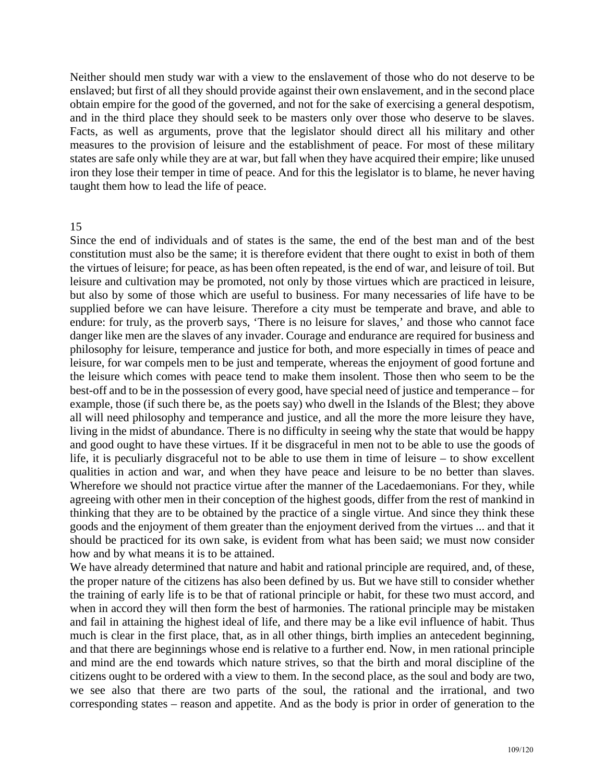Neither should men study war with a view to the enslavement of those who do not deserve to be enslaved; but first of all they should provide against their own enslavement, and in the second place obtain empire for the good of the governed, and not for the sake of exercising a general despotism, and in the third place they should seek to be masters only over those who deserve to be slaves. Facts, as well as arguments, prove that the legislator should direct all his military and other measures to the provision of leisure and the establishment of peace. For most of these military states are safe only while they are at war, but fall when they have acquired their empire; like unused iron they lose their temper in time of peace. And for this the legislator is to blame, he never having taught them how to lead the life of peace.

### 15

qualities in action and war, and when they have peace and leisure to be no better than slaves. Since the end of individuals and of states is the same, the end of the best man and of the best constitution must also be the same; it is therefore evident that there ought to exist in both of them the virtues of leisure; for peace, as has been often repeated, is the end of war, and leisure of toil. But leisure and cultivation may be promoted, not only by those virtues which are practiced in leisure, but also by some of those which are useful to business. For many necessaries of life have to be supplied before we can have leisure. Therefore a city must be temperate and brave, and able to endure: for truly, as the proverb says, 'There is no leisure for slaves,' and those who cannot face danger like men are the slaves of any invader. Courage and endurance are required for business and philosophy for leisure, temperance and justice for both, and more especially in times of peace and leisure, for war compels men to be just and temperate, whereas the enjoyment of good fortune and the leisure which comes with peace tend to make them insolent. Those then who seem to be the best-off and to be in the possession of every good, have special need of justice and temperance – for example, those (if such there be, as the poets say) who dwell in the Islands of the Blest; they above all will need philosophy and temperance and justice, and all the more the more leisure they have, living in the midst of abundance. There is no difficulty in seeing why the state that would be happy and good ought to have these virtues. If it be disgraceful in men not to be able to use the goods of life, it is peculiarly disgraceful not to be able to use them in time of leisure – to show excellent Wherefore we should not practice virtue after the manner of the Lacedaemonians. For they, while agreeing with other men in their conception of the highest goods, differ from the rest of mankind in thinking that they are to be obtained by the practice of a single virtue. And since they think these goods and the enjoyment of them greater than the enjoyment derived from the virtues ... and that it should be practiced for its own sake, is evident from what has been said; we must now consider how and by what means it is to be attained.

much is clear in the first place, that, as in all other things, birth implies an antecedent beginning, We have already determined that nature and habit and rational principle are required, and, of these, the proper nature of the citizens has also been defined by us. But we have still to consider whether the training of early life is to be that of rational principle or habit, for these two must accord, and when in accord they will then form the best of harmonies. The rational principle may be mistaken and fail in attaining the highest ideal of life, and there may be a like evil influence of habit. Thus and that there are beginnings whose end is relative to a further end. Now, in men rational principle and mind are the end towards which nature strives, so that the birth and moral discipline of the citizens ought to be ordered with a view to them. In the second place, as the soul and body are two, we see also that there are two parts of the soul, the rational and the irrational, and two corresponding states – reason and appetite. And as the body is prior in order of generation to the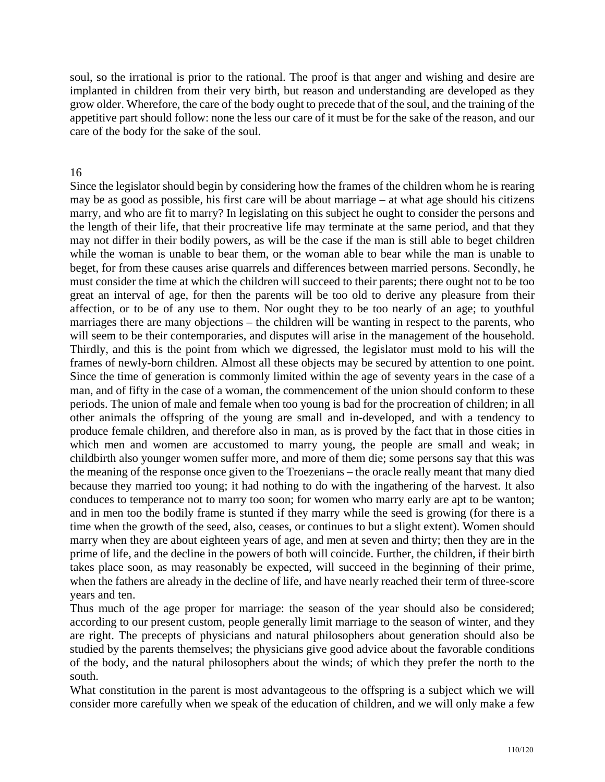soul, so the irrational is prior to the rational. The proof is that anger and wishing and desire are implanted in children from their very birth, but reason and understanding are developed as they grow older. Wherefore, the care of the body ought to precede that of the soul, and the training of the appetitive part should follow: none the less our care of it must be for the sake of the reason, and our care of the body for the sake of the soul.

### 16

Since the legislator should begin by considering how the frames of the children whom he is rearing may be as good as possible, his first care will be about marriage – at what age should his citizens marry, and who are fit to marry? In legislating on this subject he ought to consider the persons and the length of their life, that their procreative life may terminate at the same period, and that they may not differ in their bodily powers, as will be the case if the man is still able to beget children while the woman is unable to bear them, or the woman able to bear while the man is unable to beget, for from these causes arise quarrels and differences between married persons. Secondly, he must consider the time at which the children will succeed to their parents; there ought not to be too great an interval of age, for then the parents will be too old to derive any pleasure from their affection, or to be of any use to them. Nor ought they to be too nearly of an age; to youthful marriages there are many objections – the children will be wanting in respect to the parents, who will seem to be their contemporaries, and disputes will arise in the management of the household. Thirdly, and this is the point from which we digressed, the legislator must mold to his will the frames of newly-born children. Almost all these objects may be secured by attention to one point. Since the time of generation is commonly limited within the age of seventy years in the case of a man, and of fifty in the case of a woman, the commencement of the union should conform to these periods. The union of male and female when too young is bad for the procreation of children; in all other animals the offspring of the young are small and in-developed, and with a tendency to produce female children, and therefore also in man, as is proved by the fact that in those cities in which men and women are accustomed to marry young, the people are small and weak; in childbirth also younger women suffer more, and more of them die; some persons say that this was the meaning of the response once given to the Troezenians – the oracle really meant that many died because they married too young; it had nothing to do with the ingathering of the harvest. It also conduces to temperance not to marry too soon; for women who marry early are apt to be wanton; and in men too the bodily frame is stunted if they marry while the seed is growing (for there is a time when the growth of the seed, also, ceases, or continues to but a slight extent). Women should marry when they are about eighteen years of age, and men at seven and thirty; then they are in the prime of life, and the decline in the powers of both will coincide. Further, the children, if their birth takes place soon, as may reasonably be expected, will succeed in the beginning of their prime, when the fathers are already in the decline of life, and have nearly reached their term of three-score years and ten.

Thus much of the age proper for marriage: the season of the year should also be considered; according to our present custom, people generally limit marriage to the season of winter, and they are right. The precepts of physicians and natural philosophers about generation should also be studied by the parents themselves; the physicians give good advice about the favorable conditions of the body, and the natural philosophers about the winds; of which they prefer the north to the south.

What constitution in the parent is most advantageous to the offspring is a subject which we will consider more carefully when we speak of the education of children, and we will only make a few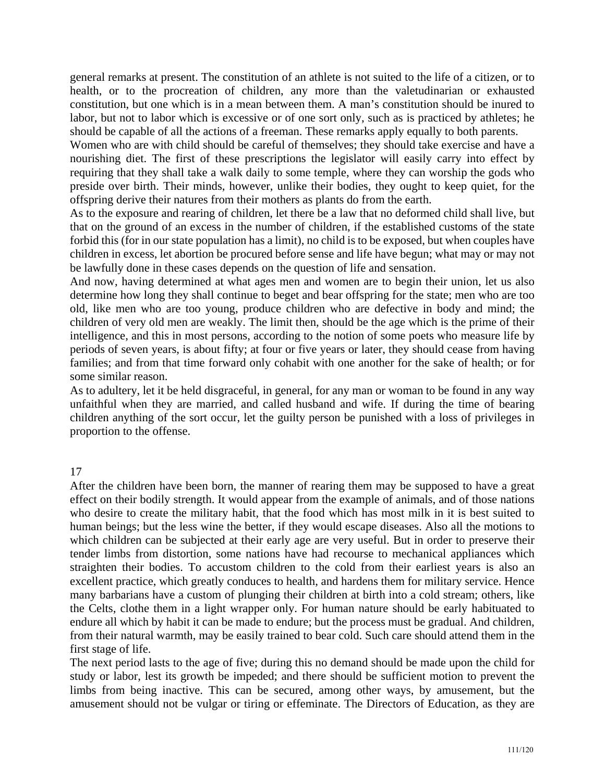general remarks at present. The constitution of an athlete is not suited to the life of a citizen, or to health, or to the procreation of children, any more than the valetudinarian or exhausted constitution, but one which is in a mean between them. A man's constitution should be inured to labor, but not to labor which is excessive or of one sort only, such as is practiced by athletes; he should be capable of all the actions of a freeman. These remarks apply equally to both parents.

Women who are with child should be careful of themselves; they should take exercise and have a nourishing diet. The first of these prescriptions the legislator will easily carry into effect by requiring that they shall take a walk daily to some temple, where they can worship the gods who preside over birth. Their minds, however, unlike their bodies, they ought to keep quiet, for the offspring derive their natures from their mothers as plants do from the earth.

As to the exposure and rearing of children, let there be a law that no deformed child shall live, but that on the ground of an excess in the number of children, if the established customs of the state forbid this (for in our state population has a limit), no child is to be exposed, but when couples have children in excess, let abortion be procured before sense and life have begun; what may or may not be lawfully done in these cases depends on the question of life and sensation.

And now, having determined at what ages men and women are to begin their union, let us also determine how long they shall continue to beget and bear offspring for the state; men who are too old, like men who are too young, produce children who are defective in body and mind; the children of very old men are weakly. The limit then, should be the age which is the prime of their intelligence, and this in most persons, according to the notion of some poets who measure life by periods of seven years, is about fifty; at four or five years or later, they should cease from having families; and from that time forward only cohabit with one another for the sake of health; or for some similar reason.

children anything of the sort occur, let the guilty person be punished with a loss of privileges in As to adultery, let it be held disgraceful, in general, for any man or woman to be found in any way unfaithful when they are married, and called husband and wife. If during the time of bearing proportion to the offense.

# 17

from their natural warmth, may be easily trained to bear cold. Such care should attend them in the first stage of life. After the children have been born, the manner of rearing them may be supposed to have a great effect on their bodily strength. It would appear from the example of animals, and of those nations who desire to create the military habit, that the food which has most milk in it is best suited to human beings; but the less wine the better, if they would escape diseases. Also all the motions to which children can be subjected at their early age are very useful. But in order to preserve their tender limbs from distortion, some nations have had recourse to mechanical appliances which straighten their bodies. To accustom children to the cold from their earliest years is also an excellent practice, which greatly conduces to health, and hardens them for military service. Hence many barbarians have a custom of plunging their children at birth into a cold stream; others, like the Celts, clothe them in a light wrapper only. For human nature should be early habituated to endure all which by habit it can be made to endure; but the process must be gradual. And children,

The next period lasts to the age of five; during this no demand should be made upon the child for study or labor, lest its growth be impeded; and there should be sufficient motion to prevent the limbs from being inactive. This can be secured, among other ways, by amusement, but the amusement should not be vulgar or tiring or effeminate. The Directors of Education, as they are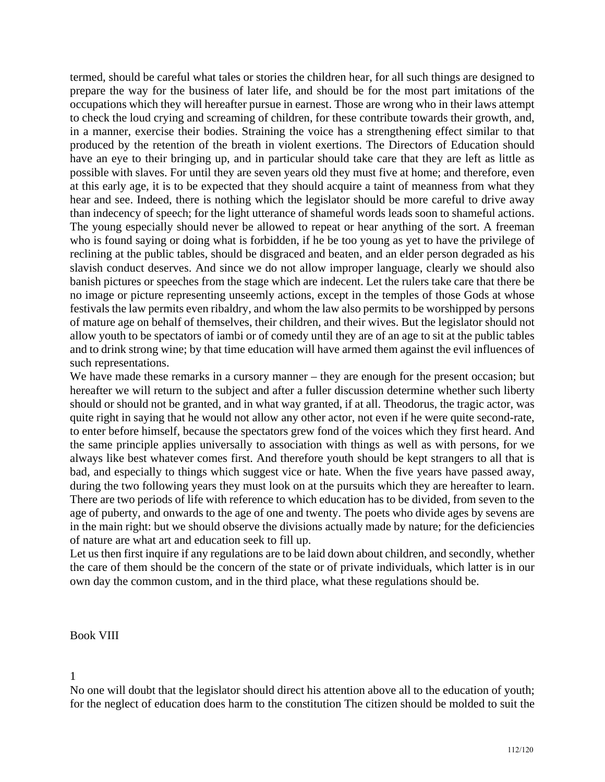termed, should be careful what tales or stories the children hear, for all such things are designed to prepare the way for the business of later life, and should be for the most part imitations of the occupations which they will hereafter pursue in earnest. Those are wrong who in their laws attempt to check the loud crying and screaming of children, for these contribute towards their growth, and, in a manner, exercise their bodies. Straining the voice has a strengthening effect similar to that produced by the retention of the breath in violent exertions. The Directors of Education should have an eye to their bringing up, and in particular should take care that they are left as little as possible with slaves. For until they are seven years old they must five at home; and therefore, even at this early age, it is to be expected that they should acquire a taint of meanness from what they hear and see. Indeed, there is nothing which the legislator should be more careful to drive away than indecency of speech; for the light utterance of shameful words leads soon to shameful actions. The young especially should never be allowed to repeat or hear anything of the sort. A freeman who is found saying or doing what is forbidden, if he be too young as yet to have the privilege of reclining at the public tables, should be disgraced and beaten, and an elder person degraded as his slavish conduct deserves. And since we do not allow improper language, clearly we should also banish pictures or speeches from the stage which are indecent. Let the rulers take care that there be no image or picture representing unseemly actions, except in the temples of those Gods at whose festivals the law permits even ribaldry, and whom the law also permits to be worshipped by persons of mature age on behalf of themselves, their children, and their wives. But the legislator should not allow youth to be spectators of iambi or of comedy until they are of an age to sit at the public tables and to drink strong wine; by that time education will have armed them against the evil influences of such representations.

We have made these remarks in a cursory manner – they are enough for the present occasion; but hereafter we will return to the subject and after a fuller discussion determine whether such liberty should or should not be granted, and in what way granted, if at all. Theodorus, the tragic actor, was quite right in saying that he would not allow any other actor, not even if he were quite second-rate, to enter before himself, because the spectators grew fond of the voices which they first heard. And the same principle applies universally to association with things as well as with persons, for we always like best whatever comes first. And therefore youth should be kept strangers to all that is bad, and especially to things which suggest vice or hate. When the five years have passed away, during the two following years they must look on at the pursuits which they are hereafter to learn. There are two periods of life with reference to which education has to be divided, from seven to the age of puberty, and onwards to the age of one and twenty. The poets who divide ages by sevens are in the main right: but we should observe the divisions actually made by nature; for the deficiencies of nature are what art and education seek to fill up.

Let us then first inquire if any regulations are to be laid down about children, and secondly, whether the care of them should be the concern of the state or of private individuals, which latter is in our own day the common custom, and in the third place, what these regulations should be.

# Book VIII

### 1

for the neglect of education does harm to the constitution The citizen should be molded to suit the No one will doubt that the legislator should direct his attention above all to the education of youth;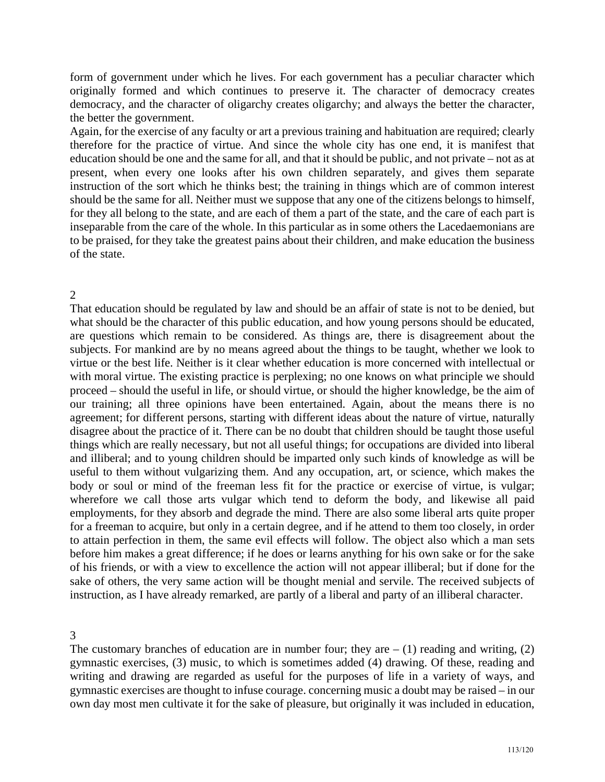form of government under which he lives. For each government has a peculiar character which originally formed and which continues to preserve it. The character of democracy creates democracy, and the character of oligarchy creates oligarchy; and always the better the character, the better the government.

Again, for the exercise of any faculty or art a previous training and habituation are required; clearly to be praised, for they take the greatest pains about their children, and make education the business therefore for the practice of virtue. And since the whole city has one end, it is manifest that education should be one and the same for all, and that it should be public, and not private – not as at present, when every one looks after his own children separately, and gives them separate instruction of the sort which he thinks best; the training in things which are of common interest should be the same for all. Neither must we suppose that any one of the citizens belongs to himself, for they all belong to the state, and are each of them a part of the state, and the care of each part is inseparable from the care of the whole. In this particular as in some others the Lacedaemonians are of the state.

# 2

That education should be regulated by law and should be an affair of state is not to be denied, but what should be the character of this public education, and how young persons should be educated, are questions which remain to be considered. As things are, there is disagreement about the employments, for they absorb and degrade the mind. There are also some liberal arts quite proper subjects. For mankind are by no means agreed about the things to be taught, whether we look to virtue or the best life. Neither is it clear whether education is more concerned with intellectual or with moral virtue. The existing practice is perplexing; no one knows on what principle we should proceed – should the useful in life, or should virtue, or should the higher knowledge, be the aim of our training; all three opinions have been entertained. Again, about the means there is no agreement; for different persons, starting with different ideas about the nature of virtue, naturally disagree about the practice of it. There can be no doubt that children should be taught those useful things which are really necessary, but not all useful things; for occupations are divided into liberal and illiberal; and to young children should be imparted only such kinds of knowledge as will be useful to them without vulgarizing them. And any occupation, art, or science, which makes the body or soul or mind of the freeman less fit for the practice or exercise of virtue, is vulgar; wherefore we call those arts vulgar which tend to deform the body, and likewise all paid for a freeman to acquire, but only in a certain degree, and if he attend to them too closely, in order to attain perfection in them, the same evil effects will follow. The object also which a man sets before him makes a great difference; if he does or learns anything for his own sake or for the sake of his friends, or with a view to excellence the action will not appear illiberal; but if done for the sake of others, the very same action will be thought menial and servile. The received subjects of instruction, as I have already remarked, are partly of a liberal and party of an illiberal character.

3

The customary branches of education are in number four; they are  $- (1)$  reading and writing,  $(2)$ gymnastic exercises, (3) music, to which is sometimes added (4) drawing. Of these, reading and writing and drawing are regarded as useful for the purposes of life in a variety of ways, and gymnastic exercises are thought to infuse courage. concerning music a doubt may be raised – in our own day most men cultivate it for the sake of pleasure, but originally it was included in education,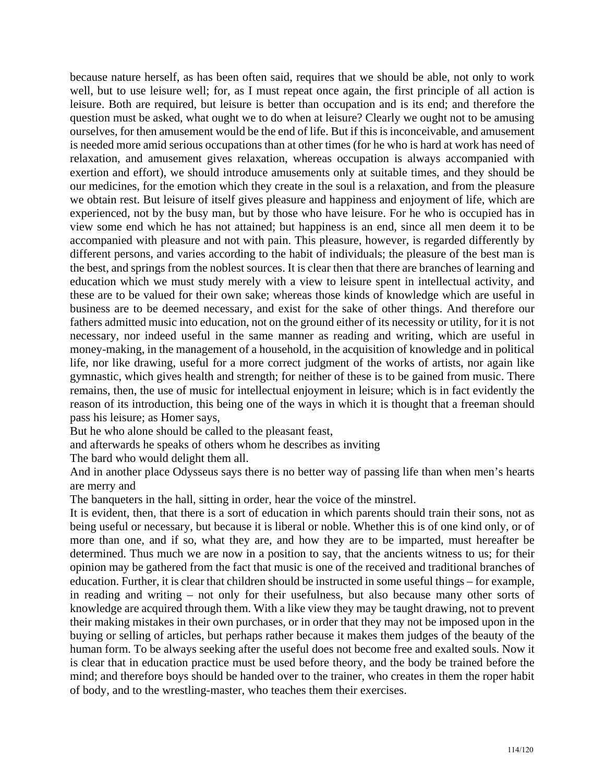because nature herself, as has been often said, requires that we should be able, not only to work well, but to use leisure well; for, as I must repeat once again, the first principle of all action is leisure. Both are required, but leisure is better than occupation and is its end; and therefore the question must be asked, what ought we to do when at leisure? Clearly we ought not to be amusing ourselves, for then amusement would be the end of life. But if this is inconceivable, and amusement is needed more amid serious occupations than at other times (for he who is hard at work has need of relaxation, and amusement gives relaxation, whereas occupation is always accompanied with exertion and effort), we should introduce amusements only at suitable times, and they should be our medicines, for the emotion which they create in the soul is a relaxation, and from the pleasure we obtain rest. But leisure of itself gives pleasure and happiness and enjoyment of life, which are experienced, not by the busy man, but by those who have leisure. For he who is occupied has in view some end which he has not attained; but happiness is an end, since all men deem it to be accompanied with pleasure and not with pain. This pleasure, however, is regarded differently by different persons, and varies according to the habit of individuals; the pleasure of the best man is the best, and springs from the noblest sources. It is clear then that there are branches of learning and education which we must study merely with a view to leisure spent in intellectual activity, and these are to be valued for their own sake; whereas those kinds of knowledge which are useful in business are to be deemed necessary, and exist for the sake of other things. And therefore our fathers admitted music into education, not on the ground either of its necessity or utility, for it is not necessary, nor indeed useful in the same manner as reading and writing, which are useful in money-making, in the management of a household, in the acquisition of knowledge and in political life, nor like drawing, useful for a more correct judgment of the works of artists, nor again like gymnastic, which gives health and strength; for neither of these is to be gained from music. There remains, then, the use of music for intellectual enjoyment in leisure; which is in fact evidently the reason of its introduction, this being one of the ways in which it is thought that a freeman should pass his leisure; as Homer says,

But he who alone should be called to the pleasant feast,

and afterwards he speaks of others whom he describes as inviting

The bard who would delight them all.

And in another place Odysseus says there is no better way of passing life than when men's hearts are merry and

The banqueters in the hall, sitting in order, hear the voice of the minstrel.

It is evident, then, that there is a sort of education in which parents should train their sons, not as being useful or necessary, but because it is liberal or noble. Whether this is of one kind only, or of more than one, and if so, what they are, and how they are to be imparted, must hereafter be their making mistakes in their own purchases, or in order that they may not be imposed upon in the determined. Thus much we are now in a position to say, that the ancients witness to us; for their opinion may be gathered from the fact that music is one of the received and traditional branches of education. Further, it is clear that children should be instructed in some useful things – for example, in reading and writing – not only for their usefulness, but also because many other sorts of knowledge are acquired through them. With a like view they may be taught drawing, not to prevent buying or selling of articles, but perhaps rather because it makes them judges of the beauty of the human form. To be always seeking after the useful does not become free and exalted souls. Now it is clear that in education practice must be used before theory, and the body be trained before the mind; and therefore boys should be handed over to the trainer, who creates in them the roper habit of body, and to the wrestling-master, who teaches them their exercises.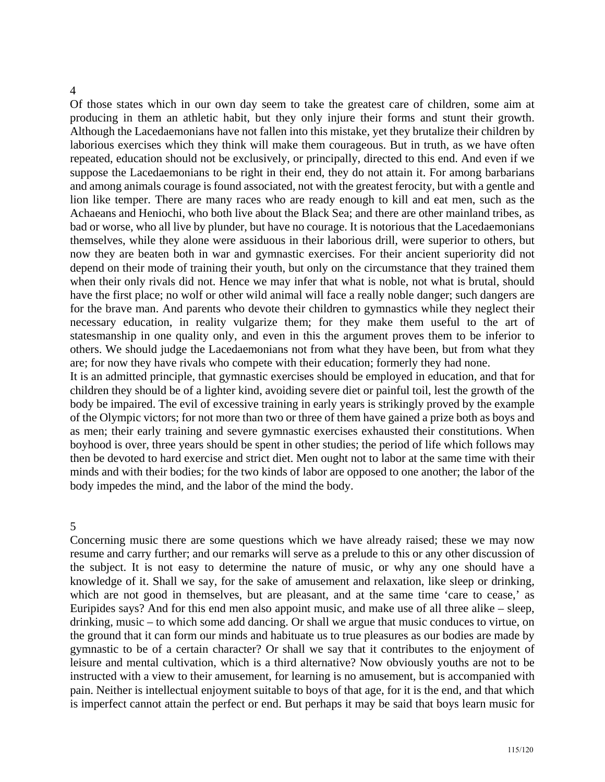#### 4

Of those states which in our own day seem to take the greatest care of children, some aim at producing in them an athletic habit, but they only injure their forms and stunt their growth. Although the Lacedaemonians have not fallen into this mistake, yet they brutalize their children by laborious exercises which they think will make them courageous. But in truth, as we have often repeated, education should not be exclusively, or principally, directed to this end. And even if we suppose the Lacedaemonians to be right in their end, they do not attain it. For among barbarians and among animals courage is found associated, not with the greatest ferocity, but with a gentle and lion like temper. There are many races who are ready enough to kill and eat men, such as the Achaeans and Heniochi, who both live about the Black Sea; and there are other mainland tribes, as bad or worse, who all live by plunder, but have no courage. It is notorious that the Lacedaemonians themselves, while they alone were assiduous in their laborious drill, were superior to others, but now they are beaten both in war and gymnastic exercises. For their ancient superiority did not depend on their mode of training their youth, but only on the circumstance that they trained them when their only rivals did not. Hence we may infer that what is noble, not what is brutal, should have the first place; no wolf or other wild animal will face a really noble danger; such dangers are for the brave man. And parents who devote their children to gymnastics while they neglect their necessary education, in reality vulgarize them; for they make them useful to the art of statesmanship in one quality only, and even in this the argument proves them to be inferior to others. We should judge the Lacedaemonians not from what they have been, but from what they are; for now they have rivals who compete with their education; formerly they had none.

minds and with their bodies; for the two kinds of labor are opposed to one another; the labor of the body impedes the mind, and the labor of the mind the body. It is an admitted principle, that gymnastic exercises should be employed in education, and that for children they should be of a lighter kind, avoiding severe diet or painful toil, lest the growth of the body be impaired. The evil of excessive training in early years is strikingly proved by the example of the Olympic victors; for not more than two or three of them have gained a prize both as boys and as men; their early training and severe gymnastic exercises exhausted their constitutions. When boyhood is over, three years should be spent in other studies; the period of life which follows may then be devoted to hard exercise and strict diet. Men ought not to labor at the same time with their

#### 5

Concerning music there are some questions which we have already raised; these we may now resume and carry further; and our remarks will serve as a prelude to this or any other discussion of the subject. It is not easy to determine the nature of music, or why any one should have a knowledge of it. Shall we say, for the sake of amusement and relaxation, like sleep or drinking, which are not good in themselves, but are pleasant, and at the same time 'care to cease,' as Euripides says? And for this end men also appoint music, and make use of all three alike – sleep, drinking, music – to which some add dancing. Or shall we argue that music conduces to virtue, on the ground that it can form our minds and habituate us to true pleasures as our bodies are made by gymnastic to be of a certain character? Or shall we say that it contributes to the enjoyment of leisure and mental cultivation, which is a third alternative? Now obviously youths are not to be instructed with a view to their amusement, for learning is no amusement, but is accompanied with pain. Neither is intellectual enjoyment suitable to boys of that age, for it is the end, and that which is imperfect cannot attain the perfect or end. But perhaps it may be said that boys learn music for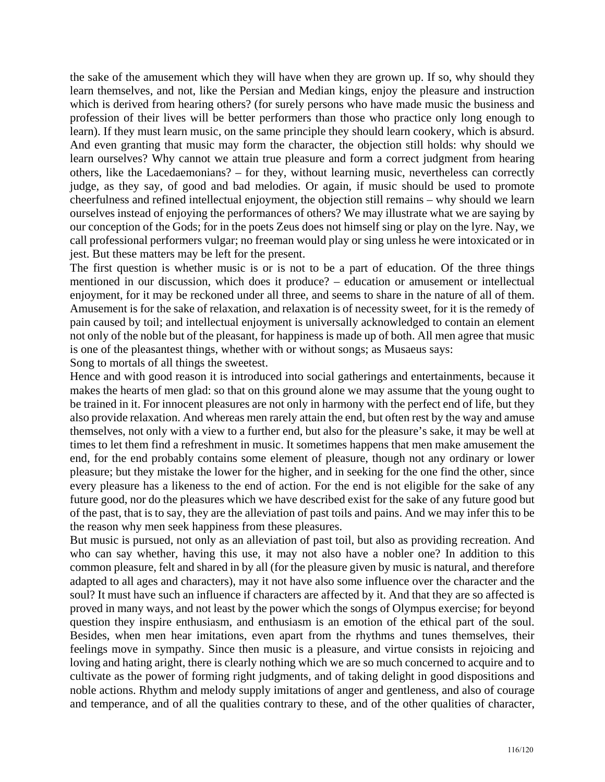the sake of the amusement which they will have when they are grown up. If so, why should they learn themselves, and not, like the Persian and Median kings, enjoy the pleasure and instruction which is derived from hearing others? (for surely persons who have made music the business and profession of their lives will be better performers than those who practice only long enough to learn). If they must learn music, on the same principle they should learn cookery, which is absurd. And even granting that music may form the character, the objection still holds: why should we learn ourselves? Why cannot we attain true pleasure and form a correct judgment from hearing others, like the Lacedaemonians? – for they, without learning music, nevertheless can correctly judge, as they say, of good and bad melodies. Or again, if music should be used to promote cheerfulness and refined intellectual enjoyment, the objection still remains – why should we learn ourselves instead of enjoying the performances of others? We may illustrate what we are saying by our conception of the Gods; for in the poets Zeus does not himself sing or play on the lyre. Nay, we call professional performers vulgar; no freeman would play or sing unless he were intoxicated or in jest. But these matters may be left for the present.

The first question is whether music is or is not to be a part of education. Of the three things mentioned in our discussion, which does it produce? – education or amusement or intellectual enjoyment, for it may be reckoned under all three, and seems to share in the nature of all of them. Amusement is for the sake of relaxation, and relaxation is of necessity sweet, for it is the remedy of pain caused by toil; and intellectual enjoyment is universally acknowledged to contain an element not only of the noble but of the pleasant, for happiness is made up of both. All men agree that music is one of the pleasantest things, whether with or without songs; as Musaeus says:

Song to mortals of all things the sweetest.

Hence and with good reason it is introduced into social gatherings and entertainments, because it makes the hearts of men glad: so that on this ground alone we may assume that the young ought to be trained in it. For innocent pleasures are not only in harmony with the perfect end of life, but they also provide relaxation. And whereas men rarely attain the end, but often rest by the way and amuse themselves, not only with a view to a further end, but also for the pleasure's sake, it may be well at times to let them find a refreshment in music. It sometimes happens that men make amusement the end, for the end probably contains some element of pleasure, though not any ordinary or lower pleasure; but they mistake the lower for the higher, and in seeking for the one find the other, since every pleasure has a likeness to the end of action. For the end is not eligible for the sake of any future good, nor do the pleasures which we have described exist for the sake of any future good but of the past, that is to say, they are the alleviation of past toils and pains. And we may infer this to be the reason why men seek happiness from these pleasures.

adapted to all ages and characters), may it not have also some influence over the character and the soul? It must have such an influence if characters are affected by it. And that they are so affected is proved in many ways, and not least by the power which the songs of Olympus exercise; for beyond question they inspire enthusiasm, and enthusiasm is an emotion of the ethical part of the soul. But music is pursued, not only as an alleviation of past toil, but also as providing recreation. And who can say whether, having this use, it may not also have a nobler one? In addition to this common pleasure, felt and shared in by all (for the pleasure given by music is natural, and therefore Besides, when men hear imitations, even apart from the rhythms and tunes themselves, their feelings move in sympathy. Since then music is a pleasure, and virtue consists in rejoicing and loving and hating aright, there is clearly nothing which we are so much concerned to acquire and to cultivate as the power of forming right judgments, and of taking delight in good dispositions and noble actions. Rhythm and melody supply imitations of anger and gentleness, and also of courage and temperance, and of all the qualities contrary to these, and of the other qualities of character,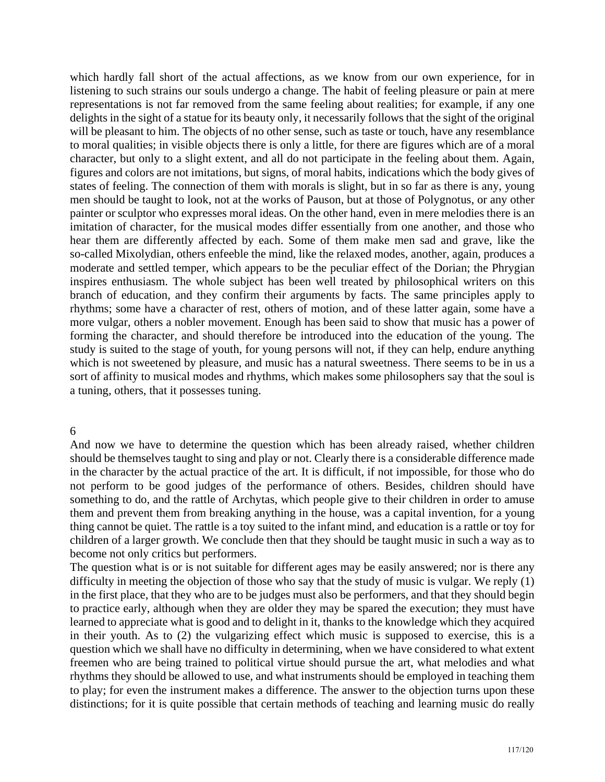which hardly fall short of the actual affections, as we know from our own experience, for in listening to such strains our souls undergo a change. The habit of feeling pleasure or pain at mere representations is not far removed from the same feeling about realities; for example, if any one delights in the sight of a statue for its beauty only, it necessarily follows that the sight of the original will be pleasant to him. The objects of no other sense, such as taste or touch, have any resemblance to moral qualities; in visible objects there is only a little, for there are figures which are of a moral character, but only to a slight extent, and all do not participate in the feeling about them. Again, figures and colors are not imitations, but signs, of moral habits, indications which the body gives of states of feeling. The connection of them with morals is slight, but in so far as there is any, young men should be taught to look, not at the works of Pauson, but at those of Polygnotus, or any other painter or sculptor who expresses moral ideas. On the other hand, even in mere melodies there is an imitation of character, for the musical modes differ essentially from one another, and those who hear them are differently affected by each. Some of them make men sad and grave, like the so-called Mixolydian, others enfeeble the mind, like the relaxed modes, another, again, produces a sort of affinity to musical modes and rhythms, which makes some philosophers say that the soul is a tuning, others, that it possesses tuning. moderate and settled temper, which appears to be the peculiar effect of the Dorian; the Phrygian inspires enthusiasm. The whole subject has been well treated by philosophical writers on this branch of education, and they confirm their arguments by facts. The same principles apply to rhythms; some have a character of rest, others of motion, and of these latter again, some have a more vulgar, others a nobler movement. Enough has been said to show that music has a power of forming the character, and should therefore be introduced into the education of the young. The study is suited to the stage of youth, for young persons will not, if they can help, endure anything which is not sweetened by pleasure, and music has a natural sweetness. There seems to be in us a

### 6

And now we have to determine the question which has been already raised, whether children should be themselves taught to sing and play or not. Clearly there is a considerable difference made in the character by the actual practice of the art. It is difficult, if not impossible, for those who do not perform to be good judges of the performance of others. Besides, children should have something to do, and the rattle of Archytas, which people give to their children in order to amuse them and prevent them from breaking anything in the house, was a capital invention, for a young thing cannot be quiet. The rattle is a toy suited to the infant mind, and education is a rattle or toy for children of a larger growth. We conclude then that they should be taught music in such a way as to become not only critics but performers.

The question what is or is not suitable for different ages may be easily answered; nor is there any difficulty in meeting the objection of those who say that the study of music is vulgar. We reply (1) in the first place, that they who are to be judges must also be performers, and that they should begin to practice early, although when they are older they may be spared the execution; they must have learned to appreciate what is good and to delight in it, thanks to the knowledge which they acquired in their youth. As to (2) the vulgarizing effect which music is supposed to exercise, this is a question which we shall have no difficulty in determining, when we have considered to what extent freemen who are being trained to political virtue should pursue the art, what melodies and what rhythms they should be allowed to use, and what instruments should be employed in teaching them to play; for even the instrument makes a difference. The answer to the objection turns upon these distinctions; for it is quite possible that certain methods of teaching and learning music do really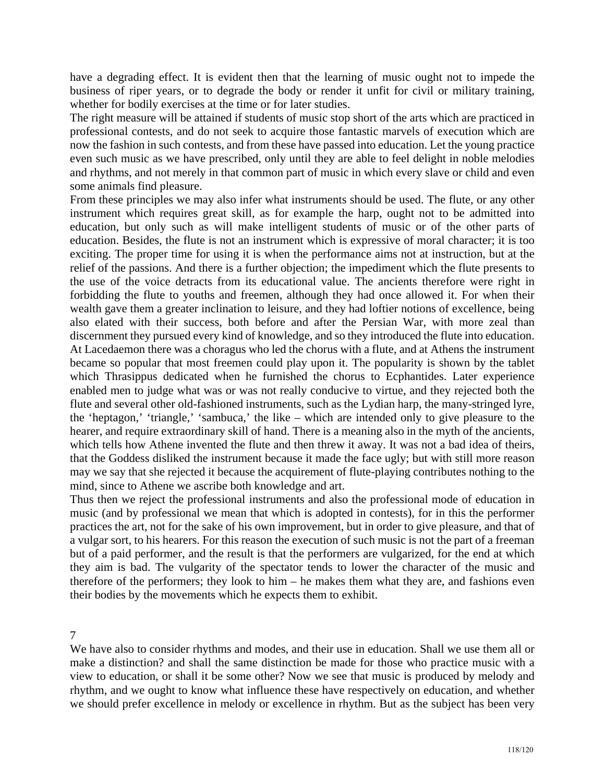have a degrading effect. It is evident then that the learning of music ought not to impede the business of riper years, or to degrade the body or render it unfit for civil or military training, whether for bodily exercises at the time or for later studies.

The right measure will be attained if students of music stop short of the arts which are practiced in professional contests, and do not seek to acquire those fantastic marvels of execution which are now the fashion in such contests, and from these have passed into education. Let the young practice even such music as we have prescribed, only until they are able to feel delight in noble melodies and rhythms, and not merely in that common part of music in which every slave or child and even some animals find pleasure.

education. Besides, the flute is not an instrument which is expressive of moral character; it is too exciting. The proper time for using it is when the performance aims not at instruction, but at the the 'heptagon,' 'triangle,' 'sambuca,' the like – which are intended only to give pleasure to the From these principles we may also infer what instruments should be used. The flute, or any other instrument which requires great skill, as for example the harp, ought not to be admitted into education, but only such as will make intelligent students of music or of the other parts of relief of the passions. And there is a further objection; the impediment which the flute presents to the use of the voice detracts from its educational value. The ancients therefore were right in forbidding the flute to youths and freemen, although they had once allowed it. For when their wealth gave them a greater inclination to leisure, and they had loftier notions of excellence, being also elated with their success, both before and after the Persian War, with more zeal than discernment they pursued every kind of knowledge, and so they introduced the flute into education. At Lacedaemon there was a choragus who led the chorus with a flute, and at Athens the instrument became so popular that most freemen could play upon it. The popularity is shown by the tablet which Thrasippus dedicated when he furnished the chorus to Ecphantides. Later experience enabled men to judge what was or was not really conducive to virtue, and they rejected both the flute and several other old-fashioned instruments, such as the Lydian harp, the many-stringed lyre, hearer, and require extraordinary skill of hand. There is a meaning also in the myth of the ancients, which tells how Athene invented the flute and then threw it away. It was not a bad idea of theirs, that the Goddess disliked the instrument because it made the face ugly; but with still more reason may we say that she rejected it because the acquirement of flute-playing contributes nothing to the mind, since to Athene we ascribe both knowledge and art.

Thus then we reject the professional instruments and also the professional mode of education in music (and by professional we mean that which is adopted in contests), for in this the performer practices the art, not for the sake of his own improvement, but in order to give pleasure, and that of a vulgar sort, to his hearers. For this reason the execution of such music is not the part of a freeman but of a paid performer, and the result is that the performers are vulgarized, for the end at which they aim is bad. The vulgarity of the spectator tends to lower the character of the music and therefore of the performers; they look to him – he makes them what they are, and fashions even their bodies by the movements which he expects them to exhibit.

7

We have also to consider rhythms and modes, and their use in education. Shall we use them all or make a distinction? and shall the same distinction be made for those who practice music with a view to education, or shall it be some other? Now we see that music is produced by melody and rhythm, and we ought to know what influence these have respectively on education, and whether we should prefer excellence in melody or excellence in rhythm. But as the subject has been very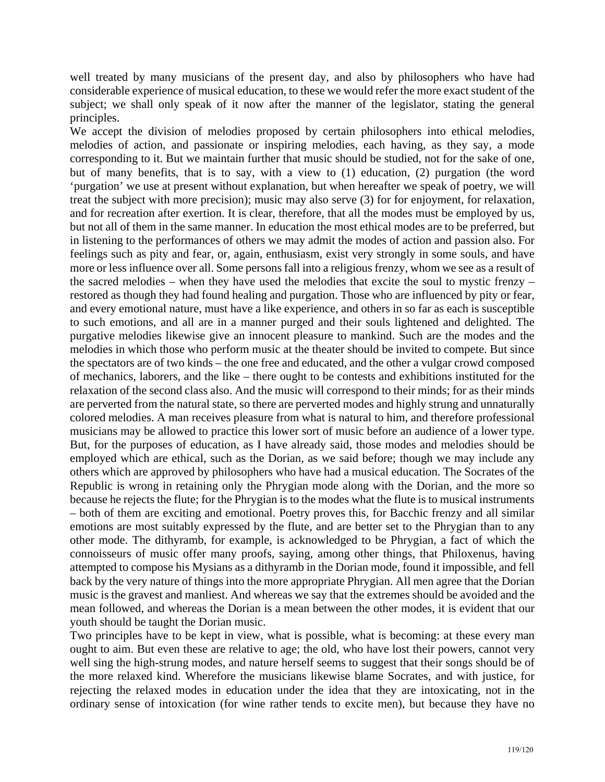well treated by many musicians of the present day, and also by philosophers who have had considerable experience of musical education, to these we would refer the more exact student of the subject; we shall only speak of it now after the manner of the legislator, stating the general principles.

We accept the division of melodies proposed by certain philosophers into ethical melodies, melodies of action, and passionate or inspiring melodies, each having, as they say, a mode corresponding to it. But we maintain further that music should be studied, not for the sake of one, but of many benefits, that is to say, with a view to (1) education, (2) purgation (the word 'purgation' we use at present without explanation, but when hereafter we speak of poetry, we will treat the subject with more precision); music may also serve (3) for for enjoyment, for relaxation, and for recreation after exertion. It is clear, therefore, that all the modes must be employed by us, but not all of them in the same manner. In education the most ethical modes are to be preferred, but in listening to the performances of others we may admit the modes of action and passion also. For feelings such as pity and fear, or, again, enthusiasm, exist very strongly in some souls, and have more or less influence over all. Some persons fall into a religious frenzy, whom we see as a result of the sacred melodies – when they have used the melodies that excite the soul to mystic frenzy – restored as though they had found healing and purgation. Those who are influenced by pity or fear, nd every emotional nature, must have a like experience, and others in so far as each is susceptible a to such emotions, and all are in a manner purged and their souls lightened and delighted. The purgative melodies likewise give an innocent pleasure to mankind. Such are the modes and the employed which are ethical, such as the Dorian, as we said before; though we may include any melodies in which those who perform music at the theater should be invited to compete. But since the spectators are of two kinds – the one free and educated, and the other a vulgar crowd composed of mechanics, laborers, and the like – there ought to be contests and exhibitions instituted for the relaxation of the second class also. And the music will correspond to their minds; for as their minds are perverted from the natural state, so there are perverted modes and highly strung and unnaturally colored melodies. A man receives pleasure from what is natural to him, and therefore professional musicians may be allowed to practice this lower sort of music before an audience of a lower type. But, for the purposes of education, as I have already said, those modes and melodies should be others which are approved by philosophers who have had a musical education. The Socrates of the Republic is wrong in retaining only the Phrygian mode along with the Dorian, and the more so because he rejects the flute; for the Phrygian is to the modes what the flute is to musical instruments – both of them are exciting and emotional. Poetry proves this, for Bacchic frenzy and all similar emotions are most suitably expressed by the flute, and are better set to the Phrygian than to any other mode. The dithyramb, for example, is acknowledged to be Phrygian, a fact of which the connoisseurs of music offer many proofs, saying, among other things, that Philoxenus, having attempted to compose his Mysians as a dithyramb in the Dorian mode, found it impossible, and fell back by the very nature of things into the more appropriate Phrygian. All men agree that the Dorian music is the gravest and manliest. And whereas we say that the extremes should be avoided and the mean followed, and whereas the Dorian is a mean between the other modes, it is evident that our youth should be taught the Dorian music.

ought to aim. But even these are relative to age; the old, who have lost their powers, cannot very Two principles have to be kept in view, what is possible, what is becoming: at these every man well sing the high-strung modes, and nature herself seems to suggest that their songs should be of the more relaxed kind. Wherefore the musicians likewise blame Socrates, and with justice, for rejecting the relaxed modes in education under the idea that they are intoxicating, not in the ordinary sense of intoxication (for wine rather tends to excite men), but because they have no